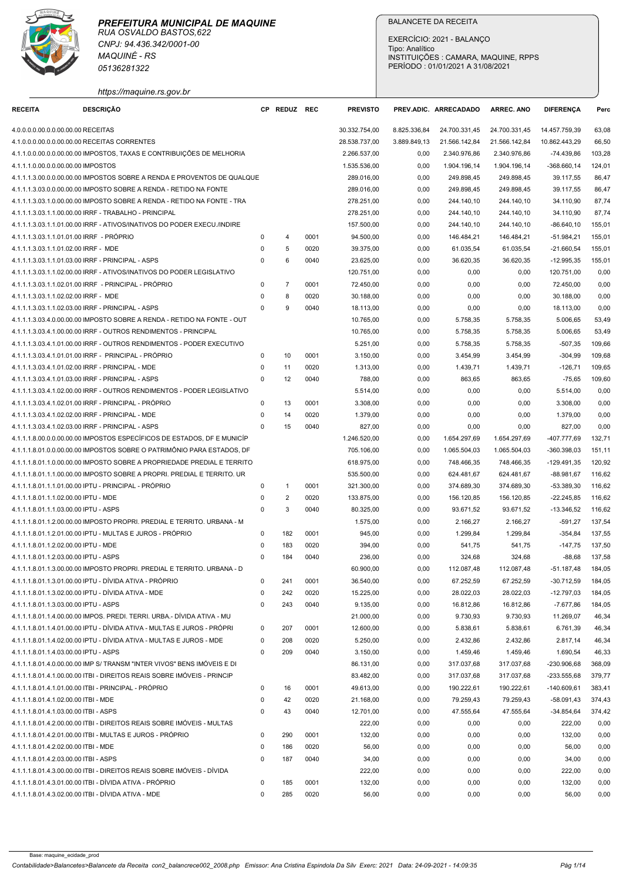

|                                                                                    | RUA OSVALDO BASTOS.622<br>CNPJ: 94.436.342/0001-00                                                                                           |                         |                |              |                                |                              |                                  |                                      |                                |                  |
|------------------------------------------------------------------------------------|----------------------------------------------------------------------------------------------------------------------------------------------|-------------------------|----------------|--------------|--------------------------------|------------------------------|----------------------------------|--------------------------------------|--------------------------------|------------------|
|                                                                                    |                                                                                                                                              |                         |                |              |                                | Tipo: Analítico              | EXERCÍCIO: 2021 - BALANÇO        |                                      |                                |                  |
|                                                                                    | <b>MAQUINÉ - RS</b><br>05136281322                                                                                                           |                         |                |              |                                |                              | PERÍODO: 01/01/2021 A 31/08/2021 | INSTITUIÇÕES : CAMARA, MAQUINE, RPPS |                                |                  |
|                                                                                    |                                                                                                                                              |                         |                |              |                                |                              |                                  |                                      |                                |                  |
|                                                                                    | https://maquine.rs.gov.br                                                                                                                    |                         |                |              |                                |                              |                                  |                                      |                                |                  |
| <b>RECEITA</b>                                                                     | <b>DESCRIÇÃO</b>                                                                                                                             |                         | CP REDUZ REC   |              | <b>PREVISTO</b>                |                              | PREV.ADIC. ARRECADADO            | <b>ARREC. ANO</b>                    | <b>DIFERENCA</b>               | Perc             |
| 4.0.0.0.0.00.0.0.00.00.00 RECEITAS<br>4.1.0.0.0.00.0.0.00.00.00 RECEITAS CORRENTES |                                                                                                                                              |                         |                |              | 30.332.754,00<br>28.538.737,00 | 8.825.336,84<br>3.889.849,13 | 24.700.331,45<br>21.566.142,84   | 24.700.331,45<br>21.566.142,84       | 14.457.759,39<br>10.862.443,29 | 63,08<br>66,50   |
|                                                                                    | 4.1.1.0.0.00.0.0.00.00.00 IMPOSTOS, TAXAS E CONTRIBUIÇÕES DE MELHORIA                                                                        |                         |                |              | 2.266.537,00                   | 0,00                         | 2.340.976,86                     | 2.340.976,86                         | -74.439,86                     | 103,28           |
| 4.1.1.1.0.00.0.0.00.00.00 IMPOSTOS                                                 |                                                                                                                                              |                         |                |              | 1.535.536,00                   | 0,00                         | 1.904.196,14                     | 1.904.196,14                         | -368.660,14                    | 124,01           |
|                                                                                    | 4.1.1.1.3.00.0.0.00.00.00 IMPOSTOS SOBRE A RENDA E PROVENTOS DE QUALQUE<br>4.1.1.1.3.03.0.0.00.00.00 IMPOSTO SOBRE A RENDA - RETIDO NA FONTE |                         |                |              | 289.016,00<br>289.016,00       | 0,00<br>0,00                 | 249.898,45<br>249.898,45         | 249.898,45<br>249.898,45             | 39.117,55<br>39.117,55         | 86,47<br>86,47   |
|                                                                                    | 4.1.1.1.3.03.1.0.00.00.00 IMPOSTO SOBRE A RENDA - RETIDO NA FONTE - TRA                                                                      |                         |                |              | 278.251,00                     | 0,00                         | 244.140,10                       | 244.140,10                           | 34.110,90                      | 87,74            |
|                                                                                    | 4.1.1.1.3.03.1.1.00.00.00 IRRF - TRABALHO - PRINCIPAL                                                                                        |                         |                |              | 278.251,00                     | 0,00                         | 244.140,10                       | 244.140,10                           | 34.110,90                      | 87,74            |
| 4.1.1.1.3.03.1.1.01.01.00 IRRF - PROPRIO                                           | 4.1.1.1.3.03.1.1.01.00.00 IRRF - ATIVOS/INATIVOS DO PODER EXECU./INDIRE                                                                      |                         |                | 0001         | 157.500,00<br>94.500,00        | 0,00<br>0,00                 | 244.140,10<br>146.484,21         | 244.140,10<br>146.484,21             | -86.640,10<br>$-51.984,21$     | 155,01<br>155,01 |
| 4.1.1.1.3.03.1.1.01.02.00 IRRF - MDE                                               |                                                                                                                                              | 0                       | -5             | 0020         | 39.375,00                      | 0,00                         | 61.035,54                        | 61.035,54                            | $-21.660,54$                   | 155,01           |
| 4.1.1.1.3.03.1.1.01.03.00 IRRF - PRINCIPAL - ASPS                                  |                                                                                                                                              | $\Omega$                | -6             | 0040         | 23.625,00                      | 0,00                         | 36.620,35                        | 36.620,35                            | $-12.995,35$                   | 155,01           |
|                                                                                    | 4.1.1.1.3.03.1.1.02.00.00 IRRF - ATIVOS/INATIVOS DO PODER LEGISLATIVO<br>4.1.1.1.3.03.1.1.02.01.00 IRRF - PRINCIPAL - PRÓPRIO                | O                       |                | 0001         | 120.751,00<br>72.450,00        | 0,00<br>0,00                 | 0,00<br>0,00                     | 0,00<br>0,00                         | 120.751,00<br>72.450,00        | 0,00<br>0,00     |
| 4.1.1.1.3.03.1.1.02.02.00 IRRF - MDE                                               |                                                                                                                                              | $\Omega$                | 8              | 0020         | 30.188,00                      | 0,00                         | 0,00                             | 0,00                                 | 30.188,00                      | 0,00             |
| 4.1.1.1.3.03.1.1.02.03.00 IRRF - PRINCIPAL - ASPS                                  |                                                                                                                                              | $\Omega$                | 9              | 0040         | 18.113,00                      | 0,00                         | 0,00                             | 0,00                                 | 18.113,00                      | 0,00             |
|                                                                                    | 4.1.1.1.3.03.4.0.00.00.00 IMPOSTO SOBRE A RENDA - RETIDO NA FONTE - OUT<br>4.1.1.1.3.03.4.1.00.00.00 IRRF - OUTROS RENDIMENTOS - PRINCIPAL   |                         |                |              | 10.765,00<br>10.765,00         | 0,00<br>0,00                 | 5.758,35<br>5.758,35             | 5.758,35<br>5.758,35                 | 5.006,65<br>5.006,65           | 53,49<br>53,49   |
|                                                                                    | 4.1.1.1.3.03.4.1.01.00.00 IRRF - OUTROS RENDIMENTOS - PODER EXECUTIVO                                                                        |                         |                |              | 5.251,00                       | 0,00                         | 5.758,35                         | 5.758,35                             | $-507,35$                      | 109,66           |
|                                                                                    | 4.1.1.1.3.03.4.1.01.01.00 IRRF - PRINCIPAL - PRÓPRIO                                                                                         | $\mathbf 0$             | 10             | 0001         | 3.150,00                       | 0,00                         | 3.454,99                         | 3.454,99                             | $-304,99$                      | 109,68           |
| 4.1.1.1.3.03.4.1.01.02.00 IRRF - PRINCIPAL - MDE                                   |                                                                                                                                              | $\Omega$                | 11             | 0020         | 1.313,00                       | 0,00                         | 1.439,71                         | 1.439,71                             | $-126,71$                      | 109,65           |
| 4.1.1.1.3.03.4.1.01.03.00 IRRF - PRINCIPAL - ASPS                                  | 4.1.1.1.3.03.4.1.02.00.00 IRRF - OUTROS RENDIMENTOS - PODER LEGISLATIVO                                                                      | $\Omega$                | 12             | 0040         | 788,00<br>5.514,00             | 0,00<br>0,00                 | 863,65<br>0,00                   | 863,65<br>0,00                       | $-75,65$<br>5.514,00           | 109,60<br>0,00   |
|                                                                                    | 4.1.1.1.3.03.4.1.02.01.00 IRRF - PRINCIPAL - PRÓPRIO                                                                                         | $\Omega$                | 13             | 0001         | 3.308,00                       | 0,00                         | 0,00                             | 0,00                                 | 3.308,00                       | 0,00             |
| 4.1.1.1.3.03.4.1.02.02.00 IRRF - PRINCIPAL - MDE                                   |                                                                                                                                              | $\Omega$                | 14             | 0020         | 1.379,00                       | 0,00                         | 0,00                             | 0,00                                 | 1.379,00                       | 0,00             |
| 4.1.1.1.3.03.4.1.02.03.00 IRRF - PRINCIPAL - ASPS                                  | 4.1.1.1.8.00.0.0.00.00.00 IMPOSTOS ESPECÍFICOS DE ESTADOS, DF E MUNICÍP                                                                      | $\Omega$                | 15             | 0040         | 827,00<br>1.246.520,00         | 0,00<br>0,00                 | 0,00<br>1.654.297,69             | 0,00<br>1.654.297,69                 | 827,00<br>-407.777,69          | 0,00<br>132,71   |
|                                                                                    | 4.1.1.1.8.01.0.0.00.00.00 IMPOSTOS SOBRE O PATRIMÔNIO PARA ESTADOS. DF                                                                       |                         |                |              | 705.106,00                     | 0,00                         | 1.065.504,03                     | 1.065.504,03                         | -360.398,03                    | 151,11           |
|                                                                                    | 4.1.1.1.8.01.1.0.00.00.00 IMPOSTO SOBRE A PROPRIEDADE PREDIAL E TERRITO                                                                      |                         |                |              | 618.975,00                     | 0,00                         | 748.466,35                       | 748.466,35                           | $-129.491,35$                  | 120,92           |
|                                                                                    | 4.1.1.1.8.01.1.1.00.00.00 IMPOSTO SOBRE A PROPRI. PREDIAL E TERRITO. UR                                                                      |                         |                |              | 535.500,00                     | 0,00                         | 624.481,67                       | 624.481,67                           | $-88.981,67$                   | 116,62           |
| 4.1.1.1.8.01.1.1.02.00.00 IPTU - MDE                                               | 4.1.1.1.8.01.1.1.01.00.00 IPTU - PRINCIPAL - PRÓPRIO                                                                                         | $\mathbf 0$<br>0        | $\overline{2}$ | 0001<br>0020 | 321.300,00<br>133.875,00       | 0,00<br>0,00                 | 374.689,30<br>156.120,85         | 374.689,30<br>156.120,85             | $-53.389,30$<br>$-22.245,85$   | 116,62<br>116,62 |
| 4.1.1.1.8.01.1.1.03.00.00 IPTU - ASPS                                              |                                                                                                                                              | $\Omega$                | -3             | 0040         | 80.325,00                      | 0,00                         | 93.671,52                        | 93.671,52                            | $-13.346,52$                   | 116,62           |
|                                                                                    | 4.1.1.1.8.01.1.2.00.00.00 IMPOSTO PROPRI. PREDIAL E TERRITO. URBANA - M                                                                      |                         |                |              | 1.575,00                       | 0,00                         | 2.166,27                         | 2.166,27                             | $-591,27$                      | 137,54           |
| 4.1.1.1.8.01.1.2.02.00.00 IPTU - MDE                                               | 4.1.1.1.8.01.1.2.01.00.00 IPTU - MULTAS E JUROS - PRÓPRIO                                                                                    | $\Omega$<br>0           | 182<br>183     | 0001<br>0020 | 945,00<br>394,00               | 0,00<br>0,00                 | 1.299,84<br>541,75               | 1.299,84<br>541,75                   | $-354,84$<br>$-147,75$         | 137,55<br>137,50 |
| 4.1.1.1.8.01.1.2.03.00.00 IPTU - ASPS                                              |                                                                                                                                              | $\Omega$                | 184            | 0040         | 236,00                         | 0,00                         | 324,68                           | 324,68                               | $-88,68$                       | 137,58           |
|                                                                                    | 4.1.1.1.8.01.1.3.00.00.00 IMPOSTO PROPRI. PREDIAL E TERRITO. URBANA - D                                                                      |                         |                |              | 60.900,00                      | 0,00                         | 112.087,48                       | 112.087,48                           | $-51.187,48$                   | 184,05           |
|                                                                                    | 4.1.1.1.8.01.1.3.01.00.00 IPTU - DÍVIDA ATIVA - PRÓPRIO                                                                                      | $\Omega$                | 241            | 0001         | 36.540,00                      | 0,00                         | 67.252,59                        | 67.252,59                            | $-30.712,59$                   | 184,05           |
| 4.1.1.1.8.01.1.3.03.00.00 IPTU - ASPS                                              | 4.1.1.1.8.01.1.3.02.00.00 IPTU - DÍVIDA ATIVA - MDE                                                                                          | 0<br>$\Omega$           | 242<br>243     | 0020<br>0040 | 15.225,00<br>9.135,00          | 0,00<br>0,00                 | 28.022,03<br>16.812,86           | 28.022,03<br>16.812,86               | $-12.797,03$<br>$-7.677,86$    | 184,05<br>184,05 |
|                                                                                    | 4.1.1.1.8.01.1.4.00.00.00 IMPOS. PREDI. TERRI. URBA.- DÍVIDA ATIVA - MU                                                                      |                         |                |              | 21.000,00                      | 0,00                         | 9.730,93                         | 9.730,93                             | 11.269,07                      | 46,34            |
|                                                                                    | 4.1.1.1.8.01.1.4.01.00.00 IPTU - DÍVIDA ATIVA - MULTAS E JUROS - PRÓPRI                                                                      | $\mathbf 0$             | 207            | 0001         | 12.600,00                      | 0,00                         | 5.838,61                         | 5.838,61                             | 6.761,39                       | 46,34            |
| 4.1.1.1.8.01.1.4.03.00.00 IPTU - ASPS                                              | 4.1.1.1.8.01.1.4.02.00.00 IPTU - DÍVIDA ATIVA - MULTAS E JUROS - MDE                                                                         | $\Omega$<br>$\mathbf 0$ | 208<br>209     | 0020<br>0040 | 5.250,00<br>3.150,00           | 0,00<br>0,00                 | 2.432,86<br>1.459,46             | 2.432,86<br>1.459,46                 | 2.817,14<br>1.690,54           | 46,34<br>46,33   |
|                                                                                    | 4.1.1.1.8.01.4.0.00.00.00 IMP S/ TRANSM "INTER VIVOS" BENS IMÓVEIS E DI                                                                      |                         |                |              | 86.131,00                      | 0,00                         | 317.037,68                       | 317.037,68                           | -230.906,68                    | 368,09           |
|                                                                                    | 4.1.1.1.8.01.4.1.00.00.00 ITBI - DIREITOS REAIS SOBRE IMÓVEIS - PRINCIP                                                                      |                         |                |              | 83.482,00                      | 0,00                         | 317.037,68                       | 317.037,68                           | $-233.555,68$                  | 379,77           |
|                                                                                    | 4.1.1.1.8.01.4.1.01.00.00 ITBI - PRINCIPAL - PRÓPRIO                                                                                         | 0                       | 16             | 0001         | 49.613,00                      | 0,00                         | 190.222,61                       | 190.222,61                           | $-140.609,61$                  | 383,41           |
| 4.1.1.1.8.01.4.1.02.00.00 ITBI - MDE<br>4.1.1.1.8.01.4.1.03.00.00 ITBI - ASPS      |                                                                                                                                              | 0<br>$\mathbf 0$        | 42<br>43       | 0020<br>0040 | 21.168,00<br>12.701,00         | 0,00<br>0,00                 | 79.259,43<br>47.555,64           | 79.259,43<br>47.555,64               | $-58.091,43$<br>$-34.854,64$   | 374,43<br>374,42 |
|                                                                                    | 4.1.1.1.8.01.4.2.00.00.00 ITBI - DIREITOS REAIS SOBRE IMÓVEIS - MULTAS                                                                       |                         |                |              | 222,00                         | 0,00                         | 0,00                             | 0,00                                 | 222,00                         | 0,00             |
|                                                                                    | 4.1.1.1.8.01.4.2.01.00.00 ITBI - MULTAS E JUROS - PRÓPRIO                                                                                    | $\Omega$                | 290            | 0001         | 132,00                         | 0,00                         | 0,00                             | 0,00                                 | 132,00                         | 0,00             |
| 4.1.1.1.8.01.4.2.02.00.00 ITBI - MDE                                               |                                                                                                                                              | 0                       | 186            | 0020         | 56,00                          | 0,00                         | 0,00                             | 0,00                                 | 56,00                          | 0,00             |
| 4.1.1.1.8.01.4.2.03.00.00 ITBI - ASPS                                              | 4.1.1.1.8.01.4.3.00.00.00 ITBI - DIREITOS REAIS SOBRE IMÓVEIS - DÍVIDA                                                                       | $\Omega$                | 187            | 0040         | 34,00<br>222,00                | 0,00<br>0,00                 | 0,00<br>0,00                     | 0,00<br>0,00                         | 34,00<br>222,00                | 0,00<br>0.00     |
|                                                                                    | 4.1.1.1.8.01.4.3.01.00.00 ITBI - DÍVIDA ATIVA - PRÓPRIO                                                                                      |                         | 185            | 0001         | 132,00                         | 0,00                         | 0,00                             | 0,00                                 | 132,00                         | 0,00             |
|                                                                                    | 4.1.1.1.8.01.4.3.02.00.00 ITBI - DÍVIDA ATIVA - MDE                                                                                          | <sup>n</sup>            | 285            |              |                                |                              |                                  |                                      |                                |                  |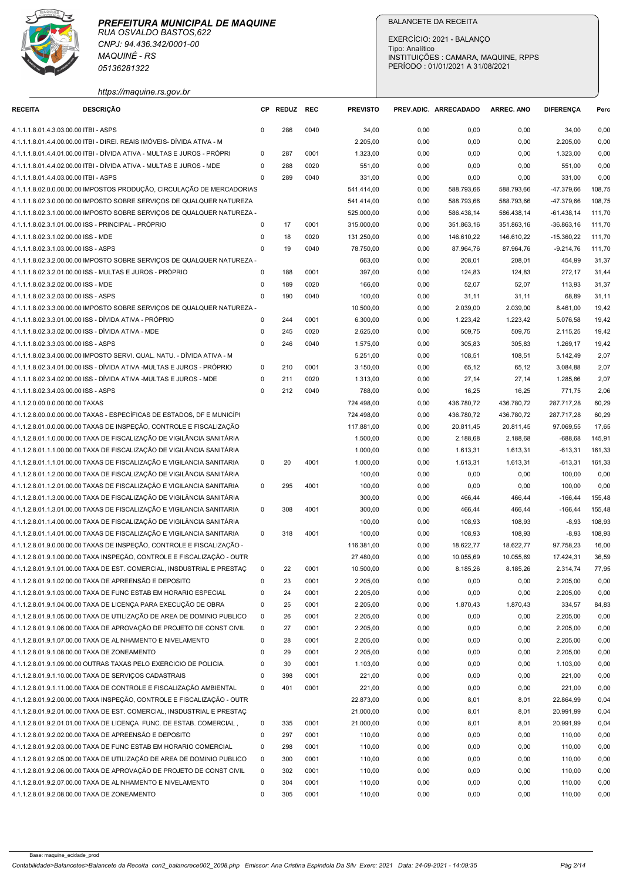

| <b>RECEITA</b>                                      | <b>MAQUINÉ - RS</b><br>05136281322                                                                                                               |                            |              |              |                          | EXERCÍCIO: 2021 - BALANÇO<br>Tipo: Analítico<br>PERÍODO: 01/01/2021 A 31/08/2021 | <b>BALANCETE DA RECEITA</b> | INSTITUIÇÕES : CAMARA, MAQUINE, RPPS |                          |                  |
|-----------------------------------------------------|--------------------------------------------------------------------------------------------------------------------------------------------------|----------------------------|--------------|--------------|--------------------------|----------------------------------------------------------------------------------|-----------------------------|--------------------------------------|--------------------------|------------------|
|                                                     | https://maquine.rs.gov.br                                                                                                                        |                            |              |              |                          | PREV.ADIC. ARRECADADO                                                            |                             |                                      |                          |                  |
|                                                     | <b>DESCRIÇÃO</b>                                                                                                                                 |                            | CP REDUZ REC |              | <b>PREVISTO</b>          |                                                                                  |                             | ARREC. ANO                           | <b>DIFERENCA</b>         | Perc             |
| 4.1.1.1.8.01.4.3.03.00.00 ITBI - ASPS               | 4.1.1.1.8.01.4.4.00.00.00 ITBI - DIREI. REAIS IMÓVEIS- DÍVIDA ATIVA - M                                                                          | $\Omega$                   | 286          | 0040         | 34,00<br>2.205,00        | 0,00<br>0,00                                                                     | 0,00<br>0,00                | 0,00<br>0,00                         | 34,00<br>2.205,00        | 0,00<br>0,00     |
|                                                     | 4.1.1.1.8.01.4.4.01.00.00 ITBI - DÍVIDA ATIVA - MULTAS E JUROS - PRÓPRI                                                                          | $\Omega$                   | 287          | 0001         | 1.323,00                 | 0,00                                                                             | 0,00                        | 0.00                                 | 1.323,00                 | 0,00             |
|                                                     | 4.1.1.1.8.01.4.4.02.00.00 ITBI - DÍVIDA ATIVA - MULTAS E JUROS - MDE                                                                             | $\Omega$                   | 288          | 0020         | 551,00                   | 0,00                                                                             | 0,00                        | 0,00                                 | 551,00                   | 0,00             |
| 4.1.1.1.8.01.4.4.03.00.00 ITBI - ASPS               |                                                                                                                                                  | $\Omega$                   | 289          | 0040         | 331,00                   | 0,00                                                                             | 0,00                        | 0,00                                 | 331,00                   | 0,00             |
|                                                     | 4.1.1.1.8.02.0.0.00.00.00 IMPOSTOS PRODUÇÃO, CIRCULAÇÃO DE MERCADORIAS<br>4.1.1.1.8.02.3.0.00.00.00 IMPOSTO SOBRE SERVIÇOS DE QUALQUER NATUREZA  |                            |              |              | 541.414,00<br>541.414,00 | 0,00<br>0,00                                                                     | 588.793,66<br>588.793,66    | 588.793,66<br>588.793,66             | -47.379,66<br>-47.379,66 | 108,75<br>108,75 |
|                                                     | 4.1.1.1.8.02.3.1.00.00.00 IMPOSTO SOBRE SERVIÇOS DE QUALQUER NATUREZA -                                                                          |                            |              |              | 525.000,00               | 0,00                                                                             | 586.438,14                  | 586.438,14                           | $-61.438,14$             | 111,70           |
| 4.1.1.1.8.02.3.1.01.00.00 ISS - PRINCIPAL - PRÓPRIO |                                                                                                                                                  | $\Omega$                   | 17           | 0001         | 315.000,00               | 0,00                                                                             | 351.863,16                  | 351.863,16                           | $-36.863,16$             | 111,70           |
| 4.1.1.1.8.02.3.1.02.00.00 ISS - MDE                 |                                                                                                                                                  | 0                          | 18           | 0020         | 131.250,00               | 0,00                                                                             | 146.610,22                  | 146.610,22                           | $-15.360,22$             | 111,70           |
| 4.1.1.1.8.02.3.1.03.00.00 ISS - ASPS                |                                                                                                                                                  | $\mathbf 0$                | 19           | 0040         | 78.750,00                | 0,00                                                                             | 87.964,76                   | 87.964,76                            | -9.214,76                | 111,70           |
|                                                     | 4.1.1.1.8.02.3.2.00.00.00 IMPOSTO SOBRE SERVIÇOS DE QUALQUER NATUREZA -<br>4.1.1.1.8.02.3.2.01.00.00 ISS - MULTAS E JUROS - PRÓPRIO              | $\Omega$                   | 188          | 0001         | 663,00<br>397,00         | 0,00<br>0,00                                                                     | 208,01<br>124,83            | 208,01<br>124,83                     | 454,99<br>272,17         | 31,37<br>31,44   |
| 4.1.1.1.8.02.3.2.02.00.00 ISS - MDE                 |                                                                                                                                                  | $\Omega$                   | 189          | 0020         | 166,00                   | 0,00                                                                             | 52,07                       | 52,07                                | 113,93                   | 31,37            |
| 4.1.1.1.8.02.3.2.03.00.00 ISS - ASPS                |                                                                                                                                                  | $\Omega$                   | 190          | 0040         | 100,00                   | 0,00                                                                             | 31,11                       | 31,11                                | 68,89                    | 31,11            |
|                                                     | 4.1.1.1.8.02.3.3.00.00.00 IMPOSTO SOBRE SERVIÇOS DE QUALQUER NATUREZA -                                                                          |                            |              |              | 10.500,00                | 0,00                                                                             | 2.039,00                    | 2.039,00                             | 8.461,00                 | 19,42            |
|                                                     | 4.1.1.1.8.02.3.3.01.00.00 ISS - DÍVIDA ATIVA - PRÓPRIO                                                                                           | 0                          | 244          | 0001         | 6.300,00                 | 0,00                                                                             | 1.223,42                    | 1.223,42                             | 5.076,58                 | 19,42            |
| 4.1.1.1.8.02.3.3.02.00.00 ISS - DÍVIDA ATIVA - MDE  |                                                                                                                                                  | 0                          | 245          | 0020         | 2.625,00                 | 0,00                                                                             | 509,75                      | 509,75                               | 2.115,25                 | 19,42            |
| 4.1.1.1.8.02.3.3.03.00.00 ISS - ASPS                | 4.1.1.1.8.02.3.4.00.00.00 IMPOSTO SERVI. QUAL. NATU. - DÍVIDA ATIVA - M                                                                          | 0                          | 246          | 0040         | 1.575,00<br>5.251,00     | 0,00<br>0,00                                                                     | 305,83<br>108,51            | 305,83<br>108,51                     | 1.269,17<br>5.142,49     | 19,42<br>2,07    |
|                                                     | 4.1.1.1.8.02.3.4.01.00.00 ISS - DÍVIDA ATIVA -MULTAS E JUROS - PRÓPRIO                                                                           | 0                          | 210          | 0001         | 3.150,00                 | 0,00                                                                             | 65,12                       | 65,12                                | 3.084,88                 | 2,07             |
|                                                     | 4.1.1.1.8.02.3.4.02.00.00 ISS - DÍVIDA ATIVA -MULTAS E JUROS - MDE                                                                               | $\Omega$                   | 211          | 0020         | 1.313,00                 | 0,00                                                                             | 27,14                       | 27,14                                | 1.285,86                 | 2,07             |
| 4.1.1.1.8.02.3.4.03.00.00 ISS - ASPS                |                                                                                                                                                  | $\Omega$                   | 212          | 0040         | 788,00                   | 0,00                                                                             | 16,25                       | 16,25                                | 771,75                   | 2,06             |
| 4.1.1.2.0.00.0.0.00.00.00 TAXAS                     |                                                                                                                                                  |                            |              |              | 724.498,00               | 0,00                                                                             | 436.780,72                  | 436.780,72                           | 287.717,28               | 60,29            |
|                                                     | 4.1.1.2.8.00.0.0.00.00.00 TAXAS - ESPECÍFICAS DE ESTADOS, DF E MUNICÍPI<br>4.1.1.2.8.01.0.0.00.00.00 TAXAS DE INSPEÇÃO, CONTROLE E FISCALIZAÇÃO  |                            |              |              | 724.498,00               | 0,00                                                                             | 436.780,72                  | 436.780,72                           | 287.717,28               | 60,29            |
|                                                     | 4.1.1.2.8.01.1.0.00.00.00 TAXA DE FISCALIZAÇÃO DE VIGILÂNCIA SANITÁRIA                                                                           |                            |              |              | 117.881,00<br>1.500,00   | 0,00<br>0,00                                                                     | 20.811,45<br>2.188,68       | 20.811,45<br>2.188,68                | 97.069,55<br>$-688,68$   | 17,65<br>145,91  |
|                                                     | 4.1.1.2.8.01.1.1.00.00.00 TAXA DE FISCALIZAÇÃO DE VIGILÂNCIA SANITÁRIA                                                                           |                            |              |              | 1.000,00                 | 0,00                                                                             | 1.613,31                    | 1.613,31                             | $-613,31$                | 161,33           |
|                                                     | 4.1.1.2.8.01.1.1.01.00.00 TAXAS DE FISCALIZAÇÃO E VIGILANCIA SANITARIA                                                                           | $\mathbf{0}$               | 20           | 4001         | 1.000,00                 | 0,00                                                                             | 1.613,31                    | 1.613,31                             | $-613,31$                | 161,33           |
|                                                     | 4.1.1.2.8.01.1.2.00.00.00 TAXA DE FISCALIZAÇÃO DE VIGILÂNCIA SANITÁRIA                                                                           |                            |              |              | 100,00                   | 0,00                                                                             | 0,00                        | 0,00                                 | 100,00                   | 0,00             |
|                                                     | 4.1.1.2.8.01.1.2.01.00.00 TAXAS DE FISCALIZAÇÃO E VIGILANCIA SANITARIA                                                                           | $\mathbf{0}$               | 295          | 4001         | 100,00                   | 0,00                                                                             | 0,00                        | 0,00                                 | 100,00                   | 0,00             |
|                                                     | 4.1.1.2.8.01.1.3.00.00.00 TAXA DE FISCALIZAÇÃO DE VIGILÂNCIA SANITÁRIA<br>4.1.1.2.8.01.1.3.01.00.00 TAXAS DE FISCALIZAÇÃO E VIGILANCIA SANITARIA | $\mathbf{0}$               | 308          | 4001         | 300,00<br>300,00         | 0,00<br>0,00                                                                     | 466,44<br>466,44            | 466,44<br>466,44                     | $-166,44$<br>$-166,44$   | 155,48<br>155,48 |
|                                                     | 4.1.1.2.8.01.1.4.00.00.00 TAXA DE FISCALIZAÇÃO DE VIGILÂNCIA SANITÁRIA                                                                           |                            |              |              | 100,00                   | 0,00                                                                             | 108,93                      | 108,93                               | $-8,93$                  | 108,93           |
|                                                     | 4.1.1.2.8.01.1.4.01.00.00 TAXAS DE FISCALIZAÇÃO E VIGILANCIA SANITARIA                                                                           | $\mathbf 0$                | 318          | 4001         | 100,00                   | 0,00                                                                             | 108,93                      | 108,93                               | $-8,93$                  | 108,93           |
|                                                     | 4.1.1.2.8.01.9.0.00.00.00 TAXAS DE INSPEÇÃO, CONTROLE E FISCALIZAÇÃO -                                                                           |                            |              |              | 116.381,00               | 0,00                                                                             | 18.622,77                   | 18.622,77                            | 97.758,23                | 16,00            |
|                                                     | 4.1.1.2.8.01.9.1.00.00.00 TAXA INSPEÇÃO, CONTROLE E FISCALIZAÇÃO - OUTR                                                                          |                            |              |              | 27.480,00                | 0,00                                                                             | 10.055,69                   | 10.055,69                            | 17.424,31                | 36,59            |
|                                                     | 4.1.1.2.8.01.9.1.01.00.00 TAXA DE EST. COMERCIAL, INSDUSTRIAL E PRESTAC                                                                          | $\mathbf 0$                | 22           | 0001         | 10.500,00                | 0,00                                                                             | 8.185,26                    | 8.185,26                             | 2.314,74                 | 77,95            |
|                                                     | 4.1.1.2.8.01.9.1.02.00.00 TAXA DE APREENSÃO E DEPOSITO<br>4.1.1.2.8.01.9.1.03.00.00 TAXA DE FUNC ESTAB EM HORARIO ESPECIAL                       | $\mathbf 0$<br>0           | 23<br>24     | 0001<br>0001 | 2.205,00<br>2.205,00     | 0,00<br>0,00                                                                     | 0,00<br>0,00                | 0,00<br>0,00                         | 2.205,00<br>2.205,00     | 0,00<br>0,00     |
|                                                     | 4.1.1.2.8.01.9.1.04.00.00 TAXA DE LICENÇA PARA EXECUÇÃO DE OBRA                                                                                  | 0                          | 25           | 0001         | 2.205,00                 | 0,00                                                                             | 1.870,43                    | 1.870,43                             | 334,57                   | 84,83            |
|                                                     | 4.1.1.2.8.01.9.1.05.00.00 TAXA DE UTILIZAÇÃO DE AREA DE DOMINIO PUBLICO                                                                          | $\mathbf 0$                | 26           | 0001         | 2.205,00                 | 0,00                                                                             | 0,00                        | 0,00                                 | 2.205,00                 | 0,00             |
|                                                     | 4.1.1.2.8.01.9.1.06.00.00 TAXA DE APROVAÇÃO DE PROJETO DE CONST CIVIL                                                                            | $\mathbf 0$                | 27           | 0001         | 2.205,00                 | 0,00                                                                             | 0,00                        | 0,00                                 | 2.205,00                 | 0,00             |
|                                                     | 4.1.1.2.8.01.9.1.07.00.00 TAXA DE ALINHAMENTO E NIVELAMENTO                                                                                      | $\mathbf 0$                | 28           | 0001         | 2.205,00                 | 0,00                                                                             | 0,00                        | 0,00                                 | 2.205,00                 | 0,00             |
| 4.1.1.2.8.01.9.1.08.00.00 TAXA DE ZONEAMENTO        |                                                                                                                                                  | $\mathbf 0$                | 29           | 0001         | 2.205,00                 | 0,00                                                                             | 0,00                        | 0,00                                 | 2.205,00                 | 0,00             |
|                                                     | 4.1.1.2.8.01.9.1.09.00.00 OUTRAS TAXAS PELO EXERCICIO DE POLICIA.<br>4.1.1.2.8.01.9.1.10.00.00 TAXA DE SERVIÇOS CADASTRAIS                       | 0<br>0                     | 30<br>398    | 0001<br>0001 | 1.103,00<br>221,00       | 0,00<br>0,00                                                                     | 0,00<br>0,00                | 0,00<br>0,00                         | 1.103,00<br>221,00       | 0,00<br>0,00     |
|                                                     | 4.1.1.2.8.01.9.1.11.00.00 TAXA DE CONTROLE E FISCALIZAÇÃO AMBIENTAL                                                                              | $\mathbf 0$                | 401          | 0001         | 221,00                   | 0,00                                                                             | 0,00                        | 0,00                                 | 221,00                   | 0,00             |
|                                                     | 4.1.1.2.8.01.9.2.00.00.00 TAXA INSPEÇÃO, CONTROLE E FISCALIZAÇÃO - OUTR                                                                          |                            |              |              | 22.873,00                | 0,00                                                                             | 8,01                        | 8,01                                 | 22.864,99                | 0,04             |
|                                                     | 4.1.1.2.8.01.9.2.01.00.00 TAXA DE EST. COMERCIAL, INSDUSTRIAL E PRESTAC                                                                          |                            |              |              | 21.000,00                | 0,00                                                                             | 8,01                        | 8,01                                 | 20.991,99                | 0,04             |
|                                                     | 4.1.1.2.8.01.9.2.01.01.00 TAXA DE LICENÇA FUNC. DE ESTAB. COMERCIAL                                                                              | $\mathbf 0$                | 335          | 0001         | 21.000,00                | 0,00                                                                             | 8,01                        | 8,01                                 | 20.991,99                | 0,04             |
|                                                     | 4.1.1.2.8.01.9.2.02.00.00 TAXA DE APREENSÃO E DEPOSITO<br>4.1.1.2.8.01.9.2.03.00.00 TAXA DE FUNC ESTAB EM HORARIO COMERCIAL                      | $\mathbf 0$<br>$\mathbf 0$ | 297<br>298   | 0001<br>0001 | 110,00<br>110,00         | 0,00<br>0,00                                                                     | 0,00<br>0,00                | 0,00<br>0,00                         | 110,00<br>110,00         | 0,00<br>0,00     |
|                                                     | 4.1.1.2.8.01.9.2.05.00.00 TAXA DE UTILIZAÇÃO DE AREA DE DOMINIO PUBLICO                                                                          | $\mathbf 0$                | 300          | 0001         | 110,00                   | 0,00                                                                             | 0,00                        | 0,00                                 | 110,00                   | 0,00             |
|                                                     | 4.1.1.2.8.01.9.2.06.00.00 TAXA DE APROVAÇÃO DE PROJETO DE CONST CIVIL                                                                            | $\Omega$                   | 302          | 0001         | 110,00                   | 0,00                                                                             | 0,00                        | 0,00                                 | 110,00                   | 0,00             |
|                                                     | 4.1.1.2.8.01.9.2.07.00.00 TAXA DE ALINHAMENTO E NIVELAMENTO                                                                                      |                            | 304          | 0001         | 110,00                   | 0,00                                                                             | 0,00                        | 0,00                                 | 110,00                   | 0,00             |
|                                                     | 4.1.1.2.8.01.9.2.08.00.00 TAXA DE ZONEAMENTO                                                                                                     | $\Omega$                   | 305          |              |                          |                                                                                  | 0,00                        |                                      |                          |                  |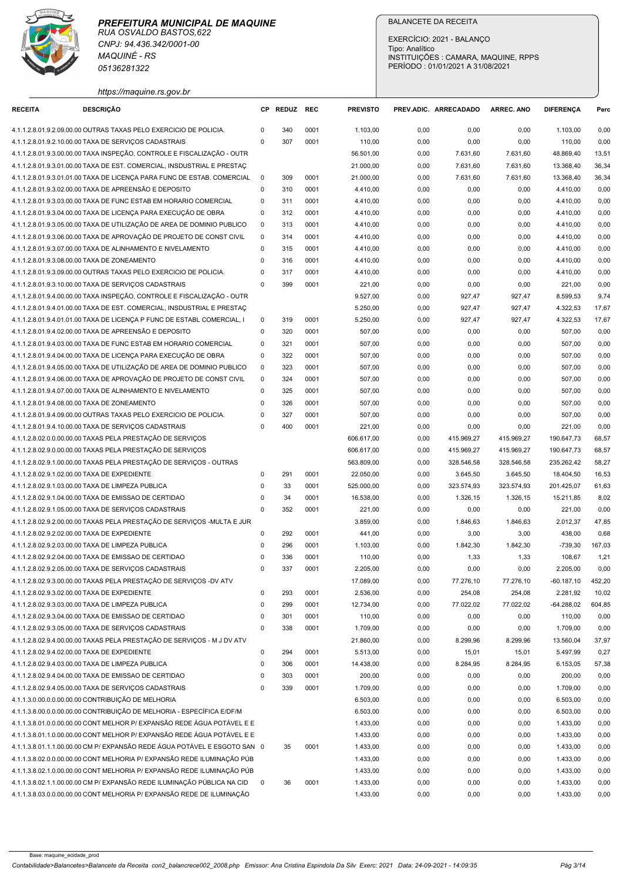

|                                                   | CNPJ: 94.436.342/0001-00<br><b>MAQUINÉ - RS</b><br>05136281322                                                                                     |                            |              |              |                       | <b>BALANCETE DA RECEITA</b><br>EXERCÍCIO: 2021 - BALANCO<br>Tipo: Analítico<br>INSTITUIÇÕES : CAMARA, MAQUINE, RPPS<br>PERÍODO: 01/01/2021 A 31/08/2021 |                   |                   |                           |                |
|---------------------------------------------------|----------------------------------------------------------------------------------------------------------------------------------------------------|----------------------------|--------------|--------------|-----------------------|---------------------------------------------------------------------------------------------------------------------------------------------------------|-------------------|-------------------|---------------------------|----------------|
| <b>RECEITA</b>                                    | https://maquine.rs.gov.br<br><b>DESCRIÇÃO</b>                                                                                                      |                            | CP REDUZ REC |              | <b>PREVISTO</b>       | PREV.ADIC. ARRECADADO                                                                                                                                   |                   | <b>ARREC. ANO</b> | <b>DIFERENCA</b>          | Perc           |
|                                                   | 4.1.1.2.8.01.9.2.09.00.00 OUTRAS TAXAS PELO EXERCICIO DE POLICIA.                                                                                  | 0                          | 340          | 0001         | 1.103,00              | 0,00                                                                                                                                                    | 0,00              | 0,00              | 1.103,00                  | 0,00           |
|                                                   | 4.1.1.2.8.01.9.2.10.00.00 TAXA DE SERVIÇOS CADASTRAIS                                                                                              | $\Omega$                   | 307          | 0001         | 110,00                | 0,00                                                                                                                                                    | 0,00              | 0,00              | 110,00                    | 0,00           |
|                                                   | 4.1.1.2.8.01.9.3.00.00.00 TAXA INSPEÇÃO, CONTROLE E FISCALIZAÇÃO - OUTR                                                                            |                            |              |              | 56.501,00             | 0,00                                                                                                                                                    | 7.631,60          | 7.631,60          | 48.869,40                 | 13,51          |
|                                                   | 4.1.1.2.8.01.9.3.01.00.00 TAXA DE EST. COMERCIAL, INSDUSTRIAL E PRESTAÇ                                                                            |                            |              |              | 21.000,00             | 0,00                                                                                                                                                    | 7.631,60          | 7.631,60          | 13.368,40                 | 36,34          |
|                                                   | 4.1.1.2.8.01.9.3.01.01.00 TAXA DE LICENÇA PARA FUNC DE ESTAB. COMERCIAL                                                                            | $\overline{\mathbf{0}}$    | 309          | 0001         | 21.000,00             | 0,00                                                                                                                                                    | 7.631,60          | 7.631,60          | 13.368,40                 | 36,34          |
|                                                   | 4.1.1.2.8.01.9.3.02.00.00 TAXA DE APREENSÃO E DEPOSITO<br>4.1.1.2.8.01.9.3.03.00.00 TAXA DE FUNC ESTAB EM HORARIO COMERCIAL                        | $\mathbf 0$<br>$\Omega$    | 310<br>311   | 0001<br>0001 | 4.410,00<br>4.410,00  | 0,00<br>0,00                                                                                                                                            | 0,00<br>0,00      | 0,00<br>0,00      | 4.410,00<br>4.410,00      | 0,00<br>0,00   |
|                                                   | 4.1.1.2.8.01.9.3.04.00.00 TAXA DE LICENÇA PARA EXECUÇÃO DE OBRA                                                                                    | 0                          | 312          | 0001         | 4.410,00              | 0,00                                                                                                                                                    | 0,00              | 0,00              | 4.410,00                  | 0,00           |
|                                                   | 4.1.1.2.8.01.9.3.05.00.00 TAXA DE UTILIZAÇÃO DE AREA DE DOMINIO PUBLICO                                                                            | $\overline{\mathbf{0}}$    | 313          | 0001         | 4.410,00              | 0,00                                                                                                                                                    | 0,00              | 0,00              | 4.410,00                  | 0,00           |
|                                                   | 4.1.1.2.8.01.9.3.06.00.00 TAXA DE APROVAÇÃO DE PROJETO DE CONST CIVIL                                                                              | $\overline{\mathbf{0}}$    | 314          | 0001         | 4.410,00              | 0,00                                                                                                                                                    | 0,00              | 0,00              | 4.410,00                  | 0,00           |
|                                                   | 4.1.1.2.8.01.9.3.07.00.00 TAXA DE ALINHAMENTO E NIVELAMENTO                                                                                        | $\mathbf 0$                | 315          | 0001         | 4.410,00              | 0,00                                                                                                                                                    | 0,00              | 0,00              | 4.410,00                  | 0,00           |
| 4.1.1.2.8.01.9.3.08.00.00 TAXA DE ZONEAMENTO      | 4.1.1.2.8.01.9.3.09.00.00 OUTRAS TAXAS PELO EXERCICIO DE POLICIA.                                                                                  | $\mathbf 0$<br>$\mathbf 0$ | 316<br>317   | 0001<br>0001 | 4.410,00<br>4.410,00  | 0,00<br>0,00                                                                                                                                            | 0,00<br>0,00      | 0,00<br>0,00      | 4.410,00<br>4.410,00      | 0,00<br>0,00   |
|                                                   | 4.1.1.2.8.01.9.3.10.00.00 TAXA DE SERVIÇOS CADASTRAIS                                                                                              | $\Omega$                   | 399          | 0001         | 221,00                | 0,00                                                                                                                                                    | 0,00              | 0,00              | 221,00                    | 0,00           |
|                                                   | 4.1.1.2.8.01.9.4.00.00.00 TAXA INSPEÇÃO, CONTROLE E FISCALIZAÇÃO - OUTR                                                                            |                            |              |              | 9.527,00              | 0,00                                                                                                                                                    | 927,47            | 927,47            | 8.599,53                  | 9,74           |
|                                                   | 4.1.1.2.8.01.9.4.01.00.00 TAXA DE EST. COMERCIAL, INSDUSTRIAL E PRESTAÇ                                                                            |                            |              |              | 5.250,00              | 0,00                                                                                                                                                    | 927,47            | 927,47            | 4.322,53                  | 17,67          |
|                                                   | 4.1.1.2.8.01.9.4.01.01.00 TAXA DE LICENÇA P FUNC DE ESTABL COMERCIAL, I                                                                            | $\mathbf 0$                | 319          | 0001         | 5.250,00              | 0,00                                                                                                                                                    | 927,47            | 927,47            | 4.322,53                  | 17,67          |
|                                                   | 4.1.1.2.8.01.9.4.02.00.00 TAXA DE APREENSÃO E DEPOSITO                                                                                             | $\mathbf 0$                | 320          | 0001         | 507,00                | 0,00                                                                                                                                                    | 0,00              | 0,00              | 507,00                    | 0,00           |
|                                                   | 4.1.1.2.8.01.9.4.03.00.00 TAXA DE FUNC ESTAB EM HORARIO COMERCIAL<br>4.1.1.2.8.01.9.4.04.00.00 TAXA DE LICENÇA PARA EXECUÇÃO DE OBRA               | $\mathbf 0$<br>$\mathbf 0$ | 321<br>322   | 0001<br>0001 | 507,00<br>507,00      | 0,00<br>0,00                                                                                                                                            | 0,00<br>0,00      | 0,00<br>0,00      | 507,00<br>507,00          | 0,00<br>0,00   |
|                                                   | 4.1.1.2.8.01.9.4.05.00.00 TAXA DE UTILIZAÇÃO DE AREA DE DOMINIO PUBLICO                                                                            | $\overline{\mathbf{0}}$    | 323          | 0001         | 507,00                | 0,00                                                                                                                                                    | 0,00              | 0,00              | 507,00                    | 0,00           |
|                                                   | 4.1.1.2.8.01.9.4.06.00.00 TAXA DE APROVAÇÃO DE PROJETO DE CONST CIVIL                                                                              | $\overline{\mathbf{0}}$    | 324          | 0001         | 507,00                | 0,00                                                                                                                                                    | 0,00              | 0,00              | 507,00                    | 0,00           |
|                                                   | 4.1.1.2.8.01.9.4.07.00.00 TAXA DE ALINHAMENTO E NIVELAMENTO                                                                                        | $\mathbf 0$                | 325          | 0001         | 507,00                | 0,00                                                                                                                                                    | 0,00              | 0,00              | 507,00                    | 0,00           |
| 4.1.1.2.8.01.9.4.08.00.00 TAXA DE ZONEAMENTO      |                                                                                                                                                    | $\mathbf 0$                | 326          | 0001         | 507,00                | 0,00                                                                                                                                                    | 0,00              | 0,00              | 507,00                    | 0,00           |
|                                                   | 4.1.1.2.8.01.9.4.09.00.00 OUTRAS TAXAS PELO EXERCICIO DE POLICIA<br>4.1.1.2.8.01.9.4.10.00.00 TAXA DE SERVIÇOS CADASTRAIS                          | $\Omega$<br>$\Omega$       | 327<br>400   | 0001<br>0001 | 507,00<br>221,00      | 0,00<br>0,00                                                                                                                                            | 0,00<br>0,00      | 0,00<br>0,00      | 507,00<br>221,00          | 0,00           |
|                                                   | 4.1.1.2.8.02.0.0.00.00.00 TAXAS PELA PRESTAÇÃO DE SERVIÇOS                                                                                         |                            |              |              | 606.617,00            | 0,00                                                                                                                                                    | 415.969,27        | 415.969,27        | 190.647,73                | 0,00<br>68,57  |
|                                                   | 4.1.1.2.8.02.9.0.00.00.00 TAXAS PELA PRESTAÇÃO DE SERVIÇOS                                                                                         |                            |              |              | 606.617,00            | 0,00                                                                                                                                                    | 415.969,27        | 415.969,27        | 190.647,73                | 68,57          |
|                                                   | 4.1.1.2.8.02.9.1.00.00.00 TAXAS PELA PRESTAÇÃO DE SERVIÇOS - OUTRAS                                                                                |                            |              |              | 563.809,00            | 0,00                                                                                                                                                    | 328.546,58        | 328.546,58        | 235.262,42                | 58,27          |
| 4.1.1.2.8.02.9.1.02.00.00 TAXA DE EXPEDIENTE      |                                                                                                                                                    | $\mathbf 0$                | 291          | 0001         | 22.050,00             | 0,00                                                                                                                                                    | 3.645,50          | 3.645,50          | 18.404,50                 | 16,53          |
| 4.1.1.2.8.02.9.1.03.00.00 TAXA DE LIMPEZA PUBLICA |                                                                                                                                                    | $\mathbf 0$                | 33           | 0001         | 525.000,00            | 0,00                                                                                                                                                    | 323.574,93        | 323.574,93        | 201.425,07                | 61,63          |
|                                                   | 4.1.1.2.8.02.9.1.04.00.00 TAXA DE EMISSAO DE CERTIDAO<br>4.1.1.2.8.02.9.1.05.00.00 TAXA DE SERVIÇOS CADASTRAIS                                     | 0<br>$\mathbf 0$           | 34<br>352    | 0001<br>0001 | 16.538,00<br>221,00   | 0,00<br>0,00                                                                                                                                            | 1.326,15<br>0,00  | 1.326,15<br>0,00  | 15.211,85<br>221,00       | 8,02<br>0,00   |
|                                                   | 4.1.1.2.8.02.9.2.00.00.00 TAXAS PELA PRESTAÇÃO DE SERVIÇOS - MULTA E JUR                                                                           |                            |              |              | 3.859,00              | 0,00                                                                                                                                                    | 1.846,63          | 1.846,63          | 2.012,37                  | 47,85          |
| 4.1.1.2.8.02.9.2.02.00.00 TAXA DE EXPEDIENTE      |                                                                                                                                                    | $\mathbf 0$                | 292          | 0001         | 441,00                | 0,00                                                                                                                                                    | 3,00              | 3,00              | 438,00                    | 0,68           |
|                                                   | 4.1.1.2.8.02.9.2.03.00.00 TAXA DE LIMPEZA PUBLICA                                                                                                  | $\mathbf 0$                | 296          | 0001         | 1.103,00              | 0,00                                                                                                                                                    | 1.842,30          | 1.842,30          | $-739,30$                 | 167,03         |
|                                                   | 4.1.1.2.8.02.9.2.04.00.00 TAXA DE EMISSAO DE CERTIDAO                                                                                              | $\mathbf 0$                | 336          | 0001         | 110,00                | 0,00                                                                                                                                                    | 1,33              | 1,33              | 108,67                    | 1,21           |
|                                                   | 4.1.1.2.8.02.9.2.05.00.00 TAXA DE SERVIÇOS CADASTRAIS<br>4.1.1.2.8.02.9.3.00.00.00 TAXAS PELA PRESTAÇÃO DE SERVIÇOS -DV ATV                        | $\mathbf 0$                | 337          | 0001         | 2.205,00<br>17.089,00 | 0,00<br>0,00                                                                                                                                            | 0,00<br>77.276,10 | 0,00<br>77.276,10 | 2.205,00<br>$-60.187, 10$ | 0,00<br>452,20 |
| 4.1.1.2.8.02.9.3.02.00.00 TAXA DE EXPEDIENTE      |                                                                                                                                                    | $\mathbf 0$                | 293          | 0001         | 2.536,00              | 0,00                                                                                                                                                    | 254,08            | 254,08            | 2.281,92                  | 10,02          |
| 4.1.1.2.8.02.9.3.03.00.00 TAXA DE LIMPEZA PUBLICA |                                                                                                                                                    | $\mathbf 0$                | 299          | 0001         | 12.734,00             | 0,00                                                                                                                                                    | 77.022,02         | 77.022,02         | $-64.288,02$              | 604,85         |
|                                                   | 4.1.1.2.8.02.9.3.04.00.00 TAXA DE EMISSAO DE CERTIDAO                                                                                              | $\Omega$                   | 301          | 0001         | 110,00                | 0,00                                                                                                                                                    | 0,00              | 0,00              | 110,00                    | 0,00           |
|                                                   | 4.1.1.2.8.02.9.3.05.00.00 TAXA DE SERVIÇOS CADASTRAIS                                                                                              | $\Omega$                   | 338          | 0001         | 1.709,00              | 0,00                                                                                                                                                    | 0,00              | 0,00              | 1.709,00                  | 0,00           |
| 4.1.1.2.8.02.9.4.02.00.00 TAXA DE EXPEDIENTE      | 4.1.1.2.8.02.9.4.00.00.00 TAXAS PELA PRESTAÇÃO DE SERVIÇOS - M J DV ATV                                                                            | $\mathbf 0$                | 294          | 0001         | 21.860,00<br>5.513,00 | 0,00<br>0,00                                                                                                                                            | 8.299,96<br>15,01 | 8.299,96<br>15,01 | 13.560,04<br>5.497,99     | 37,97<br>0,27  |
|                                                   | 4.1.1.2.8.02.9.4.03.00.00 TAXA DE LIMPEZA PUBLICA                                                                                                  | 0                          | 306          | 0001         | 14.438,00             | 0,00                                                                                                                                                    | 8.284,95          | 8.284,95          | 6.153,05                  | 57,38          |
|                                                   | 4.1.1.2.8.02.9.4.04.00.00 TAXA DE EMISSAO DE CERTIDAO                                                                                              | 0                          | 303          | 0001         | 200,00                | 0,00                                                                                                                                                    | 0,00              | 0,00              | 200,00                    | 0,00           |
|                                                   | 4.1.1.2.8.02.9.4.05.00.00 TAXA DE SERVIÇOS CADASTRAIS                                                                                              | $\Omega$                   | 339          | 0001         | 1.709,00              | 0,00                                                                                                                                                    | 0,00              | 0,00              | 1.709,00                  | 0,00           |
|                                                   | 4.1.1.3.0.00.0.0.00.00.00 CONTRIBUIÇÃO DE MELHORIA                                                                                                 |                            |              |              | 6.503,00              | 0,00                                                                                                                                                    | 0,00              | 0,00              | 6.503,00                  | 0,00           |
|                                                   | 4.1.1.3.8.00.0.0.00.00.00 CONTRIBUIÇÃO DE MELHORIA - ESPECÍFICA E/DF/M                                                                             |                            |              |              | 6.503,00              | 0,00                                                                                                                                                    | 0,00              | 0,00              | 6.503,00                  | 0,00           |
|                                                   | 4.1.1.3.8.01.0.0.00.00.00 CONT MELHOR P/ EXPANSÃO REDE ÁGUA POTÁVEL E E<br>4.1.1.3.8.01.1.0.00.00.00 CONT MELHOR P/ EXPANSÃO REDE ÁGUA POTÁVEL E E |                            |              |              | 1.433,00<br>1.433,00  | 0,00<br>0,00                                                                                                                                            | 0,00<br>0,00      | 0,00<br>0,00      | 1.433,00<br>1.433,00      | 0,00<br>0,00   |
|                                                   | 4.1.1.3.8.01.1.1.00.00.00 CM P/ EXPANSÃO REDE ÁGUA POTÁVEL E ESGOTO SAN 0                                                                          |                            | 35           | 0001         | 1.433,00              | 0,00                                                                                                                                                    | 0,00              | 0,00              | 1.433,00                  | 0,00           |
|                                                   | 4.1.1.3.8.02.0.0.00.00.00 CONT MELHORIA P/ EXPANSÃO REDE ILUMINAÇÃO PÚB                                                                            |                            |              |              | 1.433,00              | 0,00                                                                                                                                                    | 0,00              | 0,00              | 1.433,00                  | 0,00           |
|                                                   | 4.1.1.3.8.02.1.0.00.00.00 CONT MELHORIA P/ EXPANSÃO REDE ILUMINAÇÃO PÚB                                                                            |                            |              |              | 1.433,00              | 0,00                                                                                                                                                    | 0,00              | 0,00              | 1.433,00                  | 0,00           |
|                                                   | 4.1.1.3.8.02.1.1.00.00.00 CM P/ EXPANSÃO REDE ILUMINAÇÃO PÚBLICA NA CID                                                                            | $\overline{\mathbf{0}}$    | 36           | 0001         | 1.433,00              | 0,00                                                                                                                                                    | 0,00              | 0,00              | 1.433,00                  | 0,00           |
|                                                   | 4.1.1.3.8.03.0.0.00.00.00 CONT MELHORIA P/ EXPANSÃO REDE DE ILUMINAÇÃO                                                                             |                            |              |              | 1.433,00              | 0,00                                                                                                                                                    | 0,00              | 0,00              | 1.433,00                  | 0,00           |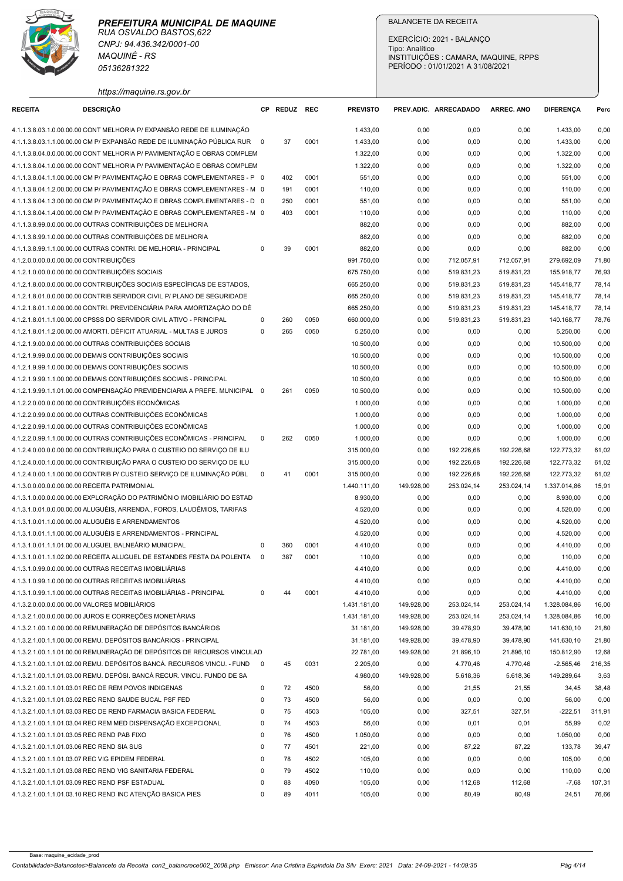

| PERÍODO: 01/01/2021 A 31/08/2021<br>05136281322<br>https://maquine.rs.gov.br<br><b>DESCRIÇÃO</b><br>CP REDUZ REC<br><b>PREVISTO</b><br><b>RECEITA</b><br>PREV.ADIC. ARRECADADO<br>ARREC, ANO<br><b>DIFERENCA</b><br>Perc<br>4.1.1.3.8.03.1.0.00.00.00 CONT MELHORIA P/ EXPANSÃO REDE DE ILUMINAÇÃO<br>1.433,00<br>1.433,00<br>0,00<br>0,00<br>0,00<br>0,00<br>4.1.1.3.8.03.1.1.00.00.00 CM P/ EXPANSÃO REDE DE ILUMINAÇÃO PÚBLICA RUR 0<br>37<br>0001<br>1.433,00<br>0,00<br>0,00<br>0,00<br>1.433,00<br>0,00<br>4.1.1.3.8.04.0.0.00.00.00 CONT MELHORIA P/ PAVIMENTAÇÃO E OBRAS COMPLEM<br>1.322,00<br>1.322,00<br>0,00<br>0,00<br>0,00<br>0,00<br>4.1.1.3.8.04.1.0.00.00.00 CONT MELHORIA P/ PAVIMENTAÇÃO E OBRAS COMPLEM<br>1.322,00<br>0,00<br>0,00<br>1.322,00<br>0,00<br>0,00<br>4.1.1.3.8.04.1.1.00.00.00 CM P/ PAVIMENTAÇÃO E OBRAS COMPLEMENTARES - P 0<br>402<br>0001<br>551,00<br>0,00<br>0,00<br>0,00<br>0,00<br>551,00<br>4.1.1.3.8.04.1.2.00.00.00 CM P/ PAVIMENTAÇÃO E OBRAS COMPLEMENTARES - M 0<br>191<br>0001<br>110,00<br>0,00<br>0,00<br>0,00<br>110,00<br>0,00<br>4.1.1.3.8.04.1.3.00.00.00 CM P/ PAVIMENTAÇÃO E OBRAS COMPLEMENTARES - D 0<br>250<br>0001<br>551,00<br>0,00<br>0,00<br>0,00<br>551,00<br>0,00<br>4.1.1.3.8.04.1.4.00.00.00 CM P/ PAVIMENTAÇÃO E OBRAS COMPLEMENTARES - M 0<br>403<br>0001<br>110,00<br>0,00<br>0,00<br>0,00<br>110,00<br>0,00<br>4.1.1.3.8.99.0.0.00.00.00 OUTRAS CONTRIBUIÇÕES DE MELHORIA<br>882,00<br>0,00<br>0,00<br>0,00<br>882,00<br>0,00<br>4.1.1.3.8.99.1.0.00.00.00 OUTRAS CONTRIBUIÇÕES DE MELHORIA<br>882,00<br>0,00<br>0,00<br>0,00<br>882,00<br>0,00<br>4.1.1.3.8.99.1.1.00.00.00 OUTRAS CONTRI. DE MELHORIA - PRINCIPAL<br>0001<br>882,00<br>0,00<br>0,00<br>882,00<br>0,00<br>$\Omega$<br>39<br>0,00<br>712.057,91<br>4.1.2.0.0.00.0.0.00.00.00 CONTRIBUIÇÕES<br>991.750,00<br>0,00<br>712.057,91<br>279.692,09<br>71,80<br>4.1.2.1.0.00.0.0.00.00.00 CONTRIBUIÇÕES SOCIAIS<br>675.750,00<br>519.831,23<br>519.831,23<br>155.918,77<br>76,93<br>0,00<br>4.1.2.1.8.00.0.0.00.00.00 CONTRIBUIÇÕES SOCIAIS ESPECÍFICAS DE ESTADOS,<br>519.831,23<br>78,14<br>665.250,00<br>0,00<br>519.831,23<br>145.418,77<br>4.1.2.1.8.01.0.0.00.00.00 CONTRIB SERVIDOR CIVIL P/ PLANO DE SEGURIDADE<br>665.250,00<br>519.831,23<br>519.831,23<br>0,00<br>145.418,77<br>78,14<br>519.831,23<br>4.1.2.1.8.01.1.0.00.00.00 CONTRI. PREVIDENCIARIA PARA AMORTIZAÇÃO DO DÊ<br>665.250,00<br>0,00<br>519.831,23<br>145.418,77<br>78,14<br>4.1.2.1.8.01.1.1.00.00.00 CPSSS DO SERVIDOR CIVIL ATIVO - PRINCIPAL<br>0050<br>660.000,00<br>519.831,23<br>519.831,23<br>140.168,77<br>78,76<br>260<br>0,00<br>0<br>5.250,00<br>4.1.2.1.8.01.1.2.00.00.00 AMORTI. DÉFICIT ATUARIAL - MULTAS E JUROS<br>265<br>0050<br>5.250,00<br>0,00<br>0,00<br>0,00<br>0,00<br>0<br>4.1.2.1.9.00.0.0.00.00.00 OUTRAS CONTRIBUIÇÕES SOCIAIS<br>10.500,00<br>0,00<br>10.500,00<br>0,00<br>0,00<br>0,00<br>4.1.2.1.9.99.0.0.00.00.00 DEMAIS CONTRIBUIÇÕES SOCIAIS<br>10.500,00<br>0,00<br>0,00<br>0,00<br>10.500,00<br>0,00<br>4.1.2.1.9.99.1.0.00.00.00 DEMAIS CONTRIBUIÇÕES SOCIAIS<br>10.500,00<br>0,00<br>10.500,00<br>0,00<br>0,00<br>0,00<br>4.1.2.1.9.99.1.1.00.00.00 DEMAIS CONTRIBUIÇÕES SOCIAIS - PRINCIPAL<br>10.500,00<br>0,00<br>0,00<br>10.500,00<br>0,00<br>0,00<br>4.1.2.1.9.99.1.1.01.00.00 COMPENSAÇÃO PREVIDENCIARIA A PREFE. MUNICIPAL 0<br>10.500,00<br>0,00<br>10.500,00<br>0,00<br>261<br>0050<br>0,00<br>0,00<br>4.1.2.2.0.00.0.0.00.00.00 CONTRIBUIÇÕES ECONÔMICAS<br>1.000,00<br>0,00<br>1.000,00<br>0,00<br>0,00<br>0,00<br>4.1.2.2.0.99.0.0.00.00.00 OUTRAS CONTRIBUIÇÕES ECONÔMICAS<br>1.000,00<br>0,00<br>1.000,00<br>0,00<br>0,00<br>0,00<br>4.1.2.2.0.99.1.0.00.00.00 OUTRAS CONTRIBUIÇÕES ECONÔMICAS<br>1.000,00<br>1.000,00<br>0,00<br>0,00<br>0,00<br>0,00<br>4.1.2.2.0.99.1.1.00.00.00 OUTRAS CONTRIBUIÇÕES ECONÔMICAS - PRINCIPAL<br>$\mathbf 0$<br>262<br>0050<br>1.000,00<br>0,00<br>0,00<br>0,00<br>1.000,00<br>0,00<br>4.1.2.4.0.00.0.0.00.00.00 CONTRIBUIÇÃO PARA O CUSTEIO DO SERVIÇO DE ILU<br>315.000,00<br>192.226,68<br>122.773,32<br>61,02<br>0,00<br>192.226,68<br>122.773,32<br>4.1.2.4.0.00.1.0.00.00.00 CONTRIBUIÇÃO PARA O CUSTEIO DO SERVIÇO DE ILU<br>315.000,00<br>0,00<br>192.226,68<br>192.226,68<br>61,02<br>4.1.2.4.0.00.1.1.00.00.00 CONTRIB P/ CUSTEIO SERVIÇO DE ILUMINAÇÃO PÚBL<br>41<br>0001<br>315.000,00<br>192.226,68<br>192.226,68<br>122.773,32<br>61,02<br>$\mathbf 0$<br>0,00<br>4.1.3.0.0.00.0.0.00.00.00 RECEITA PATRIMONIAL<br>1.440.111,00<br>149.928,00<br>253.024,14<br>253.024,14<br>1.337.014,86<br>15,91<br>4.1.3.1.0.00.0.0.00.00.00 EXPLORAÇÃO DO PATRIMÔNIO IMOBILIÁRIO DO ESTAD<br>8.930,00<br>0,00<br>0,00<br>8.930,00<br>0,00<br>0,00<br>4.1.3.1.0.01.0.0.00.00.00 ALUGUÉIS, ARRENDA., FOROS, LAUDÊMIOS, TARIFAS<br>4.520,00<br>0,00<br>4.520,00<br>0,00<br>0,00<br>0,00<br>4.1.3.1.0.01.1.0.00.00.00 ALUGUÉIS E ARRENDAMENTOS<br>4.520,00<br>0,00<br>0,00<br>4.520,00<br>0,00<br>0,00<br>4.1.3.1.0.01.1.1.00.00.00 ALUGUÉIS E ARRENDAMENTOS - PRINCIPAL<br>4.520,00<br>0,00<br>4.520,00<br>0,00<br>0,00<br>0,00<br>4.1.3.1.0.01.1.1.01.00.00 ALUGUEL BALNEÁRIO MUNICIPAL<br>360<br>0001<br>4.410,00<br>0,00<br>0,00<br>0,00<br>4.410,00<br>0,00<br>0<br>4.1.3.1.0.01.1.1.02.00.00 RECEITA ALUGUEL DE ESTANDES FESTA DA POLENTA<br>387<br>0001<br>110,00<br>0,00<br>0,00<br>$\Omega$<br>0,00<br>0,00<br>110,00<br>4.1.3.1.0.99.0.0.00.00.00 OUTRAS RECEITAS IMOBILIÁRIAS<br>4.410,00<br>0,00<br>0,00<br>0,00<br>0,00<br>4.410,00<br>4.1.3.1.0.99.1.0.00.00.00 OUTRAS RECEITAS IMOBILIÁRIAS<br>4.410,00<br>0,00<br>0,00<br>0,00<br>0,00<br>4.410,00<br>4.1.3.1.0.99.1.1.00.00.00 OUTRAS RECEITAS IMOBILIÁRIAS - PRINCIPAL<br>4.410,00<br>0,00<br>0,00<br>4.410,00<br>0,00<br>0001<br>0,00<br>0<br>44<br>4.1.3.2.0.00.0.0.00.00.00 VALORES MOBILIÁRIOS<br>1.431.181,00<br>253.024,14<br>1.328.084,86<br>16,00<br>149.928,00<br>253.024,14<br>4.1.3.2.1.00.0.0.00.00.00 JUROS E CORREÇÕES MONETÁRIAS<br>1.431.181,00<br>149.928,00<br>253.024,14<br>1.328.084,86<br>16,00<br>253.024,14<br>4.1.3.2.1.00.1.0.00.00.00 REMUNERAÇÃO DE DEPÓSITOS BANCÁRIOS<br>141.630,10<br>31.181,00<br>149.928,00<br>39.478,90<br>39.478,90<br>21,80<br>4.1.3.2.1.00.1.1.00.00.00 REMU. DEPÓSITOS BANCÁRIOS - PRINCIPAL<br>31.181,00<br>149.928,00<br>39.478,90<br>39.478,90<br>141.630,10<br>21,80<br>4.1.3.2.1.00.1.1.01.00.00 REMUNERAÇÃO DE DEPÓSITOS DE RECURSOS VINCULAD<br>22.781,00<br>149.928,00<br>21.896,10<br>21.896,10<br>150.812,90<br>12,68<br>4.1.3.2.1.00.1.1.01.02.00 REMU. DEPÓSITOS BANCÁ. RECURSOS VINCU. - FUND 0<br>45<br>0031<br>2.205,00<br>4.770,46<br>4.770,46<br>$-2.565,46$<br>216,35<br>0,00<br>4.1.3.2.1.00.1.1.01.03.00 REMU. DEPÓSI. BANCÁ RECUR. VINCU. FUNDO DE SA<br>4.980,00<br>149.928,00<br>5.618,36<br>149.289,64<br>3,63<br>5.618,36<br>4.1.3.2.1.00.1.1.01.03.01 REC DE REM POVOS INDIGENAS<br>72<br>4500<br>56,00<br>21,55<br>21,55<br>38,48<br>0<br>0,00<br>34,45<br>4500<br>4.1.3.2.1.00.1.1.01.03.02 REC REND SAUDE BUCAL PSF FED<br>73<br>56,00<br>0,00<br>56,00<br>0,00<br>0<br>0,00<br>0,00<br>4503<br>4.1.3.2.1.00.1.1.01.03.03 REC DE REND FARMACIA BASICA FEDERAL<br>75<br>105,00<br>327,51<br>327,51<br>$-222,51$<br>311,91<br>$\mathbf 0$<br>0,00<br>4.1.3.2.1.00.1.1.01.03.04 REC REM MED DISPENSAÇÃO EXCEPCIONAL<br>4503<br>74<br>56,00<br>0,02<br>$\mathbf 0$<br>0,00<br>0,01<br>0,01<br>55,99<br>4.1.3.2.1.00.1.1.01.03.05 REC REND PAB FIXO<br>76<br>4500<br>1.050,00<br>0,00<br>1.050,00<br>0,00<br>$\mathbf 0$<br>0,00<br>0,00<br>4.1.3.2.1.00.1.1.01.03.06 REC REND SIA SUS<br>77<br>4501<br>221,00<br>87,22<br>87,22<br>$\Omega$<br>0,00<br>133,78<br>39,47<br>4.1.3.2.1.00.1.1.01.03.07 REC VIG EPIDEM FEDERAL<br>78<br>4502<br>105,00<br>0,00<br>0,00<br>105,00<br>0,00<br>0,00<br>$\Omega$<br>4.1.3.2.1.00.1.1.01.03.08 REC REND VIG SANITARIA FEDERAL<br>79<br>4502<br>110,00<br>0,00<br>0,00<br>110,00<br>0,00<br>$\Omega$<br>0,00<br>105,00<br>107,31<br>4.1.3.2.1.00.1.1.01.03.09 REC REND PSF ESTADUAL<br>112,68<br>112,68<br>$-7,68$<br>88<br>4090<br>0,00<br>4.1.3.2.1.00.1.1.01.03.10 REC REND INC ATENÇÃO BASICA PIES<br>105,00<br>89<br>0,00<br>80,49<br>80,49<br>24,51<br>76,66<br>$\Omega$<br>4011 | PREFEITURA MUNICIPAL DE MAQUINE<br>RUA OSVALDO BASTOS, 622<br>CNPJ: 94.436.342/0001-00<br><b>MAQUINÉ - RS</b> |  |  | <b>BALANCETE DA RECEITA</b><br>EXERCÍCIO: 2021 - BALANÇO<br>Tipo: Analítico | INSTITUIÇÕES : CAMARA, MAQUINE, RPPS |  |
|------------------------------------------------------------------------------------------------------------------------------------------------------------------------------------------------------------------------------------------------------------------------------------------------------------------------------------------------------------------------------------------------------------------------------------------------------------------------------------------------------------------------------------------------------------------------------------------------------------------------------------------------------------------------------------------------------------------------------------------------------------------------------------------------------------------------------------------------------------------------------------------------------------------------------------------------------------------------------------------------------------------------------------------------------------------------------------------------------------------------------------------------------------------------------------------------------------------------------------------------------------------------------------------------------------------------------------------------------------------------------------------------------------------------------------------------------------------------------------------------------------------------------------------------------------------------------------------------------------------------------------------------------------------------------------------------------------------------------------------------------------------------------------------------------------------------------------------------------------------------------------------------------------------------------------------------------------------------------------------------------------------------------------------------------------------------------------------------------------------------------------------------------------------------------------------------------------------------------------------------------------------------------------------------------------------------------------------------------------------------------------------------------------------------------------------------------------------------------------------------------------------------------------------------------------------------------------------------------------------------------------------------------------------------------------------------------------------------------------------------------------------------------------------------------------------------------------------------------------------------------------------------------------------------------------------------------------------------------------------------------------------------------------------------------------------------------------------------------------------------------------------------------------------------------------------------------------------------------------------------------------------------------------------------------------------------------------------------------------------------------------------------------------------------------------------------------------------------------------------------------------------------------------------------------------------------------------------------------------------------------------------------------------------------------------------------------------------------------------------------------------------------------------------------------------------------------------------------------------------------------------------------------------------------------------------------------------------------------------------------------------------------------------------------------------------------------------------------------------------------------------------------------------------------------------------------------------------------------------------------------------------------------------------------------------------------------------------------------------------------------------------------------------------------------------------------------------------------------------------------------------------------------------------------------------------------------------------------------------------------------------------------------------------------------------------------------------------------------------------------------------------------------------------------------------------------------------------------------------------------------------------------------------------------------------------------------------------------------------------------------------------------------------------------------------------------------------------------------------------------------------------------------------------------------------------------------------------------------------------------------------------------------------------------------------------------------------------------------------------------------------------------------------------------------------------------------------------------------------------------------------------------------------------------------------------------------------------------------------------------------------------------------------------------------------------------------------------------------------------------------------------------------------------------------------------------------------------------------------------------------------------------------------------------------------------------------------------------------------------------------------------------------------------------------------------------------------------------------------------------------------------------------------------------------------------------------------------------------------------------------------------------------------------------------------------------------------------------------------------------------------------------------------------------------------------------------------------------------------------------------------------------------------------------------------------------------------------------------------------------------------------------------------------------------------------------------------------------------------------------------------------------------------------------------------------------------------------------------------------------------------------------------------------------------------------------------------------------------------------------------------------------------------------------------------------------------------------------------------------------------------------------------------------------------------------------------------------------------------------------------------------------------------------------------------------------------------------------------------------------------------------------------------------------------------------------------------------------------------------------------------------------------------------------------------------------------------------------------------------------------------------------------------------------------------------------------------------------------------------------------------------------------------------------------------------------------------------------------------------------------------------------------------------------------------------------------------------------------------------------------------------------------------------------------------------------------------------------------------------------------------------------------------------------------------------------------------------------------------------------------------------------------|---------------------------------------------------------------------------------------------------------------|--|--|-----------------------------------------------------------------------------|--------------------------------------|--|
|                                                                                                                                                                                                                                                                                                                                                                                                                                                                                                                                                                                                                                                                                                                                                                                                                                                                                                                                                                                                                                                                                                                                                                                                                                                                                                                                                                                                                                                                                                                                                                                                                                                                                                                                                                                                                                                                                                                                                                                                                                                                                                                                                                                                                                                                                                                                                                                                                                                                                                                                                                                                                                                                                                                                                                                                                                                                                                                                                                                                                                                                                                                                                                                                                                                                                                                                                                                                                                                                                                                                                                                                                                                                                                                                                                                                                                                                                                                                                                                                                                                                                                                                                                                                                                                                                                                                                                                                                                                                                                                                                                                                                                                                                                                                                                                                                                                                                                                                                                                                                                                                                                                                                                                                                                                                                                                                                                                                                                                                                                                                                                                                                                                                                                                                                                                                                                                                                                                                                                                                                                                                                                                                                                                                                                                                                                                                                                                                                                                                                                                                                                                                                                                                                                                                                                                                                                                                                                                                                                                                                                                                                                                                                                                                                                                                                                                                                                                                                                                                                                                                                                                                                                                                                                                                                                                                                                                                                                                                                                                                                                                                                                                                                                                                                                                                              |                                                                                                               |  |  |                                                                             |                                      |  |
|                                                                                                                                                                                                                                                                                                                                                                                                                                                                                                                                                                                                                                                                                                                                                                                                                                                                                                                                                                                                                                                                                                                                                                                                                                                                                                                                                                                                                                                                                                                                                                                                                                                                                                                                                                                                                                                                                                                                                                                                                                                                                                                                                                                                                                                                                                                                                                                                                                                                                                                                                                                                                                                                                                                                                                                                                                                                                                                                                                                                                                                                                                                                                                                                                                                                                                                                                                                                                                                                                                                                                                                                                                                                                                                                                                                                                                                                                                                                                                                                                                                                                                                                                                                                                                                                                                                                                                                                                                                                                                                                                                                                                                                                                                                                                                                                                                                                                                                                                                                                                                                                                                                                                                                                                                                                                                                                                                                                                                                                                                                                                                                                                                                                                                                                                                                                                                                                                                                                                                                                                                                                                                                                                                                                                                                                                                                                                                                                                                                                                                                                                                                                                                                                                                                                                                                                                                                                                                                                                                                                                                                                                                                                                                                                                                                                                                                                                                                                                                                                                                                                                                                                                                                                                                                                                                                                                                                                                                                                                                                                                                                                                                                                                                                                                                                                              |                                                                                                               |  |  |                                                                             |                                      |  |
|                                                                                                                                                                                                                                                                                                                                                                                                                                                                                                                                                                                                                                                                                                                                                                                                                                                                                                                                                                                                                                                                                                                                                                                                                                                                                                                                                                                                                                                                                                                                                                                                                                                                                                                                                                                                                                                                                                                                                                                                                                                                                                                                                                                                                                                                                                                                                                                                                                                                                                                                                                                                                                                                                                                                                                                                                                                                                                                                                                                                                                                                                                                                                                                                                                                                                                                                                                                                                                                                                                                                                                                                                                                                                                                                                                                                                                                                                                                                                                                                                                                                                                                                                                                                                                                                                                                                                                                                                                                                                                                                                                                                                                                                                                                                                                                                                                                                                                                                                                                                                                                                                                                                                                                                                                                                                                                                                                                                                                                                                                                                                                                                                                                                                                                                                                                                                                                                                                                                                                                                                                                                                                                                                                                                                                                                                                                                                                                                                                                                                                                                                                                                                                                                                                                                                                                                                                                                                                                                                                                                                                                                                                                                                                                                                                                                                                                                                                                                                                                                                                                                                                                                                                                                                                                                                                                                                                                                                                                                                                                                                                                                                                                                                                                                                                                                              |                                                                                                               |  |  |                                                                             |                                      |  |
|                                                                                                                                                                                                                                                                                                                                                                                                                                                                                                                                                                                                                                                                                                                                                                                                                                                                                                                                                                                                                                                                                                                                                                                                                                                                                                                                                                                                                                                                                                                                                                                                                                                                                                                                                                                                                                                                                                                                                                                                                                                                                                                                                                                                                                                                                                                                                                                                                                                                                                                                                                                                                                                                                                                                                                                                                                                                                                                                                                                                                                                                                                                                                                                                                                                                                                                                                                                                                                                                                                                                                                                                                                                                                                                                                                                                                                                                                                                                                                                                                                                                                                                                                                                                                                                                                                                                                                                                                                                                                                                                                                                                                                                                                                                                                                                                                                                                                                                                                                                                                                                                                                                                                                                                                                                                                                                                                                                                                                                                                                                                                                                                                                                                                                                                                                                                                                                                                                                                                                                                                                                                                                                                                                                                                                                                                                                                                                                                                                                                                                                                                                                                                                                                                                                                                                                                                                                                                                                                                                                                                                                                                                                                                                                                                                                                                                                                                                                                                                                                                                                                                                                                                                                                                                                                                                                                                                                                                                                                                                                                                                                                                                                                                                                                                                                                              |                                                                                                               |  |  |                                                                             |                                      |  |
|                                                                                                                                                                                                                                                                                                                                                                                                                                                                                                                                                                                                                                                                                                                                                                                                                                                                                                                                                                                                                                                                                                                                                                                                                                                                                                                                                                                                                                                                                                                                                                                                                                                                                                                                                                                                                                                                                                                                                                                                                                                                                                                                                                                                                                                                                                                                                                                                                                                                                                                                                                                                                                                                                                                                                                                                                                                                                                                                                                                                                                                                                                                                                                                                                                                                                                                                                                                                                                                                                                                                                                                                                                                                                                                                                                                                                                                                                                                                                                                                                                                                                                                                                                                                                                                                                                                                                                                                                                                                                                                                                                                                                                                                                                                                                                                                                                                                                                                                                                                                                                                                                                                                                                                                                                                                                                                                                                                                                                                                                                                                                                                                                                                                                                                                                                                                                                                                                                                                                                                                                                                                                                                                                                                                                                                                                                                                                                                                                                                                                                                                                                                                                                                                                                                                                                                                                                                                                                                                                                                                                                                                                                                                                                                                                                                                                                                                                                                                                                                                                                                                                                                                                                                                                                                                                                                                                                                                                                                                                                                                                                                                                                                                                                                                                                                                              |                                                                                                               |  |  |                                                                             |                                      |  |
|                                                                                                                                                                                                                                                                                                                                                                                                                                                                                                                                                                                                                                                                                                                                                                                                                                                                                                                                                                                                                                                                                                                                                                                                                                                                                                                                                                                                                                                                                                                                                                                                                                                                                                                                                                                                                                                                                                                                                                                                                                                                                                                                                                                                                                                                                                                                                                                                                                                                                                                                                                                                                                                                                                                                                                                                                                                                                                                                                                                                                                                                                                                                                                                                                                                                                                                                                                                                                                                                                                                                                                                                                                                                                                                                                                                                                                                                                                                                                                                                                                                                                                                                                                                                                                                                                                                                                                                                                                                                                                                                                                                                                                                                                                                                                                                                                                                                                                                                                                                                                                                                                                                                                                                                                                                                                                                                                                                                                                                                                                                                                                                                                                                                                                                                                                                                                                                                                                                                                                                                                                                                                                                                                                                                                                                                                                                                                                                                                                                                                                                                                                                                                                                                                                                                                                                                                                                                                                                                                                                                                                                                                                                                                                                                                                                                                                                                                                                                                                                                                                                                                                                                                                                                                                                                                                                                                                                                                                                                                                                                                                                                                                                                                                                                                                                                              |                                                                                                               |  |  |                                                                             |                                      |  |
|                                                                                                                                                                                                                                                                                                                                                                                                                                                                                                                                                                                                                                                                                                                                                                                                                                                                                                                                                                                                                                                                                                                                                                                                                                                                                                                                                                                                                                                                                                                                                                                                                                                                                                                                                                                                                                                                                                                                                                                                                                                                                                                                                                                                                                                                                                                                                                                                                                                                                                                                                                                                                                                                                                                                                                                                                                                                                                                                                                                                                                                                                                                                                                                                                                                                                                                                                                                                                                                                                                                                                                                                                                                                                                                                                                                                                                                                                                                                                                                                                                                                                                                                                                                                                                                                                                                                                                                                                                                                                                                                                                                                                                                                                                                                                                                                                                                                                                                                                                                                                                                                                                                                                                                                                                                                                                                                                                                                                                                                                                                                                                                                                                                                                                                                                                                                                                                                                                                                                                                                                                                                                                                                                                                                                                                                                                                                                                                                                                                                                                                                                                                                                                                                                                                                                                                                                                                                                                                                                                                                                                                                                                                                                                                                                                                                                                                                                                                                                                                                                                                                                                                                                                                                                                                                                                                                                                                                                                                                                                                                                                                                                                                                                                                                                                                                              |                                                                                                               |  |  |                                                                             |                                      |  |
|                                                                                                                                                                                                                                                                                                                                                                                                                                                                                                                                                                                                                                                                                                                                                                                                                                                                                                                                                                                                                                                                                                                                                                                                                                                                                                                                                                                                                                                                                                                                                                                                                                                                                                                                                                                                                                                                                                                                                                                                                                                                                                                                                                                                                                                                                                                                                                                                                                                                                                                                                                                                                                                                                                                                                                                                                                                                                                                                                                                                                                                                                                                                                                                                                                                                                                                                                                                                                                                                                                                                                                                                                                                                                                                                                                                                                                                                                                                                                                                                                                                                                                                                                                                                                                                                                                                                                                                                                                                                                                                                                                                                                                                                                                                                                                                                                                                                                                                                                                                                                                                                                                                                                                                                                                                                                                                                                                                                                                                                                                                                                                                                                                                                                                                                                                                                                                                                                                                                                                                                                                                                                                                                                                                                                                                                                                                                                                                                                                                                                                                                                                                                                                                                                                                                                                                                                                                                                                                                                                                                                                                                                                                                                                                                                                                                                                                                                                                                                                                                                                                                                                                                                                                                                                                                                                                                                                                                                                                                                                                                                                                                                                                                                                                                                                                                              |                                                                                                               |  |  |                                                                             |                                      |  |
|                                                                                                                                                                                                                                                                                                                                                                                                                                                                                                                                                                                                                                                                                                                                                                                                                                                                                                                                                                                                                                                                                                                                                                                                                                                                                                                                                                                                                                                                                                                                                                                                                                                                                                                                                                                                                                                                                                                                                                                                                                                                                                                                                                                                                                                                                                                                                                                                                                                                                                                                                                                                                                                                                                                                                                                                                                                                                                                                                                                                                                                                                                                                                                                                                                                                                                                                                                                                                                                                                                                                                                                                                                                                                                                                                                                                                                                                                                                                                                                                                                                                                                                                                                                                                                                                                                                                                                                                                                                                                                                                                                                                                                                                                                                                                                                                                                                                                                                                                                                                                                                                                                                                                                                                                                                                                                                                                                                                                                                                                                                                                                                                                                                                                                                                                                                                                                                                                                                                                                                                                                                                                                                                                                                                                                                                                                                                                                                                                                                                                                                                                                                                                                                                                                                                                                                                                                                                                                                                                                                                                                                                                                                                                                                                                                                                                                                                                                                                                                                                                                                                                                                                                                                                                                                                                                                                                                                                                                                                                                                                                                                                                                                                                                                                                                                                              |                                                                                                               |  |  |                                                                             |                                      |  |
|                                                                                                                                                                                                                                                                                                                                                                                                                                                                                                                                                                                                                                                                                                                                                                                                                                                                                                                                                                                                                                                                                                                                                                                                                                                                                                                                                                                                                                                                                                                                                                                                                                                                                                                                                                                                                                                                                                                                                                                                                                                                                                                                                                                                                                                                                                                                                                                                                                                                                                                                                                                                                                                                                                                                                                                                                                                                                                                                                                                                                                                                                                                                                                                                                                                                                                                                                                                                                                                                                                                                                                                                                                                                                                                                                                                                                                                                                                                                                                                                                                                                                                                                                                                                                                                                                                                                                                                                                                                                                                                                                                                                                                                                                                                                                                                                                                                                                                                                                                                                                                                                                                                                                                                                                                                                                                                                                                                                                                                                                                                                                                                                                                                                                                                                                                                                                                                                                                                                                                                                                                                                                                                                                                                                                                                                                                                                                                                                                                                                                                                                                                                                                                                                                                                                                                                                                                                                                                                                                                                                                                                                                                                                                                                                                                                                                                                                                                                                                                                                                                                                                                                                                                                                                                                                                                                                                                                                                                                                                                                                                                                                                                                                                                                                                                                                              |                                                                                                               |  |  |                                                                             |                                      |  |
|                                                                                                                                                                                                                                                                                                                                                                                                                                                                                                                                                                                                                                                                                                                                                                                                                                                                                                                                                                                                                                                                                                                                                                                                                                                                                                                                                                                                                                                                                                                                                                                                                                                                                                                                                                                                                                                                                                                                                                                                                                                                                                                                                                                                                                                                                                                                                                                                                                                                                                                                                                                                                                                                                                                                                                                                                                                                                                                                                                                                                                                                                                                                                                                                                                                                                                                                                                                                                                                                                                                                                                                                                                                                                                                                                                                                                                                                                                                                                                                                                                                                                                                                                                                                                                                                                                                                                                                                                                                                                                                                                                                                                                                                                                                                                                                                                                                                                                                                                                                                                                                                                                                                                                                                                                                                                                                                                                                                                                                                                                                                                                                                                                                                                                                                                                                                                                                                                                                                                                                                                                                                                                                                                                                                                                                                                                                                                                                                                                                                                                                                                                                                                                                                                                                                                                                                                                                                                                                                                                                                                                                                                                                                                                                                                                                                                                                                                                                                                                                                                                                                                                                                                                                                                                                                                                                                                                                                                                                                                                                                                                                                                                                                                                                                                                                                              |                                                                                                               |  |  |                                                                             |                                      |  |
|                                                                                                                                                                                                                                                                                                                                                                                                                                                                                                                                                                                                                                                                                                                                                                                                                                                                                                                                                                                                                                                                                                                                                                                                                                                                                                                                                                                                                                                                                                                                                                                                                                                                                                                                                                                                                                                                                                                                                                                                                                                                                                                                                                                                                                                                                                                                                                                                                                                                                                                                                                                                                                                                                                                                                                                                                                                                                                                                                                                                                                                                                                                                                                                                                                                                                                                                                                                                                                                                                                                                                                                                                                                                                                                                                                                                                                                                                                                                                                                                                                                                                                                                                                                                                                                                                                                                                                                                                                                                                                                                                                                                                                                                                                                                                                                                                                                                                                                                                                                                                                                                                                                                                                                                                                                                                                                                                                                                                                                                                                                                                                                                                                                                                                                                                                                                                                                                                                                                                                                                                                                                                                                                                                                                                                                                                                                                                                                                                                                                                                                                                                                                                                                                                                                                                                                                                                                                                                                                                                                                                                                                                                                                                                                                                                                                                                                                                                                                                                                                                                                                                                                                                                                                                                                                                                                                                                                                                                                                                                                                                                                                                                                                                                                                                                                                              |                                                                                                               |  |  |                                                                             |                                      |  |
|                                                                                                                                                                                                                                                                                                                                                                                                                                                                                                                                                                                                                                                                                                                                                                                                                                                                                                                                                                                                                                                                                                                                                                                                                                                                                                                                                                                                                                                                                                                                                                                                                                                                                                                                                                                                                                                                                                                                                                                                                                                                                                                                                                                                                                                                                                                                                                                                                                                                                                                                                                                                                                                                                                                                                                                                                                                                                                                                                                                                                                                                                                                                                                                                                                                                                                                                                                                                                                                                                                                                                                                                                                                                                                                                                                                                                                                                                                                                                                                                                                                                                                                                                                                                                                                                                                                                                                                                                                                                                                                                                                                                                                                                                                                                                                                                                                                                                                                                                                                                                                                                                                                                                                                                                                                                                                                                                                                                                                                                                                                                                                                                                                                                                                                                                                                                                                                                                                                                                                                                                                                                                                                                                                                                                                                                                                                                                                                                                                                                                                                                                                                                                                                                                                                                                                                                                                                                                                                                                                                                                                                                                                                                                                                                                                                                                                                                                                                                                                                                                                                                                                                                                                                                                                                                                                                                                                                                                                                                                                                                                                                                                                                                                                                                                                                                              |                                                                                                               |  |  |                                                                             |                                      |  |
|                                                                                                                                                                                                                                                                                                                                                                                                                                                                                                                                                                                                                                                                                                                                                                                                                                                                                                                                                                                                                                                                                                                                                                                                                                                                                                                                                                                                                                                                                                                                                                                                                                                                                                                                                                                                                                                                                                                                                                                                                                                                                                                                                                                                                                                                                                                                                                                                                                                                                                                                                                                                                                                                                                                                                                                                                                                                                                                                                                                                                                                                                                                                                                                                                                                                                                                                                                                                                                                                                                                                                                                                                                                                                                                                                                                                                                                                                                                                                                                                                                                                                                                                                                                                                                                                                                                                                                                                                                                                                                                                                                                                                                                                                                                                                                                                                                                                                                                                                                                                                                                                                                                                                                                                                                                                                                                                                                                                                                                                                                                                                                                                                                                                                                                                                                                                                                                                                                                                                                                                                                                                                                                                                                                                                                                                                                                                                                                                                                                                                                                                                                                                                                                                                                                                                                                                                                                                                                                                                                                                                                                                                                                                                                                                                                                                                                                                                                                                                                                                                                                                                                                                                                                                                                                                                                                                                                                                                                                                                                                                                                                                                                                                                                                                                                                                              |                                                                                                               |  |  |                                                                             |                                      |  |
|                                                                                                                                                                                                                                                                                                                                                                                                                                                                                                                                                                                                                                                                                                                                                                                                                                                                                                                                                                                                                                                                                                                                                                                                                                                                                                                                                                                                                                                                                                                                                                                                                                                                                                                                                                                                                                                                                                                                                                                                                                                                                                                                                                                                                                                                                                                                                                                                                                                                                                                                                                                                                                                                                                                                                                                                                                                                                                                                                                                                                                                                                                                                                                                                                                                                                                                                                                                                                                                                                                                                                                                                                                                                                                                                                                                                                                                                                                                                                                                                                                                                                                                                                                                                                                                                                                                                                                                                                                                                                                                                                                                                                                                                                                                                                                                                                                                                                                                                                                                                                                                                                                                                                                                                                                                                                                                                                                                                                                                                                                                                                                                                                                                                                                                                                                                                                                                                                                                                                                                                                                                                                                                                                                                                                                                                                                                                                                                                                                                                                                                                                                                                                                                                                                                                                                                                                                                                                                                                                                                                                                                                                                                                                                                                                                                                                                                                                                                                                                                                                                                                                                                                                                                                                                                                                                                                                                                                                                                                                                                                                                                                                                                                                                                                                                                                              |                                                                                                               |  |  |                                                                             |                                      |  |
|                                                                                                                                                                                                                                                                                                                                                                                                                                                                                                                                                                                                                                                                                                                                                                                                                                                                                                                                                                                                                                                                                                                                                                                                                                                                                                                                                                                                                                                                                                                                                                                                                                                                                                                                                                                                                                                                                                                                                                                                                                                                                                                                                                                                                                                                                                                                                                                                                                                                                                                                                                                                                                                                                                                                                                                                                                                                                                                                                                                                                                                                                                                                                                                                                                                                                                                                                                                                                                                                                                                                                                                                                                                                                                                                                                                                                                                                                                                                                                                                                                                                                                                                                                                                                                                                                                                                                                                                                                                                                                                                                                                                                                                                                                                                                                                                                                                                                                                                                                                                                                                                                                                                                                                                                                                                                                                                                                                                                                                                                                                                                                                                                                                                                                                                                                                                                                                                                                                                                                                                                                                                                                                                                                                                                                                                                                                                                                                                                                                                                                                                                                                                                                                                                                                                                                                                                                                                                                                                                                                                                                                                                                                                                                                                                                                                                                                                                                                                                                                                                                                                                                                                                                                                                                                                                                                                                                                                                                                                                                                                                                                                                                                                                                                                                                                                              |                                                                                                               |  |  |                                                                             |                                      |  |
|                                                                                                                                                                                                                                                                                                                                                                                                                                                                                                                                                                                                                                                                                                                                                                                                                                                                                                                                                                                                                                                                                                                                                                                                                                                                                                                                                                                                                                                                                                                                                                                                                                                                                                                                                                                                                                                                                                                                                                                                                                                                                                                                                                                                                                                                                                                                                                                                                                                                                                                                                                                                                                                                                                                                                                                                                                                                                                                                                                                                                                                                                                                                                                                                                                                                                                                                                                                                                                                                                                                                                                                                                                                                                                                                                                                                                                                                                                                                                                                                                                                                                                                                                                                                                                                                                                                                                                                                                                                                                                                                                                                                                                                                                                                                                                                                                                                                                                                                                                                                                                                                                                                                                                                                                                                                                                                                                                                                                                                                                                                                                                                                                                                                                                                                                                                                                                                                                                                                                                                                                                                                                                                                                                                                                                                                                                                                                                                                                                                                                                                                                                                                                                                                                                                                                                                                                                                                                                                                                                                                                                                                                                                                                                                                                                                                                                                                                                                                                                                                                                                                                                                                                                                                                                                                                                                                                                                                                                                                                                                                                                                                                                                                                                                                                                                                              |                                                                                                               |  |  |                                                                             |                                      |  |
|                                                                                                                                                                                                                                                                                                                                                                                                                                                                                                                                                                                                                                                                                                                                                                                                                                                                                                                                                                                                                                                                                                                                                                                                                                                                                                                                                                                                                                                                                                                                                                                                                                                                                                                                                                                                                                                                                                                                                                                                                                                                                                                                                                                                                                                                                                                                                                                                                                                                                                                                                                                                                                                                                                                                                                                                                                                                                                                                                                                                                                                                                                                                                                                                                                                                                                                                                                                                                                                                                                                                                                                                                                                                                                                                                                                                                                                                                                                                                                                                                                                                                                                                                                                                                                                                                                                                                                                                                                                                                                                                                                                                                                                                                                                                                                                                                                                                                                                                                                                                                                                                                                                                                                                                                                                                                                                                                                                                                                                                                                                                                                                                                                                                                                                                                                                                                                                                                                                                                                                                                                                                                                                                                                                                                                                                                                                                                                                                                                                                                                                                                                                                                                                                                                                                                                                                                                                                                                                                                                                                                                                                                                                                                                                                                                                                                                                                                                                                                                                                                                                                                                                                                                                                                                                                                                                                                                                                                                                                                                                                                                                                                                                                                                                                                                                                              |                                                                                                               |  |  |                                                                             |                                      |  |
|                                                                                                                                                                                                                                                                                                                                                                                                                                                                                                                                                                                                                                                                                                                                                                                                                                                                                                                                                                                                                                                                                                                                                                                                                                                                                                                                                                                                                                                                                                                                                                                                                                                                                                                                                                                                                                                                                                                                                                                                                                                                                                                                                                                                                                                                                                                                                                                                                                                                                                                                                                                                                                                                                                                                                                                                                                                                                                                                                                                                                                                                                                                                                                                                                                                                                                                                                                                                                                                                                                                                                                                                                                                                                                                                                                                                                                                                                                                                                                                                                                                                                                                                                                                                                                                                                                                                                                                                                                                                                                                                                                                                                                                                                                                                                                                                                                                                                                                                                                                                                                                                                                                                                                                                                                                                                                                                                                                                                                                                                                                                                                                                                                                                                                                                                                                                                                                                                                                                                                                                                                                                                                                                                                                                                                                                                                                                                                                                                                                                                                                                                                                                                                                                                                                                                                                                                                                                                                                                                                                                                                                                                                                                                                                                                                                                                                                                                                                                                                                                                                                                                                                                                                                                                                                                                                                                                                                                                                                                                                                                                                                                                                                                                                                                                                                                              |                                                                                                               |  |  |                                                                             |                                      |  |
|                                                                                                                                                                                                                                                                                                                                                                                                                                                                                                                                                                                                                                                                                                                                                                                                                                                                                                                                                                                                                                                                                                                                                                                                                                                                                                                                                                                                                                                                                                                                                                                                                                                                                                                                                                                                                                                                                                                                                                                                                                                                                                                                                                                                                                                                                                                                                                                                                                                                                                                                                                                                                                                                                                                                                                                                                                                                                                                                                                                                                                                                                                                                                                                                                                                                                                                                                                                                                                                                                                                                                                                                                                                                                                                                                                                                                                                                                                                                                                                                                                                                                                                                                                                                                                                                                                                                                                                                                                                                                                                                                                                                                                                                                                                                                                                                                                                                                                                                                                                                                                                                                                                                                                                                                                                                                                                                                                                                                                                                                                                                                                                                                                                                                                                                                                                                                                                                                                                                                                                                                                                                                                                                                                                                                                                                                                                                                                                                                                                                                                                                                                                                                                                                                                                                                                                                                                                                                                                                                                                                                                                                                                                                                                                                                                                                                                                                                                                                                                                                                                                                                                                                                                                                                                                                                                                                                                                                                                                                                                                                                                                                                                                                                                                                                                                                              |                                                                                                               |  |  |                                                                             |                                      |  |
|                                                                                                                                                                                                                                                                                                                                                                                                                                                                                                                                                                                                                                                                                                                                                                                                                                                                                                                                                                                                                                                                                                                                                                                                                                                                                                                                                                                                                                                                                                                                                                                                                                                                                                                                                                                                                                                                                                                                                                                                                                                                                                                                                                                                                                                                                                                                                                                                                                                                                                                                                                                                                                                                                                                                                                                                                                                                                                                                                                                                                                                                                                                                                                                                                                                                                                                                                                                                                                                                                                                                                                                                                                                                                                                                                                                                                                                                                                                                                                                                                                                                                                                                                                                                                                                                                                                                                                                                                                                                                                                                                                                                                                                                                                                                                                                                                                                                                                                                                                                                                                                                                                                                                                                                                                                                                                                                                                                                                                                                                                                                                                                                                                                                                                                                                                                                                                                                                                                                                                                                                                                                                                                                                                                                                                                                                                                                                                                                                                                                                                                                                                                                                                                                                                                                                                                                                                                                                                                                                                                                                                                                                                                                                                                                                                                                                                                                                                                                                                                                                                                                                                                                                                                                                                                                                                                                                                                                                                                                                                                                                                                                                                                                                                                                                                                                              |                                                                                                               |  |  |                                                                             |                                      |  |
|                                                                                                                                                                                                                                                                                                                                                                                                                                                                                                                                                                                                                                                                                                                                                                                                                                                                                                                                                                                                                                                                                                                                                                                                                                                                                                                                                                                                                                                                                                                                                                                                                                                                                                                                                                                                                                                                                                                                                                                                                                                                                                                                                                                                                                                                                                                                                                                                                                                                                                                                                                                                                                                                                                                                                                                                                                                                                                                                                                                                                                                                                                                                                                                                                                                                                                                                                                                                                                                                                                                                                                                                                                                                                                                                                                                                                                                                                                                                                                                                                                                                                                                                                                                                                                                                                                                                                                                                                                                                                                                                                                                                                                                                                                                                                                                                                                                                                                                                                                                                                                                                                                                                                                                                                                                                                                                                                                                                                                                                                                                                                                                                                                                                                                                                                                                                                                                                                                                                                                                                                                                                                                                                                                                                                                                                                                                                                                                                                                                                                                                                                                                                                                                                                                                                                                                                                                                                                                                                                                                                                                                                                                                                                                                                                                                                                                                                                                                                                                                                                                                                                                                                                                                                                                                                                                                                                                                                                                                                                                                                                                                                                                                                                                                                                                                                              |                                                                                                               |  |  |                                                                             |                                      |  |
|                                                                                                                                                                                                                                                                                                                                                                                                                                                                                                                                                                                                                                                                                                                                                                                                                                                                                                                                                                                                                                                                                                                                                                                                                                                                                                                                                                                                                                                                                                                                                                                                                                                                                                                                                                                                                                                                                                                                                                                                                                                                                                                                                                                                                                                                                                                                                                                                                                                                                                                                                                                                                                                                                                                                                                                                                                                                                                                                                                                                                                                                                                                                                                                                                                                                                                                                                                                                                                                                                                                                                                                                                                                                                                                                                                                                                                                                                                                                                                                                                                                                                                                                                                                                                                                                                                                                                                                                                                                                                                                                                                                                                                                                                                                                                                                                                                                                                                                                                                                                                                                                                                                                                                                                                                                                                                                                                                                                                                                                                                                                                                                                                                                                                                                                                                                                                                                                                                                                                                                                                                                                                                                                                                                                                                                                                                                                                                                                                                                                                                                                                                                                                                                                                                                                                                                                                                                                                                                                                                                                                                                                                                                                                                                                                                                                                                                                                                                                                                                                                                                                                                                                                                                                                                                                                                                                                                                                                                                                                                                                                                                                                                                                                                                                                                                                              |                                                                                                               |  |  |                                                                             |                                      |  |
|                                                                                                                                                                                                                                                                                                                                                                                                                                                                                                                                                                                                                                                                                                                                                                                                                                                                                                                                                                                                                                                                                                                                                                                                                                                                                                                                                                                                                                                                                                                                                                                                                                                                                                                                                                                                                                                                                                                                                                                                                                                                                                                                                                                                                                                                                                                                                                                                                                                                                                                                                                                                                                                                                                                                                                                                                                                                                                                                                                                                                                                                                                                                                                                                                                                                                                                                                                                                                                                                                                                                                                                                                                                                                                                                                                                                                                                                                                                                                                                                                                                                                                                                                                                                                                                                                                                                                                                                                                                                                                                                                                                                                                                                                                                                                                                                                                                                                                                                                                                                                                                                                                                                                                                                                                                                                                                                                                                                                                                                                                                                                                                                                                                                                                                                                                                                                                                                                                                                                                                                                                                                                                                                                                                                                                                                                                                                                                                                                                                                                                                                                                                                                                                                                                                                                                                                                                                                                                                                                                                                                                                                                                                                                                                                                                                                                                                                                                                                                                                                                                                                                                                                                                                                                                                                                                                                                                                                                                                                                                                                                                                                                                                                                                                                                                                                              |                                                                                                               |  |  |                                                                             |                                      |  |
|                                                                                                                                                                                                                                                                                                                                                                                                                                                                                                                                                                                                                                                                                                                                                                                                                                                                                                                                                                                                                                                                                                                                                                                                                                                                                                                                                                                                                                                                                                                                                                                                                                                                                                                                                                                                                                                                                                                                                                                                                                                                                                                                                                                                                                                                                                                                                                                                                                                                                                                                                                                                                                                                                                                                                                                                                                                                                                                                                                                                                                                                                                                                                                                                                                                                                                                                                                                                                                                                                                                                                                                                                                                                                                                                                                                                                                                                                                                                                                                                                                                                                                                                                                                                                                                                                                                                                                                                                                                                                                                                                                                                                                                                                                                                                                                                                                                                                                                                                                                                                                                                                                                                                                                                                                                                                                                                                                                                                                                                                                                                                                                                                                                                                                                                                                                                                                                                                                                                                                                                                                                                                                                                                                                                                                                                                                                                                                                                                                                                                                                                                                                                                                                                                                                                                                                                                                                                                                                                                                                                                                                                                                                                                                                                                                                                                                                                                                                                                                                                                                                                                                                                                                                                                                                                                                                                                                                                                                                                                                                                                                                                                                                                                                                                                                                                              |                                                                                                               |  |  |                                                                             |                                      |  |
|                                                                                                                                                                                                                                                                                                                                                                                                                                                                                                                                                                                                                                                                                                                                                                                                                                                                                                                                                                                                                                                                                                                                                                                                                                                                                                                                                                                                                                                                                                                                                                                                                                                                                                                                                                                                                                                                                                                                                                                                                                                                                                                                                                                                                                                                                                                                                                                                                                                                                                                                                                                                                                                                                                                                                                                                                                                                                                                                                                                                                                                                                                                                                                                                                                                                                                                                                                                                                                                                                                                                                                                                                                                                                                                                                                                                                                                                                                                                                                                                                                                                                                                                                                                                                                                                                                                                                                                                                                                                                                                                                                                                                                                                                                                                                                                                                                                                                                                                                                                                                                                                                                                                                                                                                                                                                                                                                                                                                                                                                                                                                                                                                                                                                                                                                                                                                                                                                                                                                                                                                                                                                                                                                                                                                                                                                                                                                                                                                                                                                                                                                                                                                                                                                                                                                                                                                                                                                                                                                                                                                                                                                                                                                                                                                                                                                                                                                                                                                                                                                                                                                                                                                                                                                                                                                                                                                                                                                                                                                                                                                                                                                                                                                                                                                                                                              |                                                                                                               |  |  |                                                                             |                                      |  |
|                                                                                                                                                                                                                                                                                                                                                                                                                                                                                                                                                                                                                                                                                                                                                                                                                                                                                                                                                                                                                                                                                                                                                                                                                                                                                                                                                                                                                                                                                                                                                                                                                                                                                                                                                                                                                                                                                                                                                                                                                                                                                                                                                                                                                                                                                                                                                                                                                                                                                                                                                                                                                                                                                                                                                                                                                                                                                                                                                                                                                                                                                                                                                                                                                                                                                                                                                                                                                                                                                                                                                                                                                                                                                                                                                                                                                                                                                                                                                                                                                                                                                                                                                                                                                                                                                                                                                                                                                                                                                                                                                                                                                                                                                                                                                                                                                                                                                                                                                                                                                                                                                                                                                                                                                                                                                                                                                                                                                                                                                                                                                                                                                                                                                                                                                                                                                                                                                                                                                                                                                                                                                                                                                                                                                                                                                                                                                                                                                                                                                                                                                                                                                                                                                                                                                                                                                                                                                                                                                                                                                                                                                                                                                                                                                                                                                                                                                                                                                                                                                                                                                                                                                                                                                                                                                                                                                                                                                                                                                                                                                                                                                                                                                                                                                                                                              |                                                                                                               |  |  |                                                                             |                                      |  |
|                                                                                                                                                                                                                                                                                                                                                                                                                                                                                                                                                                                                                                                                                                                                                                                                                                                                                                                                                                                                                                                                                                                                                                                                                                                                                                                                                                                                                                                                                                                                                                                                                                                                                                                                                                                                                                                                                                                                                                                                                                                                                                                                                                                                                                                                                                                                                                                                                                                                                                                                                                                                                                                                                                                                                                                                                                                                                                                                                                                                                                                                                                                                                                                                                                                                                                                                                                                                                                                                                                                                                                                                                                                                                                                                                                                                                                                                                                                                                                                                                                                                                                                                                                                                                                                                                                                                                                                                                                                                                                                                                                                                                                                                                                                                                                                                                                                                                                                                                                                                                                                                                                                                                                                                                                                                                                                                                                                                                                                                                                                                                                                                                                                                                                                                                                                                                                                                                                                                                                                                                                                                                                                                                                                                                                                                                                                                                                                                                                                                                                                                                                                                                                                                                                                                                                                                                                                                                                                                                                                                                                                                                                                                                                                                                                                                                                                                                                                                                                                                                                                                                                                                                                                                                                                                                                                                                                                                                                                                                                                                                                                                                                                                                                                                                                                                              |                                                                                                               |  |  |                                                                             |                                      |  |
|                                                                                                                                                                                                                                                                                                                                                                                                                                                                                                                                                                                                                                                                                                                                                                                                                                                                                                                                                                                                                                                                                                                                                                                                                                                                                                                                                                                                                                                                                                                                                                                                                                                                                                                                                                                                                                                                                                                                                                                                                                                                                                                                                                                                                                                                                                                                                                                                                                                                                                                                                                                                                                                                                                                                                                                                                                                                                                                                                                                                                                                                                                                                                                                                                                                                                                                                                                                                                                                                                                                                                                                                                                                                                                                                                                                                                                                                                                                                                                                                                                                                                                                                                                                                                                                                                                                                                                                                                                                                                                                                                                                                                                                                                                                                                                                                                                                                                                                                                                                                                                                                                                                                                                                                                                                                                                                                                                                                                                                                                                                                                                                                                                                                                                                                                                                                                                                                                                                                                                                                                                                                                                                                                                                                                                                                                                                                                                                                                                                                                                                                                                                                                                                                                                                                                                                                                                                                                                                                                                                                                                                                                                                                                                                                                                                                                                                                                                                                                                                                                                                                                                                                                                                                                                                                                                                                                                                                                                                                                                                                                                                                                                                                                                                                                                                                              |                                                                                                               |  |  |                                                                             |                                      |  |
|                                                                                                                                                                                                                                                                                                                                                                                                                                                                                                                                                                                                                                                                                                                                                                                                                                                                                                                                                                                                                                                                                                                                                                                                                                                                                                                                                                                                                                                                                                                                                                                                                                                                                                                                                                                                                                                                                                                                                                                                                                                                                                                                                                                                                                                                                                                                                                                                                                                                                                                                                                                                                                                                                                                                                                                                                                                                                                                                                                                                                                                                                                                                                                                                                                                                                                                                                                                                                                                                                                                                                                                                                                                                                                                                                                                                                                                                                                                                                                                                                                                                                                                                                                                                                                                                                                                                                                                                                                                                                                                                                                                                                                                                                                                                                                                                                                                                                                                                                                                                                                                                                                                                                                                                                                                                                                                                                                                                                                                                                                                                                                                                                                                                                                                                                                                                                                                                                                                                                                                                                                                                                                                                                                                                                                                                                                                                                                                                                                                                                                                                                                                                                                                                                                                                                                                                                                                                                                                                                                                                                                                                                                                                                                                                                                                                                                                                                                                                                                                                                                                                                                                                                                                                                                                                                                                                                                                                                                                                                                                                                                                                                                                                                                                                                                                                              |                                                                                                               |  |  |                                                                             |                                      |  |
|                                                                                                                                                                                                                                                                                                                                                                                                                                                                                                                                                                                                                                                                                                                                                                                                                                                                                                                                                                                                                                                                                                                                                                                                                                                                                                                                                                                                                                                                                                                                                                                                                                                                                                                                                                                                                                                                                                                                                                                                                                                                                                                                                                                                                                                                                                                                                                                                                                                                                                                                                                                                                                                                                                                                                                                                                                                                                                                                                                                                                                                                                                                                                                                                                                                                                                                                                                                                                                                                                                                                                                                                                                                                                                                                                                                                                                                                                                                                                                                                                                                                                                                                                                                                                                                                                                                                                                                                                                                                                                                                                                                                                                                                                                                                                                                                                                                                                                                                                                                                                                                                                                                                                                                                                                                                                                                                                                                                                                                                                                                                                                                                                                                                                                                                                                                                                                                                                                                                                                                                                                                                                                                                                                                                                                                                                                                                                                                                                                                                                                                                                                                                                                                                                                                                                                                                                                                                                                                                                                                                                                                                                                                                                                                                                                                                                                                                                                                                                                                                                                                                                                                                                                                                                                                                                                                                                                                                                                                                                                                                                                                                                                                                                                                                                                                                              |                                                                                                               |  |  |                                                                             |                                      |  |
|                                                                                                                                                                                                                                                                                                                                                                                                                                                                                                                                                                                                                                                                                                                                                                                                                                                                                                                                                                                                                                                                                                                                                                                                                                                                                                                                                                                                                                                                                                                                                                                                                                                                                                                                                                                                                                                                                                                                                                                                                                                                                                                                                                                                                                                                                                                                                                                                                                                                                                                                                                                                                                                                                                                                                                                                                                                                                                                                                                                                                                                                                                                                                                                                                                                                                                                                                                                                                                                                                                                                                                                                                                                                                                                                                                                                                                                                                                                                                                                                                                                                                                                                                                                                                                                                                                                                                                                                                                                                                                                                                                                                                                                                                                                                                                                                                                                                                                                                                                                                                                                                                                                                                                                                                                                                                                                                                                                                                                                                                                                                                                                                                                                                                                                                                                                                                                                                                                                                                                                                                                                                                                                                                                                                                                                                                                                                                                                                                                                                                                                                                                                                                                                                                                                                                                                                                                                                                                                                                                                                                                                                                                                                                                                                                                                                                                                                                                                                                                                                                                                                                                                                                                                                                                                                                                                                                                                                                                                                                                                                                                                                                                                                                                                                                                                                              |                                                                                                               |  |  |                                                                             |                                      |  |
|                                                                                                                                                                                                                                                                                                                                                                                                                                                                                                                                                                                                                                                                                                                                                                                                                                                                                                                                                                                                                                                                                                                                                                                                                                                                                                                                                                                                                                                                                                                                                                                                                                                                                                                                                                                                                                                                                                                                                                                                                                                                                                                                                                                                                                                                                                                                                                                                                                                                                                                                                                                                                                                                                                                                                                                                                                                                                                                                                                                                                                                                                                                                                                                                                                                                                                                                                                                                                                                                                                                                                                                                                                                                                                                                                                                                                                                                                                                                                                                                                                                                                                                                                                                                                                                                                                                                                                                                                                                                                                                                                                                                                                                                                                                                                                                                                                                                                                                                                                                                                                                                                                                                                                                                                                                                                                                                                                                                                                                                                                                                                                                                                                                                                                                                                                                                                                                                                                                                                                                                                                                                                                                                                                                                                                                                                                                                                                                                                                                                                                                                                                                                                                                                                                                                                                                                                                                                                                                                                                                                                                                                                                                                                                                                                                                                                                                                                                                                                                                                                                                                                                                                                                                                                                                                                                                                                                                                                                                                                                                                                                                                                                                                                                                                                                                                              |                                                                                                               |  |  |                                                                             |                                      |  |
|                                                                                                                                                                                                                                                                                                                                                                                                                                                                                                                                                                                                                                                                                                                                                                                                                                                                                                                                                                                                                                                                                                                                                                                                                                                                                                                                                                                                                                                                                                                                                                                                                                                                                                                                                                                                                                                                                                                                                                                                                                                                                                                                                                                                                                                                                                                                                                                                                                                                                                                                                                                                                                                                                                                                                                                                                                                                                                                                                                                                                                                                                                                                                                                                                                                                                                                                                                                                                                                                                                                                                                                                                                                                                                                                                                                                                                                                                                                                                                                                                                                                                                                                                                                                                                                                                                                                                                                                                                                                                                                                                                                                                                                                                                                                                                                                                                                                                                                                                                                                                                                                                                                                                                                                                                                                                                                                                                                                                                                                                                                                                                                                                                                                                                                                                                                                                                                                                                                                                                                                                                                                                                                                                                                                                                                                                                                                                                                                                                                                                                                                                                                                                                                                                                                                                                                                                                                                                                                                                                                                                                                                                                                                                                                                                                                                                                                                                                                                                                                                                                                                                                                                                                                                                                                                                                                                                                                                                                                                                                                                                                                                                                                                                                                                                                                                              |                                                                                                               |  |  |                                                                             |                                      |  |
|                                                                                                                                                                                                                                                                                                                                                                                                                                                                                                                                                                                                                                                                                                                                                                                                                                                                                                                                                                                                                                                                                                                                                                                                                                                                                                                                                                                                                                                                                                                                                                                                                                                                                                                                                                                                                                                                                                                                                                                                                                                                                                                                                                                                                                                                                                                                                                                                                                                                                                                                                                                                                                                                                                                                                                                                                                                                                                                                                                                                                                                                                                                                                                                                                                                                                                                                                                                                                                                                                                                                                                                                                                                                                                                                                                                                                                                                                                                                                                                                                                                                                                                                                                                                                                                                                                                                                                                                                                                                                                                                                                                                                                                                                                                                                                                                                                                                                                                                                                                                                                                                                                                                                                                                                                                                                                                                                                                                                                                                                                                                                                                                                                                                                                                                                                                                                                                                                                                                                                                                                                                                                                                                                                                                                                                                                                                                                                                                                                                                                                                                                                                                                                                                                                                                                                                                                                                                                                                                                                                                                                                                                                                                                                                                                                                                                                                                                                                                                                                                                                                                                                                                                                                                                                                                                                                                                                                                                                                                                                                                                                                                                                                                                                                                                                                                              |                                                                                                               |  |  |                                                                             |                                      |  |
|                                                                                                                                                                                                                                                                                                                                                                                                                                                                                                                                                                                                                                                                                                                                                                                                                                                                                                                                                                                                                                                                                                                                                                                                                                                                                                                                                                                                                                                                                                                                                                                                                                                                                                                                                                                                                                                                                                                                                                                                                                                                                                                                                                                                                                                                                                                                                                                                                                                                                                                                                                                                                                                                                                                                                                                                                                                                                                                                                                                                                                                                                                                                                                                                                                                                                                                                                                                                                                                                                                                                                                                                                                                                                                                                                                                                                                                                                                                                                                                                                                                                                                                                                                                                                                                                                                                                                                                                                                                                                                                                                                                                                                                                                                                                                                                                                                                                                                                                                                                                                                                                                                                                                                                                                                                                                                                                                                                                                                                                                                                                                                                                                                                                                                                                                                                                                                                                                                                                                                                                                                                                                                                                                                                                                                                                                                                                                                                                                                                                                                                                                                                                                                                                                                                                                                                                                                                                                                                                                                                                                                                                                                                                                                                                                                                                                                                                                                                                                                                                                                                                                                                                                                                                                                                                                                                                                                                                                                                                                                                                                                                                                                                                                                                                                                                                              |                                                                                                               |  |  |                                                                             |                                      |  |
|                                                                                                                                                                                                                                                                                                                                                                                                                                                                                                                                                                                                                                                                                                                                                                                                                                                                                                                                                                                                                                                                                                                                                                                                                                                                                                                                                                                                                                                                                                                                                                                                                                                                                                                                                                                                                                                                                                                                                                                                                                                                                                                                                                                                                                                                                                                                                                                                                                                                                                                                                                                                                                                                                                                                                                                                                                                                                                                                                                                                                                                                                                                                                                                                                                                                                                                                                                                                                                                                                                                                                                                                                                                                                                                                                                                                                                                                                                                                                                                                                                                                                                                                                                                                                                                                                                                                                                                                                                                                                                                                                                                                                                                                                                                                                                                                                                                                                                                                                                                                                                                                                                                                                                                                                                                                                                                                                                                                                                                                                                                                                                                                                                                                                                                                                                                                                                                                                                                                                                                                                                                                                                                                                                                                                                                                                                                                                                                                                                                                                                                                                                                                                                                                                                                                                                                                                                                                                                                                                                                                                                                                                                                                                                                                                                                                                                                                                                                                                                                                                                                                                                                                                                                                                                                                                                                                                                                                                                                                                                                                                                                                                                                                                                                                                                                                              |                                                                                                               |  |  |                                                                             |                                      |  |
|                                                                                                                                                                                                                                                                                                                                                                                                                                                                                                                                                                                                                                                                                                                                                                                                                                                                                                                                                                                                                                                                                                                                                                                                                                                                                                                                                                                                                                                                                                                                                                                                                                                                                                                                                                                                                                                                                                                                                                                                                                                                                                                                                                                                                                                                                                                                                                                                                                                                                                                                                                                                                                                                                                                                                                                                                                                                                                                                                                                                                                                                                                                                                                                                                                                                                                                                                                                                                                                                                                                                                                                                                                                                                                                                                                                                                                                                                                                                                                                                                                                                                                                                                                                                                                                                                                                                                                                                                                                                                                                                                                                                                                                                                                                                                                                                                                                                                                                                                                                                                                                                                                                                                                                                                                                                                                                                                                                                                                                                                                                                                                                                                                                                                                                                                                                                                                                                                                                                                                                                                                                                                                                                                                                                                                                                                                                                                                                                                                                                                                                                                                                                                                                                                                                                                                                                                                                                                                                                                                                                                                                                                                                                                                                                                                                                                                                                                                                                                                                                                                                                                                                                                                                                                                                                                                                                                                                                                                                                                                                                                                                                                                                                                                                                                                                                              |                                                                                                               |  |  |                                                                             |                                      |  |
|                                                                                                                                                                                                                                                                                                                                                                                                                                                                                                                                                                                                                                                                                                                                                                                                                                                                                                                                                                                                                                                                                                                                                                                                                                                                                                                                                                                                                                                                                                                                                                                                                                                                                                                                                                                                                                                                                                                                                                                                                                                                                                                                                                                                                                                                                                                                                                                                                                                                                                                                                                                                                                                                                                                                                                                                                                                                                                                                                                                                                                                                                                                                                                                                                                                                                                                                                                                                                                                                                                                                                                                                                                                                                                                                                                                                                                                                                                                                                                                                                                                                                                                                                                                                                                                                                                                                                                                                                                                                                                                                                                                                                                                                                                                                                                                                                                                                                                                                                                                                                                                                                                                                                                                                                                                                                                                                                                                                                                                                                                                                                                                                                                                                                                                                                                                                                                                                                                                                                                                                                                                                                                                                                                                                                                                                                                                                                                                                                                                                                                                                                                                                                                                                                                                                                                                                                                                                                                                                                                                                                                                                                                                                                                                                                                                                                                                                                                                                                                                                                                                                                                                                                                                                                                                                                                                                                                                                                                                                                                                                                                                                                                                                                                                                                                                                              |                                                                                                               |  |  |                                                                             |                                      |  |
|                                                                                                                                                                                                                                                                                                                                                                                                                                                                                                                                                                                                                                                                                                                                                                                                                                                                                                                                                                                                                                                                                                                                                                                                                                                                                                                                                                                                                                                                                                                                                                                                                                                                                                                                                                                                                                                                                                                                                                                                                                                                                                                                                                                                                                                                                                                                                                                                                                                                                                                                                                                                                                                                                                                                                                                                                                                                                                                                                                                                                                                                                                                                                                                                                                                                                                                                                                                                                                                                                                                                                                                                                                                                                                                                                                                                                                                                                                                                                                                                                                                                                                                                                                                                                                                                                                                                                                                                                                                                                                                                                                                                                                                                                                                                                                                                                                                                                                                                                                                                                                                                                                                                                                                                                                                                                                                                                                                                                                                                                                                                                                                                                                                                                                                                                                                                                                                                                                                                                                                                                                                                                                                                                                                                                                                                                                                                                                                                                                                                                                                                                                                                                                                                                                                                                                                                                                                                                                                                                                                                                                                                                                                                                                                                                                                                                                                                                                                                                                                                                                                                                                                                                                                                                                                                                                                                                                                                                                                                                                                                                                                                                                                                                                                                                                                                              |                                                                                                               |  |  |                                                                             |                                      |  |
|                                                                                                                                                                                                                                                                                                                                                                                                                                                                                                                                                                                                                                                                                                                                                                                                                                                                                                                                                                                                                                                                                                                                                                                                                                                                                                                                                                                                                                                                                                                                                                                                                                                                                                                                                                                                                                                                                                                                                                                                                                                                                                                                                                                                                                                                                                                                                                                                                                                                                                                                                                                                                                                                                                                                                                                                                                                                                                                                                                                                                                                                                                                                                                                                                                                                                                                                                                                                                                                                                                                                                                                                                                                                                                                                                                                                                                                                                                                                                                                                                                                                                                                                                                                                                                                                                                                                                                                                                                                                                                                                                                                                                                                                                                                                                                                                                                                                                                                                                                                                                                                                                                                                                                                                                                                                                                                                                                                                                                                                                                                                                                                                                                                                                                                                                                                                                                                                                                                                                                                                                                                                                                                                                                                                                                                                                                                                                                                                                                                                                                                                                                                                                                                                                                                                                                                                                                                                                                                                                                                                                                                                                                                                                                                                                                                                                                                                                                                                                                                                                                                                                                                                                                                                                                                                                                                                                                                                                                                                                                                                                                                                                                                                                                                                                                                                              |                                                                                                               |  |  |                                                                             |                                      |  |
|                                                                                                                                                                                                                                                                                                                                                                                                                                                                                                                                                                                                                                                                                                                                                                                                                                                                                                                                                                                                                                                                                                                                                                                                                                                                                                                                                                                                                                                                                                                                                                                                                                                                                                                                                                                                                                                                                                                                                                                                                                                                                                                                                                                                                                                                                                                                                                                                                                                                                                                                                                                                                                                                                                                                                                                                                                                                                                                                                                                                                                                                                                                                                                                                                                                                                                                                                                                                                                                                                                                                                                                                                                                                                                                                                                                                                                                                                                                                                                                                                                                                                                                                                                                                                                                                                                                                                                                                                                                                                                                                                                                                                                                                                                                                                                                                                                                                                                                                                                                                                                                                                                                                                                                                                                                                                                                                                                                                                                                                                                                                                                                                                                                                                                                                                                                                                                                                                                                                                                                                                                                                                                                                                                                                                                                                                                                                                                                                                                                                                                                                                                                                                                                                                                                                                                                                                                                                                                                                                                                                                                                                                                                                                                                                                                                                                                                                                                                                                                                                                                                                                                                                                                                                                                                                                                                                                                                                                                                                                                                                                                                                                                                                                                                                                                                                              |                                                                                                               |  |  |                                                                             |                                      |  |
|                                                                                                                                                                                                                                                                                                                                                                                                                                                                                                                                                                                                                                                                                                                                                                                                                                                                                                                                                                                                                                                                                                                                                                                                                                                                                                                                                                                                                                                                                                                                                                                                                                                                                                                                                                                                                                                                                                                                                                                                                                                                                                                                                                                                                                                                                                                                                                                                                                                                                                                                                                                                                                                                                                                                                                                                                                                                                                                                                                                                                                                                                                                                                                                                                                                                                                                                                                                                                                                                                                                                                                                                                                                                                                                                                                                                                                                                                                                                                                                                                                                                                                                                                                                                                                                                                                                                                                                                                                                                                                                                                                                                                                                                                                                                                                                                                                                                                                                                                                                                                                                                                                                                                                                                                                                                                                                                                                                                                                                                                                                                                                                                                                                                                                                                                                                                                                                                                                                                                                                                                                                                                                                                                                                                                                                                                                                                                                                                                                                                                                                                                                                                                                                                                                                                                                                                                                                                                                                                                                                                                                                                                                                                                                                                                                                                                                                                                                                                                                                                                                                                                                                                                                                                                                                                                                                                                                                                                                                                                                                                                                                                                                                                                                                                                                                                              |                                                                                                               |  |  |                                                                             |                                      |  |
|                                                                                                                                                                                                                                                                                                                                                                                                                                                                                                                                                                                                                                                                                                                                                                                                                                                                                                                                                                                                                                                                                                                                                                                                                                                                                                                                                                                                                                                                                                                                                                                                                                                                                                                                                                                                                                                                                                                                                                                                                                                                                                                                                                                                                                                                                                                                                                                                                                                                                                                                                                                                                                                                                                                                                                                                                                                                                                                                                                                                                                                                                                                                                                                                                                                                                                                                                                                                                                                                                                                                                                                                                                                                                                                                                                                                                                                                                                                                                                                                                                                                                                                                                                                                                                                                                                                                                                                                                                                                                                                                                                                                                                                                                                                                                                                                                                                                                                                                                                                                                                                                                                                                                                                                                                                                                                                                                                                                                                                                                                                                                                                                                                                                                                                                                                                                                                                                                                                                                                                                                                                                                                                                                                                                                                                                                                                                                                                                                                                                                                                                                                                                                                                                                                                                                                                                                                                                                                                                                                                                                                                                                                                                                                                                                                                                                                                                                                                                                                                                                                                                                                                                                                                                                                                                                                                                                                                                                                                                                                                                                                                                                                                                                                                                                                                                              |                                                                                                               |  |  |                                                                             |                                      |  |
|                                                                                                                                                                                                                                                                                                                                                                                                                                                                                                                                                                                                                                                                                                                                                                                                                                                                                                                                                                                                                                                                                                                                                                                                                                                                                                                                                                                                                                                                                                                                                                                                                                                                                                                                                                                                                                                                                                                                                                                                                                                                                                                                                                                                                                                                                                                                                                                                                                                                                                                                                                                                                                                                                                                                                                                                                                                                                                                                                                                                                                                                                                                                                                                                                                                                                                                                                                                                                                                                                                                                                                                                                                                                                                                                                                                                                                                                                                                                                                                                                                                                                                                                                                                                                                                                                                                                                                                                                                                                                                                                                                                                                                                                                                                                                                                                                                                                                                                                                                                                                                                                                                                                                                                                                                                                                                                                                                                                                                                                                                                                                                                                                                                                                                                                                                                                                                                                                                                                                                                                                                                                                                                                                                                                                                                                                                                                                                                                                                                                                                                                                                                                                                                                                                                                                                                                                                                                                                                                                                                                                                                                                                                                                                                                                                                                                                                                                                                                                                                                                                                                                                                                                                                                                                                                                                                                                                                                                                                                                                                                                                                                                                                                                                                                                                                                              |                                                                                                               |  |  |                                                                             |                                      |  |
|                                                                                                                                                                                                                                                                                                                                                                                                                                                                                                                                                                                                                                                                                                                                                                                                                                                                                                                                                                                                                                                                                                                                                                                                                                                                                                                                                                                                                                                                                                                                                                                                                                                                                                                                                                                                                                                                                                                                                                                                                                                                                                                                                                                                                                                                                                                                                                                                                                                                                                                                                                                                                                                                                                                                                                                                                                                                                                                                                                                                                                                                                                                                                                                                                                                                                                                                                                                                                                                                                                                                                                                                                                                                                                                                                                                                                                                                                                                                                                                                                                                                                                                                                                                                                                                                                                                                                                                                                                                                                                                                                                                                                                                                                                                                                                                                                                                                                                                                                                                                                                                                                                                                                                                                                                                                                                                                                                                                                                                                                                                                                                                                                                                                                                                                                                                                                                                                                                                                                                                                                                                                                                                                                                                                                                                                                                                                                                                                                                                                                                                                                                                                                                                                                                                                                                                                                                                                                                                                                                                                                                                                                                                                                                                                                                                                                                                                                                                                                                                                                                                                                                                                                                                                                                                                                                                                                                                                                                                                                                                                                                                                                                                                                                                                                                                                              |                                                                                                               |  |  |                                                                             |                                      |  |
|                                                                                                                                                                                                                                                                                                                                                                                                                                                                                                                                                                                                                                                                                                                                                                                                                                                                                                                                                                                                                                                                                                                                                                                                                                                                                                                                                                                                                                                                                                                                                                                                                                                                                                                                                                                                                                                                                                                                                                                                                                                                                                                                                                                                                                                                                                                                                                                                                                                                                                                                                                                                                                                                                                                                                                                                                                                                                                                                                                                                                                                                                                                                                                                                                                                                                                                                                                                                                                                                                                                                                                                                                                                                                                                                                                                                                                                                                                                                                                                                                                                                                                                                                                                                                                                                                                                                                                                                                                                                                                                                                                                                                                                                                                                                                                                                                                                                                                                                                                                                                                                                                                                                                                                                                                                                                                                                                                                                                                                                                                                                                                                                                                                                                                                                                                                                                                                                                                                                                                                                                                                                                                                                                                                                                                                                                                                                                                                                                                                                                                                                                                                                                                                                                                                                                                                                                                                                                                                                                                                                                                                                                                                                                                                                                                                                                                                                                                                                                                                                                                                                                                                                                                                                                                                                                                                                                                                                                                                                                                                                                                                                                                                                                                                                                                                                              |                                                                                                               |  |  |                                                                             |                                      |  |
|                                                                                                                                                                                                                                                                                                                                                                                                                                                                                                                                                                                                                                                                                                                                                                                                                                                                                                                                                                                                                                                                                                                                                                                                                                                                                                                                                                                                                                                                                                                                                                                                                                                                                                                                                                                                                                                                                                                                                                                                                                                                                                                                                                                                                                                                                                                                                                                                                                                                                                                                                                                                                                                                                                                                                                                                                                                                                                                                                                                                                                                                                                                                                                                                                                                                                                                                                                                                                                                                                                                                                                                                                                                                                                                                                                                                                                                                                                                                                                                                                                                                                                                                                                                                                                                                                                                                                                                                                                                                                                                                                                                                                                                                                                                                                                                                                                                                                                                                                                                                                                                                                                                                                                                                                                                                                                                                                                                                                                                                                                                                                                                                                                                                                                                                                                                                                                                                                                                                                                                                                                                                                                                                                                                                                                                                                                                                                                                                                                                                                                                                                                                                                                                                                                                                                                                                                                                                                                                                                                                                                                                                                                                                                                                                                                                                                                                                                                                                                                                                                                                                                                                                                                                                                                                                                                                                                                                                                                                                                                                                                                                                                                                                                                                                                                                                              |                                                                                                               |  |  |                                                                             |                                      |  |
|                                                                                                                                                                                                                                                                                                                                                                                                                                                                                                                                                                                                                                                                                                                                                                                                                                                                                                                                                                                                                                                                                                                                                                                                                                                                                                                                                                                                                                                                                                                                                                                                                                                                                                                                                                                                                                                                                                                                                                                                                                                                                                                                                                                                                                                                                                                                                                                                                                                                                                                                                                                                                                                                                                                                                                                                                                                                                                                                                                                                                                                                                                                                                                                                                                                                                                                                                                                                                                                                                                                                                                                                                                                                                                                                                                                                                                                                                                                                                                                                                                                                                                                                                                                                                                                                                                                                                                                                                                                                                                                                                                                                                                                                                                                                                                                                                                                                                                                                                                                                                                                                                                                                                                                                                                                                                                                                                                                                                                                                                                                                                                                                                                                                                                                                                                                                                                                                                                                                                                                                                                                                                                                                                                                                                                                                                                                                                                                                                                                                                                                                                                                                                                                                                                                                                                                                                                                                                                                                                                                                                                                                                                                                                                                                                                                                                                                                                                                                                                                                                                                                                                                                                                                                                                                                                                                                                                                                                                                                                                                                                                                                                                                                                                                                                                                                              |                                                                                                               |  |  |                                                                             |                                      |  |
|                                                                                                                                                                                                                                                                                                                                                                                                                                                                                                                                                                                                                                                                                                                                                                                                                                                                                                                                                                                                                                                                                                                                                                                                                                                                                                                                                                                                                                                                                                                                                                                                                                                                                                                                                                                                                                                                                                                                                                                                                                                                                                                                                                                                                                                                                                                                                                                                                                                                                                                                                                                                                                                                                                                                                                                                                                                                                                                                                                                                                                                                                                                                                                                                                                                                                                                                                                                                                                                                                                                                                                                                                                                                                                                                                                                                                                                                                                                                                                                                                                                                                                                                                                                                                                                                                                                                                                                                                                                                                                                                                                                                                                                                                                                                                                                                                                                                                                                                                                                                                                                                                                                                                                                                                                                                                                                                                                                                                                                                                                                                                                                                                                                                                                                                                                                                                                                                                                                                                                                                                                                                                                                                                                                                                                                                                                                                                                                                                                                                                                                                                                                                                                                                                                                                                                                                                                                                                                                                                                                                                                                                                                                                                                                                                                                                                                                                                                                                                                                                                                                                                                                                                                                                                                                                                                                                                                                                                                                                                                                                                                                                                                                                                                                                                                                                              |                                                                                                               |  |  |                                                                             |                                      |  |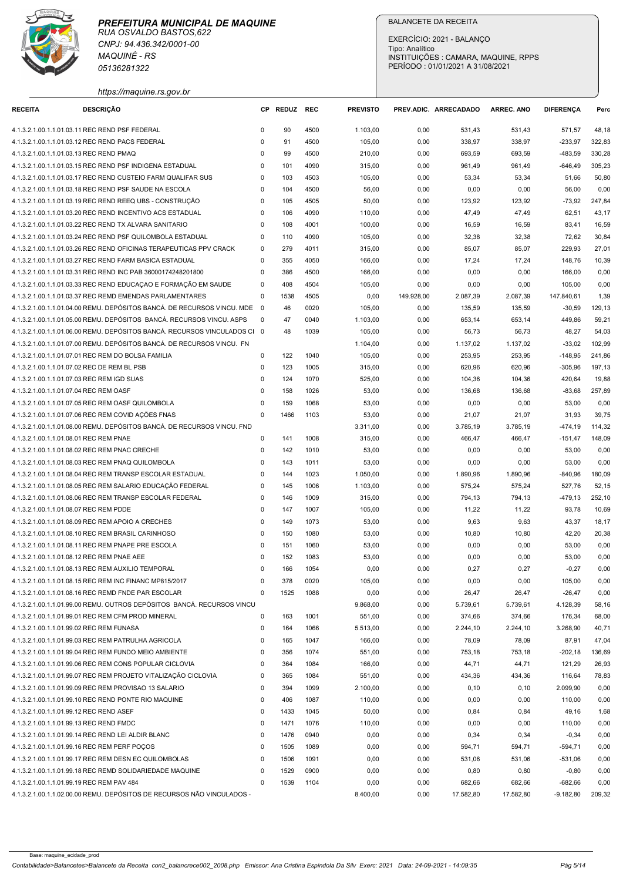

| <b>RECEITA</b><br>4.1.3.2.1.00.1.1.01.03.11 REC REND PSF FEDERAL<br>4.1.3.2.1.00.1.1.01.03.12 REC REND PACS FEDERAL<br>4.1.3.2.1.00.1.1.01.03.13 REC REND PMAQ<br>4.1.3.2.1.00.1.1.01.07.01 REC REM DO BOLSA FAMILIA<br>4.1.3.2.1.00.1.1.01.07.02 REC DE REM BL PSB<br>4.1.3.2.1.00.1.1.01.07.03 REC REM IGD SUAS<br>4.1.3.2.1.00.1.1.01.07.04 REC REM OASF<br>4.1.3.2.1.00.1.1.01.07.05 REC REM OASF QUILOMBOLA<br>4.1.3.2.1.00.1.1.01.07.06 REC REM COVID AÇÕES FNAS<br>4.1.3.2.1.00.1.1.01.08.01 REC REM PNAE<br>4.1.3.2.1.00.1.1.01.08.02 REC REM PNAC CRECHE | https://maquine.rs.gov.br<br><b>DESCRIÇÃO</b><br>4.1.3.2.1.00.1.1.01.03.15 REC REND PSF INDIGENA ESTADUAL<br>4.1.3.2.1.00.1.1.01.03.17 REC REND CUSTEIO FARM QUALIFAR SUS<br>4.1.3.2.1.00.1.1.01.03.18 REC REND PSF SAUDE NA ESCOLA<br>4.1.3.2.1.00.1.1.01.03.19 REC REND REEQ UBS - CONSTRUÇÃO<br>4.1.3.2.1.00.1.1.01.03.20 REC REND INCENTIVO ACS ESTADUAL<br>4.1.3.2.1.00.1.1.01.03.22 REC REND TX ALVARA SANITARIO<br>4.1.3.2.1.00.1.1.01.03.24 REC REND PSF QUILOMBOLA ESTADUAL<br>4.1.3.2.1.00.1.1.01.03.26 REC REND OFICINAS TERAPEUTICAS PPV CRACK<br>4.1.3.2.1.00.1.1.01.03.27 REC REND FARM BASICA ESTADUAL<br>4.1.3.2.1.00.1.1.01.03.31 REC REND INC PAB 36000174248201800<br>4.1.3.2.1.00.1.1.01.03.33 REC REND EDUCAÇAO E FORMAÇÃO EM SAUDE<br>4.1.3.2.1.00.1.1.01.03.37 REC REMD EMENDAS PARLAMENTARES<br>4.1.3.2.1.00.1.1.01.04.00 REMU. DEPÓSITOS BANCÁ. DE RECURSOS VINCU. MDE<br>4.1.3.2.1.00.1.1.01.05.00 REMU. DEPÓSITOS BANCÁ. RECURSOS VINCU. ASPS<br>4.1.3.2.1.00.1.1.01.06.00 REMU. DEPÓSITOS BANCÁ. RECURSOS VINCULADOS CI 0<br>4.1.3.2.1.00.1.1.01.07.00 REMU. DEPÓSITOS BANCÁ. DE RECURSOS VINCU. FN | $\Omega$<br>$\mathbf 0$<br>$^{\circ}$<br>$\mathbf 0$<br>$\mathbf 0$<br>$^{\circ}$<br>$^{\circ}$<br>$\mathbf 0$<br>$\mathbf 0$<br>$\mathbf 0$<br>$\mathbf 0$<br>$\mathbf 0$<br>$\mathbf 0$<br>$\Omega$<br>$^{\circ}$<br>- 0<br>$^{\circ}$ | CP REDUZ REC<br>90<br>91<br>99<br>101<br>103<br>104<br>105<br>106<br>108<br>110<br>279<br>355<br>386<br>408<br>1538<br>46<br>47 | 4500<br>4500<br>4500<br>4090<br>4503<br>4500<br>4505<br>4090<br>4001<br>4090<br>4011<br>4050<br>4500<br>4504 | <b>PREVISTO</b><br>1.103,00<br>105,00<br>210,00<br>315,00<br>105,00<br>56,00<br>50,00<br>110,00<br>100,00<br>105,00<br>315,00 | PREV.ADIC. ARRECADADO<br>0,00<br>0,00<br>0,00<br>0,00<br>0,00<br>0,00<br>0,00<br>0,00<br>0,00<br>0,00 | 531,43<br>338,97<br>693,59<br>961,49<br>53,34<br>0,00<br>123,92<br>47,49 | <b>ARREC. ANO</b><br>531,43<br>338,97<br>693,59<br>961,49<br>53,34<br>0,00<br>123,92 | <b>DIFERENCA</b><br>571,57<br>$-233,97$<br>-483,59<br>-646,49<br>51,66<br>56,00 | Perc<br>48,18<br>322,83<br>330,28<br>305,23<br>50,80<br>0,00 |
|-------------------------------------------------------------------------------------------------------------------------------------------------------------------------------------------------------------------------------------------------------------------------------------------------------------------------------------------------------------------------------------------------------------------------------------------------------------------------------------------------------------------------------------------------------------------|---------------------------------------------------------------------------------------------------------------------------------------------------------------------------------------------------------------------------------------------------------------------------------------------------------------------------------------------------------------------------------------------------------------------------------------------------------------------------------------------------------------------------------------------------------------------------------------------------------------------------------------------------------------------------------------------------------------------------------------------------------------------------------------------------------------------------------------------------------------------------------------------------------------------------------------------------------------------------------------------------------------------------------------------------------------------------------------------------------------------------------|------------------------------------------------------------------------------------------------------------------------------------------------------------------------------------------------------------------------------------------|---------------------------------------------------------------------------------------------------------------------------------|--------------------------------------------------------------------------------------------------------------|-------------------------------------------------------------------------------------------------------------------------------|-------------------------------------------------------------------------------------------------------|--------------------------------------------------------------------------|--------------------------------------------------------------------------------------|---------------------------------------------------------------------------------|--------------------------------------------------------------|
|                                                                                                                                                                                                                                                                                                                                                                                                                                                                                                                                                                   |                                                                                                                                                                                                                                                                                                                                                                                                                                                                                                                                                                                                                                                                                                                                                                                                                                                                                                                                                                                                                                                                                                                                 |                                                                                                                                                                                                                                          |                                                                                                                                 |                                                                                                              |                                                                                                                               |                                                                                                       |                                                                          |                                                                                      |                                                                                 |                                                              |
|                                                                                                                                                                                                                                                                                                                                                                                                                                                                                                                                                                   |                                                                                                                                                                                                                                                                                                                                                                                                                                                                                                                                                                                                                                                                                                                                                                                                                                                                                                                                                                                                                                                                                                                                 |                                                                                                                                                                                                                                          |                                                                                                                                 |                                                                                                              |                                                                                                                               |                                                                                                       |                                                                          |                                                                                      |                                                                                 |                                                              |
|                                                                                                                                                                                                                                                                                                                                                                                                                                                                                                                                                                   |                                                                                                                                                                                                                                                                                                                                                                                                                                                                                                                                                                                                                                                                                                                                                                                                                                                                                                                                                                                                                                                                                                                                 |                                                                                                                                                                                                                                          |                                                                                                                                 |                                                                                                              |                                                                                                                               |                                                                                                       |                                                                          |                                                                                      |                                                                                 |                                                              |
|                                                                                                                                                                                                                                                                                                                                                                                                                                                                                                                                                                   |                                                                                                                                                                                                                                                                                                                                                                                                                                                                                                                                                                                                                                                                                                                                                                                                                                                                                                                                                                                                                                                                                                                                 |                                                                                                                                                                                                                                          |                                                                                                                                 |                                                                                                              |                                                                                                                               |                                                                                                       |                                                                          |                                                                                      |                                                                                 |                                                              |
|                                                                                                                                                                                                                                                                                                                                                                                                                                                                                                                                                                   |                                                                                                                                                                                                                                                                                                                                                                                                                                                                                                                                                                                                                                                                                                                                                                                                                                                                                                                                                                                                                                                                                                                                 |                                                                                                                                                                                                                                          |                                                                                                                                 |                                                                                                              |                                                                                                                               |                                                                                                       |                                                                          |                                                                                      |                                                                                 |                                                              |
|                                                                                                                                                                                                                                                                                                                                                                                                                                                                                                                                                                   |                                                                                                                                                                                                                                                                                                                                                                                                                                                                                                                                                                                                                                                                                                                                                                                                                                                                                                                                                                                                                                                                                                                                 |                                                                                                                                                                                                                                          |                                                                                                                                 |                                                                                                              |                                                                                                                               |                                                                                                       |                                                                          |                                                                                      |                                                                                 |                                                              |
|                                                                                                                                                                                                                                                                                                                                                                                                                                                                                                                                                                   |                                                                                                                                                                                                                                                                                                                                                                                                                                                                                                                                                                                                                                                                                                                                                                                                                                                                                                                                                                                                                                                                                                                                 |                                                                                                                                                                                                                                          |                                                                                                                                 |                                                                                                              |                                                                                                                               |                                                                                                       |                                                                          |                                                                                      | $-73,92$                                                                        | 247,84                                                       |
|                                                                                                                                                                                                                                                                                                                                                                                                                                                                                                                                                                   |                                                                                                                                                                                                                                                                                                                                                                                                                                                                                                                                                                                                                                                                                                                                                                                                                                                                                                                                                                                                                                                                                                                                 |                                                                                                                                                                                                                                          |                                                                                                                                 |                                                                                                              |                                                                                                                               |                                                                                                       |                                                                          | 47,49                                                                                | 62,51                                                                           | 43,17                                                        |
|                                                                                                                                                                                                                                                                                                                                                                                                                                                                                                                                                                   |                                                                                                                                                                                                                                                                                                                                                                                                                                                                                                                                                                                                                                                                                                                                                                                                                                                                                                                                                                                                                                                                                                                                 |                                                                                                                                                                                                                                          |                                                                                                                                 |                                                                                                              |                                                                                                                               |                                                                                                       | 16,59                                                                    | 16,59                                                                                | 83,41                                                                           | 16,59                                                        |
|                                                                                                                                                                                                                                                                                                                                                                                                                                                                                                                                                                   |                                                                                                                                                                                                                                                                                                                                                                                                                                                                                                                                                                                                                                                                                                                                                                                                                                                                                                                                                                                                                                                                                                                                 |                                                                                                                                                                                                                                          |                                                                                                                                 |                                                                                                              |                                                                                                                               | 0,00                                                                                                  | 32,38<br>85,07                                                           | 32,38<br>85,07                                                                       | 72,62<br>229,93                                                                 | 30,84<br>27,01                                               |
|                                                                                                                                                                                                                                                                                                                                                                                                                                                                                                                                                                   |                                                                                                                                                                                                                                                                                                                                                                                                                                                                                                                                                                                                                                                                                                                                                                                                                                                                                                                                                                                                                                                                                                                                 |                                                                                                                                                                                                                                          |                                                                                                                                 |                                                                                                              | 166,00                                                                                                                        | 0,00                                                                                                  | 17,24                                                                    | 17,24                                                                                | 148,76                                                                          | 10,39                                                        |
|                                                                                                                                                                                                                                                                                                                                                                                                                                                                                                                                                                   |                                                                                                                                                                                                                                                                                                                                                                                                                                                                                                                                                                                                                                                                                                                                                                                                                                                                                                                                                                                                                                                                                                                                 |                                                                                                                                                                                                                                          |                                                                                                                                 |                                                                                                              | 166,00                                                                                                                        | 0,00                                                                                                  | 0,00                                                                     | 0,00                                                                                 | 166,00                                                                          | 0,00                                                         |
|                                                                                                                                                                                                                                                                                                                                                                                                                                                                                                                                                                   |                                                                                                                                                                                                                                                                                                                                                                                                                                                                                                                                                                                                                                                                                                                                                                                                                                                                                                                                                                                                                                                                                                                                 |                                                                                                                                                                                                                                          |                                                                                                                                 |                                                                                                              | 105,00                                                                                                                        | 0,00                                                                                                  | 0,00                                                                     | 0,00                                                                                 | 105,00                                                                          | 0,00                                                         |
|                                                                                                                                                                                                                                                                                                                                                                                                                                                                                                                                                                   |                                                                                                                                                                                                                                                                                                                                                                                                                                                                                                                                                                                                                                                                                                                                                                                                                                                                                                                                                                                                                                                                                                                                 |                                                                                                                                                                                                                                          |                                                                                                                                 | 4505                                                                                                         | 0,00                                                                                                                          | 149.928,00                                                                                            | 2.087,39                                                                 | 2.087,39                                                                             | 147.840,61                                                                      | 1,39                                                         |
|                                                                                                                                                                                                                                                                                                                                                                                                                                                                                                                                                                   |                                                                                                                                                                                                                                                                                                                                                                                                                                                                                                                                                                                                                                                                                                                                                                                                                                                                                                                                                                                                                                                                                                                                 |                                                                                                                                                                                                                                          |                                                                                                                                 | 0020                                                                                                         | 105,00                                                                                                                        | 0,00                                                                                                  | 135,59                                                                   | 135,59                                                                               | -30,59                                                                          | 129,13                                                       |
|                                                                                                                                                                                                                                                                                                                                                                                                                                                                                                                                                                   |                                                                                                                                                                                                                                                                                                                                                                                                                                                                                                                                                                                                                                                                                                                                                                                                                                                                                                                                                                                                                                                                                                                                 |                                                                                                                                                                                                                                          | 48                                                                                                                              | 0040<br>1039                                                                                                 | 1.103,00<br>105,00                                                                                                            | 0,00<br>0,00                                                                                          | 653,14<br>56,73                                                          | 653,14<br>56,73                                                                      | 449,86<br>48,27                                                                 | 59,21<br>54,03                                               |
|                                                                                                                                                                                                                                                                                                                                                                                                                                                                                                                                                                   |                                                                                                                                                                                                                                                                                                                                                                                                                                                                                                                                                                                                                                                                                                                                                                                                                                                                                                                                                                                                                                                                                                                                 |                                                                                                                                                                                                                                          |                                                                                                                                 |                                                                                                              | 1.104,00                                                                                                                      | 0,00                                                                                                  | 1.137,02                                                                 | 1.137,02                                                                             | $-33,02$                                                                        | 102,99                                                       |
|                                                                                                                                                                                                                                                                                                                                                                                                                                                                                                                                                                   |                                                                                                                                                                                                                                                                                                                                                                                                                                                                                                                                                                                                                                                                                                                                                                                                                                                                                                                                                                                                                                                                                                                                 | $\mathbf 0$                                                                                                                                                                                                                              | 122                                                                                                                             | 1040                                                                                                         | 105,00                                                                                                                        | 0,00                                                                                                  | 253,95                                                                   | 253,95                                                                               | $-148,95$                                                                       | 241,86                                                       |
|                                                                                                                                                                                                                                                                                                                                                                                                                                                                                                                                                                   |                                                                                                                                                                                                                                                                                                                                                                                                                                                                                                                                                                                                                                                                                                                                                                                                                                                                                                                                                                                                                                                                                                                                 | $\mathbf 0$                                                                                                                                                                                                                              | 123                                                                                                                             | 1005                                                                                                         | 315,00                                                                                                                        | 0,00                                                                                                  | 620,96                                                                   | 620,96                                                                               | -305,96                                                                         | 197,13                                                       |
|                                                                                                                                                                                                                                                                                                                                                                                                                                                                                                                                                                   |                                                                                                                                                                                                                                                                                                                                                                                                                                                                                                                                                                                                                                                                                                                                                                                                                                                                                                                                                                                                                                                                                                                                 | 0                                                                                                                                                                                                                                        | 124                                                                                                                             | 1070                                                                                                         | 525,00                                                                                                                        | 0,00                                                                                                  | 104,36                                                                   | 104,36                                                                               | 420,64                                                                          | 19,88                                                        |
|                                                                                                                                                                                                                                                                                                                                                                                                                                                                                                                                                                   |                                                                                                                                                                                                                                                                                                                                                                                                                                                                                                                                                                                                                                                                                                                                                                                                                                                                                                                                                                                                                                                                                                                                 | $\Omega$<br>$\Omega$                                                                                                                                                                                                                     | 158<br>159                                                                                                                      | 1026<br>1068                                                                                                 | 53,00                                                                                                                         | 0,00                                                                                                  | 136,68                                                                   | 136,68                                                                               | -83,68                                                                          | 257,89                                                       |
|                                                                                                                                                                                                                                                                                                                                                                                                                                                                                                                                                                   |                                                                                                                                                                                                                                                                                                                                                                                                                                                                                                                                                                                                                                                                                                                                                                                                                                                                                                                                                                                                                                                                                                                                 | $^{\circ}$                                                                                                                                                                                                                               | 1466                                                                                                                            | 1103                                                                                                         | 53,00<br>53,00                                                                                                                | 0,00<br>0,00                                                                                          | 0,00<br>21,07                                                            | 0,00<br>21,07                                                                        | 53,00<br>31,93                                                                  | 0,00<br>39,75                                                |
|                                                                                                                                                                                                                                                                                                                                                                                                                                                                                                                                                                   | 4.1.3.2.1.00.1.1.01.08.00 REMU. DEPÓSITOS BANCÁ. DE RECURSOS VINCU. FND                                                                                                                                                                                                                                                                                                                                                                                                                                                                                                                                                                                                                                                                                                                                                                                                                                                                                                                                                                                                                                                         |                                                                                                                                                                                                                                          |                                                                                                                                 |                                                                                                              | 3.311,00                                                                                                                      | 0,00                                                                                                  | 3.785,19                                                                 | 3.785,19                                                                             | -474,19                                                                         | 114,32                                                       |
|                                                                                                                                                                                                                                                                                                                                                                                                                                                                                                                                                                   |                                                                                                                                                                                                                                                                                                                                                                                                                                                                                                                                                                                                                                                                                                                                                                                                                                                                                                                                                                                                                                                                                                                                 | $\mathbf 0$                                                                                                                                                                                                                              | 141                                                                                                                             | 1008                                                                                                         | 315,00                                                                                                                        | 0,00                                                                                                  | 466,47                                                                   | 466,47                                                                               | $-151,47$                                                                       | 148,09                                                       |
|                                                                                                                                                                                                                                                                                                                                                                                                                                                                                                                                                                   |                                                                                                                                                                                                                                                                                                                                                                                                                                                                                                                                                                                                                                                                                                                                                                                                                                                                                                                                                                                                                                                                                                                                 | 0                                                                                                                                                                                                                                        | 142                                                                                                                             | 1010                                                                                                         | 53,00                                                                                                                         | 0,00                                                                                                  | 0,00                                                                     | 0,00                                                                                 | 53,00                                                                           | 0,00                                                         |
|                                                                                                                                                                                                                                                                                                                                                                                                                                                                                                                                                                   | 4.1.3.2.1.00.1.1.01.08.03 REC REM PNAQ QUILOMBOLA                                                                                                                                                                                                                                                                                                                                                                                                                                                                                                                                                                                                                                                                                                                                                                                                                                                                                                                                                                                                                                                                               | $\mathbf 0$                                                                                                                                                                                                                              | 143                                                                                                                             | 1011                                                                                                         | 53,00                                                                                                                         | 0,00                                                                                                  | 0,00                                                                     | 0,00                                                                                 | 53,00                                                                           | 0,00                                                         |
|                                                                                                                                                                                                                                                                                                                                                                                                                                                                                                                                                                   | 4.1.3.2.1.00.1.1.01.08.04 REC REM TRANSP ESCOLAR ESTADUAL<br>4.1.3.2.1.00.1.1.01.08.05 REC REM SALARIO EDUCAÇÃO FEDERAL                                                                                                                                                                                                                                                                                                                                                                                                                                                                                                                                                                                                                                                                                                                                                                                                                                                                                                                                                                                                         | $\mathbf 0$<br>0                                                                                                                                                                                                                         | 144<br>145                                                                                                                      | 1023<br>1006                                                                                                 | 1.050,00<br>1.103,00                                                                                                          | 0,00<br>0,00                                                                                          | 1.890,96<br>575,24                                                       | 1.890,96<br>575,24                                                                   | $-840,96$<br>527,76                                                             | 180,09<br>52,15                                              |
|                                                                                                                                                                                                                                                                                                                                                                                                                                                                                                                                                                   | 4.1.3.2.1.00.1.1.01.08.06 REC REM TRANSP ESCOLAR FEDERAL                                                                                                                                                                                                                                                                                                                                                                                                                                                                                                                                                                                                                                                                                                                                                                                                                                                                                                                                                                                                                                                                        | 0                                                                                                                                                                                                                                        | 146                                                                                                                             | 1009                                                                                                         | 315,00                                                                                                                        | 0,00                                                                                                  | 794,13                                                                   | 794,13                                                                               | -479,13                                                                         | 252,10                                                       |
| 4.1.3.2.1.00.1.1.01.08.07 REC REM PDDE                                                                                                                                                                                                                                                                                                                                                                                                                                                                                                                            |                                                                                                                                                                                                                                                                                                                                                                                                                                                                                                                                                                                                                                                                                                                                                                                                                                                                                                                                                                                                                                                                                                                                 | $\Omega$                                                                                                                                                                                                                                 | 147                                                                                                                             | 1007                                                                                                         | 105,00                                                                                                                        | 0,00                                                                                                  | 11,22                                                                    | 11,22                                                                                | 93,78                                                                           | 10,69                                                        |
| 4.1.3.2.1.00.1.1.01.08.09 REC REM APOIO A CRECHES                                                                                                                                                                                                                                                                                                                                                                                                                                                                                                                 |                                                                                                                                                                                                                                                                                                                                                                                                                                                                                                                                                                                                                                                                                                                                                                                                                                                                                                                                                                                                                                                                                                                                 | $^{\circ}$                                                                                                                                                                                                                               | 149                                                                                                                             | 1073                                                                                                         | 53,00                                                                                                                         | 0,00                                                                                                  | 9,63                                                                     | 9,63                                                                                 | 43,37                                                                           | 18,17                                                        |
| 4.1.3.2.1.00.1.1.01.08.10 REC REM BRASIL CARINHOSO                                                                                                                                                                                                                                                                                                                                                                                                                                                                                                                |                                                                                                                                                                                                                                                                                                                                                                                                                                                                                                                                                                                                                                                                                                                                                                                                                                                                                                                                                                                                                                                                                                                                 | $\mathbf 0$                                                                                                                                                                                                                              | 150                                                                                                                             | 1080                                                                                                         | 53,00                                                                                                                         | 0,00                                                                                                  | 10,80                                                                    | 10,80                                                                                | 42,20                                                                           | 20,38                                                        |
|                                                                                                                                                                                                                                                                                                                                                                                                                                                                                                                                                                   | 4.1.3.2.1.00.1.1.01.08.11 REC REM PNAPE PRE ESCOLA                                                                                                                                                                                                                                                                                                                                                                                                                                                                                                                                                                                                                                                                                                                                                                                                                                                                                                                                                                                                                                                                              | $\mathbf 0$                                                                                                                                                                                                                              | 151                                                                                                                             | 1060                                                                                                         | 53,00                                                                                                                         | 0,00                                                                                                  | 0,00                                                                     | 0,00                                                                                 | 53,00                                                                           | 0,00                                                         |
| 4.1.3.2.1.00.1.1.01.08.12 REC REM PNAE AEE<br>4.1.3.2.1.00.1.1.01.08.13 REC REM AUXILIO TEMPORAL                                                                                                                                                                                                                                                                                                                                                                                                                                                                  |                                                                                                                                                                                                                                                                                                                                                                                                                                                                                                                                                                                                                                                                                                                                                                                                                                                                                                                                                                                                                                                                                                                                 | $\mathbf 0$<br>$\Omega$                                                                                                                                                                                                                  | 152<br>166                                                                                                                      | 1083<br>1054                                                                                                 | 53,00<br>0,00                                                                                                                 | 0,00<br>0,00                                                                                          | 0,00<br>0,27                                                             | 0,00<br>0,27                                                                         | 53,00<br>$-0,27$                                                                | 0,00<br>0,00                                                 |
|                                                                                                                                                                                                                                                                                                                                                                                                                                                                                                                                                                   | 4.1.3.2.1.00.1.1.01.08.15 REC REM INC FINANC MP815/2017                                                                                                                                                                                                                                                                                                                                                                                                                                                                                                                                                                                                                                                                                                                                                                                                                                                                                                                                                                                                                                                                         | $\Omega$                                                                                                                                                                                                                                 | 378                                                                                                                             | 0020                                                                                                         | 105,00                                                                                                                        | 0,00                                                                                                  | 0,00                                                                     | 0,00                                                                                 | 105,00                                                                          | 0,00                                                         |
|                                                                                                                                                                                                                                                                                                                                                                                                                                                                                                                                                                   | 4.1.3.2.1.00.1.1.01.08.16 REC REMD FNDE PAR ESCOLAR                                                                                                                                                                                                                                                                                                                                                                                                                                                                                                                                                                                                                                                                                                                                                                                                                                                                                                                                                                                                                                                                             | $\mathbf 0$                                                                                                                                                                                                                              | 1525                                                                                                                            | 1088                                                                                                         | 0,00                                                                                                                          | 0,00                                                                                                  | 26,47                                                                    | 26,47                                                                                | $-26,47$                                                                        | 0,00                                                         |
|                                                                                                                                                                                                                                                                                                                                                                                                                                                                                                                                                                   | 4.1.3.2.1.00.1.1.01.99.00 REMU. OUTROS DEPÓSITOS BANCÁ. RECURSOS VINCU                                                                                                                                                                                                                                                                                                                                                                                                                                                                                                                                                                                                                                                                                                                                                                                                                                                                                                                                                                                                                                                          |                                                                                                                                                                                                                                          |                                                                                                                                 |                                                                                                              | 9.868,00                                                                                                                      | 0,00                                                                                                  | 5.739,61                                                                 | 5.739,61                                                                             | 4.128,39                                                                        | 58,16                                                        |
|                                                                                                                                                                                                                                                                                                                                                                                                                                                                                                                                                                   | 4.1.3.2.1.00.1.1.01.99.01 REC REM CFM PROD MINERAL                                                                                                                                                                                                                                                                                                                                                                                                                                                                                                                                                                                                                                                                                                                                                                                                                                                                                                                                                                                                                                                                              | $\Omega$                                                                                                                                                                                                                                 | 163                                                                                                                             | 1001                                                                                                         | 551,00                                                                                                                        | 0,00                                                                                                  | 374,66                                                                   | 374,66                                                                               | 176,34                                                                          | 68,00                                                        |
| 4.1.3.2.1.00.1.1.01.99.02 REC REM FUNASA                                                                                                                                                                                                                                                                                                                                                                                                                                                                                                                          |                                                                                                                                                                                                                                                                                                                                                                                                                                                                                                                                                                                                                                                                                                                                                                                                                                                                                                                                                                                                                                                                                                                                 | $\Omega$<br>$\Omega$                                                                                                                                                                                                                     | 164                                                                                                                             | 1066                                                                                                         | 5.513,00                                                                                                                      | 0,00                                                                                                  | 2.244,10                                                                 | 2.244,10                                                                             | 3.268,90                                                                        | 40,71                                                        |
|                                                                                                                                                                                                                                                                                                                                                                                                                                                                                                                                                                   | 4.1.3.2.1.00.1.1.01.99.03 REC REM PATRULHA AGRICOLA<br>4.1.3.2.1.00.1.1.01.99.04 REC REM FUNDO MEIO AMBIENTE                                                                                                                                                                                                                                                                                                                                                                                                                                                                                                                                                                                                                                                                                                                                                                                                                                                                                                                                                                                                                    | $\mathbf 0$                                                                                                                                                                                                                              | 165<br>356                                                                                                                      | 1047<br>1074                                                                                                 | 166,00<br>551,00                                                                                                              | 0,00<br>0,00                                                                                          | 78,09<br>753,18                                                          | 78,09<br>753,18                                                                      | 87,91<br>$-202,18$                                                              | 47,04<br>136,69                                              |
|                                                                                                                                                                                                                                                                                                                                                                                                                                                                                                                                                                   | 4.1.3.2.1.00.1.1.01.99.06 REC REM CONS POPULAR CICLOVIA                                                                                                                                                                                                                                                                                                                                                                                                                                                                                                                                                                                                                                                                                                                                                                                                                                                                                                                                                                                                                                                                         | $\mathbf 0$                                                                                                                                                                                                                              | 364                                                                                                                             | 1084                                                                                                         | 166,00                                                                                                                        | 0,00                                                                                                  | 44,71                                                                    | 44,71                                                                                | 121,29                                                                          | 26,93                                                        |
|                                                                                                                                                                                                                                                                                                                                                                                                                                                                                                                                                                   | 4.1.3.2.1.00.1.1.01.99.07 REC REM PROJETO VITALIZAÇÃO CICLOVIA                                                                                                                                                                                                                                                                                                                                                                                                                                                                                                                                                                                                                                                                                                                                                                                                                                                                                                                                                                                                                                                                  | $\mathbf 0$                                                                                                                                                                                                                              | 365                                                                                                                             | 1084                                                                                                         | 551,00                                                                                                                        | 0,00                                                                                                  | 434,36                                                                   | 434,36                                                                               | 116,64                                                                          | 78,83                                                        |
|                                                                                                                                                                                                                                                                                                                                                                                                                                                                                                                                                                   | 4.1.3.2.1.00.1.1.01.99.09 REC REM PROVISAO 13 SALARIO                                                                                                                                                                                                                                                                                                                                                                                                                                                                                                                                                                                                                                                                                                                                                                                                                                                                                                                                                                                                                                                                           | $\mathbf 0$                                                                                                                                                                                                                              | 394                                                                                                                             | 1099                                                                                                         | 2.100,00                                                                                                                      | 0,00                                                                                                  | 0,10                                                                     | 0, 10                                                                                | 2.099,90                                                                        | 0,00                                                         |
|                                                                                                                                                                                                                                                                                                                                                                                                                                                                                                                                                                   | 4.1.3.2.1.00.1.1.01.99.10 REC REND PONTE RIO MAQUINE                                                                                                                                                                                                                                                                                                                                                                                                                                                                                                                                                                                                                                                                                                                                                                                                                                                                                                                                                                                                                                                                            | 0                                                                                                                                                                                                                                        | 406                                                                                                                             | 1087                                                                                                         | 110,00                                                                                                                        | 0,00                                                                                                  | 0,00                                                                     | 0,00                                                                                 | 110,00                                                                          | 0,00                                                         |
| 4.1.3.2.1.00.1.1.01.99.12 REC REND ASEF<br>4.1.3.2.1.00.1.1.01.99.13 REC REND FMDC                                                                                                                                                                                                                                                                                                                                                                                                                                                                                |                                                                                                                                                                                                                                                                                                                                                                                                                                                                                                                                                                                                                                                                                                                                                                                                                                                                                                                                                                                                                                                                                                                                 | 0<br>$\Omega$                                                                                                                                                                                                                            | 1433<br>1471                                                                                                                    | 1045<br>1076                                                                                                 | 50,00<br>110,00                                                                                                               | 0,00<br>0,00                                                                                          | 0,84<br>0,00                                                             | 0,84<br>0,00                                                                         | 49,16<br>110,00                                                                 | 1,68<br>0,00                                                 |
| 4.1.3.2.1.00.1.1.01.99.14 REC REND LEI ALDIR BLANC                                                                                                                                                                                                                                                                                                                                                                                                                                                                                                                |                                                                                                                                                                                                                                                                                                                                                                                                                                                                                                                                                                                                                                                                                                                                                                                                                                                                                                                                                                                                                                                                                                                                 | $\mathbf 0$                                                                                                                                                                                                                              | 1476                                                                                                                            | 0940                                                                                                         | 0,00                                                                                                                          | 0,00                                                                                                  | 0,34                                                                     | 0,34                                                                                 | $-0,34$                                                                         | 0,00                                                         |
| 4.1.3.2.1.00.1.1.01.99.16 REC REM PERF POCOS                                                                                                                                                                                                                                                                                                                                                                                                                                                                                                                      |                                                                                                                                                                                                                                                                                                                                                                                                                                                                                                                                                                                                                                                                                                                                                                                                                                                                                                                                                                                                                                                                                                                                 | $^{\circ}$                                                                                                                                                                                                                               | 1505                                                                                                                            | 1089                                                                                                         | 0,00                                                                                                                          | 0,00                                                                                                  | 594,71                                                                   | 594,71                                                                               | $-594,71$                                                                       | 0,00                                                         |
|                                                                                                                                                                                                                                                                                                                                                                                                                                                                                                                                                                   | 4.1.3.2.1.00.1.1.01.99.17 REC REM DESN EC QUILOMBOLAS                                                                                                                                                                                                                                                                                                                                                                                                                                                                                                                                                                                                                                                                                                                                                                                                                                                                                                                                                                                                                                                                           | $\Omega$                                                                                                                                                                                                                                 | 1506                                                                                                                            | 1091                                                                                                         | 0,00                                                                                                                          | 0,00                                                                                                  | 531,06                                                                   | 531,06                                                                               | -531,06                                                                         | 0,00                                                         |
|                                                                                                                                                                                                                                                                                                                                                                                                                                                                                                                                                                   | 4.1.3.2.1.00.1.1.01.99.18 REC REMD SOLIDARIEDADE MAQUINE                                                                                                                                                                                                                                                                                                                                                                                                                                                                                                                                                                                                                                                                                                                                                                                                                                                                                                                                                                                                                                                                        | $^{\circ}$                                                                                                                                                                                                                               | 1529                                                                                                                            | 0900                                                                                                         | 0,00                                                                                                                          | 0,00                                                                                                  | 0,80                                                                     | 0,80                                                                                 | $-0,80$                                                                         | 0,00                                                         |
| 4.1.3.2.1.00.1.1.01.99.19 REC REM PAV 484                                                                                                                                                                                                                                                                                                                                                                                                                                                                                                                         | 4.1.3.2.1.00.1.1.02.00.00 REMU. DEPÓSITOS DE RECURSOS NÃO VINCULADOS -                                                                                                                                                                                                                                                                                                                                                                                                                                                                                                                                                                                                                                                                                                                                                                                                                                                                                                                                                                                                                                                          | $^{\circ}$                                                                                                                                                                                                                               | 1539                                                                                                                            | 1104                                                                                                         | 0,00<br>8.400,00                                                                                                              | 0,00<br>0,00                                                                                          | 682,66<br>17.582,80                                                      | 682,66<br>17.582,80                                                                  | $-682,66$<br>$-9.182,80$ 209,32                                                 | 0,00                                                         |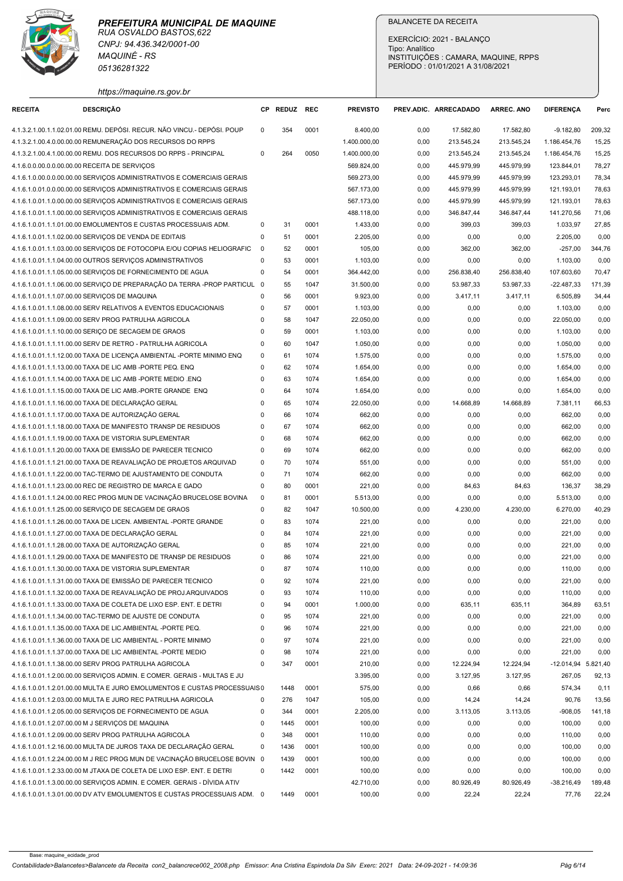| https://maguine.rs.gov.bi |  |  |
|---------------------------|--|--|

|                                               | RUA OSVALDO BASTOS, 622<br>CNPJ: 94.436.342/0001-00                                                                                              |                                        |              |              |                              |                                  |                          |                                      |                               |                |
|-----------------------------------------------|--------------------------------------------------------------------------------------------------------------------------------------------------|----------------------------------------|--------------|--------------|------------------------------|----------------------------------|--------------------------|--------------------------------------|-------------------------------|----------------|
|                                               |                                                                                                                                                  |                                        |              |              |                              | EXERCÍCIO: 2021 - BALANÇO        |                          |                                      |                               |                |
|                                               | <b>MAQUINÉ - RS</b>                                                                                                                              |                                        |              |              |                              | Tipo: Analítico                  |                          | INSTITUIÇÕES : CAMARA, MAQUINE, RPPS |                               |                |
|                                               | 05136281322                                                                                                                                      |                                        |              |              |                              | PERÍODO: 01/01/2021 A 31/08/2021 |                          |                                      |                               |                |
|                                               | https://maquine.rs.gov.br                                                                                                                        |                                        |              |              |                              |                                  |                          |                                      |                               |                |
| <b>RECEITA</b>                                | <b>DESCRIÇÃO</b>                                                                                                                                 |                                        | CP REDUZ REC |              | <b>PREVISTO</b>              | PREV.ADIC. ARRECADADO            |                          | <b>ARREC. ANO</b>                    | <b>DIFERENCA</b>              | Perc           |
|                                               | 4.1.3.2.1.00.1.1.02.01.00 REMU. DEPÓSI. RECUR. NÃO VINCU.- DEPÓSI. POUP                                                                          | $\Omega$                               | 354          | 0001         | 8.400,00                     | 0,00                             | 17.582,80                | 17.582,80                            | $-9.182,80$                   | 209,32         |
|                                               | 4.1.3.2.1.00.4.0.00.00.00 REMUNERAÇÃO DOS RECURSOS DO RPPS                                                                                       | 0                                      | 264          | 0050         | 1.400.000,00<br>1.400.000,00 | 0,00                             | 213.545,24               | 213.545,24                           | 1.186.454,76                  | 15,25          |
| 4.1.6.0.0.00.0.0.00.00.00 RECEITA DE SERVIÇOS | 4.1.3.2.1.00.4.1.00.00.00 REMU. DOS RECURSOS DO RPPS - PRINCIPAL                                                                                 |                                        |              |              | 569.824,00                   | 0,00<br>0,00                     | 213.545,24<br>445.979,99 | 213.545,24<br>445.979,99             | 1.186.454,76<br>123.844,01    | 15,25<br>78,27 |
|                                               | 4.1.6.1.0.00.0.0.00.00.00 SERVIÇOS ADMINISTRATIVOS E COMERCIAIS GERAIS                                                                           |                                        |              |              | 569.273,00                   | 0,00                             | 445.979,99               | 445.979,99                           | 123.293,01                    | 78,34          |
|                                               | 4.1.6.1.0.01.0.0.00.00.00 SERVIÇOS ADMINISTRATIVOS E COMERCIAIS GERAIS                                                                           |                                        |              |              | 567.173,00                   | 0,00                             | 445.979,99               | 445.979,99                           | 121.193,01                    | 78,63          |
|                                               | 4.1.6.1.0.01.1.0.00.00.00 SERVIÇOS ADMINISTRATIVOS E COMERCIAIS GERAIS<br>4.1.6.1.0.01.1.1.00.00.00 SERVIÇOS ADMINISTRATIVOS E COMERCIAIS GERAIS |                                        |              |              | 567.173,00<br>488.118,00     | 0,00<br>0,00                     | 445.979,99<br>346.847,44 | 445.979,99<br>346.847,44             | 121.193,01<br>141.270,56      | 78,63<br>71,06 |
|                                               | 4.1.6.1.0.01.1.1.01.00.00 EMOLUMENTOS E CUSTAS PROCESSUAIS ADM.                                                                                  | $\Omega$                               | 31           | 0001         | 1.433,00                     | 0,00                             | 399,03                   | 399,03                               | 1.033,97                      | 27,85          |
|                                               | 4.1.6.1.0.01.1.1.02.00.00 SERVIÇOS DE VENDA DE EDITAIS                                                                                           | 0                                      | 51           | 0001         | 2.205,00                     | 0,00                             | 0,00                     | 0,00                                 | 2.205,00                      | 0,00           |
|                                               | 4.1.6.1.0.01.1.1.03.00.00 SERVIÇOS DE FOTOCOPIA E/OU COPIAS HELIOGRAFIC                                                                          | - 0                                    | 52           | 0001         | 105,00                       | 0,00                             | 362,00                   | 362,00                               | $-257,00$                     | 344,76         |
|                                               | 4.1.6.1.0.01.1.1.04.00.00 OUTROS SERVIÇOS ADMINISTRATIVOS<br>4.1.6.1.0.01.1.1.05.00.00 SERVIÇOS DE FORNECIMENTO DE AGUA                          | 0<br>0                                 | 53<br>54     | 0001<br>0001 | 1.103,00<br>364.442,00       | 0,00<br>0,00                     | 0,00<br>256.838,40       | 0,00<br>256.838,40                   | 1.103,00<br>107.603,60        | 0,00<br>70,47  |
|                                               | 4.1.6.1.0.01.1.1.06.00.00 SERVIÇO DE PREPARAÇÃO DA TERRA -PROP PARTICUL 0                                                                        |                                        | 55           | 1047         | 31.500,00                    | 0,00                             | 53.987,33                | 53.987,33                            | -22.487,33                    | 171,39         |
| 4.1.6.1.0.01.1.1.07.00.00 SERVIÇOS DE MAQUINA |                                                                                                                                                  | 0                                      | 56           | 0001         | 9.923,00                     | 0,00                             | 3.417,11                 | 3.417,11                             | 6.505,89                      | 34,44          |
|                                               | 4.1.6.1.0.01.1.1.08.00.00 SERV RELATIVOS A EVENTOS EDUCACIONAIS                                                                                  | $\Omega$                               | 57           | 0001         | 1.103,00                     | 0,00                             | 0,00                     | 0,00                                 | 1.103,00                      | 0,00           |
|                                               | 4.1.6.1.0.01.1.1.09.00.00 SERV PROG PATRULHA AGRICOLA<br>4.1.6.1.0.01.1.1.10.00.00 SERIÇO DE SECAGEM DE GRAOS                                    | 0<br>$\mathbf 0$                       | 58<br>59     | 1047<br>0001 | 22.050,00<br>1.103,00        | 0,00<br>0,00                     | 0,00<br>0,00             | 0,00<br>0,00                         | 22.050,00<br>1.103,00         | 0,00<br>0,00   |
|                                               | 4.1.6.1.0.01.1.1.11.00.00 SERV DE RETRO - PATRULHA AGRICOLA                                                                                      | $\mathbf 0$                            | 60           | 1047         | 1.050,00                     | 0,00                             | 0,00                     | 0,00                                 | 1.050,00                      | 0,00           |
|                                               | 4.1.6.1.0.01.1.1.12.00.00 TAXA DE LICENÇA AMBIENTAL -PORTE MINIMO ENQ                                                                            | $\mathbf 0$                            | 61           | 1074         | 1.575,00                     | 0,00                             | 0,00                     | 0,00                                 | 1.575,00                      | 0,00           |
|                                               | 4.1.6.1.0.01.1.1.13.00.00 TAXA DE LIC AMB -PORTE PEQ. ENQ<br>4.1.6.1.0.01.1.1.14.00.00 TAXA DE LIC AMB -PORTE MEDIO .ENQ                         | $\mathbf 0$<br>0                       | 62<br>63     | 1074<br>1074 | 1.654,00<br>1.654,00         | 0,00<br>0,00                     | 0,00<br>0,00             | 0,00<br>0,00                         | 1.654,00<br>1.654,00          | 0,00<br>0,00   |
|                                               | 4.1.6.1.0.01.1.1.15.00.00 TAXA DE LIC AMB.-PORTE GRANDE ENQ                                                                                      | $\mathbf 0$                            | 64           | 1074         | 1.654,00                     | 0,00                             | 0,00                     | 0,00                                 | 1.654,00                      | 0,00           |
|                                               | 4.1.6.1.0.01.1.1.16.00.00 TAXA DE DECLARAÇÃO GERAL                                                                                               | $\mathbf 0$                            | 65           | 1074         | 22.050,00                    | 0,00                             | 14.668,89                | 14.668,89                            | 7.381,11                      | 66,53          |
|                                               | 4.1.6.1.0.01.1.1.17.00.00 TAXA DE AUTORIZAÇÃO GERAL                                                                                              | $\mathbf 0$                            | 66           | 1074         | 662,00                       | 0,00                             | 0,00                     | 0,00                                 | 662,00                        | 0,00           |
|                                               | 4.1.6.1.0.01.1.1.18.00.00 TAXA DE MANIFESTO TRANSP DE RESIDUOS<br>4.1.6.1.0.01.1.1.19.00.00 TAXA DE VISTORIA SUPLEMENTAR                         | $\mathbf 0$<br>$\mathbf 0$             | 67<br>68     | 1074<br>1074 | 662,00<br>662,00             | 0,00<br>0,00                     | 0,00<br>0,00             | 0,00<br>0,00                         | 662,00<br>662,00              | 0,00<br>0,00   |
|                                               | 4.1.6.1.0.01.1.1.20.00.00 TAXA DE EMISSÃO DE PARECER TECNICO                                                                                     | $\mathbf 0$                            | 69           | 1074         | 662,00                       | 0,00                             | 0,00                     | 0,00                                 | 662,00                        | 0,00           |
|                                               | 4.1.6.1.0.01.1.1.21.00.00 TAXA DE REAVALIAÇÃO DE PROJETOS ARQUIVAD                                                                               | $\mathbf 0$                            | 70           | 1074         | 551,00                       | 0,00                             | 0,00                     | 0,00                                 | 551,00                        | 0,00           |
|                                               | 4.1.6.1.0.01.1.1.22.00.00 TAC-TERMO DE AJUSTAMENTO DE CONDUTA                                                                                    | $\mathbf 0$                            | 71           | 1074         | 662,00                       | 0,00                             | 0,00                     | 0,00                                 | 662,00                        | 0,00           |
|                                               | 4.1.6.1.0.01.1.1.23.00.00 REC DE REGISTRO DE MARCA E GADO<br>4.1.6.1.0.01.1.1.24.00.00 REC PROG MUN DE VACINAÇÃO BRUCELOSE BOVINA                | $\mathbf 0$<br>$\overline{\mathbf{0}}$ | 80<br>81     | 0001<br>0001 | 221,00<br>5.513,00           | 0,00<br>0,00                     | 84,63<br>0,00            | 84,63<br>0,00                        | 136,37<br>5.513,00            | 38,29<br>0,00  |
|                                               | 4.1.6.1.0.01.1.1.25.00.00 SERVIÇO DE SECAGEM DE GRAOS                                                                                            | $\mathbf 0$                            | 82           | 1047         | 10.500,00                    | 0,00                             | 4.230,00                 | 4.230,00                             | 6.270,00                      | 40,29          |
|                                               | 4.1.6.1.0.01.1.1.26.00.00 TAXA DE LICEN. AMBIENTAL -PORTE GRANDE                                                                                 | $\mathbf 0$                            | 83           | 1074         | 221,00                       | 0,00                             | 0,00                     | 0,00                                 | 221,00                        | 0,00           |
|                                               | 4.1.6.1.0.01.1.1.27.00.00 TAXA DE DECLARAÇÃO GERAL                                                                                               | $\mathbf 0$                            | 84           | 1074         | 221,00                       | 0,00                             | 0,00                     | 0,00                                 | 221,00                        | 0,00           |
|                                               | 4.1.6.1.0.01.1.1.28.00.00 TAXA DE AUTORIZAÇÃO GERAL<br>4.1.6.1.0.01.1.1.29.00.00 TAXA DE MANIFESTO DE TRANSP DE RESIDUOS                         | $\mathbf 0$<br>$\mathbf 0$             | 85<br>86     | 1074<br>1074 | 221,00<br>221,00             | 0,00<br>0,00                     | 0,00<br>0,00             | 0,00<br>0,00                         | 221,00<br>221,00              | 0,00<br>0,00   |
|                                               | 4.1.6.1.0.01.1.1.30.00.00 TAXA DE VISTORIA SUPLEMENTAR                                                                                           | $\mathbf 0$                            | 87           | 1074         | 110,00                       | 0,00                             | 0,00                     | 0,00                                 | 110,00                        | 0,00           |
|                                               | 4.1.6.1.0.01.1.1.31.00.00 TAXA DE EMISSÃO DE PARECER TECNICO                                                                                     | $\mathbf 0$                            | 92           | 1074         | 221,00                       | 0,00                             | 0,00                     | 0,00                                 | 221,00                        | 0,00           |
|                                               | 4.1.6.1.0.01.1.1.32.00.00 TAXA DE REAVALIAÇÃO DE PROJ.ARQUIVADOS<br>4.1.6.1.0.01.1.1.33.00.00 TAXA DE COLETA DE LIXO ESP. ENT. E DETRI           | $\mathbf 0$<br>$\mathbf 0$             | 93<br>94     | 1074<br>0001 | 110,00<br>1.000,00           | 0,00<br>0,00                     | 0,00<br>635,11           | 0,00<br>635,11                       | 110,00<br>364,89              | 0,00<br>63,51  |
|                                               | 4.1.6.1.0.01.1.1.34.00.00 TAC-TERMO DE AJUSTE DE CONDUTA                                                                                         | $\mathbf 0$                            | 95           | 1074         | 221,00                       | 0,00                             | 0,00                     | 0,00                                 | 221,00                        | 0,00           |
|                                               | 4.1.6.1.0.01.1.1.35.00.00 TAXA DE LIC.AMBIENTAL -PORTE PEQ.                                                                                      | $\mathbf 0$                            | 96           | 1074         | 221,00                       | 0,00                             | 0,00                     | 0,00                                 | 221,00                        | 0,00           |
|                                               | 4.1.6.1.0.01.1.1.36.00.00 TAXA DE LIC AMBIENTAL - PORTE MINIMO                                                                                   | $\mathbf 0$                            | 97           | 1074         | 221,00                       | 0,00                             | 0,00                     | 0,00                                 | 221,00                        | 0,00           |
|                                               | 4.1.6.1.0.01.1.1.37.00.00 TAXA DE LIC AMBIENTAL -PORTE MEDIO<br>4.1.6.1.0.01.1.1.38.00.00 SERV PROG PATRULHA AGRICOLA                            | $\mathbf 0$<br>$\mathbf 0$             | 98<br>347    | 1074<br>0001 | 221,00<br>210,00             | 0,00<br>0,00                     | 0,00<br>12.224,94        | 0,00<br>12.224,94                    | 221,00<br>-12.014,94 5.821,40 | 0,00           |
|                                               | 4.1.6.1.0.01.1.2.00.00.00 SERVIÇOS ADMIN. E COMER. GERAIS - MULTAS E JU                                                                          |                                        |              |              | 3.395,00                     | 0,00                             | 3.127,95                 | 3.127,95                             | 267,05                        | 92,13          |
|                                               | 4.1.6.1.0.01.1.2.01.00.00 MULTA E JURO EMOLUMENTOS E CUSTAS PROCESSUAIS0                                                                         |                                        | 1448         | 0001         | 575,00                       | 0,00                             | 0,66                     | 0,66                                 | 574,34                        | 0,11           |
|                                               | 4.1.6.1.0.01.1.2.03.00.00 MULTA E JURO REC PATRULHA AGRICOLA                                                                                     | 0                                      | 276          | 1047         | 105,00                       | 0,00                             | 14,24                    | 14,24                                | 90,76                         | 13,56          |
|                                               | 4.1.6.1.0.01.1.2.05.00.00 SERVIÇOS DE FORNECIMENTO DE AGUA<br>4.1.6.1.0.01.1.2.07.00.00 M J SERVIÇOS DE MAQUINA                                  | $\mathbf 0$<br>$\mathbf 0$             | 344<br>1445  | 0001<br>0001 | 2.205,00<br>100,00           | 0,00<br>0,00                     | 3.113,05<br>0,00         | 3.113,05<br>0,00                     | $-908,05$<br>100,00           | 141,18<br>0,00 |
|                                               | 4.1.6.1.0.01.1.2.09.00.00 SERV PROG PATRULHA AGRICOLA                                                                                            | $\mathbf 0$                            | 348          | 0001         | 110,00                       | 0,00                             | 0,00                     | 0,00                                 | 110,00                        | 0,00           |
|                                               | 4.1.6.1.0.01.1.2.16.00.00 MULTA DE JUROS TAXA DE DECLARAÇÃO GERAL                                                                                | $\mathbf 0$                            | 1436         | 0001         | 100,00                       | 0,00                             | 0,00                     | 0,00                                 | 100,00                        | 0,00           |
|                                               | 4.1.6.1.0.01.1.2.24.00.00 M J REC PROG MUN DE VACINAÇÃO BRUCELOSE BOVIN 0                                                                        |                                        | 1439         | 0001         | 100,00                       | 0,00                             | 0,00                     | 0,00                                 | 100,00                        | 0,00           |
|                                               | 4.1.6.1.0.01.1.2.33.00.00 M JTAXA DE COLETA DE LIXO ESP. ENT. E DETRI<br>4.1.6.1.0.01.1.3.00.00.00 SERVIÇOS ADMIN. E COMER. GERAIS - DÍVIDA ATIV | $\Omega$                               | 1442         | 0001         | 100,00<br>42.710,00          | 0,00<br>0,00                     | 0,00<br>80.926,49        | 0,00<br>80.926,49                    | 100,00<br>-38.216,49          | 0,00<br>189,48 |
|                                               | 4.1.6.1.0.01.1.3.01.00.00 DV ATV EMOLUMENTOS E CUSTAS PROCESSUAIS ADM. 0                                                                         |                                        | 1449         | 0001         | 100,00                       |                                  | 22,24                    |                                      | 77,76                         | 22,24          |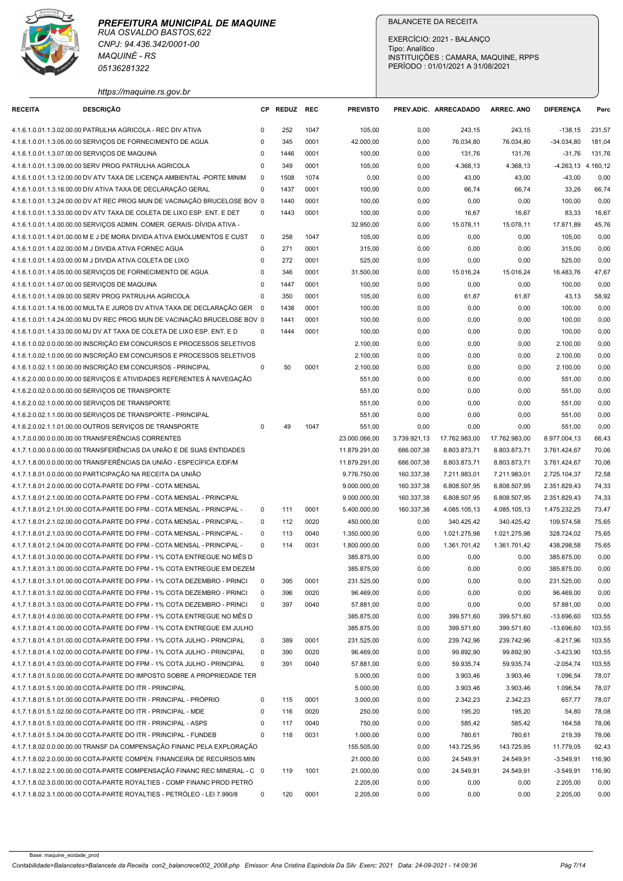

| https://maquine.rs.gov.br<br><b>DESCRIÇÃO</b><br>CP REDUZ REC<br><b>PREVISTO</b><br>PREV.ADIC. ARRECADADO<br><b>ARREC. ANO</b><br><b>DIFERENCA</b><br><b>RECEITA</b><br>Perc<br>4.1.6.1.0.01.1.3.02.00.00 PATRULHA AGRICOLA - REC DIV ATIVA<br>252<br>1047<br>105,00<br>243,15<br>243,15<br>231,57<br>0,00<br>$-138,15$<br>$\Omega$<br>4.1.6.1.0.01.1.3.05.00.00 SERVIÇOS DE FORNECIMENTO DE AGUA<br>345<br>0001<br>42.000,00<br>76.034,80<br>76.034,80<br>$\Omega$<br>0,00<br>-34.034,80<br>181,04<br>4.1.6.1.0.01.1.3.07.00.00 SERVIÇOS DE MAQUINA<br>$\Omega$<br>1446<br>0001<br>100,00<br>0,00<br>131,76<br>131,76<br>$-31,76$<br>131,76<br>0001<br>105,00<br>4.368,13<br>4.368,13<br>4.1.6.1.0.01.1.3.09.00.00 SERV PROG PATRULHA AGRICOLA<br>$\mathbf 0$<br>349<br>0,00<br>-4.263,13 4.160,12<br>4.1.6.1.0.01.1.3.12.00.00 DV ATV TAXA DE LICENÇA AMBIENTAL -PORTE MINIM<br>$\overline{\mathbf{0}}$<br>1508<br>1074<br>0,00<br>0,00<br>43,00<br>43,00<br>$-43,00$<br>0,00<br>4.1.6.1.0.01.1.3.16.00.00 DIV ATIVA TAXA DE DECLARAÇÃO GERAL<br>$\mathbf 0$<br>1437<br>0001<br>100,00<br>66,74<br>66,74<br>66,74<br>0,00<br>33,26<br>4.1.6.1.0.01.1.3.24.00.00 DV AT REC PROG MUN DE VACINAÇÃO BRUCELOSE BOV 0<br>1440<br>0001<br>100,00<br>0,00<br>0,00<br>0,00<br>0,00<br>100,00<br>4.1.6.1.0.01.1.3.33.00.00 DV ATV TAXA DE COLETA DE LIXO ESP. ENT. E DET<br>0001<br>100,00<br>16,67<br>16,67<br>16,67<br>$\mathbf 0$<br>1443<br>0,00<br>83,33<br>4.1.6.1.0.01.1.4.00.00.00 SERVIÇOS ADMIN. COMER. GERAIS- DÍVIDA ATIVA -<br>32.950,00<br>0,00<br>15.078,11<br>15.078,11<br>17.871,89<br>45,76<br>258<br>1047<br>105,00<br>4.1.6.1.0.01.1.4.01.00.00 M E J DE MORA DIVIDA ATIVA EMOLUMENTOS E CUST<br>$\overline{0}$<br>0,00<br>0,00<br>0,00<br>105,00<br>0,00<br>$\mathbf 0$<br>271<br>0001<br>315,00<br>0,00<br>0,00<br>0,00<br>4.1.6.1.0.01.1.4.02.00.00 M J DIVIDA ATIVA FORNEC AGUA<br>0,00<br>315,00<br>525,00<br>4.1.6.1.0.01.1.4.03.00.00 M J DIVIDA ATIVA COLETA DE LIXO<br>272<br>0001<br>0,00<br>0,00<br>0,00<br>525,00<br>0,00<br>0<br>0001<br>31.500,00<br>15.016,24<br>16.483,76<br>47,67<br>4.1.6.1.0.01.1.4.05.00.00 SERVIÇOS DE FORNECIMENTO DE AGUA<br>$\mathbf 0$<br>346<br>0,00<br>15.016,24<br>0001<br>0,00<br>4.1.6.1.0.01.1.4.07.00.00 SERVIÇOS DE MAQUINA<br>$\Omega$<br>1447<br>100,00<br>0,00<br>0,00<br>0,00<br>100,00<br>4.1.6.1.0.01.1.4.09.00.00 SERV PROG PATRULHA AGRICOLA<br>0001<br>105,00<br>61,87<br>58,92<br>$\Omega$<br>350<br>0,00<br>61,87<br>43,13<br>0,00<br>4.1.6.1.0.01.1.4.16.00.00 MULTA E JUROS DV ATIVA TAXA DE DECLARAÇÃO GER 0<br>1438<br>0001<br>100,00<br>0,00<br>0,00<br>100,00<br>0,00<br>4.1.6.1.0.01.1.4.24.00.00 MJ DV REC PROG MUN DE VACINAÇÃO BRUCELOSE BOV 0<br>0001<br>0,00<br>0,00<br>1441<br>100,00<br>0,00<br>100,00<br>0,00<br>4.1.6.1.0.01.1.4.33.00.00 MJ DV AT TAXA DE COLETA DE LIXO ESP. ENT. E D<br>1444<br>0001<br>100,00<br>0,00<br>0,00<br>100,00<br>0,00<br>$\Omega$<br>0,00<br>4.1.6.1.0.02.0.0.00.00.00 INSCRIÇÃO EM CONCURSOS E PROCESSOS SELETIVOS<br>0,00<br>2.100,00<br>0,00<br>0,00<br>2.100,00<br>0,00<br>4.1.6.1.0.02.1.0.00.00.00 INSCRIÇÃO EM CONCURSOS E PROCESSOS SELETIVOS<br>2.100,00<br>0,00<br>0,00<br>2.100,00<br>0,00<br>0,00<br>4.1.6.1.0.02.1.1.00.00.00 INSCRIÇÃO EM CONCURSOS - PRINCIPAL<br>50<br>0001<br>0,00<br>0,00<br>0<br>2.100,00<br>0,00<br>0,00<br>2.100,00<br>4.1.6.2.0.00.0.0.00.00.00 SERVICOS E ATIVIDADES REFERENTES À NAVEGAÇÃO<br>0,00<br>551,00<br>0,00<br>0,00<br>551,00<br>0,00<br>0,00<br>4.1.6.2.0.02.0.0.00.00.00 SERVIÇOS DE TRANSPORTE<br>551,00<br>0,00<br>0,00<br>0,00<br>551,00<br>0,00<br>4.1.6.2.0.02.1.0.00.00.00 SERVIÇOS DE TRANSPORTE<br>551,00<br>0,00<br>551,00<br>0,00<br>0,00<br>551,00<br>4.1.6.2.0.02.1.1.00.00.00 SERVIÇOS DE TRANSPORTE - PRINCIPAL<br>0,00<br>0,00<br>0,00<br>551,00<br>0,00<br>4.1.6.2.0.02.1.1.01.00.00 OUTROS SERVIÇOS DE TRANSPORTE<br>1047<br>551,00<br>$\mathbf 0$<br>49<br>0,00<br>0,00<br>0,00<br>551,00<br>0,00<br>4.1.7.0.0.00.0.0.00.00.00 TRANSFERÊNCIAS CORRENTES<br>23.000.066,00<br>3.739.921,13<br>17.762.983,00<br>17.762.983,00<br>8.977.004,13<br>66,43<br>4.1.7.1.0.00.0.0.00.00.00 TRANSFERÊNCIAS DA UNIÃO E DE SUAS ENTIDADES<br>8.803.873,71<br>11.879.291,00<br>686.007,38<br>8.803.873,71<br>3.761.424,67<br>70,06<br>4.1.7.1.8.00.0.0.00.00.00 TRANSFERÊNCIAS DA UNIÃO - ESPECÍFICA E/DF/M<br>11.879.291,00<br>686.007,38<br>8.803.873,71<br>8.803.873,71<br>3.761.424,67<br>70,06<br>4.1.7.1.8.01.0.0.00.00.00 PARTICIPAÇÃO NA RECEITA DA UNIÃO<br>9.776.750,00<br>160.337,38<br>7.211.983,01<br>7.211.983,01<br>2.725.104,37<br>72,58<br>160.337,38<br>4.1.7.1.8.01.2.0.00.00.00 COTA-PARTE DO FPM - COTA MENSAL<br>6.808.507,95<br>6.808.507,95<br>2.351.829,43<br>74,33<br>9.000.000,00<br>4.1.7.1.8.01.2.1.00.00.00 COTA-PARTE DO FPM - COTA MENSAL - PRINCIPAL<br>9.000.000,00<br>160.337,38<br>6.808.507,95<br>6.808.507,95<br>2.351.829,43<br>74,33<br>0001<br>4.1.7.1.8.01.2.1.01.00.00 COTA-PARTE DO FPM - COTA MENSAL - PRINCIPAL -<br>111<br>5.400.000,00<br>160.337,38<br>4.085.105,13<br>4.085.105,13<br>1.475.232,25<br>73,47<br>$\mathbf 0$<br>4.1.7.1.8.01.2.1.02.00.00 COTA-PARTE DO FPM - COTA MENSAL - PRINCIPAL -<br>112<br>0020<br>450.000,00<br>340.425,42<br>340.425,42<br>109.574,58<br>75,65<br>$\overline{\mathbf{0}}$<br>0,00<br>1.021.275,98<br>1.021.275,98<br>328.724,02<br>4.1.7.1.8.01.2.1.03.00.00 COTA-PARTE DO FPM - COTA MENSAL - PRINCIPAL -<br>$\mathbf 0$<br>113<br>0040<br>1.350.000,00<br>0,00<br>75,65<br>4.1.7.1.8.01.2.1.04.00.00 COTA-PARTE DO FPM - COTA MENSAL - PRINCIPAL -<br>0031<br>1.361.701,42<br>1.361.701,42<br>438.298,58<br>$\overline{\mathbf{0}}$<br>114<br>1.800.000,00<br>0,00<br>75,65<br>4.1.7.1.8.01.3.0.00.00.00 COTA-PARTE DO FPM - 1% COTA ENTREGUE NO MËS D<br>385.875,00<br>0,00<br>0,00<br>0,00<br>385.875,00<br>0,00<br>4.1.7.1.8.01.3.1.00.00.00 COTA-PARTE DO FPM - 1% COTA ENTREGUE EM DEZEM<br>385.875,00<br>0,00<br>385.875,00<br>0,00<br>0,00<br>0,00<br>4.1.7.1.8.01.3.1.01.00.00 COTA-PARTE DO FPM - 1% COTA DEZEMBRO - PRINCI<br>395<br>0001<br>231.525,00<br>0,00<br>231.525,00<br>0,00<br>- 0<br>0,00<br>0,00<br>0020<br>4.1.7.1.8.01.3.1.02.00.00 COTA-PARTE DO FPM - 1% COTA DEZEMBRO - PRINCI<br>396<br>96.469,00<br>0,00<br>96.469,00<br>0,00<br>$\overline{\mathbf{0}}$<br>0,00<br>0,00<br>4.1.7.1.8.01.3.1.03.00.00 COTA-PARTE DO FPM - 1% COTA DEZEMBRO - PRINCI<br>397<br>0040<br>0,00<br>0,00<br>57.881,00<br>0,00<br>$^{\circ}$<br>57.881,00<br>0,00<br>103,55<br>4.1.7.1.8.01.4.0.00.00.00 COTA-PARTE DO FPM - 1% COTA ENTREGUE NO MËS D<br>385.875,00<br>0,00<br>399.571,60<br>399.571,60<br>$-13.696,60$<br>4.1.7.1.8.01.4.1.00.00.00 COTA-PARTE DO FPM - 1% COTA ENTREGUE EM JULHO<br>385.875,00<br>399.571,60<br>399.571,60<br>-13.696,60<br>103,55<br>0,00<br>389<br>0001<br>231.525,00<br>103,55<br>4.1.7.1.8.01.4.1.01.00.00 COTA-PARTE DO FPM - 1% COTA JULHO - PRINCIPAL<br>$\mathbf 0$<br>0,00<br>239.742,96<br>239.742,96<br>-8.217,96<br>4.1.7.1.8.01.4.1.02.00.00 COTA-PARTE DO FPM - 1% COTA JULHO - PRINCIPAL<br>390<br>0020<br>96.469,00<br>99.892,90<br>99.892,90<br>$-3.423,90$<br>103,55<br>$\mathbf 0$<br>0,00<br>391<br>4.1.7.1.8.01.4.1.03.00.00 COTA-PARTE DO FPM - 1% COTA JULHO - PRINCIPAL<br>$\overline{\mathbf{0}}$<br>0040<br>57.881,00<br>0,00<br>59.935,74<br>59.935,74<br>-2.054,74<br>103,55<br>4.1.7.1.8.01.5.0.00.00.00 COTA-PARTE DO IMPOSTO SOBRE A PROPRIEDADE TER<br>5.000,00<br>0,00<br>3.903,46<br>3.903,46<br>1.096,54<br>78,07<br>5.000,00<br>4.1.7.1.8.01.5.1.00.00.00 COTA-PARTE DO ITR - PRINCIPAL<br>0,00<br>3.903,46<br>3.903,46<br>1.096,54<br>78,07<br>4.1.7.1.8.01.5.1.01.00.00 COTA-PARTE DO ITR - PRINCIPAL - PRÓPRIO<br>0001<br>2.342,23<br>2.342,23<br>78,07<br>115<br>3.000,00<br>0,00<br>657,77<br>0<br>4.1.7.1.8.01.5.1.02.00.00 COTA-PARTE DO ITR - PRINCIPAL - MDE<br>0020<br>250,00<br>195,20<br>195,20<br>54,80<br>78,08<br>$\mathbf 0$<br>116<br>0,00<br>0040<br>750,00<br>585,42<br>4.1.7.1.8.01.5.1.03.00.00 COTA-PARTE DO ITR - PRINCIPAL - ASPS<br>$\mathbf 0$<br>117<br>0,00<br>585,42<br>164,58<br>78,06<br>4.1.7.1.8.01.5.1.04.00.00 COTA-PARTE DO ITR - PRINCIPAL - FUNDEB<br>$\Omega$<br>0031<br>1.000,00<br>780,61<br>78,06<br>118<br>0,00<br>780,61<br>219,39<br>4.1.7.1.8.02.0.0.00.00.00 TRANSF DA COMPENSAÇÃO FINANC PELA EXPLORAÇÃO<br>155.505,00<br>0,00<br>143.725,95<br>143.725,95<br>11.779,05<br>92,43 | 4.1.7.1.8.02.2.0.00.00.00 COTA-PARTE COMPEN. FINANCEIRA DE RECURSOS MIN<br>21.000,00<br>24.549,91<br>24.549,91<br>0,00<br>$-3.549,91$<br>116,90<br>119<br>1001<br>21.000,00<br>0,00<br>24.549,91<br>24.549,91<br>$-3.549,91$<br>116,90<br>2.205,00<br>2.205,00<br>0,00<br>0,00<br>0,00<br>0,00<br>4.1.7.1.8.02.3.1.00.00.00 COTA-PARTE ROYALTIES - PETRÓLEO - LEI 7.990/8<br>120<br>0001<br>2.205,00<br>0,00<br>0,00<br>2.205,00<br>0,00<br>$^{\circ}$<br>0,00 | PREFEITURA MUNICIPAL DE MAQUINE<br>RUA OSVALDO BASTOS, 622<br>CNPJ: 94.436.342/0001-00<br><b>MAQUINÉ - RS</b><br>05136281322 |  |  | <b>BALANCETE DA RECEITA</b><br>Tipo: Analítico | EXERCÍCIO: 2021 - BALANCO<br>PERÍODO: 01/01/2021 A 31/08/2021 | INSTITUIÇÕES : CAMARA, MAQUINE, RPPS |  |
|---------------------------------------------------------------------------------------------------------------------------------------------------------------------------------------------------------------------------------------------------------------------------------------------------------------------------------------------------------------------------------------------------------------------------------------------------------------------------------------------------------------------------------------------------------------------------------------------------------------------------------------------------------------------------------------------------------------------------------------------------------------------------------------------------------------------------------------------------------------------------------------------------------------------------------------------------------------------------------------------------------------------------------------------------------------------------------------------------------------------------------------------------------------------------------------------------------------------------------------------------------------------------------------------------------------------------------------------------------------------------------------------------------------------------------------------------------------------------------------------------------------------------------------------------------------------------------------------------------------------------------------------------------------------------------------------------------------------------------------------------------------------------------------------------------------------------------------------------------------------------------------------------------------------------------------------------------------------------------------------------------------------------------------------------------------------------------------------------------------------------------------------------------------------------------------------------------------------------------------------------------------------------------------------------------------------------------------------------------------------------------------------------------------------------------------------------------------------------------------------------------------------------------------------------------------------------------------------------------------------------------------------------------------------------------------------------------------------------------------------------------------------------------------------------------------------------------------------------------------------------------------------------------------------------------------------------------------------------------------------------------------------------------------------------------------------------------------------------------------------------------------------------------------------------------------------------------------------------------------------------------------------------------------------------------------------------------------------------------------------------------------------------------------------------------------------------------------------------------------------------------------------------------------------------------------------------------------------------------------------------------------------------------------------------------------------------------------------------------------------------------------------------------------------------------------------------------------------------------------------------------------------------------------------------------------------------------------------------------------------------------------------------------------------------------------------------------------------------------------------------------------------------------------------------------------------------------------------------------------------------------------------------------------------------------------------------------------------------------------------------------------------------------------------------------------------------------------------------------------------------------------------------------------------------------------------------------------------------------------------------------------------------------------------------------------------------------------------------------------------------------------------------------------------------------------------------------------------------------------------------------------------------------------------------------------------------------------------------------------------------------------------------------------------------------------------------------------------------------------------------------------------------------------------------------------------------------------------------------------------------------------------------------------------------------------------------------------------------------------------------------------------------------------------------------------------------------------------------------------------------------------------------------------------------------------------------------------------------------------------------------------------------------------------------------------------------------------------------------------------------------------------------------------------------------------------------------------------------------------------------------------------------------------------------------------------------------------------------------------------------------------------------------------------------------------------------------------------------------------------------------------------------------------------------------------------------------------------------------------------------------------------------------------------------------------------------------------------------------------------------------------------------------------------------------------------------------------------------------------------------------------------------------------------------------------------------------------------------------------------------------------------------------------------------------------------------------------------------------------------------------------------------------------------------------------------------------------------------------------------------------------------------------------------------------------------------------------------------------------------------------------------------------------------------------------------------------------------------------------------------------------------------------------------------------------------------------------------------------------------------------------------------------------------------------------------------------------------------------------------------------------------------------------------------------------------------------------------------------------------------------------------------------------------------------------------------------------------------------------------------------------------------------------------------------------------------------------------------------------------------------------------------------------------------------------------------------------------------------------------------------------------------------------------------------------------------------------------------------------------------------------------------------------------------------------------------------------------------------------------------------------------------------------------------------------------------------------------------------------------------------------------------------------------------------------------------------------------------------------------------------------------------------------------------------------------------------------------------------------|----------------------------------------------------------------------------------------------------------------------------------------------------------------------------------------------------------------------------------------------------------------------------------------------------------------------------------------------------------------------------------------------------------------------------------------------------------------|------------------------------------------------------------------------------------------------------------------------------|--|--|------------------------------------------------|---------------------------------------------------------------|--------------------------------------|--|
|                                                                                                                                                                                                                                                                                                                                                                                                                                                                                                                                                                                                                                                                                                                                                                                                                                                                                                                                                                                                                                                                                                                                                                                                                                                                                                                                                                                                                                                                                                                                                                                                                                                                                                                                                                                                                                                                                                                                                                                                                                                                                                                                                                                                                                                                                                                                                                                                                                                                                                                                                                                                                                                                                                                                                                                                                                                                                                                                                                                                                                                                                                                                                                                                                                                                                                                                                                                                                                                                                                                                                                                                                                                                                                                                                                                                                                                                                                                                                                                                                                                                                                                                                                                                                                                                                                                                                                                                                                                                                                                                                                                                                                                                                                                                                                                                                                                                                                                                                                                                                                                                                                                                                                                                                                                                                                                                                                                                                                                                                                                                                                                                                                                                                                                                                                                                                                                                                                                                                                                                                                                                                                                                                                                                                                                                                                                                                                                                                                                                                                                                                                                                                                                                                                                                                                                                                                                                                                                                                                                                                                                                                                                                                                                                                                                                                                                                                                                                                                                                                                                                                                                                                                                                                                                                                                                                                                                                                                                                                                                                                                                                                                                                                                                                                                                                                                                                                                                                                                                                                       |                                                                                                                                                                                                                                                                                                                                                                                                                                                                |                                                                                                                              |  |  |                                                |                                                               |                                      |  |
|                                                                                                                                                                                                                                                                                                                                                                                                                                                                                                                                                                                                                                                                                                                                                                                                                                                                                                                                                                                                                                                                                                                                                                                                                                                                                                                                                                                                                                                                                                                                                                                                                                                                                                                                                                                                                                                                                                                                                                                                                                                                                                                                                                                                                                                                                                                                                                                                                                                                                                                                                                                                                                                                                                                                                                                                                                                                                                                                                                                                                                                                                                                                                                                                                                                                                                                                                                                                                                                                                                                                                                                                                                                                                                                                                                                                                                                                                                                                                                                                                                                                                                                                                                                                                                                                                                                                                                                                                                                                                                                                                                                                                                                                                                                                                                                                                                                                                                                                                                                                                                                                                                                                                                                                                                                                                                                                                                                                                                                                                                                                                                                                                                                                                                                                                                                                                                                                                                                                                                                                                                                                                                                                                                                                                                                                                                                                                                                                                                                                                                                                                                                                                                                                                                                                                                                                                                                                                                                                                                                                                                                                                                                                                                                                                                                                                                                                                                                                                                                                                                                                                                                                                                                                                                                                                                                                                                                                                                                                                                                                                                                                                                                                                                                                                                                                                                                                                                                                                                                                                       |                                                                                                                                                                                                                                                                                                                                                                                                                                                                |                                                                                                                              |  |  |                                                |                                                               |                                      |  |
|                                                                                                                                                                                                                                                                                                                                                                                                                                                                                                                                                                                                                                                                                                                                                                                                                                                                                                                                                                                                                                                                                                                                                                                                                                                                                                                                                                                                                                                                                                                                                                                                                                                                                                                                                                                                                                                                                                                                                                                                                                                                                                                                                                                                                                                                                                                                                                                                                                                                                                                                                                                                                                                                                                                                                                                                                                                                                                                                                                                                                                                                                                                                                                                                                                                                                                                                                                                                                                                                                                                                                                                                                                                                                                                                                                                                                                                                                                                                                                                                                                                                                                                                                                                                                                                                                                                                                                                                                                                                                                                                                                                                                                                                                                                                                                                                                                                                                                                                                                                                                                                                                                                                                                                                                                                                                                                                                                                                                                                                                                                                                                                                                                                                                                                                                                                                                                                                                                                                                                                                                                                                                                                                                                                                                                                                                                                                                                                                                                                                                                                                                                                                                                                                                                                                                                                                                                                                                                                                                                                                                                                                                                                                                                                                                                                                                                                                                                                                                                                                                                                                                                                                                                                                                                                                                                                                                                                                                                                                                                                                                                                                                                                                                                                                                                                                                                                                                                                                                                                                                       |                                                                                                                                                                                                                                                                                                                                                                                                                                                                |                                                                                                                              |  |  |                                                |                                                               |                                      |  |
|                                                                                                                                                                                                                                                                                                                                                                                                                                                                                                                                                                                                                                                                                                                                                                                                                                                                                                                                                                                                                                                                                                                                                                                                                                                                                                                                                                                                                                                                                                                                                                                                                                                                                                                                                                                                                                                                                                                                                                                                                                                                                                                                                                                                                                                                                                                                                                                                                                                                                                                                                                                                                                                                                                                                                                                                                                                                                                                                                                                                                                                                                                                                                                                                                                                                                                                                                                                                                                                                                                                                                                                                                                                                                                                                                                                                                                                                                                                                                                                                                                                                                                                                                                                                                                                                                                                                                                                                                                                                                                                                                                                                                                                                                                                                                                                                                                                                                                                                                                                                                                                                                                                                                                                                                                                                                                                                                                                                                                                                                                                                                                                                                                                                                                                                                                                                                                                                                                                                                                                                                                                                                                                                                                                                                                                                                                                                                                                                                                                                                                                                                                                                                                                                                                                                                                                                                                                                                                                                                                                                                                                                                                                                                                                                                                                                                                                                                                                                                                                                                                                                                                                                                                                                                                                                                                                                                                                                                                                                                                                                                                                                                                                                                                                                                                                                                                                                                                                                                                                                                       |                                                                                                                                                                                                                                                                                                                                                                                                                                                                |                                                                                                                              |  |  |                                                |                                                               |                                      |  |
|                                                                                                                                                                                                                                                                                                                                                                                                                                                                                                                                                                                                                                                                                                                                                                                                                                                                                                                                                                                                                                                                                                                                                                                                                                                                                                                                                                                                                                                                                                                                                                                                                                                                                                                                                                                                                                                                                                                                                                                                                                                                                                                                                                                                                                                                                                                                                                                                                                                                                                                                                                                                                                                                                                                                                                                                                                                                                                                                                                                                                                                                                                                                                                                                                                                                                                                                                                                                                                                                                                                                                                                                                                                                                                                                                                                                                                                                                                                                                                                                                                                                                                                                                                                                                                                                                                                                                                                                                                                                                                                                                                                                                                                                                                                                                                                                                                                                                                                                                                                                                                                                                                                                                                                                                                                                                                                                                                                                                                                                                                                                                                                                                                                                                                                                                                                                                                                                                                                                                                                                                                                                                                                                                                                                                                                                                                                                                                                                                                                                                                                                                                                                                                                                                                                                                                                                                                                                                                                                                                                                                                                                                                                                                                                                                                                                                                                                                                                                                                                                                                                                                                                                                                                                                                                                                                                                                                                                                                                                                                                                                                                                                                                                                                                                                                                                                                                                                                                                                                                                                       |                                                                                                                                                                                                                                                                                                                                                                                                                                                                |                                                                                                                              |  |  |                                                |                                                               |                                      |  |
|                                                                                                                                                                                                                                                                                                                                                                                                                                                                                                                                                                                                                                                                                                                                                                                                                                                                                                                                                                                                                                                                                                                                                                                                                                                                                                                                                                                                                                                                                                                                                                                                                                                                                                                                                                                                                                                                                                                                                                                                                                                                                                                                                                                                                                                                                                                                                                                                                                                                                                                                                                                                                                                                                                                                                                                                                                                                                                                                                                                                                                                                                                                                                                                                                                                                                                                                                                                                                                                                                                                                                                                                                                                                                                                                                                                                                                                                                                                                                                                                                                                                                                                                                                                                                                                                                                                                                                                                                                                                                                                                                                                                                                                                                                                                                                                                                                                                                                                                                                                                                                                                                                                                                                                                                                                                                                                                                                                                                                                                                                                                                                                                                                                                                                                                                                                                                                                                                                                                                                                                                                                                                                                                                                                                                                                                                                                                                                                                                                                                                                                                                                                                                                                                                                                                                                                                                                                                                                                                                                                                                                                                                                                                                                                                                                                                                                                                                                                                                                                                                                                                                                                                                                                                                                                                                                                                                                                                                                                                                                                                                                                                                                                                                                                                                                                                                                                                                                                                                                                                                       |                                                                                                                                                                                                                                                                                                                                                                                                                                                                |                                                                                                                              |  |  |                                                |                                                               |                                      |  |
|                                                                                                                                                                                                                                                                                                                                                                                                                                                                                                                                                                                                                                                                                                                                                                                                                                                                                                                                                                                                                                                                                                                                                                                                                                                                                                                                                                                                                                                                                                                                                                                                                                                                                                                                                                                                                                                                                                                                                                                                                                                                                                                                                                                                                                                                                                                                                                                                                                                                                                                                                                                                                                                                                                                                                                                                                                                                                                                                                                                                                                                                                                                                                                                                                                                                                                                                                                                                                                                                                                                                                                                                                                                                                                                                                                                                                                                                                                                                                                                                                                                                                                                                                                                                                                                                                                                                                                                                                                                                                                                                                                                                                                                                                                                                                                                                                                                                                                                                                                                                                                                                                                                                                                                                                                                                                                                                                                                                                                                                                                                                                                                                                                                                                                                                                                                                                                                                                                                                                                                                                                                                                                                                                                                                                                                                                                                                                                                                                                                                                                                                                                                                                                                                                                                                                                                                                                                                                                                                                                                                                                                                                                                                                                                                                                                                                                                                                                                                                                                                                                                                                                                                                                                                                                                                                                                                                                                                                                                                                                                                                                                                                                                                                                                                                                                                                                                                                                                                                                                                                       |                                                                                                                                                                                                                                                                                                                                                                                                                                                                |                                                                                                                              |  |  |                                                |                                                               |                                      |  |
|                                                                                                                                                                                                                                                                                                                                                                                                                                                                                                                                                                                                                                                                                                                                                                                                                                                                                                                                                                                                                                                                                                                                                                                                                                                                                                                                                                                                                                                                                                                                                                                                                                                                                                                                                                                                                                                                                                                                                                                                                                                                                                                                                                                                                                                                                                                                                                                                                                                                                                                                                                                                                                                                                                                                                                                                                                                                                                                                                                                                                                                                                                                                                                                                                                                                                                                                                                                                                                                                                                                                                                                                                                                                                                                                                                                                                                                                                                                                                                                                                                                                                                                                                                                                                                                                                                                                                                                                                                                                                                                                                                                                                                                                                                                                                                                                                                                                                                                                                                                                                                                                                                                                                                                                                                                                                                                                                                                                                                                                                                                                                                                                                                                                                                                                                                                                                                                                                                                                                                                                                                                                                                                                                                                                                                                                                                                                                                                                                                                                                                                                                                                                                                                                                                                                                                                                                                                                                                                                                                                                                                                                                                                                                                                                                                                                                                                                                                                                                                                                                                                                                                                                                                                                                                                                                                                                                                                                                                                                                                                                                                                                                                                                                                                                                                                                                                                                                                                                                                                                                       |                                                                                                                                                                                                                                                                                                                                                                                                                                                                |                                                                                                                              |  |  |                                                |                                                               |                                      |  |
|                                                                                                                                                                                                                                                                                                                                                                                                                                                                                                                                                                                                                                                                                                                                                                                                                                                                                                                                                                                                                                                                                                                                                                                                                                                                                                                                                                                                                                                                                                                                                                                                                                                                                                                                                                                                                                                                                                                                                                                                                                                                                                                                                                                                                                                                                                                                                                                                                                                                                                                                                                                                                                                                                                                                                                                                                                                                                                                                                                                                                                                                                                                                                                                                                                                                                                                                                                                                                                                                                                                                                                                                                                                                                                                                                                                                                                                                                                                                                                                                                                                                                                                                                                                                                                                                                                                                                                                                                                                                                                                                                                                                                                                                                                                                                                                                                                                                                                                                                                                                                                                                                                                                                                                                                                                                                                                                                                                                                                                                                                                                                                                                                                                                                                                                                                                                                                                                                                                                                                                                                                                                                                                                                                                                                                                                                                                                                                                                                                                                                                                                                                                                                                                                                                                                                                                                                                                                                                                                                                                                                                                                                                                                                                                                                                                                                                                                                                                                                                                                                                                                                                                                                                                                                                                                                                                                                                                                                                                                                                                                                                                                                                                                                                                                                                                                                                                                                                                                                                                                                       |                                                                                                                                                                                                                                                                                                                                                                                                                                                                |                                                                                                                              |  |  |                                                |                                                               |                                      |  |
|                                                                                                                                                                                                                                                                                                                                                                                                                                                                                                                                                                                                                                                                                                                                                                                                                                                                                                                                                                                                                                                                                                                                                                                                                                                                                                                                                                                                                                                                                                                                                                                                                                                                                                                                                                                                                                                                                                                                                                                                                                                                                                                                                                                                                                                                                                                                                                                                                                                                                                                                                                                                                                                                                                                                                                                                                                                                                                                                                                                                                                                                                                                                                                                                                                                                                                                                                                                                                                                                                                                                                                                                                                                                                                                                                                                                                                                                                                                                                                                                                                                                                                                                                                                                                                                                                                                                                                                                                                                                                                                                                                                                                                                                                                                                                                                                                                                                                                                                                                                                                                                                                                                                                                                                                                                                                                                                                                                                                                                                                                                                                                                                                                                                                                                                                                                                                                                                                                                                                                                                                                                                                                                                                                                                                                                                                                                                                                                                                                                                                                                                                                                                                                                                                                                                                                                                                                                                                                                                                                                                                                                                                                                                                                                                                                                                                                                                                                                                                                                                                                                                                                                                                                                                                                                                                                                                                                                                                                                                                                                                                                                                                                                                                                                                                                                                                                                                                                                                                                                                                       |                                                                                                                                                                                                                                                                                                                                                                                                                                                                |                                                                                                                              |  |  |                                                |                                                               |                                      |  |
|                                                                                                                                                                                                                                                                                                                                                                                                                                                                                                                                                                                                                                                                                                                                                                                                                                                                                                                                                                                                                                                                                                                                                                                                                                                                                                                                                                                                                                                                                                                                                                                                                                                                                                                                                                                                                                                                                                                                                                                                                                                                                                                                                                                                                                                                                                                                                                                                                                                                                                                                                                                                                                                                                                                                                                                                                                                                                                                                                                                                                                                                                                                                                                                                                                                                                                                                                                                                                                                                                                                                                                                                                                                                                                                                                                                                                                                                                                                                                                                                                                                                                                                                                                                                                                                                                                                                                                                                                                                                                                                                                                                                                                                                                                                                                                                                                                                                                                                                                                                                                                                                                                                                                                                                                                                                                                                                                                                                                                                                                                                                                                                                                                                                                                                                                                                                                                                                                                                                                                                                                                                                                                                                                                                                                                                                                                                                                                                                                                                                                                                                                                                                                                                                                                                                                                                                                                                                                                                                                                                                                                                                                                                                                                                                                                                                                                                                                                                                                                                                                                                                                                                                                                                                                                                                                                                                                                                                                                                                                                                                                                                                                                                                                                                                                                                                                                                                                                                                                                                                                       |                                                                                                                                                                                                                                                                                                                                                                                                                                                                |                                                                                                                              |  |  |                                                |                                                               |                                      |  |
|                                                                                                                                                                                                                                                                                                                                                                                                                                                                                                                                                                                                                                                                                                                                                                                                                                                                                                                                                                                                                                                                                                                                                                                                                                                                                                                                                                                                                                                                                                                                                                                                                                                                                                                                                                                                                                                                                                                                                                                                                                                                                                                                                                                                                                                                                                                                                                                                                                                                                                                                                                                                                                                                                                                                                                                                                                                                                                                                                                                                                                                                                                                                                                                                                                                                                                                                                                                                                                                                                                                                                                                                                                                                                                                                                                                                                                                                                                                                                                                                                                                                                                                                                                                                                                                                                                                                                                                                                                                                                                                                                                                                                                                                                                                                                                                                                                                                                                                                                                                                                                                                                                                                                                                                                                                                                                                                                                                                                                                                                                                                                                                                                                                                                                                                                                                                                                                                                                                                                                                                                                                                                                                                                                                                                                                                                                                                                                                                                                                                                                                                                                                                                                                                                                                                                                                                                                                                                                                                                                                                                                                                                                                                                                                                                                                                                                                                                                                                                                                                                                                                                                                                                                                                                                                                                                                                                                                                                                                                                                                                                                                                                                                                                                                                                                                                                                                                                                                                                                                                                       |                                                                                                                                                                                                                                                                                                                                                                                                                                                                |                                                                                                                              |  |  |                                                |                                                               |                                      |  |
|                                                                                                                                                                                                                                                                                                                                                                                                                                                                                                                                                                                                                                                                                                                                                                                                                                                                                                                                                                                                                                                                                                                                                                                                                                                                                                                                                                                                                                                                                                                                                                                                                                                                                                                                                                                                                                                                                                                                                                                                                                                                                                                                                                                                                                                                                                                                                                                                                                                                                                                                                                                                                                                                                                                                                                                                                                                                                                                                                                                                                                                                                                                                                                                                                                                                                                                                                                                                                                                                                                                                                                                                                                                                                                                                                                                                                                                                                                                                                                                                                                                                                                                                                                                                                                                                                                                                                                                                                                                                                                                                                                                                                                                                                                                                                                                                                                                                                                                                                                                                                                                                                                                                                                                                                                                                                                                                                                                                                                                                                                                                                                                                                                                                                                                                                                                                                                                                                                                                                                                                                                                                                                                                                                                                                                                                                                                                                                                                                                                                                                                                                                                                                                                                                                                                                                                                                                                                                                                                                                                                                                                                                                                                                                                                                                                                                                                                                                                                                                                                                                                                                                                                                                                                                                                                                                                                                                                                                                                                                                                                                                                                                                                                                                                                                                                                                                                                                                                                                                                                                       |                                                                                                                                                                                                                                                                                                                                                                                                                                                                |                                                                                                                              |  |  |                                                |                                                               |                                      |  |
|                                                                                                                                                                                                                                                                                                                                                                                                                                                                                                                                                                                                                                                                                                                                                                                                                                                                                                                                                                                                                                                                                                                                                                                                                                                                                                                                                                                                                                                                                                                                                                                                                                                                                                                                                                                                                                                                                                                                                                                                                                                                                                                                                                                                                                                                                                                                                                                                                                                                                                                                                                                                                                                                                                                                                                                                                                                                                                                                                                                                                                                                                                                                                                                                                                                                                                                                                                                                                                                                                                                                                                                                                                                                                                                                                                                                                                                                                                                                                                                                                                                                                                                                                                                                                                                                                                                                                                                                                                                                                                                                                                                                                                                                                                                                                                                                                                                                                                                                                                                                                                                                                                                                                                                                                                                                                                                                                                                                                                                                                                                                                                                                                                                                                                                                                                                                                                                                                                                                                                                                                                                                                                                                                                                                                                                                                                                                                                                                                                                                                                                                                                                                                                                                                                                                                                                                                                                                                                                                                                                                                                                                                                                                                                                                                                                                                                                                                                                                                                                                                                                                                                                                                                                                                                                                                                                                                                                                                                                                                                                                                                                                                                                                                                                                                                                                                                                                                                                                                                                                                       |                                                                                                                                                                                                                                                                                                                                                                                                                                                                |                                                                                                                              |  |  |                                                |                                                               |                                      |  |
|                                                                                                                                                                                                                                                                                                                                                                                                                                                                                                                                                                                                                                                                                                                                                                                                                                                                                                                                                                                                                                                                                                                                                                                                                                                                                                                                                                                                                                                                                                                                                                                                                                                                                                                                                                                                                                                                                                                                                                                                                                                                                                                                                                                                                                                                                                                                                                                                                                                                                                                                                                                                                                                                                                                                                                                                                                                                                                                                                                                                                                                                                                                                                                                                                                                                                                                                                                                                                                                                                                                                                                                                                                                                                                                                                                                                                                                                                                                                                                                                                                                                                                                                                                                                                                                                                                                                                                                                                                                                                                                                                                                                                                                                                                                                                                                                                                                                                                                                                                                                                                                                                                                                                                                                                                                                                                                                                                                                                                                                                                                                                                                                                                                                                                                                                                                                                                                                                                                                                                                                                                                                                                                                                                                                                                                                                                                                                                                                                                                                                                                                                                                                                                                                                                                                                                                                                                                                                                                                                                                                                                                                                                                                                                                                                                                                                                                                                                                                                                                                                                                                                                                                                                                                                                                                                                                                                                                                                                                                                                                                                                                                                                                                                                                                                                                                                                                                                                                                                                                                                       |                                                                                                                                                                                                                                                                                                                                                                                                                                                                |                                                                                                                              |  |  |                                                |                                                               |                                      |  |
|                                                                                                                                                                                                                                                                                                                                                                                                                                                                                                                                                                                                                                                                                                                                                                                                                                                                                                                                                                                                                                                                                                                                                                                                                                                                                                                                                                                                                                                                                                                                                                                                                                                                                                                                                                                                                                                                                                                                                                                                                                                                                                                                                                                                                                                                                                                                                                                                                                                                                                                                                                                                                                                                                                                                                                                                                                                                                                                                                                                                                                                                                                                                                                                                                                                                                                                                                                                                                                                                                                                                                                                                                                                                                                                                                                                                                                                                                                                                                                                                                                                                                                                                                                                                                                                                                                                                                                                                                                                                                                                                                                                                                                                                                                                                                                                                                                                                                                                                                                                                                                                                                                                                                                                                                                                                                                                                                                                                                                                                                                                                                                                                                                                                                                                                                                                                                                                                                                                                                                                                                                                                                                                                                                                                                                                                                                                                                                                                                                                                                                                                                                                                                                                                                                                                                                                                                                                                                                                                                                                                                                                                                                                                                                                                                                                                                                                                                                                                                                                                                                                                                                                                                                                                                                                                                                                                                                                                                                                                                                                                                                                                                                                                                                                                                                                                                                                                                                                                                                                                                       |                                                                                                                                                                                                                                                                                                                                                                                                                                                                |                                                                                                                              |  |  |                                                |                                                               |                                      |  |
|                                                                                                                                                                                                                                                                                                                                                                                                                                                                                                                                                                                                                                                                                                                                                                                                                                                                                                                                                                                                                                                                                                                                                                                                                                                                                                                                                                                                                                                                                                                                                                                                                                                                                                                                                                                                                                                                                                                                                                                                                                                                                                                                                                                                                                                                                                                                                                                                                                                                                                                                                                                                                                                                                                                                                                                                                                                                                                                                                                                                                                                                                                                                                                                                                                                                                                                                                                                                                                                                                                                                                                                                                                                                                                                                                                                                                                                                                                                                                                                                                                                                                                                                                                                                                                                                                                                                                                                                                                                                                                                                                                                                                                                                                                                                                                                                                                                                                                                                                                                                                                                                                                                                                                                                                                                                                                                                                                                                                                                                                                                                                                                                                                                                                                                                                                                                                                                                                                                                                                                                                                                                                                                                                                                                                                                                                                                                                                                                                                                                                                                                                                                                                                                                                                                                                                                                                                                                                                                                                                                                                                                                                                                                                                                                                                                                                                                                                                                                                                                                                                                                                                                                                                                                                                                                                                                                                                                                                                                                                                                                                                                                                                                                                                                                                                                                                                                                                                                                                                                                                       |                                                                                                                                                                                                                                                                                                                                                                                                                                                                |                                                                                                                              |  |  |                                                |                                                               |                                      |  |
|                                                                                                                                                                                                                                                                                                                                                                                                                                                                                                                                                                                                                                                                                                                                                                                                                                                                                                                                                                                                                                                                                                                                                                                                                                                                                                                                                                                                                                                                                                                                                                                                                                                                                                                                                                                                                                                                                                                                                                                                                                                                                                                                                                                                                                                                                                                                                                                                                                                                                                                                                                                                                                                                                                                                                                                                                                                                                                                                                                                                                                                                                                                                                                                                                                                                                                                                                                                                                                                                                                                                                                                                                                                                                                                                                                                                                                                                                                                                                                                                                                                                                                                                                                                                                                                                                                                                                                                                                                                                                                                                                                                                                                                                                                                                                                                                                                                                                                                                                                                                                                                                                                                                                                                                                                                                                                                                                                                                                                                                                                                                                                                                                                                                                                                                                                                                                                                                                                                                                                                                                                                                                                                                                                                                                                                                                                                                                                                                                                                                                                                                                                                                                                                                                                                                                                                                                                                                                                                                                                                                                                                                                                                                                                                                                                                                                                                                                                                                                                                                                                                                                                                                                                                                                                                                                                                                                                                                                                                                                                                                                                                                                                                                                                                                                                                                                                                                                                                                                                                                                       |                                                                                                                                                                                                                                                                                                                                                                                                                                                                |                                                                                                                              |  |  |                                                |                                                               |                                      |  |
|                                                                                                                                                                                                                                                                                                                                                                                                                                                                                                                                                                                                                                                                                                                                                                                                                                                                                                                                                                                                                                                                                                                                                                                                                                                                                                                                                                                                                                                                                                                                                                                                                                                                                                                                                                                                                                                                                                                                                                                                                                                                                                                                                                                                                                                                                                                                                                                                                                                                                                                                                                                                                                                                                                                                                                                                                                                                                                                                                                                                                                                                                                                                                                                                                                                                                                                                                                                                                                                                                                                                                                                                                                                                                                                                                                                                                                                                                                                                                                                                                                                                                                                                                                                                                                                                                                                                                                                                                                                                                                                                                                                                                                                                                                                                                                                                                                                                                                                                                                                                                                                                                                                                                                                                                                                                                                                                                                                                                                                                                                                                                                                                                                                                                                                                                                                                                                                                                                                                                                                                                                                                                                                                                                                                                                                                                                                                                                                                                                                                                                                                                                                                                                                                                                                                                                                                                                                                                                                                                                                                                                                                                                                                                                                                                                                                                                                                                                                                                                                                                                                                                                                                                                                                                                                                                                                                                                                                                                                                                                                                                                                                                                                                                                                                                                                                                                                                                                                                                                                                                       |                                                                                                                                                                                                                                                                                                                                                                                                                                                                |                                                                                                                              |  |  |                                                |                                                               |                                      |  |
|                                                                                                                                                                                                                                                                                                                                                                                                                                                                                                                                                                                                                                                                                                                                                                                                                                                                                                                                                                                                                                                                                                                                                                                                                                                                                                                                                                                                                                                                                                                                                                                                                                                                                                                                                                                                                                                                                                                                                                                                                                                                                                                                                                                                                                                                                                                                                                                                                                                                                                                                                                                                                                                                                                                                                                                                                                                                                                                                                                                                                                                                                                                                                                                                                                                                                                                                                                                                                                                                                                                                                                                                                                                                                                                                                                                                                                                                                                                                                                                                                                                                                                                                                                                                                                                                                                                                                                                                                                                                                                                                                                                                                                                                                                                                                                                                                                                                                                                                                                                                                                                                                                                                                                                                                                                                                                                                                                                                                                                                                                                                                                                                                                                                                                                                                                                                                                                                                                                                                                                                                                                                                                                                                                                                                                                                                                                                                                                                                                                                                                                                                                                                                                                                                                                                                                                                                                                                                                                                                                                                                                                                                                                                                                                                                                                                                                                                                                                                                                                                                                                                                                                                                                                                                                                                                                                                                                                                                                                                                                                                                                                                                                                                                                                                                                                                                                                                                                                                                                                                                       |                                                                                                                                                                                                                                                                                                                                                                                                                                                                |                                                                                                                              |  |  |                                                |                                                               |                                      |  |
|                                                                                                                                                                                                                                                                                                                                                                                                                                                                                                                                                                                                                                                                                                                                                                                                                                                                                                                                                                                                                                                                                                                                                                                                                                                                                                                                                                                                                                                                                                                                                                                                                                                                                                                                                                                                                                                                                                                                                                                                                                                                                                                                                                                                                                                                                                                                                                                                                                                                                                                                                                                                                                                                                                                                                                                                                                                                                                                                                                                                                                                                                                                                                                                                                                                                                                                                                                                                                                                                                                                                                                                                                                                                                                                                                                                                                                                                                                                                                                                                                                                                                                                                                                                                                                                                                                                                                                                                                                                                                                                                                                                                                                                                                                                                                                                                                                                                                                                                                                                                                                                                                                                                                                                                                                                                                                                                                                                                                                                                                                                                                                                                                                                                                                                                                                                                                                                                                                                                                                                                                                                                                                                                                                                                                                                                                                                                                                                                                                                                                                                                                                                                                                                                                                                                                                                                                                                                                                                                                                                                                                                                                                                                                                                                                                                                                                                                                                                                                                                                                                                                                                                                                                                                                                                                                                                                                                                                                                                                                                                                                                                                                                                                                                                                                                                                                                                                                                                                                                                                                       |                                                                                                                                                                                                                                                                                                                                                                                                                                                                |                                                                                                                              |  |  |                                                |                                                               |                                      |  |
|                                                                                                                                                                                                                                                                                                                                                                                                                                                                                                                                                                                                                                                                                                                                                                                                                                                                                                                                                                                                                                                                                                                                                                                                                                                                                                                                                                                                                                                                                                                                                                                                                                                                                                                                                                                                                                                                                                                                                                                                                                                                                                                                                                                                                                                                                                                                                                                                                                                                                                                                                                                                                                                                                                                                                                                                                                                                                                                                                                                                                                                                                                                                                                                                                                                                                                                                                                                                                                                                                                                                                                                                                                                                                                                                                                                                                                                                                                                                                                                                                                                                                                                                                                                                                                                                                                                                                                                                                                                                                                                                                                                                                                                                                                                                                                                                                                                                                                                                                                                                                                                                                                                                                                                                                                                                                                                                                                                                                                                                                                                                                                                                                                                                                                                                                                                                                                                                                                                                                                                                                                                                                                                                                                                                                                                                                                                                                                                                                                                                                                                                                                                                                                                                                                                                                                                                                                                                                                                                                                                                                                                                                                                                                                                                                                                                                                                                                                                                                                                                                                                                                                                                                                                                                                                                                                                                                                                                                                                                                                                                                                                                                                                                                                                                                                                                                                                                                                                                                                                                                       |                                                                                                                                                                                                                                                                                                                                                                                                                                                                |                                                                                                                              |  |  |                                                |                                                               |                                      |  |
|                                                                                                                                                                                                                                                                                                                                                                                                                                                                                                                                                                                                                                                                                                                                                                                                                                                                                                                                                                                                                                                                                                                                                                                                                                                                                                                                                                                                                                                                                                                                                                                                                                                                                                                                                                                                                                                                                                                                                                                                                                                                                                                                                                                                                                                                                                                                                                                                                                                                                                                                                                                                                                                                                                                                                                                                                                                                                                                                                                                                                                                                                                                                                                                                                                                                                                                                                                                                                                                                                                                                                                                                                                                                                                                                                                                                                                                                                                                                                                                                                                                                                                                                                                                                                                                                                                                                                                                                                                                                                                                                                                                                                                                                                                                                                                                                                                                                                                                                                                                                                                                                                                                                                                                                                                                                                                                                                                                                                                                                                                                                                                                                                                                                                                                                                                                                                                                                                                                                                                                                                                                                                                                                                                                                                                                                                                                                                                                                                                                                                                                                                                                                                                                                                                                                                                                                                                                                                                                                                                                                                                                                                                                                                                                                                                                                                                                                                                                                                                                                                                                                                                                                                                                                                                                                                                                                                                                                                                                                                                                                                                                                                                                                                                                                                                                                                                                                                                                                                                                                                       |                                                                                                                                                                                                                                                                                                                                                                                                                                                                |                                                                                                                              |  |  |                                                |                                                               |                                      |  |
|                                                                                                                                                                                                                                                                                                                                                                                                                                                                                                                                                                                                                                                                                                                                                                                                                                                                                                                                                                                                                                                                                                                                                                                                                                                                                                                                                                                                                                                                                                                                                                                                                                                                                                                                                                                                                                                                                                                                                                                                                                                                                                                                                                                                                                                                                                                                                                                                                                                                                                                                                                                                                                                                                                                                                                                                                                                                                                                                                                                                                                                                                                                                                                                                                                                                                                                                                                                                                                                                                                                                                                                                                                                                                                                                                                                                                                                                                                                                                                                                                                                                                                                                                                                                                                                                                                                                                                                                                                                                                                                                                                                                                                                                                                                                                                                                                                                                                                                                                                                                                                                                                                                                                                                                                                                                                                                                                                                                                                                                                                                                                                                                                                                                                                                                                                                                                                                                                                                                                                                                                                                                                                                                                                                                                                                                                                                                                                                                                                                                                                                                                                                                                                                                                                                                                                                                                                                                                                                                                                                                                                                                                                                                                                                                                                                                                                                                                                                                                                                                                                                                                                                                                                                                                                                                                                                                                                                                                                                                                                                                                                                                                                                                                                                                                                                                                                                                                                                                                                                                                       |                                                                                                                                                                                                                                                                                                                                                                                                                                                                |                                                                                                                              |  |  |                                                |                                                               |                                      |  |
|                                                                                                                                                                                                                                                                                                                                                                                                                                                                                                                                                                                                                                                                                                                                                                                                                                                                                                                                                                                                                                                                                                                                                                                                                                                                                                                                                                                                                                                                                                                                                                                                                                                                                                                                                                                                                                                                                                                                                                                                                                                                                                                                                                                                                                                                                                                                                                                                                                                                                                                                                                                                                                                                                                                                                                                                                                                                                                                                                                                                                                                                                                                                                                                                                                                                                                                                                                                                                                                                                                                                                                                                                                                                                                                                                                                                                                                                                                                                                                                                                                                                                                                                                                                                                                                                                                                                                                                                                                                                                                                                                                                                                                                                                                                                                                                                                                                                                                                                                                                                                                                                                                                                                                                                                                                                                                                                                                                                                                                                                                                                                                                                                                                                                                                                                                                                                                                                                                                                                                                                                                                                                                                                                                                                                                                                                                                                                                                                                                                                                                                                                                                                                                                                                                                                                                                                                                                                                                                                                                                                                                                                                                                                                                                                                                                                                                                                                                                                                                                                                                                                                                                                                                                                                                                                                                                                                                                                                                                                                                                                                                                                                                                                                                                                                                                                                                                                                                                                                                                                                       |                                                                                                                                                                                                                                                                                                                                                                                                                                                                |                                                                                                                              |  |  |                                                |                                                               |                                      |  |
|                                                                                                                                                                                                                                                                                                                                                                                                                                                                                                                                                                                                                                                                                                                                                                                                                                                                                                                                                                                                                                                                                                                                                                                                                                                                                                                                                                                                                                                                                                                                                                                                                                                                                                                                                                                                                                                                                                                                                                                                                                                                                                                                                                                                                                                                                                                                                                                                                                                                                                                                                                                                                                                                                                                                                                                                                                                                                                                                                                                                                                                                                                                                                                                                                                                                                                                                                                                                                                                                                                                                                                                                                                                                                                                                                                                                                                                                                                                                                                                                                                                                                                                                                                                                                                                                                                                                                                                                                                                                                                                                                                                                                                                                                                                                                                                                                                                                                                                                                                                                                                                                                                                                                                                                                                                                                                                                                                                                                                                                                                                                                                                                                                                                                                                                                                                                                                                                                                                                                                                                                                                                                                                                                                                                                                                                                                                                                                                                                                                                                                                                                                                                                                                                                                                                                                                                                                                                                                                                                                                                                                                                                                                                                                                                                                                                                                                                                                                                                                                                                                                                                                                                                                                                                                                                                                                                                                                                                                                                                                                                                                                                                                                                                                                                                                                                                                                                                                                                                                                                                       |                                                                                                                                                                                                                                                                                                                                                                                                                                                                |                                                                                                                              |  |  |                                                |                                                               |                                      |  |
|                                                                                                                                                                                                                                                                                                                                                                                                                                                                                                                                                                                                                                                                                                                                                                                                                                                                                                                                                                                                                                                                                                                                                                                                                                                                                                                                                                                                                                                                                                                                                                                                                                                                                                                                                                                                                                                                                                                                                                                                                                                                                                                                                                                                                                                                                                                                                                                                                                                                                                                                                                                                                                                                                                                                                                                                                                                                                                                                                                                                                                                                                                                                                                                                                                                                                                                                                                                                                                                                                                                                                                                                                                                                                                                                                                                                                                                                                                                                                                                                                                                                                                                                                                                                                                                                                                                                                                                                                                                                                                                                                                                                                                                                                                                                                                                                                                                                                                                                                                                                                                                                                                                                                                                                                                                                                                                                                                                                                                                                                                                                                                                                                                                                                                                                                                                                                                                                                                                                                                                                                                                                                                                                                                                                                                                                                                                                                                                                                                                                                                                                                                                                                                                                                                                                                                                                                                                                                                                                                                                                                                                                                                                                                                                                                                                                                                                                                                                                                                                                                                                                                                                                                                                                                                                                                                                                                                                                                                                                                                                                                                                                                                                                                                                                                                                                                                                                                                                                                                                                                       |                                                                                                                                                                                                                                                                                                                                                                                                                                                                |                                                                                                                              |  |  |                                                |                                                               |                                      |  |
|                                                                                                                                                                                                                                                                                                                                                                                                                                                                                                                                                                                                                                                                                                                                                                                                                                                                                                                                                                                                                                                                                                                                                                                                                                                                                                                                                                                                                                                                                                                                                                                                                                                                                                                                                                                                                                                                                                                                                                                                                                                                                                                                                                                                                                                                                                                                                                                                                                                                                                                                                                                                                                                                                                                                                                                                                                                                                                                                                                                                                                                                                                                                                                                                                                                                                                                                                                                                                                                                                                                                                                                                                                                                                                                                                                                                                                                                                                                                                                                                                                                                                                                                                                                                                                                                                                                                                                                                                                                                                                                                                                                                                                                                                                                                                                                                                                                                                                                                                                                                                                                                                                                                                                                                                                                                                                                                                                                                                                                                                                                                                                                                                                                                                                                                                                                                                                                                                                                                                                                                                                                                                                                                                                                                                                                                                                                                                                                                                                                                                                                                                                                                                                                                                                                                                                                                                                                                                                                                                                                                                                                                                                                                                                                                                                                                                                                                                                                                                                                                                                                                                                                                                                                                                                                                                                                                                                                                                                                                                                                                                                                                                                                                                                                                                                                                                                                                                                                                                                                                                       |                                                                                                                                                                                                                                                                                                                                                                                                                                                                |                                                                                                                              |  |  |                                                |                                                               |                                      |  |
|                                                                                                                                                                                                                                                                                                                                                                                                                                                                                                                                                                                                                                                                                                                                                                                                                                                                                                                                                                                                                                                                                                                                                                                                                                                                                                                                                                                                                                                                                                                                                                                                                                                                                                                                                                                                                                                                                                                                                                                                                                                                                                                                                                                                                                                                                                                                                                                                                                                                                                                                                                                                                                                                                                                                                                                                                                                                                                                                                                                                                                                                                                                                                                                                                                                                                                                                                                                                                                                                                                                                                                                                                                                                                                                                                                                                                                                                                                                                                                                                                                                                                                                                                                                                                                                                                                                                                                                                                                                                                                                                                                                                                                                                                                                                                                                                                                                                                                                                                                                                                                                                                                                                                                                                                                                                                                                                                                                                                                                                                                                                                                                                                                                                                                                                                                                                                                                                                                                                                                                                                                                                                                                                                                                                                                                                                                                                                                                                                                                                                                                                                                                                                                                                                                                                                                                                                                                                                                                                                                                                                                                                                                                                                                                                                                                                                                                                                                                                                                                                                                                                                                                                                                                                                                                                                                                                                                                                                                                                                                                                                                                                                                                                                                                                                                                                                                                                                                                                                                                                                       |                                                                                                                                                                                                                                                                                                                                                                                                                                                                |                                                                                                                              |  |  |                                                |                                                               |                                      |  |
|                                                                                                                                                                                                                                                                                                                                                                                                                                                                                                                                                                                                                                                                                                                                                                                                                                                                                                                                                                                                                                                                                                                                                                                                                                                                                                                                                                                                                                                                                                                                                                                                                                                                                                                                                                                                                                                                                                                                                                                                                                                                                                                                                                                                                                                                                                                                                                                                                                                                                                                                                                                                                                                                                                                                                                                                                                                                                                                                                                                                                                                                                                                                                                                                                                                                                                                                                                                                                                                                                                                                                                                                                                                                                                                                                                                                                                                                                                                                                                                                                                                                                                                                                                                                                                                                                                                                                                                                                                                                                                                                                                                                                                                                                                                                                                                                                                                                                                                                                                                                                                                                                                                                                                                                                                                                                                                                                                                                                                                                                                                                                                                                                                                                                                                                                                                                                                                                                                                                                                                                                                                                                                                                                                                                                                                                                                                                                                                                                                                                                                                                                                                                                                                                                                                                                                                                                                                                                                                                                                                                                                                                                                                                                                                                                                                                                                                                                                                                                                                                                                                                                                                                                                                                                                                                                                                                                                                                                                                                                                                                                                                                                                                                                                                                                                                                                                                                                                                                                                                                                       |                                                                                                                                                                                                                                                                                                                                                                                                                                                                |                                                                                                                              |  |  |                                                |                                                               |                                      |  |
|                                                                                                                                                                                                                                                                                                                                                                                                                                                                                                                                                                                                                                                                                                                                                                                                                                                                                                                                                                                                                                                                                                                                                                                                                                                                                                                                                                                                                                                                                                                                                                                                                                                                                                                                                                                                                                                                                                                                                                                                                                                                                                                                                                                                                                                                                                                                                                                                                                                                                                                                                                                                                                                                                                                                                                                                                                                                                                                                                                                                                                                                                                                                                                                                                                                                                                                                                                                                                                                                                                                                                                                                                                                                                                                                                                                                                                                                                                                                                                                                                                                                                                                                                                                                                                                                                                                                                                                                                                                                                                                                                                                                                                                                                                                                                                                                                                                                                                                                                                                                                                                                                                                                                                                                                                                                                                                                                                                                                                                                                                                                                                                                                                                                                                                                                                                                                                                                                                                                                                                                                                                                                                                                                                                                                                                                                                                                                                                                                                                                                                                                                                                                                                                                                                                                                                                                                                                                                                                                                                                                                                                                                                                                                                                                                                                                                                                                                                                                                                                                                                                                                                                                                                                                                                                                                                                                                                                                                                                                                                                                                                                                                                                                                                                                                                                                                                                                                                                                                                                                                       |                                                                                                                                                                                                                                                                                                                                                                                                                                                                |                                                                                                                              |  |  |                                                |                                                               |                                      |  |
|                                                                                                                                                                                                                                                                                                                                                                                                                                                                                                                                                                                                                                                                                                                                                                                                                                                                                                                                                                                                                                                                                                                                                                                                                                                                                                                                                                                                                                                                                                                                                                                                                                                                                                                                                                                                                                                                                                                                                                                                                                                                                                                                                                                                                                                                                                                                                                                                                                                                                                                                                                                                                                                                                                                                                                                                                                                                                                                                                                                                                                                                                                                                                                                                                                                                                                                                                                                                                                                                                                                                                                                                                                                                                                                                                                                                                                                                                                                                                                                                                                                                                                                                                                                                                                                                                                                                                                                                                                                                                                                                                                                                                                                                                                                                                                                                                                                                                                                                                                                                                                                                                                                                                                                                                                                                                                                                                                                                                                                                                                                                                                                                                                                                                                                                                                                                                                                                                                                                                                                                                                                                                                                                                                                                                                                                                                                                                                                                                                                                                                                                                                                                                                                                                                                                                                                                                                                                                                                                                                                                                                                                                                                                                                                                                                                                                                                                                                                                                                                                                                                                                                                                                                                                                                                                                                                                                                                                                                                                                                                                                                                                                                                                                                                                                                                                                                                                                                                                                                                                                       |                                                                                                                                                                                                                                                                                                                                                                                                                                                                |                                                                                                                              |  |  |                                                |                                                               |                                      |  |
|                                                                                                                                                                                                                                                                                                                                                                                                                                                                                                                                                                                                                                                                                                                                                                                                                                                                                                                                                                                                                                                                                                                                                                                                                                                                                                                                                                                                                                                                                                                                                                                                                                                                                                                                                                                                                                                                                                                                                                                                                                                                                                                                                                                                                                                                                                                                                                                                                                                                                                                                                                                                                                                                                                                                                                                                                                                                                                                                                                                                                                                                                                                                                                                                                                                                                                                                                                                                                                                                                                                                                                                                                                                                                                                                                                                                                                                                                                                                                                                                                                                                                                                                                                                                                                                                                                                                                                                                                                                                                                                                                                                                                                                                                                                                                                                                                                                                                                                                                                                                                                                                                                                                                                                                                                                                                                                                                                                                                                                                                                                                                                                                                                                                                                                                                                                                                                                                                                                                                                                                                                                                                                                                                                                                                                                                                                                                                                                                                                                                                                                                                                                                                                                                                                                                                                                                                                                                                                                                                                                                                                                                                                                                                                                                                                                                                                                                                                                                                                                                                                                                                                                                                                                                                                                                                                                                                                                                                                                                                                                                                                                                                                                                                                                                                                                                                                                                                                                                                                                                                       |                                                                                                                                                                                                                                                                                                                                                                                                                                                                |                                                                                                                              |  |  |                                                |                                                               |                                      |  |
|                                                                                                                                                                                                                                                                                                                                                                                                                                                                                                                                                                                                                                                                                                                                                                                                                                                                                                                                                                                                                                                                                                                                                                                                                                                                                                                                                                                                                                                                                                                                                                                                                                                                                                                                                                                                                                                                                                                                                                                                                                                                                                                                                                                                                                                                                                                                                                                                                                                                                                                                                                                                                                                                                                                                                                                                                                                                                                                                                                                                                                                                                                                                                                                                                                                                                                                                                                                                                                                                                                                                                                                                                                                                                                                                                                                                                                                                                                                                                                                                                                                                                                                                                                                                                                                                                                                                                                                                                                                                                                                                                                                                                                                                                                                                                                                                                                                                                                                                                                                                                                                                                                                                                                                                                                                                                                                                                                                                                                                                                                                                                                                                                                                                                                                                                                                                                                                                                                                                                                                                                                                                                                                                                                                                                                                                                                                                                                                                                                                                                                                                                                                                                                                                                                                                                                                                                                                                                                                                                                                                                                                                                                                                                                                                                                                                                                                                                                                                                                                                                                                                                                                                                                                                                                                                                                                                                                                                                                                                                                                                                                                                                                                                                                                                                                                                                                                                                                                                                                                                                       |                                                                                                                                                                                                                                                                                                                                                                                                                                                                |                                                                                                                              |  |  |                                                |                                                               |                                      |  |
|                                                                                                                                                                                                                                                                                                                                                                                                                                                                                                                                                                                                                                                                                                                                                                                                                                                                                                                                                                                                                                                                                                                                                                                                                                                                                                                                                                                                                                                                                                                                                                                                                                                                                                                                                                                                                                                                                                                                                                                                                                                                                                                                                                                                                                                                                                                                                                                                                                                                                                                                                                                                                                                                                                                                                                                                                                                                                                                                                                                                                                                                                                                                                                                                                                                                                                                                                                                                                                                                                                                                                                                                                                                                                                                                                                                                                                                                                                                                                                                                                                                                                                                                                                                                                                                                                                                                                                                                                                                                                                                                                                                                                                                                                                                                                                                                                                                                                                                                                                                                                                                                                                                                                                                                                                                                                                                                                                                                                                                                                                                                                                                                                                                                                                                                                                                                                                                                                                                                                                                                                                                                                                                                                                                                                                                                                                                                                                                                                                                                                                                                                                                                                                                                                                                                                                                                                                                                                                                                                                                                                                                                                                                                                                                                                                                                                                                                                                                                                                                                                                                                                                                                                                                                                                                                                                                                                                                                                                                                                                                                                                                                                                                                                                                                                                                                                                                                                                                                                                                                                       |                                                                                                                                                                                                                                                                                                                                                                                                                                                                |                                                                                                                              |  |  |                                                |                                                               |                                      |  |
|                                                                                                                                                                                                                                                                                                                                                                                                                                                                                                                                                                                                                                                                                                                                                                                                                                                                                                                                                                                                                                                                                                                                                                                                                                                                                                                                                                                                                                                                                                                                                                                                                                                                                                                                                                                                                                                                                                                                                                                                                                                                                                                                                                                                                                                                                                                                                                                                                                                                                                                                                                                                                                                                                                                                                                                                                                                                                                                                                                                                                                                                                                                                                                                                                                                                                                                                                                                                                                                                                                                                                                                                                                                                                                                                                                                                                                                                                                                                                                                                                                                                                                                                                                                                                                                                                                                                                                                                                                                                                                                                                                                                                                                                                                                                                                                                                                                                                                                                                                                                                                                                                                                                                                                                                                                                                                                                                                                                                                                                                                                                                                                                                                                                                                                                                                                                                                                                                                                                                                                                                                                                                                                                                                                                                                                                                                                                                                                                                                                                                                                                                                                                                                                                                                                                                                                                                                                                                                                                                                                                                                                                                                                                                                                                                                                                                                                                                                                                                                                                                                                                                                                                                                                                                                                                                                                                                                                                                                                                                                                                                                                                                                                                                                                                                                                                                                                                                                                                                                                                                       |                                                                                                                                                                                                                                                                                                                                                                                                                                                                |                                                                                                                              |  |  |                                                |                                                               |                                      |  |
|                                                                                                                                                                                                                                                                                                                                                                                                                                                                                                                                                                                                                                                                                                                                                                                                                                                                                                                                                                                                                                                                                                                                                                                                                                                                                                                                                                                                                                                                                                                                                                                                                                                                                                                                                                                                                                                                                                                                                                                                                                                                                                                                                                                                                                                                                                                                                                                                                                                                                                                                                                                                                                                                                                                                                                                                                                                                                                                                                                                                                                                                                                                                                                                                                                                                                                                                                                                                                                                                                                                                                                                                                                                                                                                                                                                                                                                                                                                                                                                                                                                                                                                                                                                                                                                                                                                                                                                                                                                                                                                                                                                                                                                                                                                                                                                                                                                                                                                                                                                                                                                                                                                                                                                                                                                                                                                                                                                                                                                                                                                                                                                                                                                                                                                                                                                                                                                                                                                                                                                                                                                                                                                                                                                                                                                                                                                                                                                                                                                                                                                                                                                                                                                                                                                                                                                                                                                                                                                                                                                                                                                                                                                                                                                                                                                                                                                                                                                                                                                                                                                                                                                                                                                                                                                                                                                                                                                                                                                                                                                                                                                                                                                                                                                                                                                                                                                                                                                                                                                                                       |                                                                                                                                                                                                                                                                                                                                                                                                                                                                |                                                                                                                              |  |  |                                                |                                                               |                                      |  |
|                                                                                                                                                                                                                                                                                                                                                                                                                                                                                                                                                                                                                                                                                                                                                                                                                                                                                                                                                                                                                                                                                                                                                                                                                                                                                                                                                                                                                                                                                                                                                                                                                                                                                                                                                                                                                                                                                                                                                                                                                                                                                                                                                                                                                                                                                                                                                                                                                                                                                                                                                                                                                                                                                                                                                                                                                                                                                                                                                                                                                                                                                                                                                                                                                                                                                                                                                                                                                                                                                                                                                                                                                                                                                                                                                                                                                                                                                                                                                                                                                                                                                                                                                                                                                                                                                                                                                                                                                                                                                                                                                                                                                                                                                                                                                                                                                                                                                                                                                                                                                                                                                                                                                                                                                                                                                                                                                                                                                                                                                                                                                                                                                                                                                                                                                                                                                                                                                                                                                                                                                                                                                                                                                                                                                                                                                                                                                                                                                                                                                                                                                                                                                                                                                                                                                                                                                                                                                                                                                                                                                                                                                                                                                                                                                                                                                                                                                                                                                                                                                                                                                                                                                                                                                                                                                                                                                                                                                                                                                                                                                                                                                                                                                                                                                                                                                                                                                                                                                                                                                       |                                                                                                                                                                                                                                                                                                                                                                                                                                                                |                                                                                                                              |  |  |                                                |                                                               |                                      |  |
|                                                                                                                                                                                                                                                                                                                                                                                                                                                                                                                                                                                                                                                                                                                                                                                                                                                                                                                                                                                                                                                                                                                                                                                                                                                                                                                                                                                                                                                                                                                                                                                                                                                                                                                                                                                                                                                                                                                                                                                                                                                                                                                                                                                                                                                                                                                                                                                                                                                                                                                                                                                                                                                                                                                                                                                                                                                                                                                                                                                                                                                                                                                                                                                                                                                                                                                                                                                                                                                                                                                                                                                                                                                                                                                                                                                                                                                                                                                                                                                                                                                                                                                                                                                                                                                                                                                                                                                                                                                                                                                                                                                                                                                                                                                                                                                                                                                                                                                                                                                                                                                                                                                                                                                                                                                                                                                                                                                                                                                                                                                                                                                                                                                                                                                                                                                                                                                                                                                                                                                                                                                                                                                                                                                                                                                                                                                                                                                                                                                                                                                                                                                                                                                                                                                                                                                                                                                                                                                                                                                                                                                                                                                                                                                                                                                                                                                                                                                                                                                                                                                                                                                                                                                                                                                                                                                                                                                                                                                                                                                                                                                                                                                                                                                                                                                                                                                                                                                                                                                                                       |                                                                                                                                                                                                                                                                                                                                                                                                                                                                |                                                                                                                              |  |  |                                                |                                                               |                                      |  |
|                                                                                                                                                                                                                                                                                                                                                                                                                                                                                                                                                                                                                                                                                                                                                                                                                                                                                                                                                                                                                                                                                                                                                                                                                                                                                                                                                                                                                                                                                                                                                                                                                                                                                                                                                                                                                                                                                                                                                                                                                                                                                                                                                                                                                                                                                                                                                                                                                                                                                                                                                                                                                                                                                                                                                                                                                                                                                                                                                                                                                                                                                                                                                                                                                                                                                                                                                                                                                                                                                                                                                                                                                                                                                                                                                                                                                                                                                                                                                                                                                                                                                                                                                                                                                                                                                                                                                                                                                                                                                                                                                                                                                                                                                                                                                                                                                                                                                                                                                                                                                                                                                                                                                                                                                                                                                                                                                                                                                                                                                                                                                                                                                                                                                                                                                                                                                                                                                                                                                                                                                                                                                                                                                                                                                                                                                                                                                                                                                                                                                                                                                                                                                                                                                                                                                                                                                                                                                                                                                                                                                                                                                                                                                                                                                                                                                                                                                                                                                                                                                                                                                                                                                                                                                                                                                                                                                                                                                                                                                                                                                                                                                                                                                                                                                                                                                                                                                                                                                                                                                       |                                                                                                                                                                                                                                                                                                                                                                                                                                                                |                                                                                                                              |  |  |                                                |                                                               |                                      |  |
|                                                                                                                                                                                                                                                                                                                                                                                                                                                                                                                                                                                                                                                                                                                                                                                                                                                                                                                                                                                                                                                                                                                                                                                                                                                                                                                                                                                                                                                                                                                                                                                                                                                                                                                                                                                                                                                                                                                                                                                                                                                                                                                                                                                                                                                                                                                                                                                                                                                                                                                                                                                                                                                                                                                                                                                                                                                                                                                                                                                                                                                                                                                                                                                                                                                                                                                                                                                                                                                                                                                                                                                                                                                                                                                                                                                                                                                                                                                                                                                                                                                                                                                                                                                                                                                                                                                                                                                                                                                                                                                                                                                                                                                                                                                                                                                                                                                                                                                                                                                                                                                                                                                                                                                                                                                                                                                                                                                                                                                                                                                                                                                                                                                                                                                                                                                                                                                                                                                                                                                                                                                                                                                                                                                                                                                                                                                                                                                                                                                                                                                                                                                                                                                                                                                                                                                                                                                                                                                                                                                                                                                                                                                                                                                                                                                                                                                                                                                                                                                                                                                                                                                                                                                                                                                                                                                                                                                                                                                                                                                                                                                                                                                                                                                                                                                                                                                                                                                                                                                                                       |                                                                                                                                                                                                                                                                                                                                                                                                                                                                |                                                                                                                              |  |  |                                                |                                                               |                                      |  |
|                                                                                                                                                                                                                                                                                                                                                                                                                                                                                                                                                                                                                                                                                                                                                                                                                                                                                                                                                                                                                                                                                                                                                                                                                                                                                                                                                                                                                                                                                                                                                                                                                                                                                                                                                                                                                                                                                                                                                                                                                                                                                                                                                                                                                                                                                                                                                                                                                                                                                                                                                                                                                                                                                                                                                                                                                                                                                                                                                                                                                                                                                                                                                                                                                                                                                                                                                                                                                                                                                                                                                                                                                                                                                                                                                                                                                                                                                                                                                                                                                                                                                                                                                                                                                                                                                                                                                                                                                                                                                                                                                                                                                                                                                                                                                                                                                                                                                                                                                                                                                                                                                                                                                                                                                                                                                                                                                                                                                                                                                                                                                                                                                                                                                                                                                                                                                                                                                                                                                                                                                                                                                                                                                                                                                                                                                                                                                                                                                                                                                                                                                                                                                                                                                                                                                                                                                                                                                                                                                                                                                                                                                                                                                                                                                                                                                                                                                                                                                                                                                                                                                                                                                                                                                                                                                                                                                                                                                                                                                                                                                                                                                                                                                                                                                                                                                                                                                                                                                                                                                       |                                                                                                                                                                                                                                                                                                                                                                                                                                                                |                                                                                                                              |  |  |                                                |                                                               |                                      |  |
|                                                                                                                                                                                                                                                                                                                                                                                                                                                                                                                                                                                                                                                                                                                                                                                                                                                                                                                                                                                                                                                                                                                                                                                                                                                                                                                                                                                                                                                                                                                                                                                                                                                                                                                                                                                                                                                                                                                                                                                                                                                                                                                                                                                                                                                                                                                                                                                                                                                                                                                                                                                                                                                                                                                                                                                                                                                                                                                                                                                                                                                                                                                                                                                                                                                                                                                                                                                                                                                                                                                                                                                                                                                                                                                                                                                                                                                                                                                                                                                                                                                                                                                                                                                                                                                                                                                                                                                                                                                                                                                                                                                                                                                                                                                                                                                                                                                                                                                                                                                                                                                                                                                                                                                                                                                                                                                                                                                                                                                                                                                                                                                                                                                                                                                                                                                                                                                                                                                                                                                                                                                                                                                                                                                                                                                                                                                                                                                                                                                                                                                                                                                                                                                                                                                                                                                                                                                                                                                                                                                                                                                                                                                                                                                                                                                                                                                                                                                                                                                                                                                                                                                                                                                                                                                                                                                                                                                                                                                                                                                                                                                                                                                                                                                                                                                                                                                                                                                                                                                                                       |                                                                                                                                                                                                                                                                                                                                                                                                                                                                |                                                                                                                              |  |  |                                                |                                                               |                                      |  |
|                                                                                                                                                                                                                                                                                                                                                                                                                                                                                                                                                                                                                                                                                                                                                                                                                                                                                                                                                                                                                                                                                                                                                                                                                                                                                                                                                                                                                                                                                                                                                                                                                                                                                                                                                                                                                                                                                                                                                                                                                                                                                                                                                                                                                                                                                                                                                                                                                                                                                                                                                                                                                                                                                                                                                                                                                                                                                                                                                                                                                                                                                                                                                                                                                                                                                                                                                                                                                                                                                                                                                                                                                                                                                                                                                                                                                                                                                                                                                                                                                                                                                                                                                                                                                                                                                                                                                                                                                                                                                                                                                                                                                                                                                                                                                                                                                                                                                                                                                                                                                                                                                                                                                                                                                                                                                                                                                                                                                                                                                                                                                                                                                                                                                                                                                                                                                                                                                                                                                                                                                                                                                                                                                                                                                                                                                                                                                                                                                                                                                                                                                                                                                                                                                                                                                                                                                                                                                                                                                                                                                                                                                                                                                                                                                                                                                                                                                                                                                                                                                                                                                                                                                                                                                                                                                                                                                                                                                                                                                                                                                                                                                                                                                                                                                                                                                                                                                                                                                                                                                       |                                                                                                                                                                                                                                                                                                                                                                                                                                                                |                                                                                                                              |  |  |                                                |                                                               |                                      |  |
|                                                                                                                                                                                                                                                                                                                                                                                                                                                                                                                                                                                                                                                                                                                                                                                                                                                                                                                                                                                                                                                                                                                                                                                                                                                                                                                                                                                                                                                                                                                                                                                                                                                                                                                                                                                                                                                                                                                                                                                                                                                                                                                                                                                                                                                                                                                                                                                                                                                                                                                                                                                                                                                                                                                                                                                                                                                                                                                                                                                                                                                                                                                                                                                                                                                                                                                                                                                                                                                                                                                                                                                                                                                                                                                                                                                                                                                                                                                                                                                                                                                                                                                                                                                                                                                                                                                                                                                                                                                                                                                                                                                                                                                                                                                                                                                                                                                                                                                                                                                                                                                                                                                                                                                                                                                                                                                                                                                                                                                                                                                                                                                                                                                                                                                                                                                                                                                                                                                                                                                                                                                                                                                                                                                                                                                                                                                                                                                                                                                                                                                                                                                                                                                                                                                                                                                                                                                                                                                                                                                                                                                                                                                                                                                                                                                                                                                                                                                                                                                                                                                                                                                                                                                                                                                                                                                                                                                                                                                                                                                                                                                                                                                                                                                                                                                                                                                                                                                                                                                                                       |                                                                                                                                                                                                                                                                                                                                                                                                                                                                |                                                                                                                              |  |  |                                                |                                                               |                                      |  |
| 4.1.7.1.8.02.2.1.00.00.00 COTA-PARTE COMPENSAÇÃO FINANC REC MINERAL - C 0                                                                                                                                                                                                                                                                                                                                                                                                                                                                                                                                                                                                                                                                                                                                                                                                                                                                                                                                                                                                                                                                                                                                                                                                                                                                                                                                                                                                                                                                                                                                                                                                                                                                                                                                                                                                                                                                                                                                                                                                                                                                                                                                                                                                                                                                                                                                                                                                                                                                                                                                                                                                                                                                                                                                                                                                                                                                                                                                                                                                                                                                                                                                                                                                                                                                                                                                                                                                                                                                                                                                                                                                                                                                                                                                                                                                                                                                                                                                                                                                                                                                                                                                                                                                                                                                                                                                                                                                                                                                                                                                                                                                                                                                                                                                                                                                                                                                                                                                                                                                                                                                                                                                                                                                                                                                                                                                                                                                                                                                                                                                                                                                                                                                                                                                                                                                                                                                                                                                                                                                                                                                                                                                                                                                                                                                                                                                                                                                                                                                                                                                                                                                                                                                                                                                                                                                                                                                                                                                                                                                                                                                                                                                                                                                                                                                                                                                                                                                                                                                                                                                                                                                                                                                                                                                                                                                                                                                                                                                                                                                                                                                                                                                                                                                                                                                                                                                                                                                             |                                                                                                                                                                                                                                                                                                                                                                                                                                                                |                                                                                                                              |  |  |                                                |                                                               |                                      |  |
| 4.1.7.1.8.02.3.0.00.00.00 COTA-PARTE ROYALTIES - COMP FINANC PROD PETRÓ                                                                                                                                                                                                                                                                                                                                                                                                                                                                                                                                                                                                                                                                                                                                                                                                                                                                                                                                                                                                                                                                                                                                                                                                                                                                                                                                                                                                                                                                                                                                                                                                                                                                                                                                                                                                                                                                                                                                                                                                                                                                                                                                                                                                                                                                                                                                                                                                                                                                                                                                                                                                                                                                                                                                                                                                                                                                                                                                                                                                                                                                                                                                                                                                                                                                                                                                                                                                                                                                                                                                                                                                                                                                                                                                                                                                                                                                                                                                                                                                                                                                                                                                                                                                                                                                                                                                                                                                                                                                                                                                                                                                                                                                                                                                                                                                                                                                                                                                                                                                                                                                                                                                                                                                                                                                                                                                                                                                                                                                                                                                                                                                                                                                                                                                                                                                                                                                                                                                                                                                                                                                                                                                                                                                                                                                                                                                                                                                                                                                                                                                                                                                                                                                                                                                                                                                                                                                                                                                                                                                                                                                                                                                                                                                                                                                                                                                                                                                                                                                                                                                                                                                                                                                                                                                                                                                                                                                                                                                                                                                                                                                                                                                                                                                                                                                                                                                                                                                               |                                                                                                                                                                                                                                                                                                                                                                                                                                                                |                                                                                                                              |  |  |                                                |                                                               |                                      |  |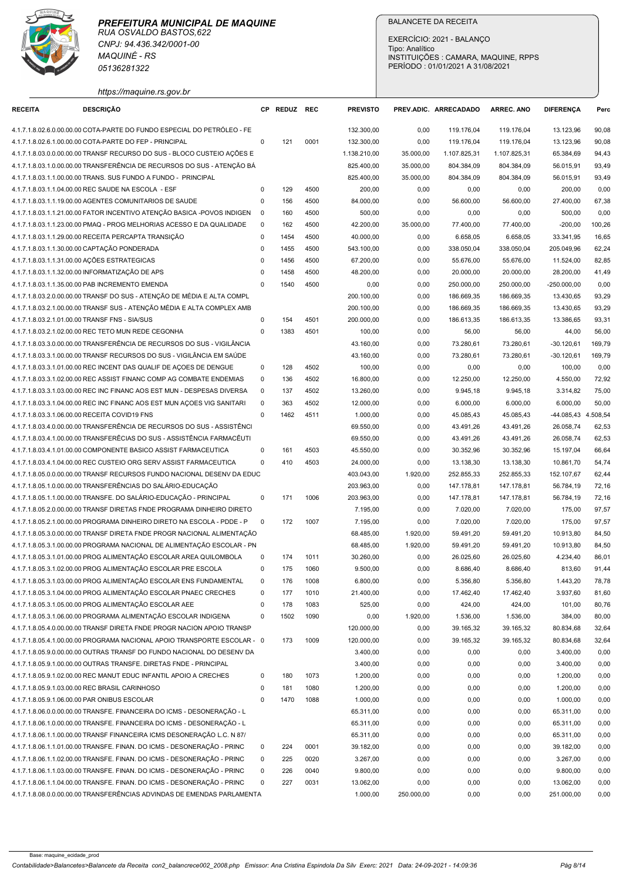| https://maquine.rs.gov.br<br><b>DESCRIÇÃO</b><br>CP REDUZ REC<br><b>PREVISTO</b><br><b>RECEITA</b><br>PREV.ADIC. ARRECADADO<br><b>ARREC. ANO</b><br><b>DIFERENCA</b><br>Perc<br>4.1.7.1.8.02.6.0.00.00.00 COTA-PARTE DO FUNDO ESPECIAL DO PETRÓLEO - FE<br>132.300,00<br>13.123,96<br>0,00<br>119.176,04<br>119.176,04<br>90,08<br>4.1.7.1.8.02.6.1.00.00.00 COTA-PARTE DO FEP - PRINCIPAL<br>$\mathbf 0$<br>121<br>0001<br>132.300,00<br>119.176,04<br>13.123,96<br>90,08<br>0,00<br>119.176,04<br>4.1.7.1.8.03.0.0.00.00.00 TRANSF RECURSO DO SUS - BLOCO CUSTEIO AÇÕES E<br>1.138.210,00<br>35.000,00<br>1.107.825,31<br>1.107.825,31<br>65.384,69<br>94,43<br>4.1.7.1.8.03.1.0.00.00.00 TRANSFERÊNCIA DE RECURSOS DO SUS - ATENÇÃO BÁ<br>825.400,00<br>35.000,00<br>804.384,09<br>804.384,09<br>56.015,91<br>93,49<br>825.400,00<br>804.384,09<br>4.1.7.1.8.03.1.1.00.00.00 TRANS. SUS FUNDO A FUNDO - PRINCIPAL<br>35.000,00<br>804.384,09<br>56.015,91<br>93,49<br>129<br>4500<br>200,00<br>0,00<br>0,00<br>4.1.7.1.8.03.1.1.04.00.00 REC SAUDE NA ESCOLA - ESF<br>0,00<br>0,00<br>200,00<br>$\Omega$<br>4.1.7.1.8.03.1.1.19.00.00 AGENTES COMUNITARIOS DE SAUDE<br>156<br>4500<br>84.000,00<br>56.600,00<br>56.600,00<br>27.400,00<br>67,38<br>$\Omega$<br>0,00<br>4.1.7.1.8.03.1.1.21.00.00 FATOR INCENTIVO ATENÇÃO BASICA -POVOS INDIGEN<br>160<br>4500<br>500,00<br>0,00<br>0,00<br>0,00<br>$\overline{\mathbf{0}}$<br>0,00<br>500,00<br>4.1.7.1.8.03.1.1.23.00.00 PMAQ - PROG MELHORIAS ACESSO E DA QUALIDADE<br>162<br>4500<br>42.200,00<br>77.400,00<br>77.400,00<br>$-200,00$<br>100,26<br>$\Omega$<br>35.000,00<br>6.658,05<br>4.1.7.1.8.03.1.1.29.00.00 RECEITA PERCAPTA TRANSIÇÃO<br>$\mathbf 0$<br>1454<br>4500<br>40.000,00<br>0,00<br>6.658,05<br>33.341,95<br>16,65<br>4.1.7.1.8.03.1.1.30.00.00 CAPTAÇÃO PONDERADA<br>1455<br>4500<br>543.100,00<br>338.050,04<br>205.049,96<br>62,24<br>$\mathbf 0$<br>0,00<br>338.050,04<br>4.1.7.1.8.03.1.1.31.00.00 AÇÕES ESTRATEGICAS<br>1456<br>4500<br>67.200,00<br>0,00<br>55.676,00<br>55.676,00<br>11.524,00<br>82,85<br>$\Omega$<br>4.1.7.1.8.03.1.1.32.00.00 INFORMATIZAÇÃO DE APS<br>4500<br>48.200,00<br>20.000,00<br>20.000,00<br>28.200,00<br>41,49<br>1458<br>0,00<br>$\Omega$<br>4.1.7.1.8.03.1.1.35.00.00 PAB INCREMENTO EMENDA<br>4500<br>250.000,00<br>250.000,00<br>0,00<br>$\Omega$<br>1540<br>0,00<br>0,00<br>$-250.000,00$<br>4.1.7.1.8.03.2.0.00.00.00 TRANSF DO SUS - ATENÇÃO DE MÉDIA E ALTA COMPL<br>186.669,35<br>186.669,35<br>93,29<br>200.100,00<br>0,00<br>13.430,65<br>4.1.7.1.8.03.2.1.00.00.00 TRANSF SUS - ATENÇÃO MÉDIA E ALTA COMPLEX AMB<br>200.100,00<br>13.430,65<br>0,00<br>186.669,35<br>186.669,35<br>93,29<br>4.1.7.1.8.03.2.1.01.00.00 TRANSF FNS - SIA/SUS<br>154<br>4501<br>200.000,00<br>13.386,65<br>93,31<br>0,00<br>186.613,35<br>186.613,35<br>$\Omega$<br>4.1.7.1.8.03.2.1.02.00.00 REC TETO MUN REDE CEGONHA<br>1383<br>4501<br>100,00<br>0,00<br>56,00<br>56,00<br>44,00<br>56,00<br>$\Omega$<br>4.1.7.1.8.03.3.0.00.00.00 TRANSFERÊNCIA DE RECURSOS DO SUS - VIGILÂNCIA<br>43.160,00<br>73.280,61<br>169,79<br>0,00<br>73.280,61<br>$-30.120,61$<br>4.1.7.1.8.03.3.1.00.00.00 TRANSF RECURSOS DO SUS - VIGILÂNCIA EM SAÚDE<br>43.160,00<br>73.280,61<br>73.280,61<br>$-30.120,61$<br>169,79<br>0,00<br>128<br>4.1.7.1.8.03.3.1.01.00.00 REC INCENT DAS QUALIF DE ACOES DE DENGUE<br>4502<br>0,00<br>$\mathbf 0$<br>100,00<br>0,00<br>0,00<br>0,00<br>100,00<br>4502<br>4.1.7.1.8.03.3.1.02.00.00 REC ASSIST FINANC COMP AG COMBATE ENDEMIAS<br>136<br>16.800,00<br>12.250,00<br>12.250,00<br>4.550,00<br>72,92<br>$\mathbf 0$<br>0,00<br>137<br>4502<br>9.945,18<br>75,00<br>4.1.7.1.8.03.3.1.03.00.00 REC INC FINANC AOS EST MUN - DESPESAS DIVERSA<br>$\Omega$<br>13.260,00<br>0,00<br>9.945,18<br>3.314,82<br>363<br>4502<br>12.000,00<br>6.000,00<br>6.000,00<br>50,00<br>4.1.7.1.8.03.3.1.04.00.00 REC INC FINANC AOS EST MUN ACOES VIG SANITARI<br>$\Omega$<br>0,00<br>6.000,00<br>4.1.7.1.8.03.3.1.06.00.00 RECEITA COVID19 FNS<br>$\mathbf 0$<br>1462<br>4511<br>1.000,00<br>45.085,43<br>45.085,43<br>-44.085,43 4.508,54<br>0,00<br>4.1.7.1.8.03.4.0.00.00.00 TRANSFERÊNCIA DE RECURSOS DO SUS - ASSISTÊNCI<br>69.550,00<br>26.058,74<br>0,00<br>43.491,26<br>43.491,26<br>62,53<br>4.1.7.1.8.03.4.1.00.00.00 TRANSFERÊCIAS DO SUS - ASSISTÊNCIA FARMACÊUTI<br>69.550,00<br>43.491,26<br>26.058,74<br>62,53<br>0,00<br>43.491,26<br>161<br>4503<br>45.550,00<br>4.1.7.1.8.03.4.1.01.00.00 COMPONENTE BASICO ASSIST FARMACEUTICA<br>$\mathbf 0$<br>0,00<br>30.352,96<br>30.352,96<br>15.197,04<br>66,64<br>$\mathbf 0$<br>410<br>4503<br>24.000,00<br>13.138,30<br>13.138,30<br>10.861,70<br>54,74<br>4.1.7.1.8.03.4.1.04.00.00 REC CUSTEIO ORG SERV ASSIST FARMACEUTICA<br>0,00<br>4.1.7.1.8.05.0.0.00.00.00 TRANSF RECURSOS FUNDO NACIONAL DESENV DA EDUC<br>403.043,00<br>1.920,00<br>252.855,33<br>252.855,33<br>152.107,67<br>62,44<br>4.1.7.1.8.05.1.0.00.00.00 TRANSFERÊNCIAS DO SALÁRIO-EDUCAÇÃO<br>203.963,00<br>0,00<br>147.178,81<br>147.178,81<br>56.784,19<br>72,16<br>4.1.7.1.8.05.1.1.00.00.00 TRANSFE. DO SALÁRIO-EDUCAÇÃO - PRINCIPAL<br>171<br>1006<br>203.963,00<br>147.178,81<br>56.784,19<br>72,16<br>$\Omega$<br>0,00<br>147.178,81<br>4.1.7.1.8.05.2.0.00.00.00 TRANSF DIRETAS FNDE PROGRAMA DINHEIRO DIRETO<br>7.195,00<br>7.020,00<br>97,57<br>0,00<br>7.020,00<br>175,00<br>7.195,00<br>4.1.7.1.8.05.2.1.00.00.00 PROGRAMA DINHEIRO DIRETO NA ESCOLA - PDDE - P<br>172<br>1007<br>0,00<br>7.020,00<br>7.020,00<br>175,00<br>97,57<br>$\Omega$<br>4.1.7.1.8.05.3.0.00.00.00 TRANSF DIRETA FNDE PROGR NACIONAL ALIMENTAÇÃO<br>68.485,00<br>1.920,00<br>59.491,20<br>59.491,20<br>10.913,80<br>84,50<br>4.1.7.1.8.05.3.1.00.00.00 PROGRAMA NACIONAL DE ALIMENTAÇÃO ESCOLAR - PN<br>68.485,00<br>1.920,00<br>59.491,20<br>59.491,20<br>10.913,80<br>84,50<br>174<br>4.1.7.1.8.05.3.1.01.00.00 PROG ALIMENTAÇÃO ESCOLAR AREA QUILOMBOLA<br>1011<br>30.260,00<br>$\mathbf 0$<br>0,00<br>26.025,60<br>26.025,60<br>4.234,40<br>86,01<br>4.1.7.1.8.05.3.1.02.00.00 PROG ALIMENTAÇÃO ESCOLAR PRE ESCOLA<br>175<br>1060<br>9.500,00<br>8.686,40<br>$\mathbf 0$<br>0,00<br>8.686,40<br>813,60<br>91,44<br>4.1.7.1.8.05.3.1.03.00.00 PROG ALIMENTAÇÃO ESCOLAR ENS FUNDAMENTAL<br>176<br>1008<br>6.800,00<br>5.356,80<br>5.356,80<br>0<br>0,00<br>1.443,20<br>78,78<br>4.1.7.1.8.05.3.1.04.00.00 PROG ALIMENTAÇÃO ESCOLAR PNAEC CRECHES<br>177<br>1010<br>17.462,40<br>17.462,40<br>3.937,60<br>81,60<br>$\mathbf 0$<br>21.400,00<br>0,00<br>4.1.7.1.8.05.3.1.05.00.00 PROG ALIMENTAÇÃO ESCOLAR AEE<br>178<br>1083<br>525,00<br>424,00<br>80,76<br>$\Omega$<br>0,00<br>424,00<br>101,00<br>4.1.7.1.8.05.3.1.06.00.00 PROGRAMA ALIMENTAÇÃO ESCOLAR INDIGENA<br>$\Omega$<br>1502<br>1090<br>0,00<br>1.920,00<br>1.536,00<br>1.536,00<br>384,00<br>80,00<br>4.1.7.1.8.05.4.0.00.00.00 TRANSF DIRETA FNDE PROGR NACION APOIO TRANSP<br>120.000,00<br>39.165,32<br>39.165,32<br>80.834,68<br>32,64<br>0,00<br>173<br>1009<br>120.000,00<br>4.1.7.1.8.05.4.1.00.00.00 PROGRAMA NACIONAL APOIO TRANSPORTE ESCOLAR - 0<br>0,00<br>39.165,32<br>39.165,32<br>80.834,68<br>32,64<br>3.400,00<br>0,00<br>0,00<br>3.400,00<br>0,00<br>4.1.7.1.8.05.9.0.00.00.00 OUTRAS TRANSF DO FUNDO NACIONAL DO DESENV DA<br>0,00<br>4.1.7.1.8.05.9.1.00.00.00 OUTRAS TRANSFE, DIRETAS FNDE - PRINCIPAL<br>3.400,00<br>0,00<br>0,00<br>0,00<br>0,00<br>3.400,00<br>180<br>1073<br>1.200,00<br>0,00<br>1.200,00<br>0,00<br>4.1.7.1.8.05.9.1.02.00.00 REC MANUT EDUC INFANTIL APOIO A CRECHES<br>$\Omega$<br>0,00<br>0,00<br>4.1.7.1.8.05.9.1.03.00.00 REC BRASIL CARINHOSO<br>181<br>1080<br>1.200,00<br>0,00<br>0,00<br>0,00<br>$\Omega$<br>0,00<br>1.200,00<br>1088<br>1.000,00<br>0,00<br>0,00<br>0,00<br>4.1.7.1.8.05.9.1.06.00.00 PAR ONIBUS ESCOLAR<br>$^{\circ}$<br>1470<br>0,00<br>1.000,00<br>4.1.7.1.8.06.0.0.00.00.00 TRANSFE. FINANCEIRA DO ICMS - DESONERAÇÃO - L<br>65.311,00<br>0,00<br>0,00<br>65.311,00<br>0,00<br>0,00<br>4.1.7.1.8.06.1.0.00.00.00 TRANSFE. FINANCEIRA DO ICMS - DESONERAÇÃO - L<br>65.311,00<br>0,00<br>0,00<br>0,00<br>0,00<br>65.311,00<br>4.1.7.1.8.06.1.1.00.00.00 TRANSF FINANCEIRA ICMS DESONERAÇÃO L.C. N 87/<br>65.311,00<br>0,00<br>0,00<br>65.311,00<br>0,00<br>0,00<br>4.1.7.1.8.06.1.1.01.00.00 TRANSFE. FINAN. DO ICMS - DESONERAÇÃO - PRINC<br>224<br>0001<br>39.182,00<br>$\Omega$<br>0,00<br>0,00<br>0,00<br>39.182,00<br>0,00<br>4.1.7.1.8.06.1.1.02.00.00 TRANSFE. FINAN. DO ICMS - DESONERAÇÃO - PRINC<br>225<br>0020<br>3.267,00<br>0,00<br>0,00<br>3.267,00<br>0,00<br>$\Omega$<br>0,00<br>4.1.7.1.8.06.1.1.03.00.00 TRANSFE. FINAN. DO ICMS - DESONERAÇÃO - PRINC<br>226<br>0040<br>9.800,00<br>0,00<br>9.800,00<br>0,00<br>$\Omega$<br>0,00<br>0,00<br>4.1.7.1.8.06.1.1.04.00.00 TRANSFE. FINAN. DO ICMS - DESONERAÇÃO - PRINC<br>13.062,00<br>13.062,00<br>227<br>0031<br>0,00<br>0,00<br>0,00<br>0,00<br>$\Omega$ | CNPJ: 94.436.342/0001-00<br><b>MAQUINÉ - RS</b><br>05136281322 |  |  | <b>BALANCETE DA RECEITA</b><br>EXERCÍCIO: 2021 - BALANÇO<br>Tipo: Analítico<br>PERÍODO: 01/01/2021 A 31/08/2021 | INSTITUIÇÕES : CAMARA, MAQUINE, RPPS |  |
|---------------------------------------------------------------------------------------------------------------------------------------------------------------------------------------------------------------------------------------------------------------------------------------------------------------------------------------------------------------------------------------------------------------------------------------------------------------------------------------------------------------------------------------------------------------------------------------------------------------------------------------------------------------------------------------------------------------------------------------------------------------------------------------------------------------------------------------------------------------------------------------------------------------------------------------------------------------------------------------------------------------------------------------------------------------------------------------------------------------------------------------------------------------------------------------------------------------------------------------------------------------------------------------------------------------------------------------------------------------------------------------------------------------------------------------------------------------------------------------------------------------------------------------------------------------------------------------------------------------------------------------------------------------------------------------------------------------------------------------------------------------------------------------------------------------------------------------------------------------------------------------------------------------------------------------------------------------------------------------------------------------------------------------------------------------------------------------------------------------------------------------------------------------------------------------------------------------------------------------------------------------------------------------------------------------------------------------------------------------------------------------------------------------------------------------------------------------------------------------------------------------------------------------------------------------------------------------------------------------------------------------------------------------------------------------------------------------------------------------------------------------------------------------------------------------------------------------------------------------------------------------------------------------------------------------------------------------------------------------------------------------------------------------------------------------------------------------------------------------------------------------------------------------------------------------------------------------------------------------------------------------------------------------------------------------------------------------------------------------------------------------------------------------------------------------------------------------------------------------------------------------------------------------------------------------------------------------------------------------------------------------------------------------------------------------------------------------------------------------------------------------------------------------------------------------------------------------------------------------------------------------------------------------------------------------------------------------------------------------------------------------------------------------------------------------------------------------------------------------------------------------------------------------------------------------------------------------------------------------------------------------------------------------------------------------------------------------------------------------------------------------------------------------------------------------------------------------------------------------------------------------------------------------------------------------------------------------------------------------------------------------------------------------------------------------------------------------------------------------------------------------------------------------------------------------------------------------------------------------------------------------------------------------------------------------------------------------------------------------------------------------------------------------------------------------------------------------------------------------------------------------------------------------------------------------------------------------------------------------------------------------------------------------------------------------------------------------------------------------------------------------------------------------------------------------------------------------------------------------------------------------------------------------------------------------------------------------------------------------------------------------------------------------------------------------------------------------------------------------------------------------------------------------------------------------------------------------------------------------------------------------------------------------------------------------------------------------------------------------------------------------------------------------------------------------------------------------------------------------------------------------------------------------------------------------------------------------------------------------------------------------------------------------------------------------------------------------------------------------------------------------------------------------------------------------------------------------------------------------------------------------------------------------------------------------------------------------------------------------------------------------------------------------------------------------------------------------------------------------------------------------------------------------------------------------------------------------------------------------------------------------------------------------------------------------------------------------------------------------------------------------------------------------------------------------------------------------------------------------------------------------------------------------------------------------------------------------------------------------------------------------------------------------------------------------------------------------------------------------------------------------------------------------------------------------------------------------------------------------------------------------------------------------------------------------------------------------------------------------------------------------------------------------------------------------------------------------------------------------------------------------------------------------------------------------------------------------------------------------------------------------------------------------------------------------------------------------------------------------------------------------------------------------------------------------------------------------------------------------------------------------------------------------------------------------------------------------------------------------------------------------------------------------------------------------------------------------------------------------------------------------------------------------------------------------------------------------------------------------------------------------------------------------------------------------------------------------------------------------------------------------------------------------------------------------------------------------------------------------------------------------------------------------------------------------------------------------------------------------------------------------------------------------------------------------------------------------------------------------------|----------------------------------------------------------------|--|--|-----------------------------------------------------------------------------------------------------------------|--------------------------------------|--|
|                                                                                                                                                                                                                                                                                                                                                                                                                                                                                                                                                                                                                                                                                                                                                                                                                                                                                                                                                                                                                                                                                                                                                                                                                                                                                                                                                                                                                                                                                                                                                                                                                                                                                                                                                                                                                                                                                                                                                                                                                                                                                                                                                                                                                                                                                                                                                                                                                                                                                                                                                                                                                                                                                                                                                                                                                                                                                                                                                                                                                                                                                                                                                                                                                                                                                                                                                                                                                                                                                                                                                                                                                                                                                                                                                                                                                                                                                                                                                                                                                                                                                                                                                                                                                                                                                                                                                                                                                                                                                                                                                                                                                                                                                                                                                                                                                                                                                                                                                                                                                                                                                                                                                                                                                                                                                                                                                                                                                                                                                                                                                                                                                                                                                                                                                                                                                                                                                                                                                                                                                                                                                                                                                                                                                                                                                                                                                                                                                                                                                                                                                                                                                                                                                                                                                                                                                                                                                                                                                                                                                                                                                                                                                                                                                                                                                                                                                                                                                                                                                                                                                                                                                                                                                                                                                                                                                                                                                                                                                                                                                                                                                                                                                                                                                                                                                                                                                                                                                                                                                                                                                                                                                                                                                                                                                                                                                                                                                                                                                                                             |                                                                |  |  |                                                                                                                 |                                      |  |
|                                                                                                                                                                                                                                                                                                                                                                                                                                                                                                                                                                                                                                                                                                                                                                                                                                                                                                                                                                                                                                                                                                                                                                                                                                                                                                                                                                                                                                                                                                                                                                                                                                                                                                                                                                                                                                                                                                                                                                                                                                                                                                                                                                                                                                                                                                                                                                                                                                                                                                                                                                                                                                                                                                                                                                                                                                                                                                                                                                                                                                                                                                                                                                                                                                                                                                                                                                                                                                                                                                                                                                                                                                                                                                                                                                                                                                                                                                                                                                                                                                                                                                                                                                                                                                                                                                                                                                                                                                                                                                                                                                                                                                                                                                                                                                                                                                                                                                                                                                                                                                                                                                                                                                                                                                                                                                                                                                                                                                                                                                                                                                                                                                                                                                                                                                                                                                                                                                                                                                                                                                                                                                                                                                                                                                                                                                                                                                                                                                                                                                                                                                                                                                                                                                                                                                                                                                                                                                                                                                                                                                                                                                                                                                                                                                                                                                                                                                                                                                                                                                                                                                                                                                                                                                                                                                                                                                                                                                                                                                                                                                                                                                                                                                                                                                                                                                                                                                                                                                                                                                                                                                                                                                                                                                                                                                                                                                                                                                                                                                                             |                                                                |  |  |                                                                                                                 |                                      |  |
|                                                                                                                                                                                                                                                                                                                                                                                                                                                                                                                                                                                                                                                                                                                                                                                                                                                                                                                                                                                                                                                                                                                                                                                                                                                                                                                                                                                                                                                                                                                                                                                                                                                                                                                                                                                                                                                                                                                                                                                                                                                                                                                                                                                                                                                                                                                                                                                                                                                                                                                                                                                                                                                                                                                                                                                                                                                                                                                                                                                                                                                                                                                                                                                                                                                                                                                                                                                                                                                                                                                                                                                                                                                                                                                                                                                                                                                                                                                                                                                                                                                                                                                                                                                                                                                                                                                                                                                                                                                                                                                                                                                                                                                                                                                                                                                                                                                                                                                                                                                                                                                                                                                                                                                                                                                                                                                                                                                                                                                                                                                                                                                                                                                                                                                                                                                                                                                                                                                                                                                                                                                                                                                                                                                                                                                                                                                                                                                                                                                                                                                                                                                                                                                                                                                                                                                                                                                                                                                                                                                                                                                                                                                                                                                                                                                                                                                                                                                                                                                                                                                                                                                                                                                                                                                                                                                                                                                                                                                                                                                                                                                                                                                                                                                                                                                                                                                                                                                                                                                                                                                                                                                                                                                                                                                                                                                                                                                                                                                                                                                             |                                                                |  |  |                                                                                                                 |                                      |  |
|                                                                                                                                                                                                                                                                                                                                                                                                                                                                                                                                                                                                                                                                                                                                                                                                                                                                                                                                                                                                                                                                                                                                                                                                                                                                                                                                                                                                                                                                                                                                                                                                                                                                                                                                                                                                                                                                                                                                                                                                                                                                                                                                                                                                                                                                                                                                                                                                                                                                                                                                                                                                                                                                                                                                                                                                                                                                                                                                                                                                                                                                                                                                                                                                                                                                                                                                                                                                                                                                                                                                                                                                                                                                                                                                                                                                                                                                                                                                                                                                                                                                                                                                                                                                                                                                                                                                                                                                                                                                                                                                                                                                                                                                                                                                                                                                                                                                                                                                                                                                                                                                                                                                                                                                                                                                                                                                                                                                                                                                                                                                                                                                                                                                                                                                                                                                                                                                                                                                                                                                                                                                                                                                                                                                                                                                                                                                                                                                                                                                                                                                                                                                                                                                                                                                                                                                                                                                                                                                                                                                                                                                                                                                                                                                                                                                                                                                                                                                                                                                                                                                                                                                                                                                                                                                                                                                                                                                                                                                                                                                                                                                                                                                                                                                                                                                                                                                                                                                                                                                                                                                                                                                                                                                                                                                                                                                                                                                                                                                                                                             |                                                                |  |  |                                                                                                                 |                                      |  |
|                                                                                                                                                                                                                                                                                                                                                                                                                                                                                                                                                                                                                                                                                                                                                                                                                                                                                                                                                                                                                                                                                                                                                                                                                                                                                                                                                                                                                                                                                                                                                                                                                                                                                                                                                                                                                                                                                                                                                                                                                                                                                                                                                                                                                                                                                                                                                                                                                                                                                                                                                                                                                                                                                                                                                                                                                                                                                                                                                                                                                                                                                                                                                                                                                                                                                                                                                                                                                                                                                                                                                                                                                                                                                                                                                                                                                                                                                                                                                                                                                                                                                                                                                                                                                                                                                                                                                                                                                                                                                                                                                                                                                                                                                                                                                                                                                                                                                                                                                                                                                                                                                                                                                                                                                                                                                                                                                                                                                                                                                                                                                                                                                                                                                                                                                                                                                                                                                                                                                                                                                                                                                                                                                                                                                                                                                                                                                                                                                                                                                                                                                                                                                                                                                                                                                                                                                                                                                                                                                                                                                                                                                                                                                                                                                                                                                                                                                                                                                                                                                                                                                                                                                                                                                                                                                                                                                                                                                                                                                                                                                                                                                                                                                                                                                                                                                                                                                                                                                                                                                                                                                                                                                                                                                                                                                                                                                                                                                                                                                                                             |                                                                |  |  |                                                                                                                 |                                      |  |
|                                                                                                                                                                                                                                                                                                                                                                                                                                                                                                                                                                                                                                                                                                                                                                                                                                                                                                                                                                                                                                                                                                                                                                                                                                                                                                                                                                                                                                                                                                                                                                                                                                                                                                                                                                                                                                                                                                                                                                                                                                                                                                                                                                                                                                                                                                                                                                                                                                                                                                                                                                                                                                                                                                                                                                                                                                                                                                                                                                                                                                                                                                                                                                                                                                                                                                                                                                                                                                                                                                                                                                                                                                                                                                                                                                                                                                                                                                                                                                                                                                                                                                                                                                                                                                                                                                                                                                                                                                                                                                                                                                                                                                                                                                                                                                                                                                                                                                                                                                                                                                                                                                                                                                                                                                                                                                                                                                                                                                                                                                                                                                                                                                                                                                                                                                                                                                                                                                                                                                                                                                                                                                                                                                                                                                                                                                                                                                                                                                                                                                                                                                                                                                                                                                                                                                                                                                                                                                                                                                                                                                                                                                                                                                                                                                                                                                                                                                                                                                                                                                                                                                                                                                                                                                                                                                                                                                                                                                                                                                                                                                                                                                                                                                                                                                                                                                                                                                                                                                                                                                                                                                                                                                                                                                                                                                                                                                                                                                                                                                                             |                                                                |  |  |                                                                                                                 |                                      |  |
|                                                                                                                                                                                                                                                                                                                                                                                                                                                                                                                                                                                                                                                                                                                                                                                                                                                                                                                                                                                                                                                                                                                                                                                                                                                                                                                                                                                                                                                                                                                                                                                                                                                                                                                                                                                                                                                                                                                                                                                                                                                                                                                                                                                                                                                                                                                                                                                                                                                                                                                                                                                                                                                                                                                                                                                                                                                                                                                                                                                                                                                                                                                                                                                                                                                                                                                                                                                                                                                                                                                                                                                                                                                                                                                                                                                                                                                                                                                                                                                                                                                                                                                                                                                                                                                                                                                                                                                                                                                                                                                                                                                                                                                                                                                                                                                                                                                                                                                                                                                                                                                                                                                                                                                                                                                                                                                                                                                                                                                                                                                                                                                                                                                                                                                                                                                                                                                                                                                                                                                                                                                                                                                                                                                                                                                                                                                                                                                                                                                                                                                                                                                                                                                                                                                                                                                                                                                                                                                                                                                                                                                                                                                                                                                                                                                                                                                                                                                                                                                                                                                                                                                                                                                                                                                                                                                                                                                                                                                                                                                                                                                                                                                                                                                                                                                                                                                                                                                                                                                                                                                                                                                                                                                                                                                                                                                                                                                                                                                                                                                             |                                                                |  |  |                                                                                                                 |                                      |  |
|                                                                                                                                                                                                                                                                                                                                                                                                                                                                                                                                                                                                                                                                                                                                                                                                                                                                                                                                                                                                                                                                                                                                                                                                                                                                                                                                                                                                                                                                                                                                                                                                                                                                                                                                                                                                                                                                                                                                                                                                                                                                                                                                                                                                                                                                                                                                                                                                                                                                                                                                                                                                                                                                                                                                                                                                                                                                                                                                                                                                                                                                                                                                                                                                                                                                                                                                                                                                                                                                                                                                                                                                                                                                                                                                                                                                                                                                                                                                                                                                                                                                                                                                                                                                                                                                                                                                                                                                                                                                                                                                                                                                                                                                                                                                                                                                                                                                                                                                                                                                                                                                                                                                                                                                                                                                                                                                                                                                                                                                                                                                                                                                                                                                                                                                                                                                                                                                                                                                                                                                                                                                                                                                                                                                                                                                                                                                                                                                                                                                                                                                                                                                                                                                                                                                                                                                                                                                                                                                                                                                                                                                                                                                                                                                                                                                                                                                                                                                                                                                                                                                                                                                                                                                                                                                                                                                                                                                                                                                                                                                                                                                                                                                                                                                                                                                                                                                                                                                                                                                                                                                                                                                                                                                                                                                                                                                                                                                                                                                                                                             |                                                                |  |  |                                                                                                                 |                                      |  |
|                                                                                                                                                                                                                                                                                                                                                                                                                                                                                                                                                                                                                                                                                                                                                                                                                                                                                                                                                                                                                                                                                                                                                                                                                                                                                                                                                                                                                                                                                                                                                                                                                                                                                                                                                                                                                                                                                                                                                                                                                                                                                                                                                                                                                                                                                                                                                                                                                                                                                                                                                                                                                                                                                                                                                                                                                                                                                                                                                                                                                                                                                                                                                                                                                                                                                                                                                                                                                                                                                                                                                                                                                                                                                                                                                                                                                                                                                                                                                                                                                                                                                                                                                                                                                                                                                                                                                                                                                                                                                                                                                                                                                                                                                                                                                                                                                                                                                                                                                                                                                                                                                                                                                                                                                                                                                                                                                                                                                                                                                                                                                                                                                                                                                                                                                                                                                                                                                                                                                                                                                                                                                                                                                                                                                                                                                                                                                                                                                                                                                                                                                                                                                                                                                                                                                                                                                                                                                                                                                                                                                                                                                                                                                                                                                                                                                                                                                                                                                                                                                                                                                                                                                                                                                                                                                                                                                                                                                                                                                                                                                                                                                                                                                                                                                                                                                                                                                                                                                                                                                                                                                                                                                                                                                                                                                                                                                                                                                                                                                                                             |                                                                |  |  |                                                                                                                 |                                      |  |
|                                                                                                                                                                                                                                                                                                                                                                                                                                                                                                                                                                                                                                                                                                                                                                                                                                                                                                                                                                                                                                                                                                                                                                                                                                                                                                                                                                                                                                                                                                                                                                                                                                                                                                                                                                                                                                                                                                                                                                                                                                                                                                                                                                                                                                                                                                                                                                                                                                                                                                                                                                                                                                                                                                                                                                                                                                                                                                                                                                                                                                                                                                                                                                                                                                                                                                                                                                                                                                                                                                                                                                                                                                                                                                                                                                                                                                                                                                                                                                                                                                                                                                                                                                                                                                                                                                                                                                                                                                                                                                                                                                                                                                                                                                                                                                                                                                                                                                                                                                                                                                                                                                                                                                                                                                                                                                                                                                                                                                                                                                                                                                                                                                                                                                                                                                                                                                                                                                                                                                                                                                                                                                                                                                                                                                                                                                                                                                                                                                                                                                                                                                                                                                                                                                                                                                                                                                                                                                                                                                                                                                                                                                                                                                                                                                                                                                                                                                                                                                                                                                                                                                                                                                                                                                                                                                                                                                                                                                                                                                                                                                                                                                                                                                                                                                                                                                                                                                                                                                                                                                                                                                                                                                                                                                                                                                                                                                                                                                                                                                                             |                                                                |  |  |                                                                                                                 |                                      |  |
|                                                                                                                                                                                                                                                                                                                                                                                                                                                                                                                                                                                                                                                                                                                                                                                                                                                                                                                                                                                                                                                                                                                                                                                                                                                                                                                                                                                                                                                                                                                                                                                                                                                                                                                                                                                                                                                                                                                                                                                                                                                                                                                                                                                                                                                                                                                                                                                                                                                                                                                                                                                                                                                                                                                                                                                                                                                                                                                                                                                                                                                                                                                                                                                                                                                                                                                                                                                                                                                                                                                                                                                                                                                                                                                                                                                                                                                                                                                                                                                                                                                                                                                                                                                                                                                                                                                                                                                                                                                                                                                                                                                                                                                                                                                                                                                                                                                                                                                                                                                                                                                                                                                                                                                                                                                                                                                                                                                                                                                                                                                                                                                                                                                                                                                                                                                                                                                                                                                                                                                                                                                                                                                                                                                                                                                                                                                                                                                                                                                                                                                                                                                                                                                                                                                                                                                                                                                                                                                                                                                                                                                                                                                                                                                                                                                                                                                                                                                                                                                                                                                                                                                                                                                                                                                                                                                                                                                                                                                                                                                                                                                                                                                                                                                                                                                                                                                                                                                                                                                                                                                                                                                                                                                                                                                                                                                                                                                                                                                                                                                             |                                                                |  |  |                                                                                                                 |                                      |  |
|                                                                                                                                                                                                                                                                                                                                                                                                                                                                                                                                                                                                                                                                                                                                                                                                                                                                                                                                                                                                                                                                                                                                                                                                                                                                                                                                                                                                                                                                                                                                                                                                                                                                                                                                                                                                                                                                                                                                                                                                                                                                                                                                                                                                                                                                                                                                                                                                                                                                                                                                                                                                                                                                                                                                                                                                                                                                                                                                                                                                                                                                                                                                                                                                                                                                                                                                                                                                                                                                                                                                                                                                                                                                                                                                                                                                                                                                                                                                                                                                                                                                                                                                                                                                                                                                                                                                                                                                                                                                                                                                                                                                                                                                                                                                                                                                                                                                                                                                                                                                                                                                                                                                                                                                                                                                                                                                                                                                                                                                                                                                                                                                                                                                                                                                                                                                                                                                                                                                                                                                                                                                                                                                                                                                                                                                                                                                                                                                                                                                                                                                                                                                                                                                                                                                                                                                                                                                                                                                                                                                                                                                                                                                                                                                                                                                                                                                                                                                                                                                                                                                                                                                                                                                                                                                                                                                                                                                                                                                                                                                                                                                                                                                                                                                                                                                                                                                                                                                                                                                                                                                                                                                                                                                                                                                                                                                                                                                                                                                                                                             |                                                                |  |  |                                                                                                                 |                                      |  |
|                                                                                                                                                                                                                                                                                                                                                                                                                                                                                                                                                                                                                                                                                                                                                                                                                                                                                                                                                                                                                                                                                                                                                                                                                                                                                                                                                                                                                                                                                                                                                                                                                                                                                                                                                                                                                                                                                                                                                                                                                                                                                                                                                                                                                                                                                                                                                                                                                                                                                                                                                                                                                                                                                                                                                                                                                                                                                                                                                                                                                                                                                                                                                                                                                                                                                                                                                                                                                                                                                                                                                                                                                                                                                                                                                                                                                                                                                                                                                                                                                                                                                                                                                                                                                                                                                                                                                                                                                                                                                                                                                                                                                                                                                                                                                                                                                                                                                                                                                                                                                                                                                                                                                                                                                                                                                                                                                                                                                                                                                                                                                                                                                                                                                                                                                                                                                                                                                                                                                                                                                                                                                                                                                                                                                                                                                                                                                                                                                                                                                                                                                                                                                                                                                                                                                                                                                                                                                                                                                                                                                                                                                                                                                                                                                                                                                                                                                                                                                                                                                                                                                                                                                                                                                                                                                                                                                                                                                                                                                                                                                                                                                                                                                                                                                                                                                                                                                                                                                                                                                                                                                                                                                                                                                                                                                                                                                                                                                                                                                                                             |                                                                |  |  |                                                                                                                 |                                      |  |
|                                                                                                                                                                                                                                                                                                                                                                                                                                                                                                                                                                                                                                                                                                                                                                                                                                                                                                                                                                                                                                                                                                                                                                                                                                                                                                                                                                                                                                                                                                                                                                                                                                                                                                                                                                                                                                                                                                                                                                                                                                                                                                                                                                                                                                                                                                                                                                                                                                                                                                                                                                                                                                                                                                                                                                                                                                                                                                                                                                                                                                                                                                                                                                                                                                                                                                                                                                                                                                                                                                                                                                                                                                                                                                                                                                                                                                                                                                                                                                                                                                                                                                                                                                                                                                                                                                                                                                                                                                                                                                                                                                                                                                                                                                                                                                                                                                                                                                                                                                                                                                                                                                                                                                                                                                                                                                                                                                                                                                                                                                                                                                                                                                                                                                                                                                                                                                                                                                                                                                                                                                                                                                                                                                                                                                                                                                                                                                                                                                                                                                                                                                                                                                                                                                                                                                                                                                                                                                                                                                                                                                                                                                                                                                                                                                                                                                                                                                                                                                                                                                                                                                                                                                                                                                                                                                                                                                                                                                                                                                                                                                                                                                                                                                                                                                                                                                                                                                                                                                                                                                                                                                                                                                                                                                                                                                                                                                                                                                                                                                                             |                                                                |  |  |                                                                                                                 |                                      |  |
|                                                                                                                                                                                                                                                                                                                                                                                                                                                                                                                                                                                                                                                                                                                                                                                                                                                                                                                                                                                                                                                                                                                                                                                                                                                                                                                                                                                                                                                                                                                                                                                                                                                                                                                                                                                                                                                                                                                                                                                                                                                                                                                                                                                                                                                                                                                                                                                                                                                                                                                                                                                                                                                                                                                                                                                                                                                                                                                                                                                                                                                                                                                                                                                                                                                                                                                                                                                                                                                                                                                                                                                                                                                                                                                                                                                                                                                                                                                                                                                                                                                                                                                                                                                                                                                                                                                                                                                                                                                                                                                                                                                                                                                                                                                                                                                                                                                                                                                                                                                                                                                                                                                                                                                                                                                                                                                                                                                                                                                                                                                                                                                                                                                                                                                                                                                                                                                                                                                                                                                                                                                                                                                                                                                                                                                                                                                                                                                                                                                                                                                                                                                                                                                                                                                                                                                                                                                                                                                                                                                                                                                                                                                                                                                                                                                                                                                                                                                                                                                                                                                                                                                                                                                                                                                                                                                                                                                                                                                                                                                                                                                                                                                                                                                                                                                                                                                                                                                                                                                                                                                                                                                                                                                                                                                                                                                                                                                                                                                                                                                             |                                                                |  |  |                                                                                                                 |                                      |  |
|                                                                                                                                                                                                                                                                                                                                                                                                                                                                                                                                                                                                                                                                                                                                                                                                                                                                                                                                                                                                                                                                                                                                                                                                                                                                                                                                                                                                                                                                                                                                                                                                                                                                                                                                                                                                                                                                                                                                                                                                                                                                                                                                                                                                                                                                                                                                                                                                                                                                                                                                                                                                                                                                                                                                                                                                                                                                                                                                                                                                                                                                                                                                                                                                                                                                                                                                                                                                                                                                                                                                                                                                                                                                                                                                                                                                                                                                                                                                                                                                                                                                                                                                                                                                                                                                                                                                                                                                                                                                                                                                                                                                                                                                                                                                                                                                                                                                                                                                                                                                                                                                                                                                                                                                                                                                                                                                                                                                                                                                                                                                                                                                                                                                                                                                                                                                                                                                                                                                                                                                                                                                                                                                                                                                                                                                                                                                                                                                                                                                                                                                                                                                                                                                                                                                                                                                                                                                                                                                                                                                                                                                                                                                                                                                                                                                                                                                                                                                                                                                                                                                                                                                                                                                                                                                                                                                                                                                                                                                                                                                                                                                                                                                                                                                                                                                                                                                                                                                                                                                                                                                                                                                                                                                                                                                                                                                                                                                                                                                                                                             |                                                                |  |  |                                                                                                                 |                                      |  |
|                                                                                                                                                                                                                                                                                                                                                                                                                                                                                                                                                                                                                                                                                                                                                                                                                                                                                                                                                                                                                                                                                                                                                                                                                                                                                                                                                                                                                                                                                                                                                                                                                                                                                                                                                                                                                                                                                                                                                                                                                                                                                                                                                                                                                                                                                                                                                                                                                                                                                                                                                                                                                                                                                                                                                                                                                                                                                                                                                                                                                                                                                                                                                                                                                                                                                                                                                                                                                                                                                                                                                                                                                                                                                                                                                                                                                                                                                                                                                                                                                                                                                                                                                                                                                                                                                                                                                                                                                                                                                                                                                                                                                                                                                                                                                                                                                                                                                                                                                                                                                                                                                                                                                                                                                                                                                                                                                                                                                                                                                                                                                                                                                                                                                                                                                                                                                                                                                                                                                                                                                                                                                                                                                                                                                                                                                                                                                                                                                                                                                                                                                                                                                                                                                                                                                                                                                                                                                                                                                                                                                                                                                                                                                                                                                                                                                                                                                                                                                                                                                                                                                                                                                                                                                                                                                                                                                                                                                                                                                                                                                                                                                                                                                                                                                                                                                                                                                                                                                                                                                                                                                                                                                                                                                                                                                                                                                                                                                                                                                                                             |                                                                |  |  |                                                                                                                 |                                      |  |
|                                                                                                                                                                                                                                                                                                                                                                                                                                                                                                                                                                                                                                                                                                                                                                                                                                                                                                                                                                                                                                                                                                                                                                                                                                                                                                                                                                                                                                                                                                                                                                                                                                                                                                                                                                                                                                                                                                                                                                                                                                                                                                                                                                                                                                                                                                                                                                                                                                                                                                                                                                                                                                                                                                                                                                                                                                                                                                                                                                                                                                                                                                                                                                                                                                                                                                                                                                                                                                                                                                                                                                                                                                                                                                                                                                                                                                                                                                                                                                                                                                                                                                                                                                                                                                                                                                                                                                                                                                                                                                                                                                                                                                                                                                                                                                                                                                                                                                                                                                                                                                                                                                                                                                                                                                                                                                                                                                                                                                                                                                                                                                                                                                                                                                                                                                                                                                                                                                                                                                                                                                                                                                                                                                                                                                                                                                                                                                                                                                                                                                                                                                                                                                                                                                                                                                                                                                                                                                                                                                                                                                                                                                                                                                                                                                                                                                                                                                                                                                                                                                                                                                                                                                                                                                                                                                                                                                                                                                                                                                                                                                                                                                                                                                                                                                                                                                                                                                                                                                                                                                                                                                                                                                                                                                                                                                                                                                                                                                                                                                                             |                                                                |  |  |                                                                                                                 |                                      |  |
|                                                                                                                                                                                                                                                                                                                                                                                                                                                                                                                                                                                                                                                                                                                                                                                                                                                                                                                                                                                                                                                                                                                                                                                                                                                                                                                                                                                                                                                                                                                                                                                                                                                                                                                                                                                                                                                                                                                                                                                                                                                                                                                                                                                                                                                                                                                                                                                                                                                                                                                                                                                                                                                                                                                                                                                                                                                                                                                                                                                                                                                                                                                                                                                                                                                                                                                                                                                                                                                                                                                                                                                                                                                                                                                                                                                                                                                                                                                                                                                                                                                                                                                                                                                                                                                                                                                                                                                                                                                                                                                                                                                                                                                                                                                                                                                                                                                                                                                                                                                                                                                                                                                                                                                                                                                                                                                                                                                                                                                                                                                                                                                                                                                                                                                                                                                                                                                                                                                                                                                                                                                                                                                                                                                                                                                                                                                                                                                                                                                                                                                                                                                                                                                                                                                                                                                                                                                                                                                                                                                                                                                                                                                                                                                                                                                                                                                                                                                                                                                                                                                                                                                                                                                                                                                                                                                                                                                                                                                                                                                                                                                                                                                                                                                                                                                                                                                                                                                                                                                                                                                                                                                                                                                                                                                                                                                                                                                                                                                                                                                             |                                                                |  |  |                                                                                                                 |                                      |  |
|                                                                                                                                                                                                                                                                                                                                                                                                                                                                                                                                                                                                                                                                                                                                                                                                                                                                                                                                                                                                                                                                                                                                                                                                                                                                                                                                                                                                                                                                                                                                                                                                                                                                                                                                                                                                                                                                                                                                                                                                                                                                                                                                                                                                                                                                                                                                                                                                                                                                                                                                                                                                                                                                                                                                                                                                                                                                                                                                                                                                                                                                                                                                                                                                                                                                                                                                                                                                                                                                                                                                                                                                                                                                                                                                                                                                                                                                                                                                                                                                                                                                                                                                                                                                                                                                                                                                                                                                                                                                                                                                                                                                                                                                                                                                                                                                                                                                                                                                                                                                                                                                                                                                                                                                                                                                                                                                                                                                                                                                                                                                                                                                                                                                                                                                                                                                                                                                                                                                                                                                                                                                                                                                                                                                                                                                                                                                                                                                                                                                                                                                                                                                                                                                                                                                                                                                                                                                                                                                                                                                                                                                                                                                                                                                                                                                                                                                                                                                                                                                                                                                                                                                                                                                                                                                                                                                                                                                                                                                                                                                                                                                                                                                                                                                                                                                                                                                                                                                                                                                                                                                                                                                                                                                                                                                                                                                                                                                                                                                                                                             |                                                                |  |  |                                                                                                                 |                                      |  |
|                                                                                                                                                                                                                                                                                                                                                                                                                                                                                                                                                                                                                                                                                                                                                                                                                                                                                                                                                                                                                                                                                                                                                                                                                                                                                                                                                                                                                                                                                                                                                                                                                                                                                                                                                                                                                                                                                                                                                                                                                                                                                                                                                                                                                                                                                                                                                                                                                                                                                                                                                                                                                                                                                                                                                                                                                                                                                                                                                                                                                                                                                                                                                                                                                                                                                                                                                                                                                                                                                                                                                                                                                                                                                                                                                                                                                                                                                                                                                                                                                                                                                                                                                                                                                                                                                                                                                                                                                                                                                                                                                                                                                                                                                                                                                                                                                                                                                                                                                                                                                                                                                                                                                                                                                                                                                                                                                                                                                                                                                                                                                                                                                                                                                                                                                                                                                                                                                                                                                                                                                                                                                                                                                                                                                                                                                                                                                                                                                                                                                                                                                                                                                                                                                                                                                                                                                                                                                                                                                                                                                                                                                                                                                                                                                                                                                                                                                                                                                                                                                                                                                                                                                                                                                                                                                                                                                                                                                                                                                                                                                                                                                                                                                                                                                                                                                                                                                                                                                                                                                                                                                                                                                                                                                                                                                                                                                                                                                                                                                                                             |                                                                |  |  |                                                                                                                 |                                      |  |
|                                                                                                                                                                                                                                                                                                                                                                                                                                                                                                                                                                                                                                                                                                                                                                                                                                                                                                                                                                                                                                                                                                                                                                                                                                                                                                                                                                                                                                                                                                                                                                                                                                                                                                                                                                                                                                                                                                                                                                                                                                                                                                                                                                                                                                                                                                                                                                                                                                                                                                                                                                                                                                                                                                                                                                                                                                                                                                                                                                                                                                                                                                                                                                                                                                                                                                                                                                                                                                                                                                                                                                                                                                                                                                                                                                                                                                                                                                                                                                                                                                                                                                                                                                                                                                                                                                                                                                                                                                                                                                                                                                                                                                                                                                                                                                                                                                                                                                                                                                                                                                                                                                                                                                                                                                                                                                                                                                                                                                                                                                                                                                                                                                                                                                                                                                                                                                                                                                                                                                                                                                                                                                                                                                                                                                                                                                                                                                                                                                                                                                                                                                                                                                                                                                                                                                                                                                                                                                                                                                                                                                                                                                                                                                                                                                                                                                                                                                                                                                                                                                                                                                                                                                                                                                                                                                                                                                                                                                                                                                                                                                                                                                                                                                                                                                                                                                                                                                                                                                                                                                                                                                                                                                                                                                                                                                                                                                                                                                                                                                                             |                                                                |  |  |                                                                                                                 |                                      |  |
|                                                                                                                                                                                                                                                                                                                                                                                                                                                                                                                                                                                                                                                                                                                                                                                                                                                                                                                                                                                                                                                                                                                                                                                                                                                                                                                                                                                                                                                                                                                                                                                                                                                                                                                                                                                                                                                                                                                                                                                                                                                                                                                                                                                                                                                                                                                                                                                                                                                                                                                                                                                                                                                                                                                                                                                                                                                                                                                                                                                                                                                                                                                                                                                                                                                                                                                                                                                                                                                                                                                                                                                                                                                                                                                                                                                                                                                                                                                                                                                                                                                                                                                                                                                                                                                                                                                                                                                                                                                                                                                                                                                                                                                                                                                                                                                                                                                                                                                                                                                                                                                                                                                                                                                                                                                                                                                                                                                                                                                                                                                                                                                                                                                                                                                                                                                                                                                                                                                                                                                                                                                                                                                                                                                                                                                                                                                                                                                                                                                                                                                                                                                                                                                                                                                                                                                                                                                                                                                                                                                                                                                                                                                                                                                                                                                                                                                                                                                                                                                                                                                                                                                                                                                                                                                                                                                                                                                                                                                                                                                                                                                                                                                                                                                                                                                                                                                                                                                                                                                                                                                                                                                                                                                                                                                                                                                                                                                                                                                                                                                             |                                                                |  |  |                                                                                                                 |                                      |  |
|                                                                                                                                                                                                                                                                                                                                                                                                                                                                                                                                                                                                                                                                                                                                                                                                                                                                                                                                                                                                                                                                                                                                                                                                                                                                                                                                                                                                                                                                                                                                                                                                                                                                                                                                                                                                                                                                                                                                                                                                                                                                                                                                                                                                                                                                                                                                                                                                                                                                                                                                                                                                                                                                                                                                                                                                                                                                                                                                                                                                                                                                                                                                                                                                                                                                                                                                                                                                                                                                                                                                                                                                                                                                                                                                                                                                                                                                                                                                                                                                                                                                                                                                                                                                                                                                                                                                                                                                                                                                                                                                                                                                                                                                                                                                                                                                                                                                                                                                                                                                                                                                                                                                                                                                                                                                                                                                                                                                                                                                                                                                                                                                                                                                                                                                                                                                                                                                                                                                                                                                                                                                                                                                                                                                                                                                                                                                                                                                                                                                                                                                                                                                                                                                                                                                                                                                                                                                                                                                                                                                                                                                                                                                                                                                                                                                                                                                                                                                                                                                                                                                                                                                                                                                                                                                                                                                                                                                                                                                                                                                                                                                                                                                                                                                                                                                                                                                                                                                                                                                                                                                                                                                                                                                                                                                                                                                                                                                                                                                                                                             |                                                                |  |  |                                                                                                                 |                                      |  |
|                                                                                                                                                                                                                                                                                                                                                                                                                                                                                                                                                                                                                                                                                                                                                                                                                                                                                                                                                                                                                                                                                                                                                                                                                                                                                                                                                                                                                                                                                                                                                                                                                                                                                                                                                                                                                                                                                                                                                                                                                                                                                                                                                                                                                                                                                                                                                                                                                                                                                                                                                                                                                                                                                                                                                                                                                                                                                                                                                                                                                                                                                                                                                                                                                                                                                                                                                                                                                                                                                                                                                                                                                                                                                                                                                                                                                                                                                                                                                                                                                                                                                                                                                                                                                                                                                                                                                                                                                                                                                                                                                                                                                                                                                                                                                                                                                                                                                                                                                                                                                                                                                                                                                                                                                                                                                                                                                                                                                                                                                                                                                                                                                                                                                                                                                                                                                                                                                                                                                                                                                                                                                                                                                                                                                                                                                                                                                                                                                                                                                                                                                                                                                                                                                                                                                                                                                                                                                                                                                                                                                                                                                                                                                                                                                                                                                                                                                                                                                                                                                                                                                                                                                                                                                                                                                                                                                                                                                                                                                                                                                                                                                                                                                                                                                                                                                                                                                                                                                                                                                                                                                                                                                                                                                                                                                                                                                                                                                                                                                                                             |                                                                |  |  |                                                                                                                 |                                      |  |
|                                                                                                                                                                                                                                                                                                                                                                                                                                                                                                                                                                                                                                                                                                                                                                                                                                                                                                                                                                                                                                                                                                                                                                                                                                                                                                                                                                                                                                                                                                                                                                                                                                                                                                                                                                                                                                                                                                                                                                                                                                                                                                                                                                                                                                                                                                                                                                                                                                                                                                                                                                                                                                                                                                                                                                                                                                                                                                                                                                                                                                                                                                                                                                                                                                                                                                                                                                                                                                                                                                                                                                                                                                                                                                                                                                                                                                                                                                                                                                                                                                                                                                                                                                                                                                                                                                                                                                                                                                                                                                                                                                                                                                                                                                                                                                                                                                                                                                                                                                                                                                                                                                                                                                                                                                                                                                                                                                                                                                                                                                                                                                                                                                                                                                                                                                                                                                                                                                                                                                                                                                                                                                                                                                                                                                                                                                                                                                                                                                                                                                                                                                                                                                                                                                                                                                                                                                                                                                                                                                                                                                                                                                                                                                                                                                                                                                                                                                                                                                                                                                                                                                                                                                                                                                                                                                                                                                                                                                                                                                                                                                                                                                                                                                                                                                                                                                                                                                                                                                                                                                                                                                                                                                                                                                                                                                                                                                                                                                                                                                                             |                                                                |  |  |                                                                                                                 |                                      |  |
|                                                                                                                                                                                                                                                                                                                                                                                                                                                                                                                                                                                                                                                                                                                                                                                                                                                                                                                                                                                                                                                                                                                                                                                                                                                                                                                                                                                                                                                                                                                                                                                                                                                                                                                                                                                                                                                                                                                                                                                                                                                                                                                                                                                                                                                                                                                                                                                                                                                                                                                                                                                                                                                                                                                                                                                                                                                                                                                                                                                                                                                                                                                                                                                                                                                                                                                                                                                                                                                                                                                                                                                                                                                                                                                                                                                                                                                                                                                                                                                                                                                                                                                                                                                                                                                                                                                                                                                                                                                                                                                                                                                                                                                                                                                                                                                                                                                                                                                                                                                                                                                                                                                                                                                                                                                                                                                                                                                                                                                                                                                                                                                                                                                                                                                                                                                                                                                                                                                                                                                                                                                                                                                                                                                                                                                                                                                                                                                                                                                                                                                                                                                                                                                                                                                                                                                                                                                                                                                                                                                                                                                                                                                                                                                                                                                                                                                                                                                                                                                                                                                                                                                                                                                                                                                                                                                                                                                                                                                                                                                                                                                                                                                                                                                                                                                                                                                                                                                                                                                                                                                                                                                                                                                                                                                                                                                                                                                                                                                                                                                             |                                                                |  |  |                                                                                                                 |                                      |  |
|                                                                                                                                                                                                                                                                                                                                                                                                                                                                                                                                                                                                                                                                                                                                                                                                                                                                                                                                                                                                                                                                                                                                                                                                                                                                                                                                                                                                                                                                                                                                                                                                                                                                                                                                                                                                                                                                                                                                                                                                                                                                                                                                                                                                                                                                                                                                                                                                                                                                                                                                                                                                                                                                                                                                                                                                                                                                                                                                                                                                                                                                                                                                                                                                                                                                                                                                                                                                                                                                                                                                                                                                                                                                                                                                                                                                                                                                                                                                                                                                                                                                                                                                                                                                                                                                                                                                                                                                                                                                                                                                                                                                                                                                                                                                                                                                                                                                                                                                                                                                                                                                                                                                                                                                                                                                                                                                                                                                                                                                                                                                                                                                                                                                                                                                                                                                                                                                                                                                                                                                                                                                                                                                                                                                                                                                                                                                                                                                                                                                                                                                                                                                                                                                                                                                                                                                                                                                                                                                                                                                                                                                                                                                                                                                                                                                                                                                                                                                                                                                                                                                                                                                                                                                                                                                                                                                                                                                                                                                                                                                                                                                                                                                                                                                                                                                                                                                                                                                                                                                                                                                                                                                                                                                                                                                                                                                                                                                                                                                                                                             |                                                                |  |  |                                                                                                                 |                                      |  |
|                                                                                                                                                                                                                                                                                                                                                                                                                                                                                                                                                                                                                                                                                                                                                                                                                                                                                                                                                                                                                                                                                                                                                                                                                                                                                                                                                                                                                                                                                                                                                                                                                                                                                                                                                                                                                                                                                                                                                                                                                                                                                                                                                                                                                                                                                                                                                                                                                                                                                                                                                                                                                                                                                                                                                                                                                                                                                                                                                                                                                                                                                                                                                                                                                                                                                                                                                                                                                                                                                                                                                                                                                                                                                                                                                                                                                                                                                                                                                                                                                                                                                                                                                                                                                                                                                                                                                                                                                                                                                                                                                                                                                                                                                                                                                                                                                                                                                                                                                                                                                                                                                                                                                                                                                                                                                                                                                                                                                                                                                                                                                                                                                                                                                                                                                                                                                                                                                                                                                                                                                                                                                                                                                                                                                                                                                                                                                                                                                                                                                                                                                                                                                                                                                                                                                                                                                                                                                                                                                                                                                                                                                                                                                                                                                                                                                                                                                                                                                                                                                                                                                                                                                                                                                                                                                                                                                                                                                                                                                                                                                                                                                                                                                                                                                                                                                                                                                                                                                                                                                                                                                                                                                                                                                                                                                                                                                                                                                                                                                                                             |                                                                |  |  |                                                                                                                 |                                      |  |
|                                                                                                                                                                                                                                                                                                                                                                                                                                                                                                                                                                                                                                                                                                                                                                                                                                                                                                                                                                                                                                                                                                                                                                                                                                                                                                                                                                                                                                                                                                                                                                                                                                                                                                                                                                                                                                                                                                                                                                                                                                                                                                                                                                                                                                                                                                                                                                                                                                                                                                                                                                                                                                                                                                                                                                                                                                                                                                                                                                                                                                                                                                                                                                                                                                                                                                                                                                                                                                                                                                                                                                                                                                                                                                                                                                                                                                                                                                                                                                                                                                                                                                                                                                                                                                                                                                                                                                                                                                                                                                                                                                                                                                                                                                                                                                                                                                                                                                                                                                                                                                                                                                                                                                                                                                                                                                                                                                                                                                                                                                                                                                                                                                                                                                                                                                                                                                                                                                                                                                                                                                                                                                                                                                                                                                                                                                                                                                                                                                                                                                                                                                                                                                                                                                                                                                                                                                                                                                                                                                                                                                                                                                                                                                                                                                                                                                                                                                                                                                                                                                                                                                                                                                                                                                                                                                                                                                                                                                                                                                                                                                                                                                                                                                                                                                                                                                                                                                                                                                                                                                                                                                                                                                                                                                                                                                                                                                                                                                                                                                                             |                                                                |  |  |                                                                                                                 |                                      |  |
|                                                                                                                                                                                                                                                                                                                                                                                                                                                                                                                                                                                                                                                                                                                                                                                                                                                                                                                                                                                                                                                                                                                                                                                                                                                                                                                                                                                                                                                                                                                                                                                                                                                                                                                                                                                                                                                                                                                                                                                                                                                                                                                                                                                                                                                                                                                                                                                                                                                                                                                                                                                                                                                                                                                                                                                                                                                                                                                                                                                                                                                                                                                                                                                                                                                                                                                                                                                                                                                                                                                                                                                                                                                                                                                                                                                                                                                                                                                                                                                                                                                                                                                                                                                                                                                                                                                                                                                                                                                                                                                                                                                                                                                                                                                                                                                                                                                                                                                                                                                                                                                                                                                                                                                                                                                                                                                                                                                                                                                                                                                                                                                                                                                                                                                                                                                                                                                                                                                                                                                                                                                                                                                                                                                                                                                                                                                                                                                                                                                                                                                                                                                                                                                                                                                                                                                                                                                                                                                                                                                                                                                                                                                                                                                                                                                                                                                                                                                                                                                                                                                                                                                                                                                                                                                                                                                                                                                                                                                                                                                                                                                                                                                                                                                                                                                                                                                                                                                                                                                                                                                                                                                                                                                                                                                                                                                                                                                                                                                                                                                             |                                                                |  |  |                                                                                                                 |                                      |  |
|                                                                                                                                                                                                                                                                                                                                                                                                                                                                                                                                                                                                                                                                                                                                                                                                                                                                                                                                                                                                                                                                                                                                                                                                                                                                                                                                                                                                                                                                                                                                                                                                                                                                                                                                                                                                                                                                                                                                                                                                                                                                                                                                                                                                                                                                                                                                                                                                                                                                                                                                                                                                                                                                                                                                                                                                                                                                                                                                                                                                                                                                                                                                                                                                                                                                                                                                                                                                                                                                                                                                                                                                                                                                                                                                                                                                                                                                                                                                                                                                                                                                                                                                                                                                                                                                                                                                                                                                                                                                                                                                                                                                                                                                                                                                                                                                                                                                                                                                                                                                                                                                                                                                                                                                                                                                                                                                                                                                                                                                                                                                                                                                                                                                                                                                                                                                                                                                                                                                                                                                                                                                                                                                                                                                                                                                                                                                                                                                                                                                                                                                                                                                                                                                                                                                                                                                                                                                                                                                                                                                                                                                                                                                                                                                                                                                                                                                                                                                                                                                                                                                                                                                                                                                                                                                                                                                                                                                                                                                                                                                                                                                                                                                                                                                                                                                                                                                                                                                                                                                                                                                                                                                                                                                                                                                                                                                                                                                                                                                                                                             |                                                                |  |  |                                                                                                                 |                                      |  |
|                                                                                                                                                                                                                                                                                                                                                                                                                                                                                                                                                                                                                                                                                                                                                                                                                                                                                                                                                                                                                                                                                                                                                                                                                                                                                                                                                                                                                                                                                                                                                                                                                                                                                                                                                                                                                                                                                                                                                                                                                                                                                                                                                                                                                                                                                                                                                                                                                                                                                                                                                                                                                                                                                                                                                                                                                                                                                                                                                                                                                                                                                                                                                                                                                                                                                                                                                                                                                                                                                                                                                                                                                                                                                                                                                                                                                                                                                                                                                                                                                                                                                                                                                                                                                                                                                                                                                                                                                                                                                                                                                                                                                                                                                                                                                                                                                                                                                                                                                                                                                                                                                                                                                                                                                                                                                                                                                                                                                                                                                                                                                                                                                                                                                                                                                                                                                                                                                                                                                                                                                                                                                                                                                                                                                                                                                                                                                                                                                                                                                                                                                                                                                                                                                                                                                                                                                                                                                                                                                                                                                                                                                                                                                                                                                                                                                                                                                                                                                                                                                                                                                                                                                                                                                                                                                                                                                                                                                                                                                                                                                                                                                                                                                                                                                                                                                                                                                                                                                                                                                                                                                                                                                                                                                                                                                                                                                                                                                                                                                                                             |                                                                |  |  |                                                                                                                 |                                      |  |
|                                                                                                                                                                                                                                                                                                                                                                                                                                                                                                                                                                                                                                                                                                                                                                                                                                                                                                                                                                                                                                                                                                                                                                                                                                                                                                                                                                                                                                                                                                                                                                                                                                                                                                                                                                                                                                                                                                                                                                                                                                                                                                                                                                                                                                                                                                                                                                                                                                                                                                                                                                                                                                                                                                                                                                                                                                                                                                                                                                                                                                                                                                                                                                                                                                                                                                                                                                                                                                                                                                                                                                                                                                                                                                                                                                                                                                                                                                                                                                                                                                                                                                                                                                                                                                                                                                                                                                                                                                                                                                                                                                                                                                                                                                                                                                                                                                                                                                                                                                                                                                                                                                                                                                                                                                                                                                                                                                                                                                                                                                                                                                                                                                                                                                                                                                                                                                                                                                                                                                                                                                                                                                                                                                                                                                                                                                                                                                                                                                                                                                                                                                                                                                                                                                                                                                                                                                                                                                                                                                                                                                                                                                                                                                                                                                                                                                                                                                                                                                                                                                                                                                                                                                                                                                                                                                                                                                                                                                                                                                                                                                                                                                                                                                                                                                                                                                                                                                                                                                                                                                                                                                                                                                                                                                                                                                                                                                                                                                                                                                                             |                                                                |  |  |                                                                                                                 |                                      |  |
|                                                                                                                                                                                                                                                                                                                                                                                                                                                                                                                                                                                                                                                                                                                                                                                                                                                                                                                                                                                                                                                                                                                                                                                                                                                                                                                                                                                                                                                                                                                                                                                                                                                                                                                                                                                                                                                                                                                                                                                                                                                                                                                                                                                                                                                                                                                                                                                                                                                                                                                                                                                                                                                                                                                                                                                                                                                                                                                                                                                                                                                                                                                                                                                                                                                                                                                                                                                                                                                                                                                                                                                                                                                                                                                                                                                                                                                                                                                                                                                                                                                                                                                                                                                                                                                                                                                                                                                                                                                                                                                                                                                                                                                                                                                                                                                                                                                                                                                                                                                                                                                                                                                                                                                                                                                                                                                                                                                                                                                                                                                                                                                                                                                                                                                                                                                                                                                                                                                                                                                                                                                                                                                                                                                                                                                                                                                                                                                                                                                                                                                                                                                                                                                                                                                                                                                                                                                                                                                                                                                                                                                                                                                                                                                                                                                                                                                                                                                                                                                                                                                                                                                                                                                                                                                                                                                                                                                                                                                                                                                                                                                                                                                                                                                                                                                                                                                                                                                                                                                                                                                                                                                                                                                                                                                                                                                                                                                                                                                                                                                             |                                                                |  |  |                                                                                                                 |                                      |  |
|                                                                                                                                                                                                                                                                                                                                                                                                                                                                                                                                                                                                                                                                                                                                                                                                                                                                                                                                                                                                                                                                                                                                                                                                                                                                                                                                                                                                                                                                                                                                                                                                                                                                                                                                                                                                                                                                                                                                                                                                                                                                                                                                                                                                                                                                                                                                                                                                                                                                                                                                                                                                                                                                                                                                                                                                                                                                                                                                                                                                                                                                                                                                                                                                                                                                                                                                                                                                                                                                                                                                                                                                                                                                                                                                                                                                                                                                                                                                                                                                                                                                                                                                                                                                                                                                                                                                                                                                                                                                                                                                                                                                                                                                                                                                                                                                                                                                                                                                                                                                                                                                                                                                                                                                                                                                                                                                                                                                                                                                                                                                                                                                                                                                                                                                                                                                                                                                                                                                                                                                                                                                                                                                                                                                                                                                                                                                                                                                                                                                                                                                                                                                                                                                                                                                                                                                                                                                                                                                                                                                                                                                                                                                                                                                                                                                                                                                                                                                                                                                                                                                                                                                                                                                                                                                                                                                                                                                                                                                                                                                                                                                                                                                                                                                                                                                                                                                                                                                                                                                                                                                                                                                                                                                                                                                                                                                                                                                                                                                                                                             |                                                                |  |  |                                                                                                                 |                                      |  |
|                                                                                                                                                                                                                                                                                                                                                                                                                                                                                                                                                                                                                                                                                                                                                                                                                                                                                                                                                                                                                                                                                                                                                                                                                                                                                                                                                                                                                                                                                                                                                                                                                                                                                                                                                                                                                                                                                                                                                                                                                                                                                                                                                                                                                                                                                                                                                                                                                                                                                                                                                                                                                                                                                                                                                                                                                                                                                                                                                                                                                                                                                                                                                                                                                                                                                                                                                                                                                                                                                                                                                                                                                                                                                                                                                                                                                                                                                                                                                                                                                                                                                                                                                                                                                                                                                                                                                                                                                                                                                                                                                                                                                                                                                                                                                                                                                                                                                                                                                                                                                                                                                                                                                                                                                                                                                                                                                                                                                                                                                                                                                                                                                                                                                                                                                                                                                                                                                                                                                                                                                                                                                                                                                                                                                                                                                                                                                                                                                                                                                                                                                                                                                                                                                                                                                                                                                                                                                                                                                                                                                                                                                                                                                                                                                                                                                                                                                                                                                                                                                                                                                                                                                                                                                                                                                                                                                                                                                                                                                                                                                                                                                                                                                                                                                                                                                                                                                                                                                                                                                                                                                                                                                                                                                                                                                                                                                                                                                                                                                                                             |                                                                |  |  |                                                                                                                 |                                      |  |
|                                                                                                                                                                                                                                                                                                                                                                                                                                                                                                                                                                                                                                                                                                                                                                                                                                                                                                                                                                                                                                                                                                                                                                                                                                                                                                                                                                                                                                                                                                                                                                                                                                                                                                                                                                                                                                                                                                                                                                                                                                                                                                                                                                                                                                                                                                                                                                                                                                                                                                                                                                                                                                                                                                                                                                                                                                                                                                                                                                                                                                                                                                                                                                                                                                                                                                                                                                                                                                                                                                                                                                                                                                                                                                                                                                                                                                                                                                                                                                                                                                                                                                                                                                                                                                                                                                                                                                                                                                                                                                                                                                                                                                                                                                                                                                                                                                                                                                                                                                                                                                                                                                                                                                                                                                                                                                                                                                                                                                                                                                                                                                                                                                                                                                                                                                                                                                                                                                                                                                                                                                                                                                                                                                                                                                                                                                                                                                                                                                                                                                                                                                                                                                                                                                                                                                                                                                                                                                                                                                                                                                                                                                                                                                                                                                                                                                                                                                                                                                                                                                                                                                                                                                                                                                                                                                                                                                                                                                                                                                                                                                                                                                                                                                                                                                                                                                                                                                                                                                                                                                                                                                                                                                                                                                                                                                                                                                                                                                                                                                                             |                                                                |  |  |                                                                                                                 |                                      |  |
|                                                                                                                                                                                                                                                                                                                                                                                                                                                                                                                                                                                                                                                                                                                                                                                                                                                                                                                                                                                                                                                                                                                                                                                                                                                                                                                                                                                                                                                                                                                                                                                                                                                                                                                                                                                                                                                                                                                                                                                                                                                                                                                                                                                                                                                                                                                                                                                                                                                                                                                                                                                                                                                                                                                                                                                                                                                                                                                                                                                                                                                                                                                                                                                                                                                                                                                                                                                                                                                                                                                                                                                                                                                                                                                                                                                                                                                                                                                                                                                                                                                                                                                                                                                                                                                                                                                                                                                                                                                                                                                                                                                                                                                                                                                                                                                                                                                                                                                                                                                                                                                                                                                                                                                                                                                                                                                                                                                                                                                                                                                                                                                                                                                                                                                                                                                                                                                                                                                                                                                                                                                                                                                                                                                                                                                                                                                                                                                                                                                                                                                                                                                                                                                                                                                                                                                                                                                                                                                                                                                                                                                                                                                                                                                                                                                                                                                                                                                                                                                                                                                                                                                                                                                                                                                                                                                                                                                                                                                                                                                                                                                                                                                                                                                                                                                                                                                                                                                                                                                                                                                                                                                                                                                                                                                                                                                                                                                                                                                                                                                             |                                                                |  |  |                                                                                                                 |                                      |  |
|                                                                                                                                                                                                                                                                                                                                                                                                                                                                                                                                                                                                                                                                                                                                                                                                                                                                                                                                                                                                                                                                                                                                                                                                                                                                                                                                                                                                                                                                                                                                                                                                                                                                                                                                                                                                                                                                                                                                                                                                                                                                                                                                                                                                                                                                                                                                                                                                                                                                                                                                                                                                                                                                                                                                                                                                                                                                                                                                                                                                                                                                                                                                                                                                                                                                                                                                                                                                                                                                                                                                                                                                                                                                                                                                                                                                                                                                                                                                                                                                                                                                                                                                                                                                                                                                                                                                                                                                                                                                                                                                                                                                                                                                                                                                                                                                                                                                                                                                                                                                                                                                                                                                                                                                                                                                                                                                                                                                                                                                                                                                                                                                                                                                                                                                                                                                                                                                                                                                                                                                                                                                                                                                                                                                                                                                                                                                                                                                                                                                                                                                                                                                                                                                                                                                                                                                                                                                                                                                                                                                                                                                                                                                                                                                                                                                                                                                                                                                                                                                                                                                                                                                                                                                                                                                                                                                                                                                                                                                                                                                                                                                                                                                                                                                                                                                                                                                                                                                                                                                                                                                                                                                                                                                                                                                                                                                                                                                                                                                                                                             |                                                                |  |  |                                                                                                                 |                                      |  |
|                                                                                                                                                                                                                                                                                                                                                                                                                                                                                                                                                                                                                                                                                                                                                                                                                                                                                                                                                                                                                                                                                                                                                                                                                                                                                                                                                                                                                                                                                                                                                                                                                                                                                                                                                                                                                                                                                                                                                                                                                                                                                                                                                                                                                                                                                                                                                                                                                                                                                                                                                                                                                                                                                                                                                                                                                                                                                                                                                                                                                                                                                                                                                                                                                                                                                                                                                                                                                                                                                                                                                                                                                                                                                                                                                                                                                                                                                                                                                                                                                                                                                                                                                                                                                                                                                                                                                                                                                                                                                                                                                                                                                                                                                                                                                                                                                                                                                                                                                                                                                                                                                                                                                                                                                                                                                                                                                                                                                                                                                                                                                                                                                                                                                                                                                                                                                                                                                                                                                                                                                                                                                                                                                                                                                                                                                                                                                                                                                                                                                                                                                                                                                                                                                                                                                                                                                                                                                                                                                                                                                                                                                                                                                                                                                                                                                                                                                                                                                                                                                                                                                                                                                                                                                                                                                                                                                                                                                                                                                                                                                                                                                                                                                                                                                                                                                                                                                                                                                                                                                                                                                                                                                                                                                                                                                                                                                                                                                                                                                                                             |                                                                |  |  |                                                                                                                 |                                      |  |
|                                                                                                                                                                                                                                                                                                                                                                                                                                                                                                                                                                                                                                                                                                                                                                                                                                                                                                                                                                                                                                                                                                                                                                                                                                                                                                                                                                                                                                                                                                                                                                                                                                                                                                                                                                                                                                                                                                                                                                                                                                                                                                                                                                                                                                                                                                                                                                                                                                                                                                                                                                                                                                                                                                                                                                                                                                                                                                                                                                                                                                                                                                                                                                                                                                                                                                                                                                                                                                                                                                                                                                                                                                                                                                                                                                                                                                                                                                                                                                                                                                                                                                                                                                                                                                                                                                                                                                                                                                                                                                                                                                                                                                                                                                                                                                                                                                                                                                                                                                                                                                                                                                                                                                                                                                                                                                                                                                                                                                                                                                                                                                                                                                                                                                                                                                                                                                                                                                                                                                                                                                                                                                                                                                                                                                                                                                                                                                                                                                                                                                                                                                                                                                                                                                                                                                                                                                                                                                                                                                                                                                                                                                                                                                                                                                                                                                                                                                                                                                                                                                                                                                                                                                                                                                                                                                                                                                                                                                                                                                                                                                                                                                                                                                                                                                                                                                                                                                                                                                                                                                                                                                                                                                                                                                                                                                                                                                                                                                                                                                                             |                                                                |  |  |                                                                                                                 |                                      |  |
|                                                                                                                                                                                                                                                                                                                                                                                                                                                                                                                                                                                                                                                                                                                                                                                                                                                                                                                                                                                                                                                                                                                                                                                                                                                                                                                                                                                                                                                                                                                                                                                                                                                                                                                                                                                                                                                                                                                                                                                                                                                                                                                                                                                                                                                                                                                                                                                                                                                                                                                                                                                                                                                                                                                                                                                                                                                                                                                                                                                                                                                                                                                                                                                                                                                                                                                                                                                                                                                                                                                                                                                                                                                                                                                                                                                                                                                                                                                                                                                                                                                                                                                                                                                                                                                                                                                                                                                                                                                                                                                                                                                                                                                                                                                                                                                                                                                                                                                                                                                                                                                                                                                                                                                                                                                                                                                                                                                                                                                                                                                                                                                                                                                                                                                                                                                                                                                                                                                                                                                                                                                                                                                                                                                                                                                                                                                                                                                                                                                                                                                                                                                                                                                                                                                                                                                                                                                                                                                                                                                                                                                                                                                                                                                                                                                                                                                                                                                                                                                                                                                                                                                                                                                                                                                                                                                                                                                                                                                                                                                                                                                                                                                                                                                                                                                                                                                                                                                                                                                                                                                                                                                                                                                                                                                                                                                                                                                                                                                                                                                             |                                                                |  |  |                                                                                                                 |                                      |  |
|                                                                                                                                                                                                                                                                                                                                                                                                                                                                                                                                                                                                                                                                                                                                                                                                                                                                                                                                                                                                                                                                                                                                                                                                                                                                                                                                                                                                                                                                                                                                                                                                                                                                                                                                                                                                                                                                                                                                                                                                                                                                                                                                                                                                                                                                                                                                                                                                                                                                                                                                                                                                                                                                                                                                                                                                                                                                                                                                                                                                                                                                                                                                                                                                                                                                                                                                                                                                                                                                                                                                                                                                                                                                                                                                                                                                                                                                                                                                                                                                                                                                                                                                                                                                                                                                                                                                                                                                                                                                                                                                                                                                                                                                                                                                                                                                                                                                                                                                                                                                                                                                                                                                                                                                                                                                                                                                                                                                                                                                                                                                                                                                                                                                                                                                                                                                                                                                                                                                                                                                                                                                                                                                                                                                                                                                                                                                                                                                                                                                                                                                                                                                                                                                                                                                                                                                                                                                                                                                                                                                                                                                                                                                                                                                                                                                                                                                                                                                                                                                                                                                                                                                                                                                                                                                                                                                                                                                                                                                                                                                                                                                                                                                                                                                                                                                                                                                                                                                                                                                                                                                                                                                                                                                                                                                                                                                                                                                                                                                                                                             |                                                                |  |  |                                                                                                                 |                                      |  |
|                                                                                                                                                                                                                                                                                                                                                                                                                                                                                                                                                                                                                                                                                                                                                                                                                                                                                                                                                                                                                                                                                                                                                                                                                                                                                                                                                                                                                                                                                                                                                                                                                                                                                                                                                                                                                                                                                                                                                                                                                                                                                                                                                                                                                                                                                                                                                                                                                                                                                                                                                                                                                                                                                                                                                                                                                                                                                                                                                                                                                                                                                                                                                                                                                                                                                                                                                                                                                                                                                                                                                                                                                                                                                                                                                                                                                                                                                                                                                                                                                                                                                                                                                                                                                                                                                                                                                                                                                                                                                                                                                                                                                                                                                                                                                                                                                                                                                                                                                                                                                                                                                                                                                                                                                                                                                                                                                                                                                                                                                                                                                                                                                                                                                                                                                                                                                                                                                                                                                                                                                                                                                                                                                                                                                                                                                                                                                                                                                                                                                                                                                                                                                                                                                                                                                                                                                                                                                                                                                                                                                                                                                                                                                                                                                                                                                                                                                                                                                                                                                                                                                                                                                                                                                                                                                                                                                                                                                                                                                                                                                                                                                                                                                                                                                                                                                                                                                                                                                                                                                                                                                                                                                                                                                                                                                                                                                                                                                                                                                                                             |                                                                |  |  |                                                                                                                 |                                      |  |
|                                                                                                                                                                                                                                                                                                                                                                                                                                                                                                                                                                                                                                                                                                                                                                                                                                                                                                                                                                                                                                                                                                                                                                                                                                                                                                                                                                                                                                                                                                                                                                                                                                                                                                                                                                                                                                                                                                                                                                                                                                                                                                                                                                                                                                                                                                                                                                                                                                                                                                                                                                                                                                                                                                                                                                                                                                                                                                                                                                                                                                                                                                                                                                                                                                                                                                                                                                                                                                                                                                                                                                                                                                                                                                                                                                                                                                                                                                                                                                                                                                                                                                                                                                                                                                                                                                                                                                                                                                                                                                                                                                                                                                                                                                                                                                                                                                                                                                                                                                                                                                                                                                                                                                                                                                                                                                                                                                                                                                                                                                                                                                                                                                                                                                                                                                                                                                                                                                                                                                                                                                                                                                                                                                                                                                                                                                                                                                                                                                                                                                                                                                                                                                                                                                                                                                                                                                                                                                                                                                                                                                                                                                                                                                                                                                                                                                                                                                                                                                                                                                                                                                                                                                                                                                                                                                                                                                                                                                                                                                                                                                                                                                                                                                                                                                                                                                                                                                                                                                                                                                                                                                                                                                                                                                                                                                                                                                                                                                                                                                                             |                                                                |  |  |                                                                                                                 |                                      |  |
|                                                                                                                                                                                                                                                                                                                                                                                                                                                                                                                                                                                                                                                                                                                                                                                                                                                                                                                                                                                                                                                                                                                                                                                                                                                                                                                                                                                                                                                                                                                                                                                                                                                                                                                                                                                                                                                                                                                                                                                                                                                                                                                                                                                                                                                                                                                                                                                                                                                                                                                                                                                                                                                                                                                                                                                                                                                                                                                                                                                                                                                                                                                                                                                                                                                                                                                                                                                                                                                                                                                                                                                                                                                                                                                                                                                                                                                                                                                                                                                                                                                                                                                                                                                                                                                                                                                                                                                                                                                                                                                                                                                                                                                                                                                                                                                                                                                                                                                                                                                                                                                                                                                                                                                                                                                                                                                                                                                                                                                                                                                                                                                                                                                                                                                                                                                                                                                                                                                                                                                                                                                                                                                                                                                                                                                                                                                                                                                                                                                                                                                                                                                                                                                                                                                                                                                                                                                                                                                                                                                                                                                                                                                                                                                                                                                                                                                                                                                                                                                                                                                                                                                                                                                                                                                                                                                                                                                                                                                                                                                                                                                                                                                                                                                                                                                                                                                                                                                                                                                                                                                                                                                                                                                                                                                                                                                                                                                                                                                                                                                             |                                                                |  |  |                                                                                                                 |                                      |  |
|                                                                                                                                                                                                                                                                                                                                                                                                                                                                                                                                                                                                                                                                                                                                                                                                                                                                                                                                                                                                                                                                                                                                                                                                                                                                                                                                                                                                                                                                                                                                                                                                                                                                                                                                                                                                                                                                                                                                                                                                                                                                                                                                                                                                                                                                                                                                                                                                                                                                                                                                                                                                                                                                                                                                                                                                                                                                                                                                                                                                                                                                                                                                                                                                                                                                                                                                                                                                                                                                                                                                                                                                                                                                                                                                                                                                                                                                                                                                                                                                                                                                                                                                                                                                                                                                                                                                                                                                                                                                                                                                                                                                                                                                                                                                                                                                                                                                                                                                                                                                                                                                                                                                                                                                                                                                                                                                                                                                                                                                                                                                                                                                                                                                                                                                                                                                                                                                                                                                                                                                                                                                                                                                                                                                                                                                                                                                                                                                                                                                                                                                                                                                                                                                                                                                                                                                                                                                                                                                                                                                                                                                                                                                                                                                                                                                                                                                                                                                                                                                                                                                                                                                                                                                                                                                                                                                                                                                                                                                                                                                                                                                                                                                                                                                                                                                                                                                                                                                                                                                                                                                                                                                                                                                                                                                                                                                                                                                                                                                                                                             |                                                                |  |  |                                                                                                                 |                                      |  |
| 4.1.7.1.8.08.0.0.00.00.00 TRANSFERÊNCIAS ADVINDAS DE EMENDAS PARLAMENTA<br>1.000,00<br>0,00<br>250.000,00<br>0,00<br>0,00<br>251.000,00                                                                                                                                                                                                                                                                                                                                                                                                                                                                                                                                                                                                                                                                                                                                                                                                                                                                                                                                                                                                                                                                                                                                                                                                                                                                                                                                                                                                                                                                                                                                                                                                                                                                                                                                                                                                                                                                                                                                                                                                                                                                                                                                                                                                                                                                                                                                                                                                                                                                                                                                                                                                                                                                                                                                                                                                                                                                                                                                                                                                                                                                                                                                                                                                                                                                                                                                                                                                                                                                                                                                                                                                                                                                                                                                                                                                                                                                                                                                                                                                                                                                                                                                                                                                                                                                                                                                                                                                                                                                                                                                                                                                                                                                                                                                                                                                                                                                                                                                                                                                                                                                                                                                                                                                                                                                                                                                                                                                                                                                                                                                                                                                                                                                                                                                                                                                                                                                                                                                                                                                                                                                                                                                                                                                                                                                                                                                                                                                                                                                                                                                                                                                                                                                                                                                                                                                                                                                                                                                                                                                                                                                                                                                                                                                                                                                                                                                                                                                                                                                                                                                                                                                                                                                                                                                                                                                                                                                                                                                                                                                                                                                                                                                                                                                                                                                                                                                                                                                                                                                                                                                                                                                                                                                                                                                                                                                                                                     |                                                                |  |  |                                                                                                                 |                                      |  |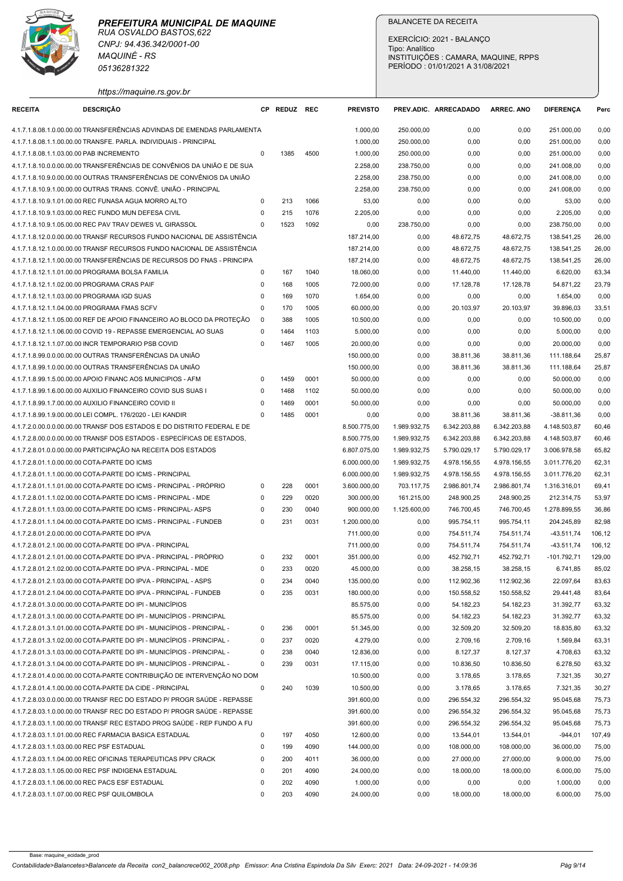

|                                              |                                                                                                                                                    |                            |              |              |                              | Tipo: Analítico              | EXERCÍCIO: 2021 - BALANCO        | INSTITUIÇÕES : CAMARA, MAQUINE, RPPS |                              |                  |
|----------------------------------------------|----------------------------------------------------------------------------------------------------------------------------------------------------|----------------------------|--------------|--------------|------------------------------|------------------------------|----------------------------------|--------------------------------------|------------------------------|------------------|
|                                              | 05136281322<br>https://maquine.rs.gov.br                                                                                                           |                            |              |              |                              |                              | PERÍODO: 01/01/2021 A 31/08/2021 |                                      |                              |                  |
| <b>RECEITA</b>                               | <b>DESCRIÇÃO</b>                                                                                                                                   |                            | CP REDUZ REC |              | <b>PREVISTO</b>              |                              | PREV.ADIC. ARRECADADO            | <b>ARREC. ANO</b>                    | <b>DIFERENCA</b>             | Perc             |
|                                              | 4.1.7.1.8.08.1.0.00.00.00 TRANSFERÊNCIAS ADVINDAS DE EMENDAS PARLAMENTA                                                                            |                            |              |              | 1.000,00                     | 250.000,00                   | 0,00                             | 0,00                                 | 251.000,00                   | 0,00             |
|                                              | 4.1.7.1.8.08.1.1.00.00.00 TRANSFE. PARLA. INDIVIDUAIS - PRINCIPAL                                                                                  |                            |              |              | 1.000,00                     | 250.000,00                   | 0,00                             | 0,00                                 | 251.000,00                   | 0,00             |
| 4.1.7.1.8.08.1.1.03.00.00 PAB INCREMENTO     | 4.1.7.1.8.10.0.0.00.00.00 TRANSFERÊNCIAS DE CONVÊNIOS DA UNIÃO E DE SUA                                                                            | $\Omega$                   | 1385         | 4500         | 1.000,00<br>2.258,00         | 250.000,00<br>238.750,00     | 0,00<br>0,00                     | 0,00<br>0,00                         | 251.000,00<br>241.008,00     | 0,00<br>0,00     |
|                                              | 4.1.7.1.8.10.9.0.00.00.00 OUTRAS TRANSFERÊNCIAS DE CONVÊNIOS DA UNIÃO                                                                              |                            |              |              | 2.258,00                     | 238.750,00                   | 0,00                             | 0,00                                 | 241.008,00                   | 0,00             |
|                                              | 4.1.7.1.8.10.9.1.00.00.00 OUTRAS TRANS. CONVÊ. UNIÃO - PRINCIPAL                                                                                   |                            |              |              | 2.258,00                     | 238.750,00                   | 0,00                             | 0,00                                 | 241.008,00                   | 0,00             |
|                                              | 4.1.7.1.8.10.9.1.01.00.00 REC FUNASA AGUA MORRO ALTO<br>4.1.7.1.8.10.9.1.03.00.00 REC FUNDO MUN DEFESA CIVIL                                       | $\Omega$<br>$\Omega$       | 213<br>215   | 1066<br>1076 | 53,00<br>2.205,00            | 0,00<br>0,00                 | 0,00<br>0,00                     | 0,00<br>0,00                         | 53,00<br>2.205,00            | 0,00<br>0,00     |
|                                              | 4.1.7.1.8.10.9.1.05.00.00 REC PAV TRAV DEWES VL GIRASSOL                                                                                           | $\Omega$                   | 1523         | 1092         | 0,00                         | 238.750,00                   | 0,00                             | 0,00                                 | 238.750,00                   | 0,00             |
|                                              | 4.1.7.1.8.12.0.0.00.00.00 TRANSF RECURSOS FUNDO NACIONAL DE ASSISTÊNCIA                                                                            |                            |              |              | 187.214,00                   | 0,00                         | 48.672,75                        | 48.672,75                            | 138.541,25                   | 26,00            |
|                                              | 4.1.7.1.8.12.1.0.00.00.00 TRANSF RECURSOS FUNDO NACIONAL DE ASSISTÊNCIA                                                                            |                            |              |              | 187.214,00                   | 0,00                         | 48.672,75                        | 48.672,75                            | 138.541,25                   | 26,00            |
|                                              | 4.1.7.1.8.12.1.1.00.00.00 TRANSFERÊNCIAS DE RECURSOS DO FNAS - PRINCIPA<br>4.1.7.1.8.12.1.1.01.00.00 PROGRAMA BOLSA FAMILIA                        | $\Omega$                   | 167          | 1040         | 187.214,00<br>18.060,00      | 0,00<br>0,00                 | 48.672,75<br>11.440,00           | 48.672,75<br>11.440,00               | 138.541,25<br>6.620,00       | 26,00<br>63,34   |
| 4.1.7.1.8.12.1.1.02.00.00 PROGRAMA CRAS PAIF |                                                                                                                                                    |                            | 168          | 1005         | 72.000,00                    | 0,00                         | 17.128,78                        | 17.128,78                            | 54.871,22                    | 23,79            |
| 4.1.7.1.8.12.1.1.03.00.00 PROGRAMA IGD SUAS  |                                                                                                                                                    | $\Omega$                   | 169          | 1070         | 1.654,00                     | 0,00                         | 0,00                             | 0,00                                 | 1.654,00                     | 0,00             |
| 4.1.7.1.8.12.1.1.04.00.00 PROGRAMA FMAS SCFV | 4.1.7.1.8.12.1.1.05.00.00 REF DE APOIO FINANCEIRO AO BLOCO DA PROTEÇÃO                                                                             | 0                          | 170          | 1005         | 60.000,00                    | 0,00                         | 20.103,97                        | 20.103,97                            | 39.896,03                    | 33,51            |
|                                              | 4.1.7.1.8.12.1.1.06.00.00 COVID 19 - REPASSE EMERGENCIAL AO SUAS                                                                                   | - 0<br>$\mathbf 0$         | 388<br>1464  | 1005<br>1103 | 10.500,00<br>5.000,00        | 0,00<br>0,00                 | 0,00<br>0,00                     | 0,00<br>0,00                         | 10.500,00<br>5.000,00        | 0,00<br>0,00     |
|                                              | 4.1.7.1.8.12.1.1.07.00.00 INCR TEMPORARIO PSB COVID                                                                                                | 0                          | 1467         | 1005         | 20.000,00                    | 0,00                         | 0,00                             | 0,00                                 | 20.000,00                    | 0,00             |
|                                              | 4.1.7.1.8.99.0.0.00.00.00 OUTRAS TRANSFERÊNCIAS DA UNIÃO                                                                                           |                            |              |              | 150.000,00                   | 0,00                         | 38.811,36                        | 38.811,36                            | 111.188,64                   | 25,87            |
|                                              | 4.1.7.1.8.99.1.0.00.00.00 OUTRAS TRANSFERÊNCIAS DA UNIÃO<br>4.1.7.1.8.99.1.5.00.00.00 APOIO FINANC AOS MUNICIPIOS - AFM                            | $\Omega$                   | 1459         | 0001         | 150.000,00                   | 0,00                         | 38.811,36<br>0,00                | 38.811,36                            | 111.188,64                   | 25,87<br>0,00    |
|                                              | 4.1.7.1.8.99.1.6.00.00.00 AUXILIO FINANCEIRO COVID SUS SUAS I                                                                                      | $\Omega$                   | 1468         | 1102         | 50.000,00<br>50.000,00       | 0,00<br>0,00                 | 0,00                             | 0,00<br>0,00                         | 50.000,00<br>50.000,00       | 0,00             |
|                                              | 4.1.7.1.8.99.1.7.00.00.00 AUXILIO FINANCEIRO COVID II                                                                                              | $\Omega$                   | 1469         | 0001         | 50.000,00                    | 0,00                         | 0,00                             | 0,00                                 | 50.000,00                    | 0,00             |
|                                              | 4.1.7.1.8.99.1.9.00.00.00 LEI COMPL. 176/2020 - LEI KANDIR                                                                                         | $\Omega$                   | 1485         | 0001         | 0,00                         | 0,00                         | 38.811,36                        | 38.811,36                            | $-38.811,36$                 | 0,00             |
|                                              | 4.1.7.2.0.00.0.0.00.00.00 TRANSF DOS ESTADOS E DO DISTRITO FEDERAL E DE<br>4.1.7.2.8.00.0.0.00.00.00 TRANSF DOS ESTADOS - ESPECÍFICAS DE ESTADOS,  |                            |              |              | 8.500.775,00<br>8.500.775,00 | 1.989.932,75<br>1.989.932,75 | 6.342.203,88<br>6.342.203,88     | 6.342.203,88<br>6.342.203,88         | 4.148.503,87<br>4.148.503,87 | 60,46<br>60,46   |
|                                              | 4.1.7.2.8.01.0.0.00.00.00 PARTICIPAÇÃO NA RECEITA DOS ESTADOS                                                                                      |                            |              |              | 6.807.075,00                 | 1.989.932,75                 | 5.790.029,17                     | 5.790.029,17                         | 3.006.978,58                 | 65,82            |
| 4.1.7.2.8.01.1.0.00.00.00 COTA-PARTE DO ICMS |                                                                                                                                                    |                            |              |              | 6.000.000,00                 | 1.989.932,75                 | 4.978.156,55                     | 4.978.156,55                         | 3.011.776,20                 | 62,31            |
|                                              | 4.1.7.2.8.01.1.1.00.00.00 COTA-PARTE DO ICMS - PRINCIPAL                                                                                           |                            |              |              | 6.000.000,00                 | 1.989.932,75                 | 4.978.156,55                     | 4.978.156,55                         | 3.011.776,20                 | 62,31            |
|                                              | 4.1.7.2.8.01.1.1.01.00.00 COTA-PARTE DO ICMS - PRINCIPAL - PRÓPRIO<br>4.1.7.2.8.01.1.1.02.00.00 COTA-PARTE DO ICMS - PRINCIPAL - MDE               | 0<br>0                     | 228<br>229   | 0001<br>0020 | 3.600.000,00<br>300.000,00   | 703.117,75<br>161.215,00     | 2.986.801,74<br>248.900,25       | 2.986.801,74<br>248.900,25           | 1.316.316,01<br>212.314,75   | 69,41<br>53,97   |
|                                              | 4.1.7.2.8.01.1.1.03.00.00 COTA-PARTE DO ICMS - PRINCIPAL- ASPS                                                                                     | $\mathbf 0$                | 230          | 0040         | 900.000,00                   | 1.125.600,00                 | 746.700,45                       | 746.700,45                           | 1.278.899,55                 | 36,86            |
|                                              | 4.1.7.2.8.01.1.1.04.00.00 COTA-PARTE DO ICMS - PRINCIPAL - FUNDEB                                                                                  | $\Omega$                   | 231          | 0031         | 1.200.000,00                 | 0,00                         | 995.754,11                       | 995.754,11                           | 204.245,89                   | 82,98            |
| 4.1.7.2.8.01.2.0.00.00.00 COTA-PARTE DO IPVA |                                                                                                                                                    |                            |              |              | 711.000,00                   | 0,00                         | 754.511,74                       | 754.511,74                           | -43.511,74                   | 106,12           |
|                                              | 4.1.7.2.8.01.2.1.00.00.00 COTA-PARTE DO IPVA - PRINCIPAL<br>4.1.7.2.8.01.2.1.01.00.00 COTA-PARTE DO IPVA - PRINCIPAL - PROPRIO                     | 0                          | 232          | 0001         | 711.000,00<br>351.000,00     | 0,00<br>0,00                 | 754.511,74<br>452.792,71         | 754.511,74<br>452.792,71             | $-43.511,74$<br>-101.792,71  | 106,12<br>129,00 |
|                                              | 4.1.7.2.8.01.2.1.02.00.00 COTA-PARTE DO IPVA - PRINCIPAL - MDE                                                                                     | $\Omega$                   | 233          | 0020         | 45.000,00                    | 0,00                         | 38.258,15                        | 38.258,15                            | 6.741,85                     | 85,02            |
|                                              | 4.1.7.2.8.01.2.1.03.00.00 COTA-PARTE DO IPVA - PRINCIPAL - ASPS                                                                                    | $\mathbf 0$                | 234          | 0040         | 135.000,00                   | 0,00                         | 112.902,36                       | 112.902,36                           | 22.097,64                    | 83,63            |
|                                              | 4.1.7.2.8.01.2.1.04.00.00 COTA-PARTE DO IPVA - PRINCIPAL - FUNDEB<br>4.1.7.2.8.01.3.0.00.00.00 COTA-PARTE DO IPI - MUNICÍPIOS                      | $\Omega$                   | 235          | 0031         | 180.000,00<br>85.575,00      | 0,00<br>0,00                 | 150.558,52<br>54.182,23          | 150.558,52<br>54.182,23              | 29.441,48<br>31.392,77       | 83,64<br>63,32   |
|                                              | 4.1.7.2.8.01.3.1.00.00.00 COTA-PARTE DO IPI - MUNICÍPIOS - PRINCIPAL                                                                               |                            |              |              | 85.575,00                    | 0,00                         | 54.182,23                        | 54.182,23                            | 31.392,77                    | 63,32            |
|                                              | 4.1.7.2.8.01.3.1.01.00.00 COTA-PARTE DO IPI - MUNICÍPIOS - PRINCIPAL -                                                                             | 0                          | 236          | 0001         | 51.345,00                    | 0,00                         | 32.509,20                        | 32.509,20                            | 18.835,80                    | 63,32            |
|                                              | 4.1.7.2.8.01.3.1.02.00.00 COTA-PARTE DO IPI - MUNICÍPIOS - PRINCIPAL -                                                                             | $\mathbf 0$                | 237          | 0020         | 4.279,00                     | 0,00                         | 2.709,16                         | 2.709,16                             | 1.569,84                     | 63,31            |
|                                              | 4.1.7.2.8.01.3.1.03.00.00 COTA-PARTE DO IPI - MUNICÍPIOS - PRINCIPAL -<br>4.1.7.2.8.01.3.1.04.00.00 COTA-PARTE DO IPI - MUNICÍPIOS - PRINCIPAL -   | $\mathbf 0$<br>$\mathbf 0$ | 238<br>239   | 0040<br>0031 | 12.836,00<br>17.115,00       | 0,00<br>0,00                 | 8.127,37<br>10.836,50            | 8.127,37<br>10.836,50                | 4.708,63<br>6.278,50         | 63,32<br>63,32   |
|                                              | 4.1.7.2.8.01.4.0.00.00.00 COTA-PARTE CONTRIBUIÇÃO DE INTERVENÇÃO NO DOM                                                                            |                            |              |              | 10.500,00                    | 0,00                         | 3.178,65                         | 3.178,65                             | 7.321,35                     | 30,27            |
|                                              | 4.1.7.2.8.01.4.1.00.00.00 COTA-PARTE DA CIDE - PRINCIPAL                                                                                           | $\mathbf 0$                | 240          | 1039         | 10.500,00                    | 0,00                         | 3.178,65                         | 3.178,65                             | 7.321,35                     | 30,27            |
|                                              | 4.1.7.2.8.03.0.0.00.00.00 TRANSF REC DO ESTADO P/ PROGR SAÚDE - REPASSE                                                                            |                            |              |              | 391.600,00                   | 0,00                         | 296.554,32                       | 296.554,32                           | 95.045,68                    | 75,73            |
|                                              | 4.1.7.2.8.03.1.0.00.00.00 TRANSF REC DO ESTADO P/ PROGR SAÚDE - REPASSE<br>4.1.7.2.8.03.1.1.00.00.00 TRANSF REC ESTADO PROG SAÚDE - REP FUNDO A FU |                            |              |              | 391.600,00<br>391.600,00     | 0,00                         | 296.554,32<br>296.554,32         | 296.554,32                           | 95.045,68                    | 75,73<br>75,73   |
|                                              | 4.1.7.2.8.03.1.1.01.00.00 REC FARMACIA BASICA ESTADUAL                                                                                             | 0                          | 197          | 4050         | 12.600,00                    | 0,00<br>0,00                 | 13.544,01                        | 296.554,32<br>13.544,01              | 95.045,68<br>$-944,01$       | 107,49           |
| 4.1.7.2.8.03.1.1.03.00.00 REC PSF ESTADUAL   |                                                                                                                                                    | $\Omega$                   | 199          | 4090         | 144.000,00                   | 0,00                         | 108.000,00                       | 108.000,00                           | 36.000,00                    | 75,00            |
|                                              | 4.1.7.2.8.03.1.1.04.00.00 REC OFICINAS TERAPEUTICAS PPV CRACK                                                                                      | $\Omega$                   | 200          | 4011         | 36.000,00                    | 0,00                         | 27.000,00                        | 27.000,00                            | 9.000,00                     | 75,00            |
|                                              | 4.1.7.2.8.03.1.1.05.00.00 REC PSF INDIGENA ESTADUAL                                                                                                | $\Omega$                   | 201          | 4090         | 24.000,00                    | 0,00                         | 18.000,00                        | 18.000,00                            | 6.000,00                     | 75,00            |
|                                              | 4.1.7.2.8.03.1.1.06.00.00 REC PACS ESF ESTADUAL                                                                                                    |                            | 202          | 4090         | 1.000,00                     | 0,00                         | 0,00                             | 0,00                                 | 1.000,00                     | 0,00             |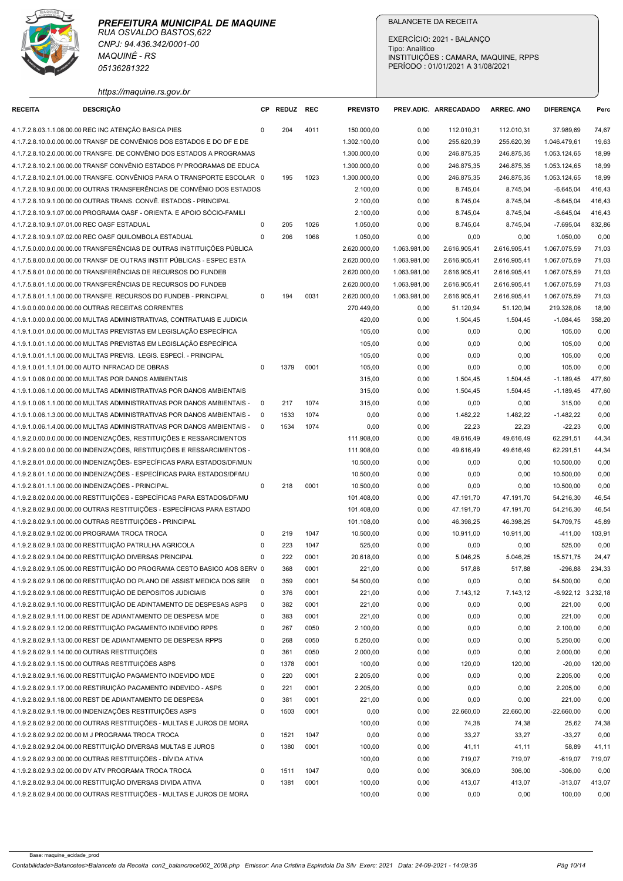| https://maquine.rs.gov.br<br><b>DESCRIÇÃO</b><br>REDUZ REC<br><b>PREVISTO</b><br>ARREC. ANO<br><b>DIFERENCA</b><br><b>RECEITA</b><br><b>CP</b><br>PREV.ADIC. ARRECADADO<br>Perc<br>4.1.7.2.8.03.1.1.08.00.00 REC INC ATENÇÃO BASICA PIES<br>204<br>112.010,31<br>37.989,69<br>74,67<br>4011<br>150.000,00<br>0,00<br>112.010,31<br>4.1.7.2.8.10.0.0.00.00.00 TRANSF DE CONVÊNIOS DOS ESTADOS E DO DF E DE<br>255.620,39<br>1.046.479,61<br>19,63<br>1.302.100,00<br>0,00<br>255.620,39<br>4.1.7.2.8.10.2.0.00.00.00 TRANSFE. DE CONVÊNIO DOS ESTADOS A PROGRAMAS<br>1.300.000,00<br>0,00<br>246.875,35<br>246.875,35<br>1.053.124,65<br>18,99<br>4.1.7.2.8.10.2.1.00.00.00 TRANSF CONVÊNIO ESTADOS P/ PROGRAMAS DE EDUCA<br>1.300.000,00<br>246.875,35<br>246.875,35<br>1.053.124,65<br>18,99<br>0,00<br>4.1.7.2.8.10.2.1.01.00.00 TRANSFE. CONVÊNIOS PARA O TRANSPORTE ESCOLAR 0<br>195<br>1023<br>1.300.000,00<br>0,00<br>246.875,35<br>246.875,35<br>1.053.124,65<br>18,99<br>4.1.7.2.8.10.9.0.00.00.00 OUTRAS TRANSFERÊNCIAS DE CONVÊNIO DOS ESTADOS<br>2.100,00<br>8.745,04<br>416,43<br>0,00<br>8.745,04<br>$-6.645.04$<br>4.1.7.2.8.10.9.1.00.00.00 OUTRAS TRANS. CONVÊ. ESTADOS - PRINCIPAL<br>2.100,00<br>8.745,04<br>8.745,04<br>$-6.645,04$<br>416,43<br>0,00<br>4.1.7.2.8.10.9.1.07.00.00 PROGRAMA OASF - ORIENTA. E APOIO SÓCIO-FAMILI<br>2.100,00<br>8.745,04<br>0,00<br>8.745,04<br>$-6.645.04$<br>416,43<br>4.1.7.2.8.10.9.1.07.01.00 REC OASF ESTADUAL<br>205<br>1026<br>1.050,00<br>8.745,04<br>8.745,04<br>832,86<br>0,00<br>-7.695,04<br>4.1.7.2.8.10.9.1.07.02.00 REC OASF QUILOMBOLA ESTADUAL<br>206<br>1068<br>1.050,00<br>0,00<br>0,00<br>0,00<br>1.050,00<br>0,00<br>0<br>4.1.7.5.0.00.0.0.00.00.00 TRANSFERÊNCIAS DE OUTRAS INSTITUIÇÕES PÚBLICA<br>1.063.981,00<br>2.616.905,41<br>2.616.905,41<br>1.067.075,59<br>71,03<br>2.620.000,00<br>4.1.7.5.8.00.0.0.00.00.00 TRANSF DE OUTRAS INSTIT PÚBLICAS - ESPEC ESTA<br>2.620.000,00<br>1.063.981,00<br>2.616.905,41<br>2.616.905,41<br>1.067.075,59<br>71,03<br>4.1.7.5.8.01.0.0.00.00.00 TRANSFERÊNCIAS DE RECURSOS DO FUNDEB<br>1.063.981,00<br>2.616.905,41<br>2.616.905,41<br>1.067.075,59<br>71,03<br>2.620.000,00<br>4.1.7.5.8.01.1.0.00.00.00 TRANSFERÊNCIAS DE RECURSOS DO FUNDEB<br>1.063.981,00<br>71,03<br>2.620.000,00<br>2.616.905,41<br>2.616.905,41<br>1.067.075,59<br>4.1.7.5.8.01.1.1.00.00.00 TRANSFE. RECURSOS DO FUNDEB - PRINCIPAL<br>0031<br>1.063.981,00<br>194<br>2.620.000,00<br>2.616.905,41<br>2.616.905,41<br>1.067.075,59<br>71,03<br>0<br>4.1.9.0.0.00.0.0.00.00.00 OUTRAS RECEITAS CORRENTES<br>270.449,00<br>0,00<br>51.120,94<br>51.120,94<br>219.328,06<br>18,90<br>420,00<br>358,20<br>4.1.9.1.0.00.0.0.00.00.00 MULTAS ADMINISTRATIVAS, CONTRATUAIS E JUDICIA<br>0,00<br>1.504,45<br>1.504,45<br>$-1.084,45$<br>4.1.9.1.0.01.0.0.00.00.00 MULTAS PREVISTAS EM LEGISLAÇÃO ESPECÍFICA<br>105,00<br>0,00<br>0,00<br>0,00<br>0,00<br>105,00<br>4.1.9.1.0.01.1.0.00.00.00 MULTAS PREVISTAS EM LEGISLAÇÃO ESPECÍFICA<br>105,00<br>0,00<br>0,00<br>0,00<br>105,00<br>0,00<br>4.1.9.1.0.01.1.1.00.00.00 MULTAS PREVIS. LEGIS. ESPECÍ. - PRINCIPAL<br>105,00<br>0,00<br>0,00<br>0,00<br>0,00<br>105,00<br>4.1.9.1.0.01.1.1.01.00.00 AUTO INFRACAO DE OBRAS<br>1379<br>0001<br>105,00<br>0,00<br>0,00<br>$\mathbf 0$<br>0,00<br>0,00<br>105,00<br>4.1.9.1.0.06.0.0.00.00.00 MULTAS POR DANOS AMBIENTAIS<br>315,00<br>477,60<br>0,00<br>1.504,45<br>1.504,45<br>-1.189,45<br>315,00<br>477,60<br>4.1.9.1.0.06.1.0.00.00.00 MULTAS ADMINISTRATIVAS POR DANOS AMBIENTAIS<br>0,00<br>1.504,45<br>1.504,45<br>$-1.189,45$<br>217<br>1074<br>4.1.9.1.0.06.1.1.00.00.00 MULTAS ADMINISTRATIVAS POR DANOS AMBIENTAIS -<br>315,00<br>0,00<br>0,00<br>0,00<br>0,00<br>$\overline{\phantom{0}}$<br>315,00<br>1533<br>1074<br>1.482,22<br>4.1.9.1.0.06.1.3.00.00.00 MULTAS ADMINISTRATIVAS POR DANOS AMBIENTAIS -<br>$\overline{\phantom{0}}$<br>0,00<br>0,00<br>1.482,22<br>-1.482,22<br>0,00<br>4.1.9.1.0.06.1.4.00.00.00 MULTAS ADMINISTRATIVAS POR DANOS AMBIENTAIS - 0<br>22,23<br>22,23<br>1534<br>1074<br>0,00<br>0,00<br>$-22,23$<br>0,00<br>4.1.9.2.0.00.0.0.00.00.00 INDENIZAÇÕES, RESTITUIÇÕES E RESSARCIMENTOS<br>111.908,00<br>49.616,49<br>62.291,51<br>44,34<br>0,00<br>49.616,49<br>4.1.9.2.8.00.0.0.00.00.00 INDENIZAÇÕES, RESTITUIÇÕES E RESSARCIMENTOS -<br>111.908,00<br>0,00<br>49.616,49<br>49.616,49<br>62.291,51<br>44,34<br>4.1.9.2.8.01.0.0.00.00.00 INDENIZAÇÕES- ESPECÍFICAS PARA ESTADOS/DF/MUN<br>10.500,00<br>0,00<br>0,00<br>0,00<br>10.500,00<br>0,00<br>4.1.9.2.8.01.1.0.00.00.00 INDENIZAÇÕES - ESPECÍFICAS PARA ESTADOS/DF/MU<br>10.500,00<br>0,00<br>10.500,00<br>0,00<br>0,00<br>0,00<br>0001<br>4.1.9.2.8.01.1.1.00.00.00 INDENIZAÇÕES - PRINCIPAL<br>218<br>10.500,00<br>0,00<br>0,00<br>10.500,00<br>0,00<br>0<br>0,00<br>4.1.9.2.8.02.0.0.00.00.00 RESTITUIÇÕES - ESPECÍFICAS PARA ESTADOS/DF/MU<br>101.408,00<br>47.191,70<br>47.191,70<br>54.216,30<br>46,54<br>0,00<br>4.1.9.2.8.02.9.0.00.00.00 OUTRAS RESTITUIÇÕES - ESPECÍFICAS PARA ESTADO<br>101.408,00<br>47.191,70<br>46,54<br>0,00<br>47.191,70<br>54.216,30<br>4.1.9.2.8.02.9.1.00.00.00 OUTRAS RESTITUIÇÕES - PRINCIPAL<br>101.108,00<br>46.398,25<br>46.398,25<br>54.709,75<br>45,89<br>0,00<br>219<br>1047<br>10.500,00<br>4.1.9.2.8.02.9.1.02.00.00 PROGRAMA TROCA TROCA<br>0,00<br>10.911,00<br>10.911,00<br>$-411,00$<br>103,91<br>$\Omega$<br>4.1.9.2.8.02.9.1.03.00.00 RESTITUIÇÃO PATRULHA AGRICOLA<br>223<br>1047<br>525,00<br>0,00<br>$\mathbf 0$<br>0,00<br>0,00<br>525,00<br>0,00<br>4.1.9.2.8.02.9.1.04.00.00 RESTITUIÇÃO DIVERSAS PRINCIPAL<br>0001<br>222<br>20.618,00<br>0,00<br>5.046,25<br>5.046,25<br>15.571,75<br>24,47<br>0<br>4.1.9.2.8.02.9.1.05.00.00 RESTITUIÇÃO DO PROGRAMA CESTO BASICO AOS SERV 0<br>368<br>0001<br>221,00<br>517,88<br>517,88<br>0,00<br>$-296,88$<br>234,33<br>4.1.9.2.8.02.9.1.06.00.00 RESTITUIÇÃO DO PLANO DE ASSIST MEDICA DOS SER<br>$\overline{\mathbf{0}}$<br>359<br>0001<br>54.500,00<br>0,00<br>0,00<br>0,00<br>54.500,00<br>0,00<br>376<br>4.1.9.2.8.02.9.1.08.00.00 RESTITUIÇÃO DE DEPOSITOS JUDICIAIS<br>$\mathbf 0$<br>0001<br>221,00<br>7.143,12<br>7.143,12<br>-6.922,12 3.232,18<br>0,00<br>4.1.9.2.8.02.9.1.10.00.00 RESTITUIÇÃO DE ADINTAMENTO DE DESPESAS ASPS<br>382<br>0001<br>221,00<br>0,00<br>0,00<br>0,00<br>$\overline{\mathbf{0}}$<br>0,00<br>221,00<br>383<br>0001<br>221,00<br>4.1.9.2.8.02.9.1.11.00.00 REST DE ADIANTAMENTO DE DESPESA MDE<br>$\mathbf 0$<br>0,00<br>0,00<br>0,00<br>221,00<br>0,00<br>4.1.9.2.8.02.9.1.12.00.00 RESTITUIÇÃO PAGAMENTO INDEVIDO RPPS<br>$\mathbf 0$<br>267<br>0050<br>2.100,00<br>0,00<br>0,00<br>2.100,00<br>0,00<br>0,00<br>4.1.9.2.8.02.9.1.13.00.00 REST DE ADIANTAMENTO DE DESPESA RPPS<br>0050<br>5.250,00<br>$\mathbf 0$<br>268<br>0,00<br>0,00<br>0,00<br>5.250,00<br>0,00<br>4.1.9.2.8.02.9.1.14.00.00 OUTRAS RESTITUIÇÕES<br>361<br>0050<br>2.000,00<br>0,00<br>0,00<br>2.000,00<br>0,00<br>$\mathbf 0$<br>0,00<br>4.1.9.2.8.02.9.1.15.00.00 OUTRAS RESTITUIÇÕES ASPS<br>0001<br>100,00<br>120,00<br>$\mathbf 0$<br>1378<br>0,00<br>120,00<br>120,00<br>$-20,00$<br>4.1.9.2.8.02.9.1.16.00.00 RESTITUIÇÃO PAGAMENTO INDEVIDO MDE<br>220<br>0001<br>2.205,00<br>0,00<br>0,00<br>0,00<br>2.205,00<br>0,00<br>0<br>4.1.9.2.8.02.9.1.17.00.00 RESTIRUIÇÃO PAGAMENTO INDEVIDO - ASPS<br>221<br>0001<br>2.205,00<br>0,00<br>$\mathbf 0$<br>0,00<br>0,00<br>0,00<br>2.205,00<br>4.1.9.2.8.02.9.1.18.00.00 REST DE ADIANTAMENTO DE DESPESA<br>0001<br>221,00<br>0,00<br>0<br>381<br>0,00<br>0,00<br>0,00<br>221,00<br>4.1.9.2.8.02.9.1.19.00.00 INDENIZAÇÕES RESTITUIÇÕES ASPS<br>$\mathbf 0$<br>1503<br>0001<br>0,00<br>22.660,00<br>22.660,00<br>-22.660,00<br>0,00<br>0,00<br>4.1.9.2.8.02.9.2.00.00.00 OUTRAS RESTITUIÇÕES - MULTAS E JUROS DE MORA<br>74,38<br>74,38<br>74,38<br>100,00<br>0,00<br>25,62<br>4.1.9.2.8.02.9.2.02.00.00 M J PROGRAMA TROCA TROCA<br>$\mathbf 0$<br>1521<br>1047<br>0,00<br>33,27<br>33,27<br>$-33,27$<br>0,00<br>0,00<br>4.1.9.2.8.02.9.2.04.00.00 RESTITUIÇÃO DIVERSAS MULTAS E JUROS<br>$\mathbf 0$<br>1380<br>0001<br>100,00<br>0,00<br>41,11<br>41,11<br>58,89<br>41,11<br>4.1.9.2.8.02.9.3.00.00.00 OUTRAS RESTITUIÇÕES - DÍVIDA ATIVA<br>100,00<br>719,07<br>719,07<br>0,00<br>719,07<br>$-619,07$<br>4.1.9.2.8.02.9.3.02.00.00 DV ATV PROGRAMA TROCA TROCA<br>1047<br>306,00<br>306,00<br>$-306,00$<br>0,00<br>$\Omega$<br>1511<br>0,00<br>0,00<br>4.1.9.2.8.02.9.3.04.00.00 RESTITUIÇÃO DIVERSAS DIVIDA ATIVA<br>100,00<br>413,07<br>1381<br>0001<br>0,00<br>413,07<br>413,07<br>$-313,07$<br>0 | RUA OSVALDO BASTOS, 622<br>CNPJ: 94.436.342/0001-00<br><b>MAQUINÉ - RS</b><br>05136281322 | PREFEITURA MUNICIPAL DE MAQUINE |  | Tipo: Analítico | <b>BALANCETE DA RECEITA</b><br>EXERCÍCIO: 2021 - BALANCO<br>PERÍODO: 01/01/2021 A 31/08/2021 | INSTITUIÇÕES : CAMARA, MAQUINE, RPPS |  |
|-----------------------------------------------------------------------------------------------------------------------------------------------------------------------------------------------------------------------------------------------------------------------------------------------------------------------------------------------------------------------------------------------------------------------------------------------------------------------------------------------------------------------------------------------------------------------------------------------------------------------------------------------------------------------------------------------------------------------------------------------------------------------------------------------------------------------------------------------------------------------------------------------------------------------------------------------------------------------------------------------------------------------------------------------------------------------------------------------------------------------------------------------------------------------------------------------------------------------------------------------------------------------------------------------------------------------------------------------------------------------------------------------------------------------------------------------------------------------------------------------------------------------------------------------------------------------------------------------------------------------------------------------------------------------------------------------------------------------------------------------------------------------------------------------------------------------------------------------------------------------------------------------------------------------------------------------------------------------------------------------------------------------------------------------------------------------------------------------------------------------------------------------------------------------------------------------------------------------------------------------------------------------------------------------------------------------------------------------------------------------------------------------------------------------------------------------------------------------------------------------------------------------------------------------------------------------------------------------------------------------------------------------------------------------------------------------------------------------------------------------------------------------------------------------------------------------------------------------------------------------------------------------------------------------------------------------------------------------------------------------------------------------------------------------------------------------------------------------------------------------------------------------------------------------------------------------------------------------------------------------------------------------------------------------------------------------------------------------------------------------------------------------------------------------------------------------------------------------------------------------------------------------------------------------------------------------------------------------------------------------------------------------------------------------------------------------------------------------------------------------------------------------------------------------------------------------------------------------------------------------------------------------------------------------------------------------------------------------------------------------------------------------------------------------------------------------------------------------------------------------------------------------------------------------------------------------------------------------------------------------------------------------------------------------------------------------------------------------------------------------------------------------------------------------------------------------------------------------------------------------------------------------------------------------------------------------------------------------------------------------------------------------------------------------------------------------------------------------------------------------------------------------------------------------------------------------------------------------------------------------------------------------------------------------------------------------------------------------------------------------------------------------------------------------------------------------------------------------------------------------------------------------------------------------------------------------------------------------------------------------------------------------------------------------------------------------------------------------------------------------------------------------------------------------------------------------------------------------------------------------------------------------------------------------------------------------------------------------------------------------------------------------------------------------------------------------------------------------------------------------------------------------------------------------------------------------------------------------------------------------------------------------------------------------------------------------------------------------------------------------------------------------------------------------------------------------------------------------------------------------------------------------------------------------------------------------------------------------------------------------------------------------------------------------------------------------------------------------------------------------------------------------------------------------------------------------------------------------------------------------------------------------------------------------------------------------------------------------------------------------------------------------------------------------------------------------------------------------------------------------------------------------------------------------------------------------------------------------------------------------------------------------------------------------------------------------------------------------------------------------------------------------------------------------------------------------------------------------------------------------------------------------------------------------------------------------------------------------------------------------------------------------------------------------------------------------------------------------------------------------------------------------------------------------------------------------------------------------------------------------------------------------------------------------------------------------------------------------------------------------------------------------------------------------------------------------------------------------------------------------------------------------------------------------------------------------------------------------------------------------------------------------------------------------------------------------------------------------------------------------------------------------------------------------------------------------------------------------------------------------------------------------------------------------------------------------------------------------------------------------------------------------------------------------------------------------------------------------------------------------------------------------------------------------------------------------------------------------------------------------------------------------------------------------------------------------------------------------------------------------------------------------------------|-------------------------------------------------------------------------------------------|---------------------------------|--|-----------------|----------------------------------------------------------------------------------------------|--------------------------------------|--|
|                                                                                                                                                                                                                                                                                                                                                                                                                                                                                                                                                                                                                                                                                                                                                                                                                                                                                                                                                                                                                                                                                                                                                                                                                                                                                                                                                                                                                                                                                                                                                                                                                                                                                                                                                                                                                                                                                                                                                                                                                                                                                                                                                                                                                                                                                                                                                                                                                                                                                                                                                                                                                                                                                                                                                                                                                                                                                                                                                                                                                                                                                                                                                                                                                                                                                                                                                                                                                                                                                                                                                                                                                                                                                                                                                                                                                                                                                                                                                                                                                                                                                                                                                                                                                                                                                                                                                                                                                                                                                                                                                                                                                                                                                                                                                                                                                                                                                                                                                                                                                                                                                                                                                                                                                                                                                                                                                                                                                                                                                                                                                                                                                                                                                                                                                                                                                                                                                                                                                                                                                                                                                                                                                                                                                                                                                                                                                                                                                                                                                                                                                                                                                                                                                                                                                                                                                                                                                                                                                                                                                                                                                                                                                                                                                                                                                                                                                                                                                                                                                                                                                                                                                                                                                                                                                                                                                                                                                                                                                                                                                                                                                                                                                                                                                                                                                                                                                                                                                                                                                                                                                                                                                                                           |                                                                                           |                                 |  |                 |                                                                                              |                                      |  |
|                                                                                                                                                                                                                                                                                                                                                                                                                                                                                                                                                                                                                                                                                                                                                                                                                                                                                                                                                                                                                                                                                                                                                                                                                                                                                                                                                                                                                                                                                                                                                                                                                                                                                                                                                                                                                                                                                                                                                                                                                                                                                                                                                                                                                                                                                                                                                                                                                                                                                                                                                                                                                                                                                                                                                                                                                                                                                                                                                                                                                                                                                                                                                                                                                                                                                                                                                                                                                                                                                                                                                                                                                                                                                                                                                                                                                                                                                                                                                                                                                                                                                                                                                                                                                                                                                                                                                                                                                                                                                                                                                                                                                                                                                                                                                                                                                                                                                                                                                                                                                                                                                                                                                                                                                                                                                                                                                                                                                                                                                                                                                                                                                                                                                                                                                                                                                                                                                                                                                                                                                                                                                                                                                                                                                                                                                                                                                                                                                                                                                                                                                                                                                                                                                                                                                                                                                                                                                                                                                                                                                                                                                                                                                                                                                                                                                                                                                                                                                                                                                                                                                                                                                                                                                                                                                                                                                                                                                                                                                                                                                                                                                                                                                                                                                                                                                                                                                                                                                                                                                                                                                                                                                                                           |                                                                                           |                                 |  |                 |                                                                                              |                                      |  |
|                                                                                                                                                                                                                                                                                                                                                                                                                                                                                                                                                                                                                                                                                                                                                                                                                                                                                                                                                                                                                                                                                                                                                                                                                                                                                                                                                                                                                                                                                                                                                                                                                                                                                                                                                                                                                                                                                                                                                                                                                                                                                                                                                                                                                                                                                                                                                                                                                                                                                                                                                                                                                                                                                                                                                                                                                                                                                                                                                                                                                                                                                                                                                                                                                                                                                                                                                                                                                                                                                                                                                                                                                                                                                                                                                                                                                                                                                                                                                                                                                                                                                                                                                                                                                                                                                                                                                                                                                                                                                                                                                                                                                                                                                                                                                                                                                                                                                                                                                                                                                                                                                                                                                                                                                                                                                                                                                                                                                                                                                                                                                                                                                                                                                                                                                                                                                                                                                                                                                                                                                                                                                                                                                                                                                                                                                                                                                                                                                                                                                                                                                                                                                                                                                                                                                                                                                                                                                                                                                                                                                                                                                                                                                                                                                                                                                                                                                                                                                                                                                                                                                                                                                                                                                                                                                                                                                                                                                                                                                                                                                                                                                                                                                                                                                                                                                                                                                                                                                                                                                                                                                                                                                                                           |                                                                                           |                                 |  |                 |                                                                                              |                                      |  |
|                                                                                                                                                                                                                                                                                                                                                                                                                                                                                                                                                                                                                                                                                                                                                                                                                                                                                                                                                                                                                                                                                                                                                                                                                                                                                                                                                                                                                                                                                                                                                                                                                                                                                                                                                                                                                                                                                                                                                                                                                                                                                                                                                                                                                                                                                                                                                                                                                                                                                                                                                                                                                                                                                                                                                                                                                                                                                                                                                                                                                                                                                                                                                                                                                                                                                                                                                                                                                                                                                                                                                                                                                                                                                                                                                                                                                                                                                                                                                                                                                                                                                                                                                                                                                                                                                                                                                                                                                                                                                                                                                                                                                                                                                                                                                                                                                                                                                                                                                                                                                                                                                                                                                                                                                                                                                                                                                                                                                                                                                                                                                                                                                                                                                                                                                                                                                                                                                                                                                                                                                                                                                                                                                                                                                                                                                                                                                                                                                                                                                                                                                                                                                                                                                                                                                                                                                                                                                                                                                                                                                                                                                                                                                                                                                                                                                                                                                                                                                                                                                                                                                                                                                                                                                                                                                                                                                                                                                                                                                                                                                                                                                                                                                                                                                                                                                                                                                                                                                                                                                                                                                                                                                                                           |                                                                                           |                                 |  |                 |                                                                                              |                                      |  |
|                                                                                                                                                                                                                                                                                                                                                                                                                                                                                                                                                                                                                                                                                                                                                                                                                                                                                                                                                                                                                                                                                                                                                                                                                                                                                                                                                                                                                                                                                                                                                                                                                                                                                                                                                                                                                                                                                                                                                                                                                                                                                                                                                                                                                                                                                                                                                                                                                                                                                                                                                                                                                                                                                                                                                                                                                                                                                                                                                                                                                                                                                                                                                                                                                                                                                                                                                                                                                                                                                                                                                                                                                                                                                                                                                                                                                                                                                                                                                                                                                                                                                                                                                                                                                                                                                                                                                                                                                                                                                                                                                                                                                                                                                                                                                                                                                                                                                                                                                                                                                                                                                                                                                                                                                                                                                                                                                                                                                                                                                                                                                                                                                                                                                                                                                                                                                                                                                                                                                                                                                                                                                                                                                                                                                                                                                                                                                                                                                                                                                                                                                                                                                                                                                                                                                                                                                                                                                                                                                                                                                                                                                                                                                                                                                                                                                                                                                                                                                                                                                                                                                                                                                                                                                                                                                                                                                                                                                                                                                                                                                                                                                                                                                                                                                                                                                                                                                                                                                                                                                                                                                                                                                                                           |                                                                                           |                                 |  |                 |                                                                                              |                                      |  |
|                                                                                                                                                                                                                                                                                                                                                                                                                                                                                                                                                                                                                                                                                                                                                                                                                                                                                                                                                                                                                                                                                                                                                                                                                                                                                                                                                                                                                                                                                                                                                                                                                                                                                                                                                                                                                                                                                                                                                                                                                                                                                                                                                                                                                                                                                                                                                                                                                                                                                                                                                                                                                                                                                                                                                                                                                                                                                                                                                                                                                                                                                                                                                                                                                                                                                                                                                                                                                                                                                                                                                                                                                                                                                                                                                                                                                                                                                                                                                                                                                                                                                                                                                                                                                                                                                                                                                                                                                                                                                                                                                                                                                                                                                                                                                                                                                                                                                                                                                                                                                                                                                                                                                                                                                                                                                                                                                                                                                                                                                                                                                                                                                                                                                                                                                                                                                                                                                                                                                                                                                                                                                                                                                                                                                                                                                                                                                                                                                                                                                                                                                                                                                                                                                                                                                                                                                                                                                                                                                                                                                                                                                                                                                                                                                                                                                                                                                                                                                                                                                                                                                                                                                                                                                                                                                                                                                                                                                                                                                                                                                                                                                                                                                                                                                                                                                                                                                                                                                                                                                                                                                                                                                                                           |                                                                                           |                                 |  |                 |                                                                                              |                                      |  |
|                                                                                                                                                                                                                                                                                                                                                                                                                                                                                                                                                                                                                                                                                                                                                                                                                                                                                                                                                                                                                                                                                                                                                                                                                                                                                                                                                                                                                                                                                                                                                                                                                                                                                                                                                                                                                                                                                                                                                                                                                                                                                                                                                                                                                                                                                                                                                                                                                                                                                                                                                                                                                                                                                                                                                                                                                                                                                                                                                                                                                                                                                                                                                                                                                                                                                                                                                                                                                                                                                                                                                                                                                                                                                                                                                                                                                                                                                                                                                                                                                                                                                                                                                                                                                                                                                                                                                                                                                                                                                                                                                                                                                                                                                                                                                                                                                                                                                                                                                                                                                                                                                                                                                                                                                                                                                                                                                                                                                                                                                                                                                                                                                                                                                                                                                                                                                                                                                                                                                                                                                                                                                                                                                                                                                                                                                                                                                                                                                                                                                                                                                                                                                                                                                                                                                                                                                                                                                                                                                                                                                                                                                                                                                                                                                                                                                                                                                                                                                                                                                                                                                                                                                                                                                                                                                                                                                                                                                                                                                                                                                                                                                                                                                                                                                                                                                                                                                                                                                                                                                                                                                                                                                                                           |                                                                                           |                                 |  |                 |                                                                                              |                                      |  |
|                                                                                                                                                                                                                                                                                                                                                                                                                                                                                                                                                                                                                                                                                                                                                                                                                                                                                                                                                                                                                                                                                                                                                                                                                                                                                                                                                                                                                                                                                                                                                                                                                                                                                                                                                                                                                                                                                                                                                                                                                                                                                                                                                                                                                                                                                                                                                                                                                                                                                                                                                                                                                                                                                                                                                                                                                                                                                                                                                                                                                                                                                                                                                                                                                                                                                                                                                                                                                                                                                                                                                                                                                                                                                                                                                                                                                                                                                                                                                                                                                                                                                                                                                                                                                                                                                                                                                                                                                                                                                                                                                                                                                                                                                                                                                                                                                                                                                                                                                                                                                                                                                                                                                                                                                                                                                                                                                                                                                                                                                                                                                                                                                                                                                                                                                                                                                                                                                                                                                                                                                                                                                                                                                                                                                                                                                                                                                                                                                                                                                                                                                                                                                                                                                                                                                                                                                                                                                                                                                                                                                                                                                                                                                                                                                                                                                                                                                                                                                                                                                                                                                                                                                                                                                                                                                                                                                                                                                                                                                                                                                                                                                                                                                                                                                                                                                                                                                                                                                                                                                                                                                                                                                                                           |                                                                                           |                                 |  |                 |                                                                                              |                                      |  |
|                                                                                                                                                                                                                                                                                                                                                                                                                                                                                                                                                                                                                                                                                                                                                                                                                                                                                                                                                                                                                                                                                                                                                                                                                                                                                                                                                                                                                                                                                                                                                                                                                                                                                                                                                                                                                                                                                                                                                                                                                                                                                                                                                                                                                                                                                                                                                                                                                                                                                                                                                                                                                                                                                                                                                                                                                                                                                                                                                                                                                                                                                                                                                                                                                                                                                                                                                                                                                                                                                                                                                                                                                                                                                                                                                                                                                                                                                                                                                                                                                                                                                                                                                                                                                                                                                                                                                                                                                                                                                                                                                                                                                                                                                                                                                                                                                                                                                                                                                                                                                                                                                                                                                                                                                                                                                                                                                                                                                                                                                                                                                                                                                                                                                                                                                                                                                                                                                                                                                                                                                                                                                                                                                                                                                                                                                                                                                                                                                                                                                                                                                                                                                                                                                                                                                                                                                                                                                                                                                                                                                                                                                                                                                                                                                                                                                                                                                                                                                                                                                                                                                                                                                                                                                                                                                                                                                                                                                                                                                                                                                                                                                                                                                                                                                                                                                                                                                                                                                                                                                                                                                                                                                                                           |                                                                                           |                                 |  |                 |                                                                                              |                                      |  |
|                                                                                                                                                                                                                                                                                                                                                                                                                                                                                                                                                                                                                                                                                                                                                                                                                                                                                                                                                                                                                                                                                                                                                                                                                                                                                                                                                                                                                                                                                                                                                                                                                                                                                                                                                                                                                                                                                                                                                                                                                                                                                                                                                                                                                                                                                                                                                                                                                                                                                                                                                                                                                                                                                                                                                                                                                                                                                                                                                                                                                                                                                                                                                                                                                                                                                                                                                                                                                                                                                                                                                                                                                                                                                                                                                                                                                                                                                                                                                                                                                                                                                                                                                                                                                                                                                                                                                                                                                                                                                                                                                                                                                                                                                                                                                                                                                                                                                                                                                                                                                                                                                                                                                                                                                                                                                                                                                                                                                                                                                                                                                                                                                                                                                                                                                                                                                                                                                                                                                                                                                                                                                                                                                                                                                                                                                                                                                                                                                                                                                                                                                                                                                                                                                                                                                                                                                                                                                                                                                                                                                                                                                                                                                                                                                                                                                                                                                                                                                                                                                                                                                                                                                                                                                                                                                                                                                                                                                                                                                                                                                                                                                                                                                                                                                                                                                                                                                                                                                                                                                                                                                                                                                                                           |                                                                                           |                                 |  |                 |                                                                                              |                                      |  |
|                                                                                                                                                                                                                                                                                                                                                                                                                                                                                                                                                                                                                                                                                                                                                                                                                                                                                                                                                                                                                                                                                                                                                                                                                                                                                                                                                                                                                                                                                                                                                                                                                                                                                                                                                                                                                                                                                                                                                                                                                                                                                                                                                                                                                                                                                                                                                                                                                                                                                                                                                                                                                                                                                                                                                                                                                                                                                                                                                                                                                                                                                                                                                                                                                                                                                                                                                                                                                                                                                                                                                                                                                                                                                                                                                                                                                                                                                                                                                                                                                                                                                                                                                                                                                                                                                                                                                                                                                                                                                                                                                                                                                                                                                                                                                                                                                                                                                                                                                                                                                                                                                                                                                                                                                                                                                                                                                                                                                                                                                                                                                                                                                                                                                                                                                                                                                                                                                                                                                                                                                                                                                                                                                                                                                                                                                                                                                                                                                                                                                                                                                                                                                                                                                                                                                                                                                                                                                                                                                                                                                                                                                                                                                                                                                                                                                                                                                                                                                                                                                                                                                                                                                                                                                                                                                                                                                                                                                                                                                                                                                                                                                                                                                                                                                                                                                                                                                                                                                                                                                                                                                                                                                                                           |                                                                                           |                                 |  |                 |                                                                                              |                                      |  |
|                                                                                                                                                                                                                                                                                                                                                                                                                                                                                                                                                                                                                                                                                                                                                                                                                                                                                                                                                                                                                                                                                                                                                                                                                                                                                                                                                                                                                                                                                                                                                                                                                                                                                                                                                                                                                                                                                                                                                                                                                                                                                                                                                                                                                                                                                                                                                                                                                                                                                                                                                                                                                                                                                                                                                                                                                                                                                                                                                                                                                                                                                                                                                                                                                                                                                                                                                                                                                                                                                                                                                                                                                                                                                                                                                                                                                                                                                                                                                                                                                                                                                                                                                                                                                                                                                                                                                                                                                                                                                                                                                                                                                                                                                                                                                                                                                                                                                                                                                                                                                                                                                                                                                                                                                                                                                                                                                                                                                                                                                                                                                                                                                                                                                                                                                                                                                                                                                                                                                                                                                                                                                                                                                                                                                                                                                                                                                                                                                                                                                                                                                                                                                                                                                                                                                                                                                                                                                                                                                                                                                                                                                                                                                                                                                                                                                                                                                                                                                                                                                                                                                                                                                                                                                                                                                                                                                                                                                                                                                                                                                                                                                                                                                                                                                                                                                                                                                                                                                                                                                                                                                                                                                                                           |                                                                                           |                                 |  |                 |                                                                                              |                                      |  |
|                                                                                                                                                                                                                                                                                                                                                                                                                                                                                                                                                                                                                                                                                                                                                                                                                                                                                                                                                                                                                                                                                                                                                                                                                                                                                                                                                                                                                                                                                                                                                                                                                                                                                                                                                                                                                                                                                                                                                                                                                                                                                                                                                                                                                                                                                                                                                                                                                                                                                                                                                                                                                                                                                                                                                                                                                                                                                                                                                                                                                                                                                                                                                                                                                                                                                                                                                                                                                                                                                                                                                                                                                                                                                                                                                                                                                                                                                                                                                                                                                                                                                                                                                                                                                                                                                                                                                                                                                                                                                                                                                                                                                                                                                                                                                                                                                                                                                                                                                                                                                                                                                                                                                                                                                                                                                                                                                                                                                                                                                                                                                                                                                                                                                                                                                                                                                                                                                                                                                                                                                                                                                                                                                                                                                                                                                                                                                                                                                                                                                                                                                                                                                                                                                                                                                                                                                                                                                                                                                                                                                                                                                                                                                                                                                                                                                                                                                                                                                                                                                                                                                                                                                                                                                                                                                                                                                                                                                                                                                                                                                                                                                                                                                                                                                                                                                                                                                                                                                                                                                                                                                                                                                                                           |                                                                                           |                                 |  |                 |                                                                                              |                                      |  |
|                                                                                                                                                                                                                                                                                                                                                                                                                                                                                                                                                                                                                                                                                                                                                                                                                                                                                                                                                                                                                                                                                                                                                                                                                                                                                                                                                                                                                                                                                                                                                                                                                                                                                                                                                                                                                                                                                                                                                                                                                                                                                                                                                                                                                                                                                                                                                                                                                                                                                                                                                                                                                                                                                                                                                                                                                                                                                                                                                                                                                                                                                                                                                                                                                                                                                                                                                                                                                                                                                                                                                                                                                                                                                                                                                                                                                                                                                                                                                                                                                                                                                                                                                                                                                                                                                                                                                                                                                                                                                                                                                                                                                                                                                                                                                                                                                                                                                                                                                                                                                                                                                                                                                                                                                                                                                                                                                                                                                                                                                                                                                                                                                                                                                                                                                                                                                                                                                                                                                                                                                                                                                                                                                                                                                                                                                                                                                                                                                                                                                                                                                                                                                                                                                                                                                                                                                                                                                                                                                                                                                                                                                                                                                                                                                                                                                                                                                                                                                                                                                                                                                                                                                                                                                                                                                                                                                                                                                                                                                                                                                                                                                                                                                                                                                                                                                                                                                                                                                                                                                                                                                                                                                                                           |                                                                                           |                                 |  |                 |                                                                                              |                                      |  |
|                                                                                                                                                                                                                                                                                                                                                                                                                                                                                                                                                                                                                                                                                                                                                                                                                                                                                                                                                                                                                                                                                                                                                                                                                                                                                                                                                                                                                                                                                                                                                                                                                                                                                                                                                                                                                                                                                                                                                                                                                                                                                                                                                                                                                                                                                                                                                                                                                                                                                                                                                                                                                                                                                                                                                                                                                                                                                                                                                                                                                                                                                                                                                                                                                                                                                                                                                                                                                                                                                                                                                                                                                                                                                                                                                                                                                                                                                                                                                                                                                                                                                                                                                                                                                                                                                                                                                                                                                                                                                                                                                                                                                                                                                                                                                                                                                                                                                                                                                                                                                                                                                                                                                                                                                                                                                                                                                                                                                                                                                                                                                                                                                                                                                                                                                                                                                                                                                                                                                                                                                                                                                                                                                                                                                                                                                                                                                                                                                                                                                                                                                                                                                                                                                                                                                                                                                                                                                                                                                                                                                                                                                                                                                                                                                                                                                                                                                                                                                                                                                                                                                                                                                                                                                                                                                                                                                                                                                                                                                                                                                                                                                                                                                                                                                                                                                                                                                                                                                                                                                                                                                                                                                                                           |                                                                                           |                                 |  |                 |                                                                                              |                                      |  |
|                                                                                                                                                                                                                                                                                                                                                                                                                                                                                                                                                                                                                                                                                                                                                                                                                                                                                                                                                                                                                                                                                                                                                                                                                                                                                                                                                                                                                                                                                                                                                                                                                                                                                                                                                                                                                                                                                                                                                                                                                                                                                                                                                                                                                                                                                                                                                                                                                                                                                                                                                                                                                                                                                                                                                                                                                                                                                                                                                                                                                                                                                                                                                                                                                                                                                                                                                                                                                                                                                                                                                                                                                                                                                                                                                                                                                                                                                                                                                                                                                                                                                                                                                                                                                                                                                                                                                                                                                                                                                                                                                                                                                                                                                                                                                                                                                                                                                                                                                                                                                                                                                                                                                                                                                                                                                                                                                                                                                                                                                                                                                                                                                                                                                                                                                                                                                                                                                                                                                                                                                                                                                                                                                                                                                                                                                                                                                                                                                                                                                                                                                                                                                                                                                                                                                                                                                                                                                                                                                                                                                                                                                                                                                                                                                                                                                                                                                                                                                                                                                                                                                                                                                                                                                                                                                                                                                                                                                                                                                                                                                                                                                                                                                                                                                                                                                                                                                                                                                                                                                                                                                                                                                                                           |                                                                                           |                                 |  |                 |                                                                                              |                                      |  |
|                                                                                                                                                                                                                                                                                                                                                                                                                                                                                                                                                                                                                                                                                                                                                                                                                                                                                                                                                                                                                                                                                                                                                                                                                                                                                                                                                                                                                                                                                                                                                                                                                                                                                                                                                                                                                                                                                                                                                                                                                                                                                                                                                                                                                                                                                                                                                                                                                                                                                                                                                                                                                                                                                                                                                                                                                                                                                                                                                                                                                                                                                                                                                                                                                                                                                                                                                                                                                                                                                                                                                                                                                                                                                                                                                                                                                                                                                                                                                                                                                                                                                                                                                                                                                                                                                                                                                                                                                                                                                                                                                                                                                                                                                                                                                                                                                                                                                                                                                                                                                                                                                                                                                                                                                                                                                                                                                                                                                                                                                                                                                                                                                                                                                                                                                                                                                                                                                                                                                                                                                                                                                                                                                                                                                                                                                                                                                                                                                                                                                                                                                                                                                                                                                                                                                                                                                                                                                                                                                                                                                                                                                                                                                                                                                                                                                                                                                                                                                                                                                                                                                                                                                                                                                                                                                                                                                                                                                                                                                                                                                                                                                                                                                                                                                                                                                                                                                                                                                                                                                                                                                                                                                                                           |                                                                                           |                                 |  |                 |                                                                                              |                                      |  |
|                                                                                                                                                                                                                                                                                                                                                                                                                                                                                                                                                                                                                                                                                                                                                                                                                                                                                                                                                                                                                                                                                                                                                                                                                                                                                                                                                                                                                                                                                                                                                                                                                                                                                                                                                                                                                                                                                                                                                                                                                                                                                                                                                                                                                                                                                                                                                                                                                                                                                                                                                                                                                                                                                                                                                                                                                                                                                                                                                                                                                                                                                                                                                                                                                                                                                                                                                                                                                                                                                                                                                                                                                                                                                                                                                                                                                                                                                                                                                                                                                                                                                                                                                                                                                                                                                                                                                                                                                                                                                                                                                                                                                                                                                                                                                                                                                                                                                                                                                                                                                                                                                                                                                                                                                                                                                                                                                                                                                                                                                                                                                                                                                                                                                                                                                                                                                                                                                                                                                                                                                                                                                                                                                                                                                                                                                                                                                                                                                                                                                                                                                                                                                                                                                                                                                                                                                                                                                                                                                                                                                                                                                                                                                                                                                                                                                                                                                                                                                                                                                                                                                                                                                                                                                                                                                                                                                                                                                                                                                                                                                                                                                                                                                                                                                                                                                                                                                                                                                                                                                                                                                                                                                                                           |                                                                                           |                                 |  |                 |                                                                                              |                                      |  |
|                                                                                                                                                                                                                                                                                                                                                                                                                                                                                                                                                                                                                                                                                                                                                                                                                                                                                                                                                                                                                                                                                                                                                                                                                                                                                                                                                                                                                                                                                                                                                                                                                                                                                                                                                                                                                                                                                                                                                                                                                                                                                                                                                                                                                                                                                                                                                                                                                                                                                                                                                                                                                                                                                                                                                                                                                                                                                                                                                                                                                                                                                                                                                                                                                                                                                                                                                                                                                                                                                                                                                                                                                                                                                                                                                                                                                                                                                                                                                                                                                                                                                                                                                                                                                                                                                                                                                                                                                                                                                                                                                                                                                                                                                                                                                                                                                                                                                                                                                                                                                                                                                                                                                                                                                                                                                                                                                                                                                                                                                                                                                                                                                                                                                                                                                                                                                                                                                                                                                                                                                                                                                                                                                                                                                                                                                                                                                                                                                                                                                                                                                                                                                                                                                                                                                                                                                                                                                                                                                                                                                                                                                                                                                                                                                                                                                                                                                                                                                                                                                                                                                                                                                                                                                                                                                                                                                                                                                                                                                                                                                                                                                                                                                                                                                                                                                                                                                                                                                                                                                                                                                                                                                                                           |                                                                                           |                                 |  |                 |                                                                                              |                                      |  |
|                                                                                                                                                                                                                                                                                                                                                                                                                                                                                                                                                                                                                                                                                                                                                                                                                                                                                                                                                                                                                                                                                                                                                                                                                                                                                                                                                                                                                                                                                                                                                                                                                                                                                                                                                                                                                                                                                                                                                                                                                                                                                                                                                                                                                                                                                                                                                                                                                                                                                                                                                                                                                                                                                                                                                                                                                                                                                                                                                                                                                                                                                                                                                                                                                                                                                                                                                                                                                                                                                                                                                                                                                                                                                                                                                                                                                                                                                                                                                                                                                                                                                                                                                                                                                                                                                                                                                                                                                                                                                                                                                                                                                                                                                                                                                                                                                                                                                                                                                                                                                                                                                                                                                                                                                                                                                                                                                                                                                                                                                                                                                                                                                                                                                                                                                                                                                                                                                                                                                                                                                                                                                                                                                                                                                                                                                                                                                                                                                                                                                                                                                                                                                                                                                                                                                                                                                                                                                                                                                                                                                                                                                                                                                                                                                                                                                                                                                                                                                                                                                                                                                                                                                                                                                                                                                                                                                                                                                                                                                                                                                                                                                                                                                                                                                                                                                                                                                                                                                                                                                                                                                                                                                                                           |                                                                                           |                                 |  |                 |                                                                                              |                                      |  |
|                                                                                                                                                                                                                                                                                                                                                                                                                                                                                                                                                                                                                                                                                                                                                                                                                                                                                                                                                                                                                                                                                                                                                                                                                                                                                                                                                                                                                                                                                                                                                                                                                                                                                                                                                                                                                                                                                                                                                                                                                                                                                                                                                                                                                                                                                                                                                                                                                                                                                                                                                                                                                                                                                                                                                                                                                                                                                                                                                                                                                                                                                                                                                                                                                                                                                                                                                                                                                                                                                                                                                                                                                                                                                                                                                                                                                                                                                                                                                                                                                                                                                                                                                                                                                                                                                                                                                                                                                                                                                                                                                                                                                                                                                                                                                                                                                                                                                                                                                                                                                                                                                                                                                                                                                                                                                                                                                                                                                                                                                                                                                                                                                                                                                                                                                                                                                                                                                                                                                                                                                                                                                                                                                                                                                                                                                                                                                                                                                                                                                                                                                                                                                                                                                                                                                                                                                                                                                                                                                                                                                                                                                                                                                                                                                                                                                                                                                                                                                                                                                                                                                                                                                                                                                                                                                                                                                                                                                                                                                                                                                                                                                                                                                                                                                                                                                                                                                                                                                                                                                                                                                                                                                                                           |                                                                                           |                                 |  |                 |                                                                                              |                                      |  |
|                                                                                                                                                                                                                                                                                                                                                                                                                                                                                                                                                                                                                                                                                                                                                                                                                                                                                                                                                                                                                                                                                                                                                                                                                                                                                                                                                                                                                                                                                                                                                                                                                                                                                                                                                                                                                                                                                                                                                                                                                                                                                                                                                                                                                                                                                                                                                                                                                                                                                                                                                                                                                                                                                                                                                                                                                                                                                                                                                                                                                                                                                                                                                                                                                                                                                                                                                                                                                                                                                                                                                                                                                                                                                                                                                                                                                                                                                                                                                                                                                                                                                                                                                                                                                                                                                                                                                                                                                                                                                                                                                                                                                                                                                                                                                                                                                                                                                                                                                                                                                                                                                                                                                                                                                                                                                                                                                                                                                                                                                                                                                                                                                                                                                                                                                                                                                                                                                                                                                                                                                                                                                                                                                                                                                                                                                                                                                                                                                                                                                                                                                                                                                                                                                                                                                                                                                                                                                                                                                                                                                                                                                                                                                                                                                                                                                                                                                                                                                                                                                                                                                                                                                                                                                                                                                                                                                                                                                                                                                                                                                                                                                                                                                                                                                                                                                                                                                                                                                                                                                                                                                                                                                                                           |                                                                                           |                                 |  |                 |                                                                                              |                                      |  |
|                                                                                                                                                                                                                                                                                                                                                                                                                                                                                                                                                                                                                                                                                                                                                                                                                                                                                                                                                                                                                                                                                                                                                                                                                                                                                                                                                                                                                                                                                                                                                                                                                                                                                                                                                                                                                                                                                                                                                                                                                                                                                                                                                                                                                                                                                                                                                                                                                                                                                                                                                                                                                                                                                                                                                                                                                                                                                                                                                                                                                                                                                                                                                                                                                                                                                                                                                                                                                                                                                                                                                                                                                                                                                                                                                                                                                                                                                                                                                                                                                                                                                                                                                                                                                                                                                                                                                                                                                                                                                                                                                                                                                                                                                                                                                                                                                                                                                                                                                                                                                                                                                                                                                                                                                                                                                                                                                                                                                                                                                                                                                                                                                                                                                                                                                                                                                                                                                                                                                                                                                                                                                                                                                                                                                                                                                                                                                                                                                                                                                                                                                                                                                                                                                                                                                                                                                                                                                                                                                                                                                                                                                                                                                                                                                                                                                                                                                                                                                                                                                                                                                                                                                                                                                                                                                                                                                                                                                                                                                                                                                                                                                                                                                                                                                                                                                                                                                                                                                                                                                                                                                                                                                                                           |                                                                                           |                                 |  |                 |                                                                                              |                                      |  |
|                                                                                                                                                                                                                                                                                                                                                                                                                                                                                                                                                                                                                                                                                                                                                                                                                                                                                                                                                                                                                                                                                                                                                                                                                                                                                                                                                                                                                                                                                                                                                                                                                                                                                                                                                                                                                                                                                                                                                                                                                                                                                                                                                                                                                                                                                                                                                                                                                                                                                                                                                                                                                                                                                                                                                                                                                                                                                                                                                                                                                                                                                                                                                                                                                                                                                                                                                                                                                                                                                                                                                                                                                                                                                                                                                                                                                                                                                                                                                                                                                                                                                                                                                                                                                                                                                                                                                                                                                                                                                                                                                                                                                                                                                                                                                                                                                                                                                                                                                                                                                                                                                                                                                                                                                                                                                                                                                                                                                                                                                                                                                                                                                                                                                                                                                                                                                                                                                                                                                                                                                                                                                                                                                                                                                                                                                                                                                                                                                                                                                                                                                                                                                                                                                                                                                                                                                                                                                                                                                                                                                                                                                                                                                                                                                                                                                                                                                                                                                                                                                                                                                                                                                                                                                                                                                                                                                                                                                                                                                                                                                                                                                                                                                                                                                                                                                                                                                                                                                                                                                                                                                                                                                                                           |                                                                                           |                                 |  |                 |                                                                                              |                                      |  |
|                                                                                                                                                                                                                                                                                                                                                                                                                                                                                                                                                                                                                                                                                                                                                                                                                                                                                                                                                                                                                                                                                                                                                                                                                                                                                                                                                                                                                                                                                                                                                                                                                                                                                                                                                                                                                                                                                                                                                                                                                                                                                                                                                                                                                                                                                                                                                                                                                                                                                                                                                                                                                                                                                                                                                                                                                                                                                                                                                                                                                                                                                                                                                                                                                                                                                                                                                                                                                                                                                                                                                                                                                                                                                                                                                                                                                                                                                                                                                                                                                                                                                                                                                                                                                                                                                                                                                                                                                                                                                                                                                                                                                                                                                                                                                                                                                                                                                                                                                                                                                                                                                                                                                                                                                                                                                                                                                                                                                                                                                                                                                                                                                                                                                                                                                                                                                                                                                                                                                                                                                                                                                                                                                                                                                                                                                                                                                                                                                                                                                                                                                                                                                                                                                                                                                                                                                                                                                                                                                                                                                                                                                                                                                                                                                                                                                                                                                                                                                                                                                                                                                                                                                                                                                                                                                                                                                                                                                                                                                                                                                                                                                                                                                                                                                                                                                                                                                                                                                                                                                                                                                                                                                                                           |                                                                                           |                                 |  |                 |                                                                                              |                                      |  |
|                                                                                                                                                                                                                                                                                                                                                                                                                                                                                                                                                                                                                                                                                                                                                                                                                                                                                                                                                                                                                                                                                                                                                                                                                                                                                                                                                                                                                                                                                                                                                                                                                                                                                                                                                                                                                                                                                                                                                                                                                                                                                                                                                                                                                                                                                                                                                                                                                                                                                                                                                                                                                                                                                                                                                                                                                                                                                                                                                                                                                                                                                                                                                                                                                                                                                                                                                                                                                                                                                                                                                                                                                                                                                                                                                                                                                                                                                                                                                                                                                                                                                                                                                                                                                                                                                                                                                                                                                                                                                                                                                                                                                                                                                                                                                                                                                                                                                                                                                                                                                                                                                                                                                                                                                                                                                                                                                                                                                                                                                                                                                                                                                                                                                                                                                                                                                                                                                                                                                                                                                                                                                                                                                                                                                                                                                                                                                                                                                                                                                                                                                                                                                                                                                                                                                                                                                                                                                                                                                                                                                                                                                                                                                                                                                                                                                                                                                                                                                                                                                                                                                                                                                                                                                                                                                                                                                                                                                                                                                                                                                                                                                                                                                                                                                                                                                                                                                                                                                                                                                                                                                                                                                                                           |                                                                                           |                                 |  |                 |                                                                                              |                                      |  |
|                                                                                                                                                                                                                                                                                                                                                                                                                                                                                                                                                                                                                                                                                                                                                                                                                                                                                                                                                                                                                                                                                                                                                                                                                                                                                                                                                                                                                                                                                                                                                                                                                                                                                                                                                                                                                                                                                                                                                                                                                                                                                                                                                                                                                                                                                                                                                                                                                                                                                                                                                                                                                                                                                                                                                                                                                                                                                                                                                                                                                                                                                                                                                                                                                                                                                                                                                                                                                                                                                                                                                                                                                                                                                                                                                                                                                                                                                                                                                                                                                                                                                                                                                                                                                                                                                                                                                                                                                                                                                                                                                                                                                                                                                                                                                                                                                                                                                                                                                                                                                                                                                                                                                                                                                                                                                                                                                                                                                                                                                                                                                                                                                                                                                                                                                                                                                                                                                                                                                                                                                                                                                                                                                                                                                                                                                                                                                                                                                                                                                                                                                                                                                                                                                                                                                                                                                                                                                                                                                                                                                                                                                                                                                                                                                                                                                                                                                                                                                                                                                                                                                                                                                                                                                                                                                                                                                                                                                                                                                                                                                                                                                                                                                                                                                                                                                                                                                                                                                                                                                                                                                                                                                                                           |                                                                                           |                                 |  |                 |                                                                                              |                                      |  |
|                                                                                                                                                                                                                                                                                                                                                                                                                                                                                                                                                                                                                                                                                                                                                                                                                                                                                                                                                                                                                                                                                                                                                                                                                                                                                                                                                                                                                                                                                                                                                                                                                                                                                                                                                                                                                                                                                                                                                                                                                                                                                                                                                                                                                                                                                                                                                                                                                                                                                                                                                                                                                                                                                                                                                                                                                                                                                                                                                                                                                                                                                                                                                                                                                                                                                                                                                                                                                                                                                                                                                                                                                                                                                                                                                                                                                                                                                                                                                                                                                                                                                                                                                                                                                                                                                                                                                                                                                                                                                                                                                                                                                                                                                                                                                                                                                                                                                                                                                                                                                                                                                                                                                                                                                                                                                                                                                                                                                                                                                                                                                                                                                                                                                                                                                                                                                                                                                                                                                                                                                                                                                                                                                                                                                                                                                                                                                                                                                                                                                                                                                                                                                                                                                                                                                                                                                                                                                                                                                                                                                                                                                                                                                                                                                                                                                                                                                                                                                                                                                                                                                                                                                                                                                                                                                                                                                                                                                                                                                                                                                                                                                                                                                                                                                                                                                                                                                                                                                                                                                                                                                                                                                                                           |                                                                                           |                                 |  |                 |                                                                                              |                                      |  |
|                                                                                                                                                                                                                                                                                                                                                                                                                                                                                                                                                                                                                                                                                                                                                                                                                                                                                                                                                                                                                                                                                                                                                                                                                                                                                                                                                                                                                                                                                                                                                                                                                                                                                                                                                                                                                                                                                                                                                                                                                                                                                                                                                                                                                                                                                                                                                                                                                                                                                                                                                                                                                                                                                                                                                                                                                                                                                                                                                                                                                                                                                                                                                                                                                                                                                                                                                                                                                                                                                                                                                                                                                                                                                                                                                                                                                                                                                                                                                                                                                                                                                                                                                                                                                                                                                                                                                                                                                                                                                                                                                                                                                                                                                                                                                                                                                                                                                                                                                                                                                                                                                                                                                                                                                                                                                                                                                                                                                                                                                                                                                                                                                                                                                                                                                                                                                                                                                                                                                                                                                                                                                                                                                                                                                                                                                                                                                                                                                                                                                                                                                                                                                                                                                                                                                                                                                                                                                                                                                                                                                                                                                                                                                                                                                                                                                                                                                                                                                                                                                                                                                                                                                                                                                                                                                                                                                                                                                                                                                                                                                                                                                                                                                                                                                                                                                                                                                                                                                                                                                                                                                                                                                                                           |                                                                                           |                                 |  |                 |                                                                                              |                                      |  |
|                                                                                                                                                                                                                                                                                                                                                                                                                                                                                                                                                                                                                                                                                                                                                                                                                                                                                                                                                                                                                                                                                                                                                                                                                                                                                                                                                                                                                                                                                                                                                                                                                                                                                                                                                                                                                                                                                                                                                                                                                                                                                                                                                                                                                                                                                                                                                                                                                                                                                                                                                                                                                                                                                                                                                                                                                                                                                                                                                                                                                                                                                                                                                                                                                                                                                                                                                                                                                                                                                                                                                                                                                                                                                                                                                                                                                                                                                                                                                                                                                                                                                                                                                                                                                                                                                                                                                                                                                                                                                                                                                                                                                                                                                                                                                                                                                                                                                                                                                                                                                                                                                                                                                                                                                                                                                                                                                                                                                                                                                                                                                                                                                                                                                                                                                                                                                                                                                                                                                                                                                                                                                                                                                                                                                                                                                                                                                                                                                                                                                                                                                                                                                                                                                                                                                                                                                                                                                                                                                                                                                                                                                                                                                                                                                                                                                                                                                                                                                                                                                                                                                                                                                                                                                                                                                                                                                                                                                                                                                                                                                                                                                                                                                                                                                                                                                                                                                                                                                                                                                                                                                                                                                                                           |                                                                                           |                                 |  |                 |                                                                                              |                                      |  |
|                                                                                                                                                                                                                                                                                                                                                                                                                                                                                                                                                                                                                                                                                                                                                                                                                                                                                                                                                                                                                                                                                                                                                                                                                                                                                                                                                                                                                                                                                                                                                                                                                                                                                                                                                                                                                                                                                                                                                                                                                                                                                                                                                                                                                                                                                                                                                                                                                                                                                                                                                                                                                                                                                                                                                                                                                                                                                                                                                                                                                                                                                                                                                                                                                                                                                                                                                                                                                                                                                                                                                                                                                                                                                                                                                                                                                                                                                                                                                                                                                                                                                                                                                                                                                                                                                                                                                                                                                                                                                                                                                                                                                                                                                                                                                                                                                                                                                                                                                                                                                                                                                                                                                                                                                                                                                                                                                                                                                                                                                                                                                                                                                                                                                                                                                                                                                                                                                                                                                                                                                                                                                                                                                                                                                                                                                                                                                                                                                                                                                                                                                                                                                                                                                                                                                                                                                                                                                                                                                                                                                                                                                                                                                                                                                                                                                                                                                                                                                                                                                                                                                                                                                                                                                                                                                                                                                                                                                                                                                                                                                                                                                                                                                                                                                                                                                                                                                                                                                                                                                                                                                                                                                                                           |                                                                                           |                                 |  |                 |                                                                                              |                                      |  |
|                                                                                                                                                                                                                                                                                                                                                                                                                                                                                                                                                                                                                                                                                                                                                                                                                                                                                                                                                                                                                                                                                                                                                                                                                                                                                                                                                                                                                                                                                                                                                                                                                                                                                                                                                                                                                                                                                                                                                                                                                                                                                                                                                                                                                                                                                                                                                                                                                                                                                                                                                                                                                                                                                                                                                                                                                                                                                                                                                                                                                                                                                                                                                                                                                                                                                                                                                                                                                                                                                                                                                                                                                                                                                                                                                                                                                                                                                                                                                                                                                                                                                                                                                                                                                                                                                                                                                                                                                                                                                                                                                                                                                                                                                                                                                                                                                                                                                                                                                                                                                                                                                                                                                                                                                                                                                                                                                                                                                                                                                                                                                                                                                                                                                                                                                                                                                                                                                                                                                                                                                                                                                                                                                                                                                                                                                                                                                                                                                                                                                                                                                                                                                                                                                                                                                                                                                                                                                                                                                                                                                                                                                                                                                                                                                                                                                                                                                                                                                                                                                                                                                                                                                                                                                                                                                                                                                                                                                                                                                                                                                                                                                                                                                                                                                                                                                                                                                                                                                                                                                                                                                                                                                                                           |                                                                                           |                                 |  |                 |                                                                                              |                                      |  |
|                                                                                                                                                                                                                                                                                                                                                                                                                                                                                                                                                                                                                                                                                                                                                                                                                                                                                                                                                                                                                                                                                                                                                                                                                                                                                                                                                                                                                                                                                                                                                                                                                                                                                                                                                                                                                                                                                                                                                                                                                                                                                                                                                                                                                                                                                                                                                                                                                                                                                                                                                                                                                                                                                                                                                                                                                                                                                                                                                                                                                                                                                                                                                                                                                                                                                                                                                                                                                                                                                                                                                                                                                                                                                                                                                                                                                                                                                                                                                                                                                                                                                                                                                                                                                                                                                                                                                                                                                                                                                                                                                                                                                                                                                                                                                                                                                                                                                                                                                                                                                                                                                                                                                                                                                                                                                                                                                                                                                                                                                                                                                                                                                                                                                                                                                                                                                                                                                                                                                                                                                                                                                                                                                                                                                                                                                                                                                                                                                                                                                                                                                                                                                                                                                                                                                                                                                                                                                                                                                                                                                                                                                                                                                                                                                                                                                                                                                                                                                                                                                                                                                                                                                                                                                                                                                                                                                                                                                                                                                                                                                                                                                                                                                                                                                                                                                                                                                                                                                                                                                                                                                                                                                                                           |                                                                                           |                                 |  |                 |                                                                                              |                                      |  |
|                                                                                                                                                                                                                                                                                                                                                                                                                                                                                                                                                                                                                                                                                                                                                                                                                                                                                                                                                                                                                                                                                                                                                                                                                                                                                                                                                                                                                                                                                                                                                                                                                                                                                                                                                                                                                                                                                                                                                                                                                                                                                                                                                                                                                                                                                                                                                                                                                                                                                                                                                                                                                                                                                                                                                                                                                                                                                                                                                                                                                                                                                                                                                                                                                                                                                                                                                                                                                                                                                                                                                                                                                                                                                                                                                                                                                                                                                                                                                                                                                                                                                                                                                                                                                                                                                                                                                                                                                                                                                                                                                                                                                                                                                                                                                                                                                                                                                                                                                                                                                                                                                                                                                                                                                                                                                                                                                                                                                                                                                                                                                                                                                                                                                                                                                                                                                                                                                                                                                                                                                                                                                                                                                                                                                                                                                                                                                                                                                                                                                                                                                                                                                                                                                                                                                                                                                                                                                                                                                                                                                                                                                                                                                                                                                                                                                                                                                                                                                                                                                                                                                                                                                                                                                                                                                                                                                                                                                                                                                                                                                                                                                                                                                                                                                                                                                                                                                                                                                                                                                                                                                                                                                                                           |                                                                                           |                                 |  |                 |                                                                                              |                                      |  |
|                                                                                                                                                                                                                                                                                                                                                                                                                                                                                                                                                                                                                                                                                                                                                                                                                                                                                                                                                                                                                                                                                                                                                                                                                                                                                                                                                                                                                                                                                                                                                                                                                                                                                                                                                                                                                                                                                                                                                                                                                                                                                                                                                                                                                                                                                                                                                                                                                                                                                                                                                                                                                                                                                                                                                                                                                                                                                                                                                                                                                                                                                                                                                                                                                                                                                                                                                                                                                                                                                                                                                                                                                                                                                                                                                                                                                                                                                                                                                                                                                                                                                                                                                                                                                                                                                                                                                                                                                                                                                                                                                                                                                                                                                                                                                                                                                                                                                                                                                                                                                                                                                                                                                                                                                                                                                                                                                                                                                                                                                                                                                                                                                                                                                                                                                                                                                                                                                                                                                                                                                                                                                                                                                                                                                                                                                                                                                                                                                                                                                                                                                                                                                                                                                                                                                                                                                                                                                                                                                                                                                                                                                                                                                                                                                                                                                                                                                                                                                                                                                                                                                                                                                                                                                                                                                                                                                                                                                                                                                                                                                                                                                                                                                                                                                                                                                                                                                                                                                                                                                                                                                                                                                                                           |                                                                                           |                                 |  |                 |                                                                                              |                                      |  |
|                                                                                                                                                                                                                                                                                                                                                                                                                                                                                                                                                                                                                                                                                                                                                                                                                                                                                                                                                                                                                                                                                                                                                                                                                                                                                                                                                                                                                                                                                                                                                                                                                                                                                                                                                                                                                                                                                                                                                                                                                                                                                                                                                                                                                                                                                                                                                                                                                                                                                                                                                                                                                                                                                                                                                                                                                                                                                                                                                                                                                                                                                                                                                                                                                                                                                                                                                                                                                                                                                                                                                                                                                                                                                                                                                                                                                                                                                                                                                                                                                                                                                                                                                                                                                                                                                                                                                                                                                                                                                                                                                                                                                                                                                                                                                                                                                                                                                                                                                                                                                                                                                                                                                                                                                                                                                                                                                                                                                                                                                                                                                                                                                                                                                                                                                                                                                                                                                                                                                                                                                                                                                                                                                                                                                                                                                                                                                                                                                                                                                                                                                                                                                                                                                                                                                                                                                                                                                                                                                                                                                                                                                                                                                                                                                                                                                                                                                                                                                                                                                                                                                                                                                                                                                                                                                                                                                                                                                                                                                                                                                                                                                                                                                                                                                                                                                                                                                                                                                                                                                                                                                                                                                                                           |                                                                                           |                                 |  |                 |                                                                                              |                                      |  |
|                                                                                                                                                                                                                                                                                                                                                                                                                                                                                                                                                                                                                                                                                                                                                                                                                                                                                                                                                                                                                                                                                                                                                                                                                                                                                                                                                                                                                                                                                                                                                                                                                                                                                                                                                                                                                                                                                                                                                                                                                                                                                                                                                                                                                                                                                                                                                                                                                                                                                                                                                                                                                                                                                                                                                                                                                                                                                                                                                                                                                                                                                                                                                                                                                                                                                                                                                                                                                                                                                                                                                                                                                                                                                                                                                                                                                                                                                                                                                                                                                                                                                                                                                                                                                                                                                                                                                                                                                                                                                                                                                                                                                                                                                                                                                                                                                                                                                                                                                                                                                                                                                                                                                                                                                                                                                                                                                                                                                                                                                                                                                                                                                                                                                                                                                                                                                                                                                                                                                                                                                                                                                                                                                                                                                                                                                                                                                                                                                                                                                                                                                                                                                                                                                                                                                                                                                                                                                                                                                                                                                                                                                                                                                                                                                                                                                                                                                                                                                                                                                                                                                                                                                                                                                                                                                                                                                                                                                                                                                                                                                                                                                                                                                                                                                                                                                                                                                                                                                                                                                                                                                                                                                                                           |                                                                                           |                                 |  |                 |                                                                                              |                                      |  |
|                                                                                                                                                                                                                                                                                                                                                                                                                                                                                                                                                                                                                                                                                                                                                                                                                                                                                                                                                                                                                                                                                                                                                                                                                                                                                                                                                                                                                                                                                                                                                                                                                                                                                                                                                                                                                                                                                                                                                                                                                                                                                                                                                                                                                                                                                                                                                                                                                                                                                                                                                                                                                                                                                                                                                                                                                                                                                                                                                                                                                                                                                                                                                                                                                                                                                                                                                                                                                                                                                                                                                                                                                                                                                                                                                                                                                                                                                                                                                                                                                                                                                                                                                                                                                                                                                                                                                                                                                                                                                                                                                                                                                                                                                                                                                                                                                                                                                                                                                                                                                                                                                                                                                                                                                                                                                                                                                                                                                                                                                                                                                                                                                                                                                                                                                                                                                                                                                                                                                                                                                                                                                                                                                                                                                                                                                                                                                                                                                                                                                                                                                                                                                                                                                                                                                                                                                                                                                                                                                                                                                                                                                                                                                                                                                                                                                                                                                                                                                                                                                                                                                                                                                                                                                                                                                                                                                                                                                                                                                                                                                                                                                                                                                                                                                                                                                                                                                                                                                                                                                                                                                                                                                                                           |                                                                                           |                                 |  |                 |                                                                                              |                                      |  |
|                                                                                                                                                                                                                                                                                                                                                                                                                                                                                                                                                                                                                                                                                                                                                                                                                                                                                                                                                                                                                                                                                                                                                                                                                                                                                                                                                                                                                                                                                                                                                                                                                                                                                                                                                                                                                                                                                                                                                                                                                                                                                                                                                                                                                                                                                                                                                                                                                                                                                                                                                                                                                                                                                                                                                                                                                                                                                                                                                                                                                                                                                                                                                                                                                                                                                                                                                                                                                                                                                                                                                                                                                                                                                                                                                                                                                                                                                                                                                                                                                                                                                                                                                                                                                                                                                                                                                                                                                                                                                                                                                                                                                                                                                                                                                                                                                                                                                                                                                                                                                                                                                                                                                                                                                                                                                                                                                                                                                                                                                                                                                                                                                                                                                                                                                                                                                                                                                                                                                                                                                                                                                                                                                                                                                                                                                                                                                                                                                                                                                                                                                                                                                                                                                                                                                                                                                                                                                                                                                                                                                                                                                                                                                                                                                                                                                                                                                                                                                                                                                                                                                                                                                                                                                                                                                                                                                                                                                                                                                                                                                                                                                                                                                                                                                                                                                                                                                                                                                                                                                                                                                                                                                                                           |                                                                                           |                                 |  |                 |                                                                                              |                                      |  |
|                                                                                                                                                                                                                                                                                                                                                                                                                                                                                                                                                                                                                                                                                                                                                                                                                                                                                                                                                                                                                                                                                                                                                                                                                                                                                                                                                                                                                                                                                                                                                                                                                                                                                                                                                                                                                                                                                                                                                                                                                                                                                                                                                                                                                                                                                                                                                                                                                                                                                                                                                                                                                                                                                                                                                                                                                                                                                                                                                                                                                                                                                                                                                                                                                                                                                                                                                                                                                                                                                                                                                                                                                                                                                                                                                                                                                                                                                                                                                                                                                                                                                                                                                                                                                                                                                                                                                                                                                                                                                                                                                                                                                                                                                                                                                                                                                                                                                                                                                                                                                                                                                                                                                                                                                                                                                                                                                                                                                                                                                                                                                                                                                                                                                                                                                                                                                                                                                                                                                                                                                                                                                                                                                                                                                                                                                                                                                                                                                                                                                                                                                                                                                                                                                                                                                                                                                                                                                                                                                                                                                                                                                                                                                                                                                                                                                                                                                                                                                                                                                                                                                                                                                                                                                                                                                                                                                                                                                                                                                                                                                                                                                                                                                                                                                                                                                                                                                                                                                                                                                                                                                                                                                                                           |                                                                                           |                                 |  |                 |                                                                                              |                                      |  |
|                                                                                                                                                                                                                                                                                                                                                                                                                                                                                                                                                                                                                                                                                                                                                                                                                                                                                                                                                                                                                                                                                                                                                                                                                                                                                                                                                                                                                                                                                                                                                                                                                                                                                                                                                                                                                                                                                                                                                                                                                                                                                                                                                                                                                                                                                                                                                                                                                                                                                                                                                                                                                                                                                                                                                                                                                                                                                                                                                                                                                                                                                                                                                                                                                                                                                                                                                                                                                                                                                                                                                                                                                                                                                                                                                                                                                                                                                                                                                                                                                                                                                                                                                                                                                                                                                                                                                                                                                                                                                                                                                                                                                                                                                                                                                                                                                                                                                                                                                                                                                                                                                                                                                                                                                                                                                                                                                                                                                                                                                                                                                                                                                                                                                                                                                                                                                                                                                                                                                                                                                                                                                                                                                                                                                                                                                                                                                                                                                                                                                                                                                                                                                                                                                                                                                                                                                                                                                                                                                                                                                                                                                                                                                                                                                                                                                                                                                                                                                                                                                                                                                                                                                                                                                                                                                                                                                                                                                                                                                                                                                                                                                                                                                                                                                                                                                                                                                                                                                                                                                                                                                                                                                                                           |                                                                                           |                                 |  |                 |                                                                                              |                                      |  |
|                                                                                                                                                                                                                                                                                                                                                                                                                                                                                                                                                                                                                                                                                                                                                                                                                                                                                                                                                                                                                                                                                                                                                                                                                                                                                                                                                                                                                                                                                                                                                                                                                                                                                                                                                                                                                                                                                                                                                                                                                                                                                                                                                                                                                                                                                                                                                                                                                                                                                                                                                                                                                                                                                                                                                                                                                                                                                                                                                                                                                                                                                                                                                                                                                                                                                                                                                                                                                                                                                                                                                                                                                                                                                                                                                                                                                                                                                                                                                                                                                                                                                                                                                                                                                                                                                                                                                                                                                                                                                                                                                                                                                                                                                                                                                                                                                                                                                                                                                                                                                                                                                                                                                                                                                                                                                                                                                                                                                                                                                                                                                                                                                                                                                                                                                                                                                                                                                                                                                                                                                                                                                                                                                                                                                                                                                                                                                                                                                                                                                                                                                                                                                                                                                                                                                                                                                                                                                                                                                                                                                                                                                                                                                                                                                                                                                                                                                                                                                                                                                                                                                                                                                                                                                                                                                                                                                                                                                                                                                                                                                                                                                                                                                                                                                                                                                                                                                                                                                                                                                                                                                                                                                                                           |                                                                                           |                                 |  |                 |                                                                                              |                                      |  |
|                                                                                                                                                                                                                                                                                                                                                                                                                                                                                                                                                                                                                                                                                                                                                                                                                                                                                                                                                                                                                                                                                                                                                                                                                                                                                                                                                                                                                                                                                                                                                                                                                                                                                                                                                                                                                                                                                                                                                                                                                                                                                                                                                                                                                                                                                                                                                                                                                                                                                                                                                                                                                                                                                                                                                                                                                                                                                                                                                                                                                                                                                                                                                                                                                                                                                                                                                                                                                                                                                                                                                                                                                                                                                                                                                                                                                                                                                                                                                                                                                                                                                                                                                                                                                                                                                                                                                                                                                                                                                                                                                                                                                                                                                                                                                                                                                                                                                                                                                                                                                                                                                                                                                                                                                                                                                                                                                                                                                                                                                                                                                                                                                                                                                                                                                                                                                                                                                                                                                                                                                                                                                                                                                                                                                                                                                                                                                                                                                                                                                                                                                                                                                                                                                                                                                                                                                                                                                                                                                                                                                                                                                                                                                                                                                                                                                                                                                                                                                                                                                                                                                                                                                                                                                                                                                                                                                                                                                                                                                                                                                                                                                                                                                                                                                                                                                                                                                                                                                                                                                                                                                                                                                                                           |                                                                                           |                                 |  |                 |                                                                                              |                                      |  |
|                                                                                                                                                                                                                                                                                                                                                                                                                                                                                                                                                                                                                                                                                                                                                                                                                                                                                                                                                                                                                                                                                                                                                                                                                                                                                                                                                                                                                                                                                                                                                                                                                                                                                                                                                                                                                                                                                                                                                                                                                                                                                                                                                                                                                                                                                                                                                                                                                                                                                                                                                                                                                                                                                                                                                                                                                                                                                                                                                                                                                                                                                                                                                                                                                                                                                                                                                                                                                                                                                                                                                                                                                                                                                                                                                                                                                                                                                                                                                                                                                                                                                                                                                                                                                                                                                                                                                                                                                                                                                                                                                                                                                                                                                                                                                                                                                                                                                                                                                                                                                                                                                                                                                                                                                                                                                                                                                                                                                                                                                                                                                                                                                                                                                                                                                                                                                                                                                                                                                                                                                                                                                                                                                                                                                                                                                                                                                                                                                                                                                                                                                                                                                                                                                                                                                                                                                                                                                                                                                                                                                                                                                                                                                                                                                                                                                                                                                                                                                                                                                                                                                                                                                                                                                                                                                                                                                                                                                                                                                                                                                                                                                                                                                                                                                                                                                                                                                                                                                                                                                                                                                                                                                                                           |                                                                                           |                                 |  |                 |                                                                                              |                                      |  |
|                                                                                                                                                                                                                                                                                                                                                                                                                                                                                                                                                                                                                                                                                                                                                                                                                                                                                                                                                                                                                                                                                                                                                                                                                                                                                                                                                                                                                                                                                                                                                                                                                                                                                                                                                                                                                                                                                                                                                                                                                                                                                                                                                                                                                                                                                                                                                                                                                                                                                                                                                                                                                                                                                                                                                                                                                                                                                                                                                                                                                                                                                                                                                                                                                                                                                                                                                                                                                                                                                                                                                                                                                                                                                                                                                                                                                                                                                                                                                                                                                                                                                                                                                                                                                                                                                                                                                                                                                                                                                                                                                                                                                                                                                                                                                                                                                                                                                                                                                                                                                                                                                                                                                                                                                                                                                                                                                                                                                                                                                                                                                                                                                                                                                                                                                                                                                                                                                                                                                                                                                                                                                                                                                                                                                                                                                                                                                                                                                                                                                                                                                                                                                                                                                                                                                                                                                                                                                                                                                                                                                                                                                                                                                                                                                                                                                                                                                                                                                                                                                                                                                                                                                                                                                                                                                                                                                                                                                                                                                                                                                                                                                                                                                                                                                                                                                                                                                                                                                                                                                                                                                                                                                                                           |                                                                                           |                                 |  |                 |                                                                                              |                                      |  |
|                                                                                                                                                                                                                                                                                                                                                                                                                                                                                                                                                                                                                                                                                                                                                                                                                                                                                                                                                                                                                                                                                                                                                                                                                                                                                                                                                                                                                                                                                                                                                                                                                                                                                                                                                                                                                                                                                                                                                                                                                                                                                                                                                                                                                                                                                                                                                                                                                                                                                                                                                                                                                                                                                                                                                                                                                                                                                                                                                                                                                                                                                                                                                                                                                                                                                                                                                                                                                                                                                                                                                                                                                                                                                                                                                                                                                                                                                                                                                                                                                                                                                                                                                                                                                                                                                                                                                                                                                                                                                                                                                                                                                                                                                                                                                                                                                                                                                                                                                                                                                                                                                                                                                                                                                                                                                                                                                                                                                                                                                                                                                                                                                                                                                                                                                                                                                                                                                                                                                                                                                                                                                                                                                                                                                                                                                                                                                                                                                                                                                                                                                                                                                                                                                                                                                                                                                                                                                                                                                                                                                                                                                                                                                                                                                                                                                                                                                                                                                                                                                                                                                                                                                                                                                                                                                                                                                                                                                                                                                                                                                                                                                                                                                                                                                                                                                                                                                                                                                                                                                                                                                                                                                                                           |                                                                                           |                                 |  |                 |                                                                                              |                                      |  |
|                                                                                                                                                                                                                                                                                                                                                                                                                                                                                                                                                                                                                                                                                                                                                                                                                                                                                                                                                                                                                                                                                                                                                                                                                                                                                                                                                                                                                                                                                                                                                                                                                                                                                                                                                                                                                                                                                                                                                                                                                                                                                                                                                                                                                                                                                                                                                                                                                                                                                                                                                                                                                                                                                                                                                                                                                                                                                                                                                                                                                                                                                                                                                                                                                                                                                                                                                                                                                                                                                                                                                                                                                                                                                                                                                                                                                                                                                                                                                                                                                                                                                                                                                                                                                                                                                                                                                                                                                                                                                                                                                                                                                                                                                                                                                                                                                                                                                                                                                                                                                                                                                                                                                                                                                                                                                                                                                                                                                                                                                                                                                                                                                                                                                                                                                                                                                                                                                                                                                                                                                                                                                                                                                                                                                                                                                                                                                                                                                                                                                                                                                                                                                                                                                                                                                                                                                                                                                                                                                                                                                                                                                                                                                                                                                                                                                                                                                                                                                                                                                                                                                                                                                                                                                                                                                                                                                                                                                                                                                                                                                                                                                                                                                                                                                                                                                                                                                                                                                                                                                                                                                                                                                                                           |                                                                                           |                                 |  |                 |                                                                                              |                                      |  |
|                                                                                                                                                                                                                                                                                                                                                                                                                                                                                                                                                                                                                                                                                                                                                                                                                                                                                                                                                                                                                                                                                                                                                                                                                                                                                                                                                                                                                                                                                                                                                                                                                                                                                                                                                                                                                                                                                                                                                                                                                                                                                                                                                                                                                                                                                                                                                                                                                                                                                                                                                                                                                                                                                                                                                                                                                                                                                                                                                                                                                                                                                                                                                                                                                                                                                                                                                                                                                                                                                                                                                                                                                                                                                                                                                                                                                                                                                                                                                                                                                                                                                                                                                                                                                                                                                                                                                                                                                                                                                                                                                                                                                                                                                                                                                                                                                                                                                                                                                                                                                                                                                                                                                                                                                                                                                                                                                                                                                                                                                                                                                                                                                                                                                                                                                                                                                                                                                                                                                                                                                                                                                                                                                                                                                                                                                                                                                                                                                                                                                                                                                                                                                                                                                                                                                                                                                                                                                                                                                                                                                                                                                                                                                                                                                                                                                                                                                                                                                                                                                                                                                                                                                                                                                                                                                                                                                                                                                                                                                                                                                                                                                                                                                                                                                                                                                                                                                                                                                                                                                                                                                                                                                                                           |                                                                                           |                                 |  |                 |                                                                                              |                                      |  |
| 4.1.9.2.8.02.9.4.00.00.00 OUTRAS RESTITUIÇÕES - MULTAS E JUROS DE MORA<br>100,00<br>0,00<br>0,00<br>0,00<br>100,00<br>0,00                                                                                                                                                                                                                                                                                                                                                                                                                                                                                                                                                                                                                                                                                                                                                                                                                                                                                                                                                                                                                                                                                                                                                                                                                                                                                                                                                                                                                                                                                                                                                                                                                                                                                                                                                                                                                                                                                                                                                                                                                                                                                                                                                                                                                                                                                                                                                                                                                                                                                                                                                                                                                                                                                                                                                                                                                                                                                                                                                                                                                                                                                                                                                                                                                                                                                                                                                                                                                                                                                                                                                                                                                                                                                                                                                                                                                                                                                                                                                                                                                                                                                                                                                                                                                                                                                                                                                                                                                                                                                                                                                                                                                                                                                                                                                                                                                                                                                                                                                                                                                                                                                                                                                                                                                                                                                                                                                                                                                                                                                                                                                                                                                                                                                                                                                                                                                                                                                                                                                                                                                                                                                                                                                                                                                                                                                                                                                                                                                                                                                                                                                                                                                                                                                                                                                                                                                                                                                                                                                                                                                                                                                                                                                                                                                                                                                                                                                                                                                                                                                                                                                                                                                                                                                                                                                                                                                                                                                                                                                                                                                                                                                                                                                                                                                                                                                                                                                                                                                                                                                                                                |                                                                                           |                                 |  |                 |                                                                                              |                                      |  |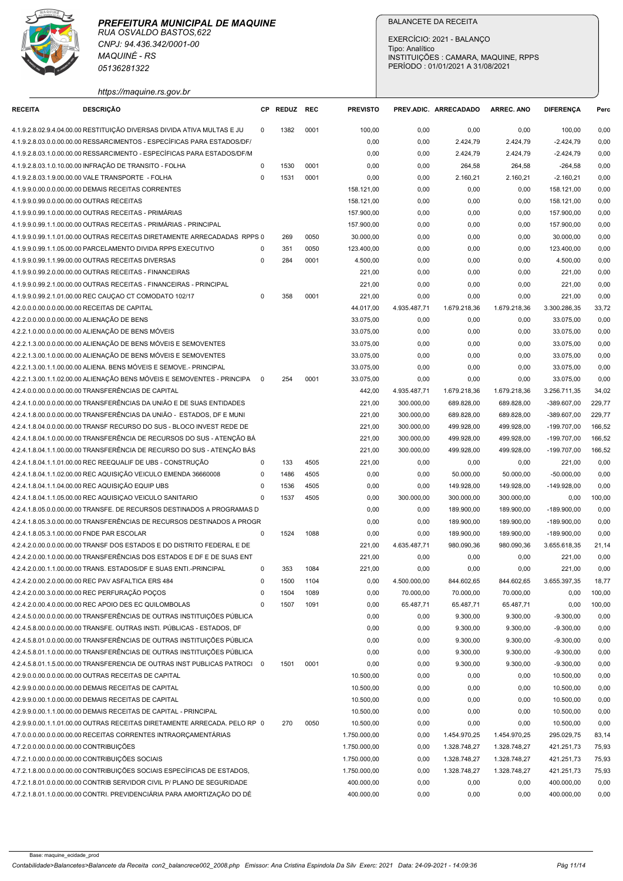

|                                               | <b>MAQUINÉ - RS</b><br>05136281322                                                                                                                |                          |              |              |                              | Tipo: Analítico           | <b>BALANCETE DA RECEITA</b><br>EXERCÍCIO: 2021 - BALANÇO<br>PERÍODO: 01/01/2021 A 31/08/2021 | INSTITUIÇÕES : CAMARA, MAQUINE, RPPS |                                |                  |
|-----------------------------------------------|---------------------------------------------------------------------------------------------------------------------------------------------------|--------------------------|--------------|--------------|------------------------------|---------------------------|----------------------------------------------------------------------------------------------|--------------------------------------|--------------------------------|------------------|
| <b>RECEITA</b>                                | https://maquine.rs.gov.br<br><b>DESCRIÇÃO</b>                                                                                                     |                          | CP REDUZ REC |              | <b>PREVISTO</b>              |                           | PREV.ADIC. ARRECADADO                                                                        | <b>ARREC. ANO</b>                    | <b>DIFERENCA</b>               | Perc             |
|                                               | 4.1.9.2.8.02.9.4.04.00.00 RESTITUIÇÃO DIVERSAS DIVIDA ATIVA MULTAS E JU                                                                           | $^{\circ}$               |              | 0001         |                              |                           |                                                                                              |                                      |                                |                  |
|                                               | 4.1.9.2.8.03.0.0.00.00.00 RESSARCIMENTOS - ESPECÍFICAS PARA ESTADOS/DF/                                                                           |                          | 1382         |              | 100,00<br>0,00               | 0,00<br>0,00              | 0,00<br>2.424,79                                                                             | 0,00<br>2.424,79                     | 100,00<br>$-2.424,79$          | 0,00<br>0,00     |
|                                               | 4.1.9.2.8.03.1.0.00.00.00 RESSARCIMENTO - ESPECÍFICAS PARA ESTADOS/DF/M                                                                           |                          |              |              | 0,00                         | 0,00                      | 2.424,79                                                                                     | 2.424,79                             | $-2.424,79$                    | 0,00             |
|                                               | 4.1.9.2.8.03.1.0.10.00.00 INFRAÇÃO DE TRANSITO - FOLHA                                                                                            | 0                        | 1530         | 0001         | 0,00                         | 0,00                      | 264,58                                                                                       | 264,58                               | $-264,58$                      | 0,00             |
|                                               | 4.1.9.2.8.03.1.9.00.00.00 VALE TRANSPORTE - FOLHA                                                                                                 | $\Omega$                 | 1531         | 0001         | 0,00                         | 0,00                      | 2.160,21                                                                                     | 2.160,21                             | $-2.160,21$                    | 0,00             |
|                                               | 4.1.9.9.0.00.0.0.00.00.00 DEMAIS RECEITAS CORRENTES                                                                                               |                          |              |              | 158.121,00<br>158.121,00     | 0,00<br>0,00              | 0,00<br>0,00                                                                                 | 0,00<br>0,00                         | 158.121,00<br>158.121,00       | 0,00             |
| 4.1.9.9.0.99.0.0.00.00.00 OUTRAS RECEITAS     | 4.1.9.9.0.99.1.0.00.00.00 OUTRAS RECEITAS - PRIMÁRIAS                                                                                             |                          |              |              | 157.900,00                   | 0,00                      | 0,00                                                                                         | 0,00                                 | 157.900,00                     | 0,00<br>0,00     |
|                                               | 4.1.9.9.0.99.1.1.00.00.00 OUTRAS RECEITAS - PRIMÁRIAS - PRINCIPAL                                                                                 |                          |              |              | 157.900,00                   | 0,00                      | 0,00                                                                                         | 0,00                                 | 157.900,00                     | 0,00             |
|                                               | 4.1.9.9.0.99.1.1.01.00.00 OUTRAS RECEITAS DIRETAMENTE ARRECADADAS RPPS 0                                                                          |                          | 269          | 0050         | 30.000,00                    | 0,00                      | 0,00                                                                                         | 0,00                                 | 30.000,00                      | 0,00             |
|                                               | 4.1.9.9.0.99.1.1.05.00.00 PARCELAMENTO DIVIDA RPPS EXECUTIVO                                                                                      | 0                        | 351          | 0050         | 123.400,00                   | 0,00                      | 0,00                                                                                         | 0,00                                 | 123.400,00                     | 0,00             |
|                                               | 4.1.9.9.0.99.1.1.99.00.00 OUTRAS RECEITAS DIVERSAS<br>4.1.9.9.0.99.2.0.00.00.00 OUTRAS RECEITAS - FINANCEIRAS                                     | 0                        | 284          | 0001         | 4.500,00<br>221,00           | 0,00                      | 0,00                                                                                         | 0,00                                 | 4.500,00                       | 0,00<br>0,00     |
|                                               | 4.1.9.9.0.99.2.1.00.00.00 OUTRAS RECEITAS - FINANCEIRAS - PRINCIPAL                                                                               |                          |              |              | 221,00                       | 0,00<br>0,00              | 0,00<br>0,00                                                                                 | 0,00<br>0,00                         | 221,00<br>221,00               | 0,00             |
|                                               | 4.1.9.9.0.99.2.1.01.00.00 REC CAUÇAO CT COMODATO 102/17                                                                                           | $\Omega$                 | 358          | 0001         | 221,00                       | 0,00                      | 0,00                                                                                         | 0,00                                 | 221,00                         | 0,00             |
| 4.2.0.0.0.00.0.0.00.00.00 RECEITAS DE CAPITAL |                                                                                                                                                   |                          |              |              | 44.017,00                    | 4.935.487,71              | 1.679.218,36                                                                                 | 1.679.218,36                         | 3.300.286,35                   | 33,72            |
| 4.2.2.0.0.00.0.0.00.00.00 ALIENAÇÃO DE BENS   |                                                                                                                                                   |                          |              |              | 33.075,00                    | 0,00                      | 0,00                                                                                         | 0,00                                 | 33.075,00                      | 0,00             |
|                                               | 4.2.2.1.0.00.0.0.00.00.00 ALIENAÇÃO DE BENS MÓVEIS                                                                                                |                          |              |              | 33.075,00                    | 0,00                      | 0,00                                                                                         | 0,00                                 | 33.075,00                      | 0,00             |
|                                               | 4.2.2.1.3.00.0.0.00.00.00 ALIENAÇÃO DE BENS MÓVEIS E SEMOVENTES<br>4.2.2.1.3.00.1.0.00.00.00 ALIENAÇÃO DE BENS MÓVEIS E SEMOVENTES                |                          |              |              | 33.075,00<br>33.075,00       | 0,00<br>0,00              | 0,00<br>0,00                                                                                 | 0,00<br>0,00                         | 33.075,00<br>33.075,00         | 0,00<br>0,00     |
|                                               | 4.2.2.1.3.00.1.1.00.00.00 ALIENA. BENS MÓVEIS E SEMOVE.- PRINCIPAL                                                                                |                          |              |              | 33.075,00                    | 0,00                      | 0,00                                                                                         | 0,00                                 | 33.075,00                      | 0,00             |
|                                               | 4.2.2.1.3.00.1.1.02.00.00 ALIENAÇÃO BENS MÓVEIS E SEMOVENTES - PRINCIPA                                                                           | $^{\circ}$               | 254          | 0001         | 33.075,00                    | 0,00                      | 0,00                                                                                         | 0,00                                 | 33.075,00                      | 0,00             |
|                                               | 4.2.4.0.0.00.0.0.00.00.00 TRANSFERÊNCIAS DE CAPITAL                                                                                               |                          |              |              | 442,00                       | 4.935.487,71              | 1.679.218,36                                                                                 | 1.679.218,36                         | 3.256.711,35                   | 34,02            |
|                                               | 4.2.4.1.0.00.0.0.00.00.00 TRANSFERÊNCIAS DA UNIÃO E DE SUAS ENTIDADES                                                                             |                          |              |              | 221,00                       | 300.000,00                | 689.828,00                                                                                   | 689.828,00                           | $-389.607,00$                  | 229,77           |
|                                               | 4.2.4.1.8.00.0.0.00.00.00 TRANSFERÊNCIAS DA UNIÃO - ESTADOS, DF E MUNI                                                                            |                          |              |              | 221,00                       | 300.000,00                | 689.828,00                                                                                   | 689.828,00                           | $-389.607,00$                  | 229,77           |
|                                               | 4.2.4.1.8.04.0.0.00.00.00 TRANSF RECURSO DO SUS - BLOCO INVEST REDE DE<br>4.2.4.1.8.04.1.0.00.00.00 TRANSFERÊNCIA DE RECURSOS DO SUS - ATENÇÃO BÁ |                          |              |              | 221,00<br>221,00             | 300.000,00<br>300.000,00  | 499.928,00<br>499.928,00                                                                     | 499.928,00<br>499.928,00             | $-199.707,00$<br>$-199.707,00$ | 166,52<br>166,52 |
|                                               | 4.2.4.1.8.04.1.1.00.00.00 TRANSFERÊNCIA DE RECURSO DO SUS - ATENÇÃO BÁS                                                                           |                          |              |              | 221,00                       | 300.000,00                | 499.928,00                                                                                   | 499.928,00                           | $-199.707,00$                  | 166,52           |
|                                               | 4.2.4.1.8.04.1.1.01.00.00 REC REEQUALIF DE UBS - CONSTRUÇÃO                                                                                       | 0                        | 133          | 4505         | 221,00                       | 0,00                      | 0,00                                                                                         | 0,00                                 | 221,00                         | 0,00             |
|                                               | 4.2.4.1.8.04.1.1.02.00.00 REC AQUISIÇÃO VEICULO EMENDA 36660008                                                                                   | $^{\circ}$               | 1486         | 4505         | 0,00                         | 0,00                      | 50.000,00                                                                                    | 50.000,00                            | $-50.000,00$                   | 0,00             |
|                                               | 4.2.4.1.8.04.1.1.04.00.00 REC AQUISIÇÃO EQUIP UBS                                                                                                 | $\Omega$                 | 1536         | 4505         | 0,00                         | 0,00                      | 149.928,00                                                                                   | 149.928,00                           | $-149.928,00$                  | 0,00             |
|                                               | 4.2.4.1.8.04.1.1.05.00.00 REC AQUISIÇAO VEICULO SANITARIO<br>4.2.4.1.8.05.0.0.00.00.00 TRANSFE. DE RECURSOS DESTINADOS A PROGRAMAS D              | $\Omega$                 | 1537         | 4505         | 0,00<br>0,00                 | 300.000,00<br>0,00        | 300.000,00<br>189.900,00                                                                     | 300.000,00<br>189.900,00             | 0,00<br>$-189.900,00$          | 100,00<br>0,00   |
|                                               | 4.2.4.1.8.05.3.0.00.00.00 TRANSFERÊNCIAS DE RECURSOS DESTINADOS A PROGR                                                                           |                          |              |              | 0,00                         | 0,00                      | 189.900,00                                                                                   | 189.900,00                           | $-189.900,00$                  | 0,00             |
| 4.2.4.1.8.05.3.1.00.00.00 FNDE PAR ESCOLAR    |                                                                                                                                                   | $^{\circ}$               | 1524         | 1088         | 0,00                         | 0,00                      | 189.900,00                                                                                   | 189.900,00                           | $-189.900,00$                  | 0,00             |
|                                               | 4.2.4.2.0.00.0.0.00.00.00 TRANSF DOS ESTADOS E DO DISTRITO FEDERAL E DE                                                                           |                          |              |              | 221,00                       | 4.635.487,71              | 980.090,36                                                                                   | 980.090,36                           | 3.655.618,35                   | 21,14            |
|                                               | 4.2.4.2.0.00.1.0.00.00.00 TRANSFERÊNCIAS DOS ESTADOS E DF E DE SUAS ENT                                                                           |                          |              |              | 221,00                       | 0,00                      | 0,00                                                                                         | 0,00                                 | 221,00                         | 0,00             |
|                                               | 4.2.4.2.0.00.1.1.00.00.00 TRANS. ESTADOS/DF E SUAS ENTI.-PRINCIPAL                                                                                | $^{\circ}$<br>$^{\circ}$ | 353<br>1500  | 1084<br>1104 | 221,00                       | 0,00                      | 0,00                                                                                         | 0,00                                 | 221,00                         | 0,00             |
|                                               | 4.2.4.2.0.00.2.0.00.00.00 REC PAV ASFALTICA ERS 484<br>4.2.4.2.0.00.3.0.00.00.00 REC PERFURAÇÃO POÇOS                                             | $\Omega$                 | 1504         | 1089         | 0,00<br>0,00                 | 4.500.000,00<br>70.000,00 | 844.602,65<br>70.000,00                                                                      | 844.602,65<br>70.000,00              | 3.655.397,35<br>0,00           | 18,77<br>100,00  |
|                                               | 4.2.4.2.0.00.4.0.00.00.00 REC APOIO DES EC QUILOMBOLAS                                                                                            | $^{\circ}$               | 1507         | 1091         | 0,00                         | 65.487,71                 | 65.487,71                                                                                    | 65.487,71                            | 0,00                           | 100,00           |
|                                               | 4.2.4.5.0.00.0.00.00.00.00 TRANSFERÊNCIAS DE OUTRAS INSTITUIÇÕES PÚBLICA                                                                          |                          |              |              | 0,00                         | 0,00                      | 9.300,00                                                                                     | 9.300,00                             | $-9.300,00$                    | 0,00             |
|                                               | 4.2.4.5.8.00.0.0.00.00.00 TRANSFE. OUTRAS INSTI. PÚBLICAS - ESTADOS, DF                                                                           |                          |              |              | 0,00                         | 0,00                      | 9.300,00                                                                                     | 9.300,00                             | $-9.300,00$                    | 0,00             |
|                                               | 4.2.4.5.8.01.0.0.00.00.00 TRANSFERÊNCIAS DE OUTRAS INSTITUIÇÕES PÚBLICA                                                                           |                          |              |              | 0,00                         | 0,00                      | 9.300,00                                                                                     | 9.300,00                             | $-9.300,00$                    | 0,00             |
|                                               | 4.2.4.5.8.01.1.0.00.00.00 TRANSFERÊNCIAS DE OUTRAS INSTITUIÇÕES PÚBLICA                                                                           |                          |              |              | 0,00                         | 0,00                      | 9.300,00                                                                                     | 9.300,00                             | $-9.300,00$                    | 0,00             |
|                                               | 4.2.4.5.8.01.1.5.00.00.00 TRANSFERENCIA DE OUTRAS INST PUBLICAS PATROCI 0<br>4.2.9.0.0.00.0.0.00.00.00 OUTRAS RECEITAS DE CAPITAL                 |                          | 1501         | 0001         | 0,00<br>10.500,00            | 0,00<br>0,00              | 9.300,00<br>0,00                                                                             | 9.300,00<br>0,00                     | $-9.300,00$<br>10.500,00       | 0,00<br>0,00     |
|                                               | 4.2.9.9.0.00.0.0.00.00.00 DEMAIS RECEITAS DE CAPITAL                                                                                              |                          |              |              | 10.500,00                    | 0,00                      | 0,00                                                                                         | 0,00                                 | 10.500,00                      | 0,00             |
|                                               | 4.2.9.9.0.00.1.0.00.00.00 DEMAIS RECEITAS DE CAPITAL                                                                                              |                          |              |              | 10.500,00                    | 0,00                      | 0,00                                                                                         | 0,00                                 | 10.500,00                      | 0,00             |
|                                               | 4.2.9.9.0.00.1.1.00.00.00 DEMAIS RECEITAS DE CAPITAL - PRINCIPAL                                                                                  |                          |              |              | 10.500,00                    | 0,00                      | 0,00                                                                                         | 0,00                                 | 10.500,00                      | 0,00             |
|                                               | 4.2.9.9.0.00.1.1.01.00.00 OUTRAS RECEITAS DIRETAMENTE ARRECADA. PELO RP 0                                                                         |                          | 270          | 0050         | 10.500,00                    | 0,00                      | 0,00                                                                                         | 0,00                                 | 10.500,00                      | 0,00             |
| 4.7.2.0.0.00.0.0.00.00.00 CONTRIBUIÇÕES       | 4.7.0.0.0.00.0.0.00.00.00 RECEITAS CORRENTES INTRAORÇAMENTÁRIAS                                                                                   |                          |              |              | 1.750.000,00<br>1.750.000,00 | 0,00<br>0,00              | 1.454.970,25<br>1.328.748,27                                                                 | 1.454.970,25<br>1.328.748,27         | 295.029,75<br>421.251,73       | 83,14<br>75,93   |
|                                               | 4.7.2.1.0.00.0.0.00.00.00 CONTRIBUIÇÕES SOCIAIS                                                                                                   |                          |              |              | 1.750.000,00                 | 0,00                      | 1.328.748,27                                                                                 | 1.328.748,27                         | 421.251,73                     | 75,93            |
|                                               | 4.7.2.1.8.00.0.0.00.00.00 CONTRIBUIÇÕES SOCIAIS ESPECÍFICAS DE ESTADOS,                                                                           |                          |              |              | 1.750.000,00                 | 0,00                      | 1.328.748,27                                                                                 | 1.328.748,27                         | 421.251,73                     | 75,93            |
|                                               | 4.7.2.1.8.01.0.0.00.00.00 CONTRIB SERVIDOR CIVIL P/ PLANO DE SEGURIDADE                                                                           |                          |              |              | 400.000,00                   | 0,00                      | 0,00                                                                                         | 0,00                                 | 400.000,00                     | 0,00             |
|                                               | 4.7.2.1.8.01.1.0.00.00.00 CONTRI. PREVIDENCIÁRIA PARA AMORTIZAÇÃO DO DÉ                                                                           |                          |              |              | 400.000,00                   | 0,00                      | 0,00                                                                                         | 0,00                                 | 400.000,00                     | 0,00             |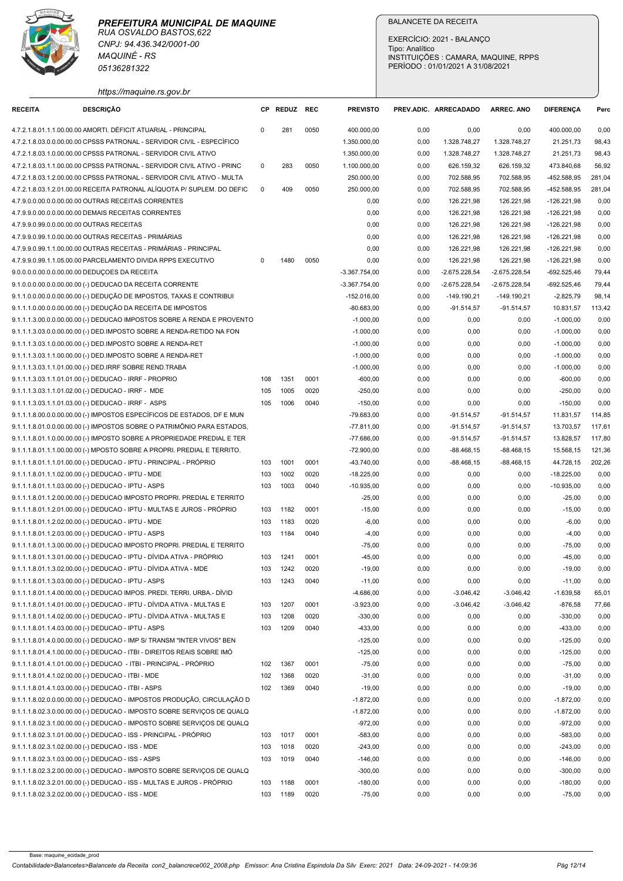| https://maguine.rs.gov.br |  |
|---------------------------|--|

| <b>RECEITA</b>                                    | CNPJ: 94.436.342/0001-00<br><b>MAQUINÉ - RS</b>                                                                                                    |             |              |              |                               | <b>BALANCETE DA RECEITA</b><br>EXERCÍCIO: 2021 - BALANÇO                                    |                               |                               |                                |                  |  |  |  |
|---------------------------------------------------|----------------------------------------------------------------------------------------------------------------------------------------------------|-------------|--------------|--------------|-------------------------------|---------------------------------------------------------------------------------------------|-------------------------------|-------------------------------|--------------------------------|------------------|--|--|--|
|                                                   | 05136281322                                                                                                                                        |             |              |              |                               | Tipo: Analítico<br>INSTITUIÇÕES : CAMARA, MAQUINE, RPPS<br>PERÍODO: 01/01/2021 A 31/08/2021 |                               |                               |                                |                  |  |  |  |
|                                                   | https://maquine.rs.gov.br                                                                                                                          |             |              |              |                               |                                                                                             |                               |                               |                                |                  |  |  |  |
|                                                   | <b>DESCRIÇÃO</b>                                                                                                                                   |             | CP REDUZ REC |              | <b>PREVISTO</b>               |                                                                                             | PREV.ADIC. ARRECADADO         | <b>ARREC. ANO</b>             | <b>DIFERENCA</b>               | Perc             |  |  |  |
|                                                   | 4.7.2.1.8.01.1.1.00.00.00 AMORTI. DÉFICIT ATUARIAL - PRINCIPAL<br>4.7.2.1.8.03.0.0.00.00.00 CPSSS PATRONAL - SERVIDOR CIVIL - ESPECÍFICO           | 0           | 281          | 0050         | 400.000,00<br>1.350.000,00    | 0,00<br>0,00                                                                                | 0,00<br>1.328.748,27          | 0,00<br>1.328.748,27          | 400.000,00<br>21.251,73        | 0,00<br>98,43    |  |  |  |
|                                                   | 4.7.2.1.8.03.1.0.00.00.00 CPSSS PATRONAL - SERVIDOR CIVIL ATIVO                                                                                    |             |              |              | 1.350.000,00                  | 0,00                                                                                        | 1.328.748,27                  | 1.328.748,27                  | 21.251,73                      | 98,43            |  |  |  |
|                                                   | 4.7.2.1.8.03.1.1.00.00.00 CPSSS PATRONAL - SERVIDOR CIVIL ATIVO - PRINC                                                                            | $\mathbf 0$ | 283          | 0050         | 1.100.000,00                  | 0,00                                                                                        | 626.159,32                    | 626.159,32                    | 473.840,68                     | 56,92            |  |  |  |
|                                                   | 4.7.2.1.8.03.1.2.00.00.00 CPSSS PATRONAL - SERVIDOR CIVIL ATIVO - MULTA<br>4.7.2.1.8.03.1.2.01.00.00 RECEITA PATRONAL ALÍQUOTA P/ SUPLEM. DO DEFIC | $\Omega$    | 409          | 0050         | 250.000,00<br>250.000,00      | 0,00<br>0,00                                                                                | 702.588,95<br>702.588,95      | 702.588,95<br>702.588,95      | -452.588,95<br>-452.588,95     | 281,04<br>281,04 |  |  |  |
|                                                   | 4.7.9.0.0.00.0.0.00.00.00 OUTRAS RECEITAS CORRENTES                                                                                                |             |              |              | 0,00                          | 0,00                                                                                        | 126.221,98                    | 126.221,98                    | $-126.221,98$                  | 0,00             |  |  |  |
|                                                   | 4.7.9.9.0.00.0.0.00.00.00 DEMAIS RECEITAS CORRENTES                                                                                                |             |              |              | 0,00                          | 0,00                                                                                        | 126.221,98                    | 126.221,98                    | $-126.221,98$                  | 0,00             |  |  |  |
| 4.7.9.9.0.99.0.0.00.00.00 OUTRAS RECEITAS         |                                                                                                                                                    |             |              |              | 0,00                          | 0,00                                                                                        | 126.221,98                    | 126.221,98                    | $-126.221,98$                  | 0,00             |  |  |  |
|                                                   | 4.7.9.9.0.99.1.0.00.00.00 OUTRAS RECEITAS - PRIMARIAS<br>4.7.9.9.0.99.1.1.00.00.00 OUTRAS RECEITAS - PRIMÁRIAS - PRINCIPAL                         |             |              |              | 0,00<br>0,00                  | 0,00<br>0,00                                                                                | 126.221,98<br>126.221,98      | 126.221,98<br>126.221,98      | $-126.221,98$<br>$-126.221,98$ | 0,00<br>0,00     |  |  |  |
|                                                   | 4.7.9.9.0.99.1.1.05.00.00 PARCELAMENTO DIVIDA RPPS EXECUTIVO                                                                                       |             | 1480         | 0050         | 0,00                          | 0,00                                                                                        | 126.221,98                    | 126.221,98                    | $-126.221,98$                  | 0,00             |  |  |  |
| 9.0.0.0.0.00.0.0.00.00.00 DEDUÇOES DA RECEITA     |                                                                                                                                                    |             |              |              | $-3.367.754,00$               | 0,00                                                                                        | $-2.675.228,54$               | $-2.675.228,54$               | $-692.525,46$                  | 79,44            |  |  |  |
|                                                   | 9.1.0.0.0.00.0.0.00.00.00 (-) DEDUCAO DA RECEITA CORRENTE                                                                                          |             |              |              | $-3.367.754,00$               | 0,00                                                                                        | $-2.675.228,54$               | $-2.675.228,54$               | $-692.525,46$                  | 79,44            |  |  |  |
|                                                   | 9.1.1.0.0.00.0.0.00.00.00 (-) DEDUÇÃO DE IMPOSTOS, TAXAS E CONTRIBUI<br>9.1.1.1.0.00.0.0.00.00.00 (-) DEDUÇÃO DA RECEITA DE IMPOSTOS               |             |              |              | $-152.016,00$<br>$-80.683,00$ | 0,00<br>0,00                                                                                | $-149.190,21$<br>$-91.514,57$ | $-149.190,21$<br>$-91.514,57$ | $-2.825,79$<br>10.831,57       | 98,14<br>113,42  |  |  |  |
|                                                   | 9.1.1.1.3.00.0.0.00.00.00 (-) DEDUCAO IMPOSTOS SOBRE A RENDA E PROVENTO                                                                            |             |              |              | $-1.000,00$                   | 0,00                                                                                        | 0,00                          | 0,00                          | $-1.000,00$                    | 0,00             |  |  |  |
|                                                   | 9.1.1.1.3.03.0.0.00.00.00 (-) DED.IMPOSTO SOBRE A RENDA-RETIDO NA FON                                                                              |             |              |              | $-1.000,00$                   | 0,00                                                                                        | 0,00                          | 0,00                          | $-1.000,00$                    | 0,00             |  |  |  |
|                                                   | 9.1.1.1.3.03.1.0.00.00.00 (-) DED.IMPOSTO SOBRE A RENDA-RET<br>9.1.1.1.3.03.1.1.00.00.00 (-) DED.IMPOSTO SOBRE A RENDA-RET                         |             |              |              | $-1.000,00$<br>$-1.000,00$    | 0,00<br>0,00                                                                                | 0,00                          | 0,00<br>0,00                  | $-1.000,00$                    | 0,00<br>0,00     |  |  |  |
|                                                   | 9.1.1.1.3.03.1.1.01.00.00 (-) DED.IRRF SOBRE REND.TRABA                                                                                            |             |              |              | $-1.000,00$                   | 0,00                                                                                        | 0,00<br>0,00                  | 0,00                          | $-1.000,00$<br>$-1.000,00$     | 0,00             |  |  |  |
|                                                   | 9.1.1.1.3.03.1.1.01.01.00 (-) DEDUCAO - IRRF - PROPRIO                                                                                             | 108         | 1351         | 0001         | $-600,00$                     | 0,00                                                                                        | 0,00                          | 0,00                          | $-600,00$                      | 0,00             |  |  |  |
|                                                   | 9.1.1.1.3.03.1.1.01.02.00 (-) DEDUCAO - IRRF - MDE                                                                                                 | 105         | 1005         | 0020         | $-250,00$                     | 0,00                                                                                        | 0,00                          | 0,00                          | $-250,00$                      | 0,00             |  |  |  |
|                                                   | 9.1.1.1.3.03.1.1.01.03.00 (-) DEDUCAO - IRRF - ASPS<br>9.1.1.1.8.00.0.0.00.00.00 (-) IMPOSTOS ESPECÍFICOS DE ESTADOS, DF E MUN                     | 105         | 1006         | 0040         | $-150,00$<br>$-79.683,00$     | 0,00<br>0,00                                                                                | 0,00<br>$-91.514,57$          | 0,00<br>$-91.514,57$          | $-150,00$<br>11.831,57         | 0,00<br>114,85   |  |  |  |
|                                                   | 9.1.1.1.8.01.0.0.00.00.00 (-) IMPOSTOS SOBRE O PATRIMÔNIO PARA ESTADOS,                                                                            |             |              |              | $-77.811,00$                  | 0,00                                                                                        | $-91.514,57$                  | $-91.514,57$                  | 13.703,57                      | 117,61           |  |  |  |
|                                                   | 9.1.1.1.8.01.1.0.00.00.00 (-) IMPOSTO SOBRE A PROPRIEDADE PREDIAL E TER                                                                            |             |              |              | $-77.686,00$                  | 0,00                                                                                        | $-91.514,57$                  | $-91.514,57$                  | 13.828,57                      | 117,80           |  |  |  |
|                                                   | 9.1.1.1.8.01.1.1.00.00.00 (-) MPOSTO SOBRE A PROPRI. PREDIAL E TERRITO.                                                                            |             |              |              | $-72.900,00$                  | 0,00                                                                                        | $-88.468, 15$                 | -88.468,15                    | 15.568,15                      | 121,36           |  |  |  |
|                                                   | 9.1.1.1.8.01.1.1.01.00.00 (-) DEDUCAO - IPTU - PRINCIPAL - PRÓPRIO<br>9.1.1.1.8.01.1.1.02.00.00 (-) DEDUCAO - IPTU - MDE                           | 103<br>103  | 1001<br>1002 | 0001<br>0020 | -43.740,00<br>$-18.225,00$    | 0,00<br>0,00                                                                                | $-88.468, 15$<br>0,00         | $-88.468, 15$<br>0,00         | 44.728,15<br>$-18.225,00$      | 202,26<br>0,00   |  |  |  |
|                                                   | 9.1.1.1.8.01.1.1.03.00.00 (-) DEDUCAO - IPTU - ASPS                                                                                                | 103         | 1003         | 0040         | $-10.935,00$                  | 0,00                                                                                        | 0,00                          | 0,00                          | $-10.935,00$                   | 0,00             |  |  |  |
|                                                   | 9.1.1.1.8.01.1.2.00.00.00 (-) DEDUCAO IMPOSTO PROPRI. PREDIAL E TERRITO                                                                            |             |              |              | $-25,00$                      | 0,00                                                                                        | 0,00                          | 0,00                          | $-25,00$                       | 0,00             |  |  |  |
|                                                   | 9.1.1.1.8.01.1.2.01.00.00 (-) DEDUCAO - IPTU - MULTAS E JUROS - PRÓPRIO                                                                            | 103         | 1182         | 0001         | $-15,00$                      | 0,00                                                                                        | 0,00                          | 0,00                          | $-15,00$                       | 0,00             |  |  |  |
|                                                   | 9.1.1.1.8.01.1.2.02.00.00 (-) DEDUCAO - IPTU - MDE<br>9.1.1.1.8.01.1.2.03.00.00 (-) DEDUCAO - IPTU - ASPS                                          | 103<br>103  | 1183<br>1184 | 0020<br>0040 | $-6,00$<br>$-4,00$            | 0,00<br>0,00                                                                                | 0,00<br>0,00                  | 0,00<br>0,00                  | $-6,00$<br>$-4,00$             | 0,00<br>0,00     |  |  |  |
|                                                   | 9.1.1.1.8.01.1.3.00.00.00 (-) DEDUCAO IMPOSTO PROPRI. PREDIAL E TERRITO                                                                            |             |              |              | $-75,00$                      | 0,00                                                                                        | 0,00                          | 0,00                          | $-75,00$                       | 0,00             |  |  |  |
|                                                   | 9.1.1.1.8.01.1.3.01.00.00 (-) DEDUCAO - IPTU - DÍVIDA ATIVA - PRÓPRIO                                                                              | 103         | 1241         | 0001         | $-45,00$                      | 0,00                                                                                        | 0,00                          | 0,00                          | -45,00                         | 0,00             |  |  |  |
|                                                   | 9.1.1.1.8.01.1.3.02.00.00 (-) DEDUCAO - IPTU - DÍVIDA ATIVA - MDE                                                                                  | 103         | 1242         | 0020         | $-19,00$                      | 0,00                                                                                        | 0,00                          | 0,00                          | $-19,00$                       | 0,00             |  |  |  |
|                                                   | 9.1.1.1.8.01.1.3.03.00.00 (-) DEDUCAO - IPTU - ASPS<br>9.1.1.1.8.01.1.4.00.00.00 (-) DEDUCAO IMPOS. PREDI. TERRI. URBA.- DÍVID                     | 103         | 1243         | 0040         | $-11,00$<br>$-4.686,00$       | 0,00<br>0,00                                                                                | 0,00<br>$-3.046, 42$          | 0,00<br>$-3.046,42$           | $-11,00$<br>$-1.639,58$        | 0,00<br>65,01    |  |  |  |
|                                                   | 9.1.1.1.8.01.1.4.01.00.00 (-) DEDUCAO - IPTU - DÍVIDA ATIVA - MULTAS E                                                                             | 103         | 1207         | 0001         | $-3.923,00$                   | 0,00                                                                                        | $-3.046, 42$                  | $-3.046,42$                   | $-876,58$                      | 77,66            |  |  |  |
|                                                   | 9.1.1.1.8.01.1.4.02.00.00 (-) DEDUCAO - IPTU - DÍVIDA ATIVA - MULTAS E                                                                             | 103         | 1208         | 0020         | $-330,00$                     | 0,00                                                                                        | 0,00                          | 0,00                          | $-330,00$                      | 0,00             |  |  |  |
|                                                   | 9.1.1.1.8.01.1.4.03.00.00 (-) DEDUCAO - IPTU - ASPS                                                                                                | 103         | 1209         | 0040         | $-433,00$                     | 0,00                                                                                        | 0,00                          | 0,00                          | $-433,00$                      | 0,00             |  |  |  |
|                                                   | 9.1.1.1.8.01.4.0.00.00.00 (-) DEDUCAO - IMP S/ TRANSM "INTER VIVOS" BEN<br>9.1.1.1.8.01.4.1.00.00.00 (-) DEDUCAO - ITBI - DIREITOS REAIS SOBRE IMÓ |             |              |              | $-125,00$<br>$-125,00$        | 0,00<br>0,00                                                                                | 0,00<br>0,00                  | 0,00<br>0,00                  | $-125,00$<br>$-125,00$         | 0,00<br>0,00     |  |  |  |
|                                                   | 9.1.1.1.8.01.4.1.01.00.00 (-) DEDUCAO - ITBI - PRINCIPAL - PRÓPRIO                                                                                 | 102         | 1367         | 0001         | $-75,00$                      | 0,00                                                                                        | 0,00                          | 0,00                          | $-75,00$                       | 0,00             |  |  |  |
|                                                   | 9.1.1.1.8.01.4.1.02.00.00 (-) DEDUCAO - ITBI - MDE                                                                                                 | 102         | 1368         | 0020         | $-31,00$                      | 0,00                                                                                        | 0,00                          | 0,00                          | $-31,00$                       | 0,00             |  |  |  |
|                                                   | 9.1.1.1.8.01.4.1.03.00.00 (-) DEDUCAO - ITBI - ASPS                                                                                                | 102         | 1369         | 0040         | $-19,00$                      | 0,00                                                                                        | 0,00                          | 0,00                          | $-19,00$                       | 0,00             |  |  |  |
|                                                   | 9.1.1.1.8.02.0.0.00.00.00 (-) DEDUCAO - IMPOSTOS PRODUÇÃO, CIRCULAÇÃO D<br>9.1.1.1.8.02.3.0.00.00.00 (-) DEDUCAO - IMPOSTO SOBRE SERVIÇOS DE QUALQ |             |              |              | $-1.872,00$<br>$-1.872,00$    | 0,00<br>0,00                                                                                | 0,00<br>0,00                  | 0,00<br>0,00                  | $-1.872,00$<br>$-1.872,00$     | 0,00<br>0,00     |  |  |  |
|                                                   | 9.1.1.1.8.02.3.1.00.00.00 (-) DEDUCAO - IMPOSTO SOBRE SERVIÇOS DE QUALQ                                                                            |             |              |              | $-972,00$                     | 0,00                                                                                        | 0,00                          | 0,00                          | $-972,00$                      | 0,00             |  |  |  |
|                                                   | 9.1.1.1.8.02.3.1.01.00.00 (-) DEDUCAO - ISS - PRINCIPAL - PRÓPRIO                                                                                  | 103         | 1017         | 0001         | $-583,00$                     | 0,00                                                                                        | 0,00                          | 0,00                          | $-583,00$                      | 0,00             |  |  |  |
| 9.1.1.1.8.02.3.1.02.00.00 (-) DEDUCAO - ISS - MDE |                                                                                                                                                    | 103         | 1018         | 0020         | $-243,00$                     | 0,00                                                                                        | 0,00                          | 0,00                          | $-243,00$                      | 0,00             |  |  |  |
|                                                   | 9.1.1.1.8.02.3.1.03.00.00 (-) DEDUCAO - ISS - ASPS<br>9.1.1.1.8.02.3.2.00.00.00 (-) DEDUCAO - IMPOSTO SOBRE SERVICOS DE QUALQ                      | 103         | 1019         | 0040         | $-146,00$<br>$-300,00$        | 0,00<br>0,00                                                                                | 0,00<br>0,00                  | 0,00<br>0,00                  | $-146,00$<br>$-300,00$         | 0,00<br>0,00     |  |  |  |
|                                                   |                                                                                                                                                    | 103         | 1188         | 0001         | $-180,00$                     |                                                                                             | 0,00                          | 0,00                          | $-180,00$                      | 0,00             |  |  |  |
|                                                   | 9.1.1.1.8.02.3.2.01.00.00 (-) DEDUCAO - ISS - MULTAS E JUROS - PRÓPRIO                                                                             |             |              |              |                               | 0,00                                                                                        |                               |                               |                                |                  |  |  |  |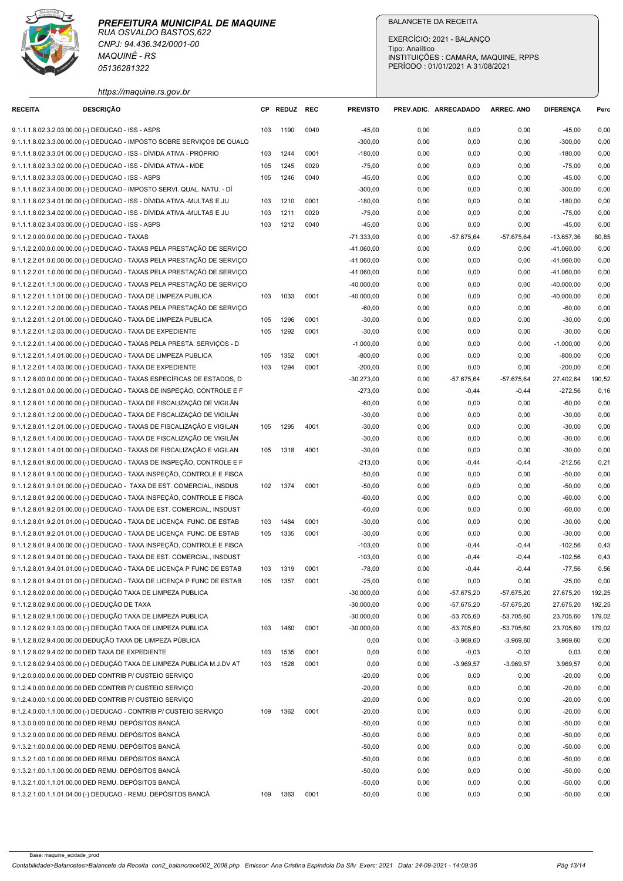

| https://maquine.rs.gov.br |  |
|---------------------------|--|
|                           |  |

|                                                    | <b>MAQUINÉ - RS</b><br>05136281322                                                                                                                 |            | <b>BALANCETE DA RECEITA</b><br>EXERCÍCIO: 2021 - BALANCO<br>Tipo: Analítico<br>INSTITUIÇÕES : CAMARA, MAQUINE, RPPS<br>PERÍODO: 01/01/2021 A 31/08/2021 |              |                              |                       |                              |                              |                              |                  |
|----------------------------------------------------|----------------------------------------------------------------------------------------------------------------------------------------------------|------------|---------------------------------------------------------------------------------------------------------------------------------------------------------|--------------|------------------------------|-----------------------|------------------------------|------------------------------|------------------------------|------------------|
|                                                    | https://maquine.rs.gov.br                                                                                                                          |            |                                                                                                                                                         |              |                              |                       |                              |                              | <b>DIFERENCA</b>             |                  |
| <b>RECEITA</b>                                     | <b>DESCRIÇÃO</b>                                                                                                                                   |            | CP REDUZ REC                                                                                                                                            |              | <b>PREVISTO</b>              | PREV.ADIC. ARRECADADO |                              | <b>ARREC. ANO</b>            |                              | Perc             |
| 9.1.1.1.8.02.3.2.03.00.00 (-) DEDUCAO - ISS - ASPS | 9.1.1.1.8.02.3.3.00.00.00 (-) DEDUCAO - IMPOSTO SOBRE SERVIÇOS DE QUALQ                                                                            | 103        | 1190                                                                                                                                                    | 0040         | $-45,00$<br>$-300,00$        | 0,00<br>0,00          | 0,00<br>0,00                 | 0,00<br>0,00                 | $-45,00$<br>$-300,00$        | 0,00<br>0,00     |
|                                                    | 9.1.1.1.8.02.3.3.01.00.00 (-) DEDUCAO - ISS - DÍVIDA ATIVA - PRÓPRIO                                                                               | 103        | 1244                                                                                                                                                    | 0001         | $-180,00$                    | 0,00                  | 0,00                         | 0,00                         | $-180,00$                    | 0,00             |
|                                                    | 9.1.1.1.8.02.3.3.02.00.00 (-) DEDUCAO - ISS - DÍVIDA ATIVA - MDE                                                                                   | 105        | 1245                                                                                                                                                    | 0020         | $-75,00$                     | 0,00                  | 0,00                         | 0,00                         | -75,00                       | 0,00             |
| 9.1.1.1.8.02.3.3.03.00.00 (-) DEDUCAO - ISS - ASPS |                                                                                                                                                    | 105        | 1246                                                                                                                                                    | 0040         | $-45,00$                     | 0,00                  | 0,00                         | 0,00                         | $-45,00$                     | 0,00             |
|                                                    | 9.1.1.1.8.02.3.4.00.00.00 (-) DEDUCAO - IMPOSTO SERVI. QUAL. NATU. - DÍ<br>9.1.1.1.8.02.3.4.01.00.00 (-) DEDUCAO - ISS - DÍVIDA ATIVA -MULTAS E JU | 103        | 1210                                                                                                                                                    | 0001         | $-300,00$<br>$-180,00$       | 0,00<br>0,00          | 0,00<br>0,00                 | 0,00<br>0,00                 | $-300,00$<br>$-180,00$       | 0,00<br>0,00     |
|                                                    | 9.1.1.1.8.02.3.4.02.00.00 (-) DEDUCAO - ISS - DÍVIDA ATIVA -MULTAS E JU                                                                            | 103        | 1211                                                                                                                                                    | 0020         | $-75,00$                     | 0,00                  | 0,00                         | 0,00                         | $-75,00$                     | 0,00             |
| 9.1.1.1.8.02.3.4.03.00.00 (-) DEDUCAO - ISS - ASPS |                                                                                                                                                    | 103        | 1212                                                                                                                                                    | 0040         | $-45,00$                     | 0,00                  | 0,00                         | 0,00                         | $-45,00$                     | 0,00             |
| 9.1.1.2.0.00.0.0.00.00.00 (-) DEDUCAO - TAXAS      |                                                                                                                                                    |            |                                                                                                                                                         |              | -71.333,00                   | 0,00                  | -57.675,64                   | -57.675,64                   | $-13.657,36$                 | 80,85            |
|                                                    | 9.1.1.2.2.00.0.0.00.00.00 (-) DEDUCAO - TAXAS PELA PRESTAÇÃO DE SERVIÇO<br>9.1.1.2.2.01.0.0.00.00.00 (-) DEDUCAO - TAXAS PELA PRESTAÇÃO DE SERVIÇO |            |                                                                                                                                                         |              | $-41.060,00$<br>$-41.060,00$ | 0,00<br>0,00          | 0,00<br>0,00                 | 0,00<br>0,00                 | $-41.060,00$<br>$-41.060,00$ | 0,00<br>0,00     |
|                                                    | 9.1.1.2.2.01.1.0.00.00.00 (-) DEDUCAO - TAXAS PELA PRESTAÇÃO DE SERVIÇO                                                                            |            |                                                                                                                                                         |              | $-41.060,00$                 | 0,00                  | 0,00                         | 0,00                         | $-41.060,00$                 | 0,00             |
|                                                    | 9.1.1.2.2.01.1.1.00.00.00 (-) DEDUCAO - TAXAS PELA PRESTAÇÃO DE SERVIÇO                                                                            |            |                                                                                                                                                         |              | $-40.000,00$                 | 0,00                  | 0,00                         | 0,00                         | $-40.000,00$                 | 0,00             |
|                                                    | 9.1.1.2.2.01.1.1.01.00.00 (-) DEDUCAO - TAXA DE LIMPEZA PUBLICA                                                                                    | 103        | 1033 0001                                                                                                                                               |              | $-40.000,00$                 | 0,00                  | 0,00                         | 0,00                         | $-40.000,00$                 | 0,00             |
|                                                    | 9.1.1.2.2.01.1.2.00.00.00 (-) DEDUCAO - TAXAS PELA PRESTAÇÃO DE SERVIÇO<br>9.1.1.2.2.01.1.2.01.00.00 (-) DEDUCAO - TAXA DE LIMPEZA PUBLICA         | 105        | 1296                                                                                                                                                    | 0001         | -60,00<br>$-30,00$           | 0,00<br>0,00          | 0,00<br>0,00                 | 0,00<br>0,00                 | $-60,00$<br>$-30,00$         | 0,00<br>0,00     |
|                                                    | 9.1.1.2.2.01.1.2.03.00.00 (-) DEDUCAO - TAXA DE EXPEDIENTE                                                                                         | 105        | 1292                                                                                                                                                    | 0001         | $-30,00$                     | 0,00                  | 0,00                         | 0,00                         | $-30,00$                     | 0,00             |
|                                                    | 9.1.1.2.2.01.1.4.00.00.00 (-) DEDUCAO - TAXAS PELA PRESTA. SERVIÇOS - D                                                                            |            |                                                                                                                                                         |              | $-1.000,00$                  | 0,00                  | 0,00                         | 0,00                         | $-1.000,00$                  | 0,00             |
|                                                    | 9.1.1.2.2.01.1.4.01.00.00 (-) DEDUCAO - TAXA DE LIMPEZA PUBLICA                                                                                    | 105        | 1352                                                                                                                                                    | 0001         | $-800,00$                    | 0,00                  | 0,00                         | 0,00                         | $-800,00$                    | 0,00             |
|                                                    | 9.1.1.2.2.01.1.4.03.00.00 (-) DEDUCAO - TAXA DE EXPEDIENTE                                                                                         | 103        | 1294                                                                                                                                                    | 0001         | $-200,00$                    | 0,00                  | 0,00                         | 0,00                         | $-200,00$                    | 0,00             |
|                                                    | 9.1.1.2.8.00.0.0.00.00.00 (-) DEDUCAO - TAXAS ESPECÍFICAS DE ESTADOS, D<br>9.1.1.2.8.01.0.0.00.00.00 (-) DEDUCAO - TAXAS DE INSPEÇÃO, CONTROLE E F |            |                                                                                                                                                         |              | $-30.273,00$<br>$-273,00$    | 0,00<br>0,00          | $-57.675,64$<br>$-0,44$      | $-57.675,64$<br>$-0,44$      | 27.402,64<br>$-272,56$       | 190,52<br>0,16   |
|                                                    | 9.1.1.2.8.01.1.0.00.00.00 (-) DEDUCAO - TAXA DE FISCALIZAÇÃO DE VIGILÂN                                                                            |            |                                                                                                                                                         |              | $-60,00$                     | 0,00                  | 0,00                         | 0,00                         | $-60,00$                     | 0,00             |
|                                                    | 9.1.1.2.8.01.1.2.00.00.00 (-) DEDUCAO - TAXA DE FISCALIZAÇÃO DE VIGILÂN                                                                            |            |                                                                                                                                                         |              | $-30,00$                     | 0,00                  | 0,00                         | 0,00                         | $-30,00$                     | 0,00             |
|                                                    | 9.1.1.2.8.01.1.2.01.00.00 (-) DEDUCAO - TAXAS DE FISCALIZAÇÃO E VIGILAN                                                                            |            | 105 1295                                                                                                                                                | 4001         | $-30,00$                     | 0,00                  | 0,00                         | 0,00                         | $-30,00$                     | 0,00             |
|                                                    | 9.1.1.2.8.01.1.4.00.00.00 (-) DEDUCAO - TAXA DE FISCALIZAÇÃO DE VIGILÂN                                                                            |            |                                                                                                                                                         |              | $-30,00$                     | 0,00                  | 0,00                         | 0,00                         | $-30,00$                     | 0,00             |
|                                                    | 9.1.1.2.8.01.1.4.01.00.00 (-) DEDUCAO - TAXAS DE FISCALIZAÇÃO E VIGILAN<br>9.1.1.2.8.01.9.0.00.00.00 (-) DEDUCAO - TAXAS DE INSPEÇÃO, CONTROLE E F | 105        | 1318                                                                                                                                                    | 4001         | $-30,00$<br>$-213,00$        | 0,00<br>0,00          | 0,00<br>$-0,44$              | 0,00<br>$-0,44$              | $-30,00$<br>$-212,56$        | 0,00<br>0,21     |
|                                                    | 9.1.1.2.8.01.9.1.00.00.00 (-) DEDUCAO - TAXA INSPEÇÃO, CONTROLE E FISCA                                                                            |            |                                                                                                                                                         |              | $-50,00$                     | 0,00                  | 0,00                         | 0,00                         | $-50,00$                     | 0,00             |
|                                                    | 9.1.1.2.8.01.9.1.01.00.00 (-) DEDUCAO - TAXA DE EST. COMERCIAL, INSDUS                                                                             | 102        | 1374                                                                                                                                                    | 0001         | $-50,00$                     | 0,00                  | 0,00                         | 0,00                         | $-50,00$                     | 0,00             |
|                                                    | 9.1.1.2.8.01.9.2.00.00.00 (-) DEDUCAO - TAXA INSPEÇÃO, CONTROLE E FISCA                                                                            |            |                                                                                                                                                         |              | $-60,00$                     | 0,00                  | 0,00                         | 0,00                         | $-60,00$                     | 0,00             |
|                                                    | 9.1.1.2.8.01.9.2.01.00.00 (-) DEDUCAO - TAXA DE EST. COMERCIAL, INSDUST                                                                            |            |                                                                                                                                                         |              | $-60,00$                     | 0,00                  | 0,00                         | 0,00                         | $-60,00$                     | 0,00             |
|                                                    | 9.1.1.2.8.01.9.2.01.01.00 (-) DEDUCAO - TAXA DE LICENÇA FUNC. DE ESTAB<br>9.1.1.2.8.01.9.2.01.01.00 (-) DEDUCAO - TAXA DE LICENÇA FUNC. DE ESTAB   | 103<br>105 | 1484<br>1335                                                                                                                                            | 0001<br>0001 | $-30,00$<br>$-30,00$         | 0,00<br>0,00          | 0,00<br>0,00                 | 0,00<br>0,00                 | $-30,00$<br>$-30,00$         | 0,00<br>0,00     |
|                                                    | 9.1.1.2.8.01.9.4.00.00.00 (-) DEDUCAO - TAXA INSPEÇÃO, CONTROLE E FISCA                                                                            |            |                                                                                                                                                         |              | $-103,00$                    | 0,00                  | $-0,44$                      | $-0,44$                      | $-102,56$                    | 0,43             |
|                                                    | 9.1.1.2.8.01.9.4.01.00.00 (-) DEDUCAO - TAXA DE EST. COMERCIAL, INSDUST                                                                            |            |                                                                                                                                                         |              | $-103,00$                    | 0,00                  | $-0,44$                      | $-0,44$                      | $-102,56$                    | 0,43             |
|                                                    | 9.1.1.2.8.01.9.4.01.01.00 (-) DEDUCAO - TAXA DE LICENÇA P FUNC DE ESTAB                                                                            | 103        | 1319                                                                                                                                                    | 0001         | $-78,00$                     | 0,00                  | $-0,44$                      | $-0,44$                      | $-77,56$                     | 0,56             |
|                                                    | 9.1.1.2.8.01.9.4.01.01.00 (-) DEDUCAO - TAXA DE LICENÇA P FUNC DE ESTAB                                                                            | 105        | 1357                                                                                                                                                    | 0001         | $-25,00$                     | 0,00                  | 0,00                         | 0,00                         | $-25,00$                     | 0,00             |
| 9.1.1.2.8.02.9.0.00.00.00 (-) DEDUÇÃO DE TAXA      | 9.1.1.2.8.02.0.0.00.00.00 (-) DEDUÇÃO TAXA DE LIMPEZA PUBLICA                                                                                      |            |                                                                                                                                                         |              | $-30.000,00$<br>$-30.000,00$ | 0,00<br>0,00          | $-57.675,20$<br>$-57.675,20$ | $-57.675,20$<br>$-57.675,20$ | 27.675,20<br>27.675,20       | 192,25<br>192,25 |
|                                                    | 9.1.1.2.8.02.9.1.00.00.00 (-) DEDUÇÃO TAXA DE LIMPEZA PUBLICA                                                                                      |            |                                                                                                                                                         |              | $-30.000,00$                 | 0,00                  | $-53.705,60$                 | $-53.705,60$                 | 23.705,60                    | 179,02           |
|                                                    | 9.1.1.2.8.02.9.1.03.00.00 (-) DEDUÇÃO TAXA DE LIMPEZA PUBLICA                                                                                      | 103        | 1460                                                                                                                                                    | 0001         | $-30.000,00$                 | 0,00                  | $-53.705,60$                 | $-53.705,60$                 | 23.705,60                    | 179,02           |
|                                                    | 9.1.1.2.8.02.9.4.00.00.00 DEDUÇÃO TAXA DE LIMPEZA PÚBLICA                                                                                          |            |                                                                                                                                                         |              | 0,00                         | 0,00                  | $-3.969,60$                  | $-3.969,60$                  | 3.969,60                     | 0,00             |
| 9.1.1.2.8.02.9.4.02.00.00 DED TAXA DE EXPEDIENTE   |                                                                                                                                                    | 103        | 1535                                                                                                                                                    | 0001         | 0,00                         | 0,00                  | $-0,03$                      | $-0,03$                      | 0,03                         | 0,00             |
|                                                    | 9.1.1.2.8.02.9.4.03.00.00 (-) DEDUÇÃO TAXA DE LIMPEZA PUBLICA M.J.DV AT<br>9.1.2.0.0.00.0.0.00.00.00 DED CONTRIB P/ CUSTEIO SERVICO                | 103        | 1528                                                                                                                                                    | 0001         | 0,00                         | 0,00                  | $-3.969,57$                  | $-3.969,57$                  | 3.969,57                     | 0,00             |
|                                                    | 9.1.2.4.0.00.0.0.00.00.00 DED CONTRIB P/ CUSTEIO SERVIÇO                                                                                           |            |                                                                                                                                                         |              | $-20,00$<br>$-20,00$         | 0,00<br>0,00          | 0,00<br>0,00                 | 0,00<br>0,00                 | $-20,00$<br>$-20,00$         | 0,00<br>0,00     |
|                                                    | 9.1.2.4.0.00.1.0.00.00.00 DED CONTRIB P/ CUSTEIO SERVICO                                                                                           |            |                                                                                                                                                         |              | $-20,00$                     | 0,00                  | 0,00                         | 0,00                         | $-20,00$                     | 0,00             |
|                                                    | 9.1.2.4.0.00.1.1.00.00.00 (-) DEDUCAO - CONTRIB P/ CUSTEIO SERVIÇO                                                                                 | 109        | 1362                                                                                                                                                    | 0001         | $-20,00$                     | 0,00                  | 0,00                         | 0,00                         | $-20,00$                     | 0,00             |
|                                                    | 9.1.3.0.0.00.0.0.00.00.00 DED REMU. DEPÓSITOS BANCÁ                                                                                                |            |                                                                                                                                                         |              | $-50,00$                     | 0,00                  | 0,00                         | 0,00                         | $-50,00$                     | 0,00             |
|                                                    | 9.1.3.2.0.00.0.0.00.00.00 DED REMU. DEPÓSITOS BANCÁ                                                                                                |            |                                                                                                                                                         |              | $-50,00$                     | 0,00                  | 0,00                         | 0,00                         | $-50,00$                     | 0,00             |
|                                                    | 9.1.3.2.1.00.0.0.00.00.00 DED REMU. DEPÓSITOS BANCÁ<br>9.1.3.2.1.00.1.0.00.00.00 DED REMU. DEPÓSITOS BANCÁ                                         |            |                                                                                                                                                         |              | $-50,00$<br>$-50,00$         | 0,00<br>0,00          | 0,00<br>0,00                 | 0,00<br>0,00                 | $-50,00$<br>$-50,00$         | 0,00<br>0,00     |
|                                                    | 9.1.3.2.1.00.1.1.00.00.00 DED REMU. DEPÓSITOS BANCÁ                                                                                                |            |                                                                                                                                                         |              | $-50,00$                     | 0,00                  | 0,00                         | 0,00                         | $-50,00$                     | 0,00             |
|                                                    | 9.1.3.2.1.00.1.1.01.00.00 DED REMU. DEPÓSITOS BANCÁ                                                                                                |            |                                                                                                                                                         |              | $-50,00$                     | 0,00                  | 0,00                         | 0,00                         | $-50,00$                     | 0,00             |
|                                                    |                                                                                                                                                    |            |                                                                                                                                                         |              |                              |                       |                              |                              |                              |                  |